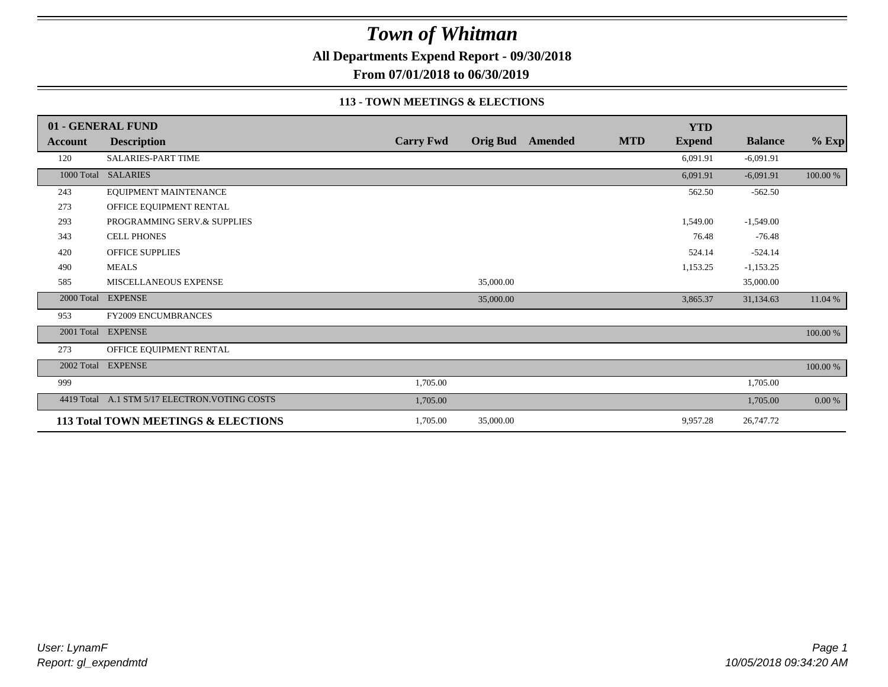**All Departments Expend Report - 09/30/2018**

**From 07/01/2018 to 06/30/2019**

#### **113 - TOWN MEETINGS & ELECTIONS**

|                | 01 - GENERAL FUND                              |                  |           |                         |            | <b>YTD</b>    |                |          |
|----------------|------------------------------------------------|------------------|-----------|-------------------------|------------|---------------|----------------|----------|
| <b>Account</b> | <b>Description</b>                             | <b>Carry Fwd</b> |           | <b>Orig Bud</b> Amended | <b>MTD</b> | <b>Expend</b> | <b>Balance</b> | $%$ Exp  |
| 120            | <b>SALARIES-PART TIME</b>                      |                  |           |                         |            | 6,091.91      | $-6,091.91$    |          |
|                | 1000 Total SALARIES                            |                  |           |                         |            | 6,091.91      | $-6,091.91$    | 100.00 % |
| 243            | EQUIPMENT MAINTENANCE                          |                  |           |                         |            | 562.50        | $-562.50$      |          |
| 273            | OFFICE EQUIPMENT RENTAL                        |                  |           |                         |            |               |                |          |
| 293            | PROGRAMMING SERV.& SUPPLIES                    |                  |           |                         |            | 1,549.00      | $-1,549.00$    |          |
| 343            | <b>CELL PHONES</b>                             |                  |           |                         |            | 76.48         | $-76.48$       |          |
| 420            | <b>OFFICE SUPPLIES</b>                         |                  |           |                         |            | 524.14        | $-524.14$      |          |
| 490            | <b>MEALS</b>                                   |                  |           |                         |            | 1,153.25      | $-1,153.25$    |          |
| 585            | MISCELLANEOUS EXPENSE                          |                  | 35,000.00 |                         |            |               | 35,000.00      |          |
| 2000 Total     | <b>EXPENSE</b>                                 |                  | 35,000.00 |                         |            | 3,865.37      | 31,134.63      | 11.04 %  |
| 953            | <b>FY2009 ENCUMBRANCES</b>                     |                  |           |                         |            |               |                |          |
| 2001 Total     | <b>EXPENSE</b>                                 |                  |           |                         |            |               |                | 100.00 % |
| 273            | OFFICE EQUIPMENT RENTAL                        |                  |           |                         |            |               |                |          |
| 2002 Total     | <b>EXPENSE</b>                                 |                  |           |                         |            |               |                | 100.00 % |
| 999            |                                                | 1,705.00         |           |                         |            |               | 1,705.00       |          |
|                | 4419 Total A.1 STM 5/17 ELECTRON. VOTING COSTS | 1,705.00         |           |                         |            |               | 1,705.00       | 0.00 %   |
|                | 113 Total TOWN MEETINGS & ELECTIONS            | 1,705.00         | 35,000.00 |                         |            | 9,957.28      | 26,747.72      |          |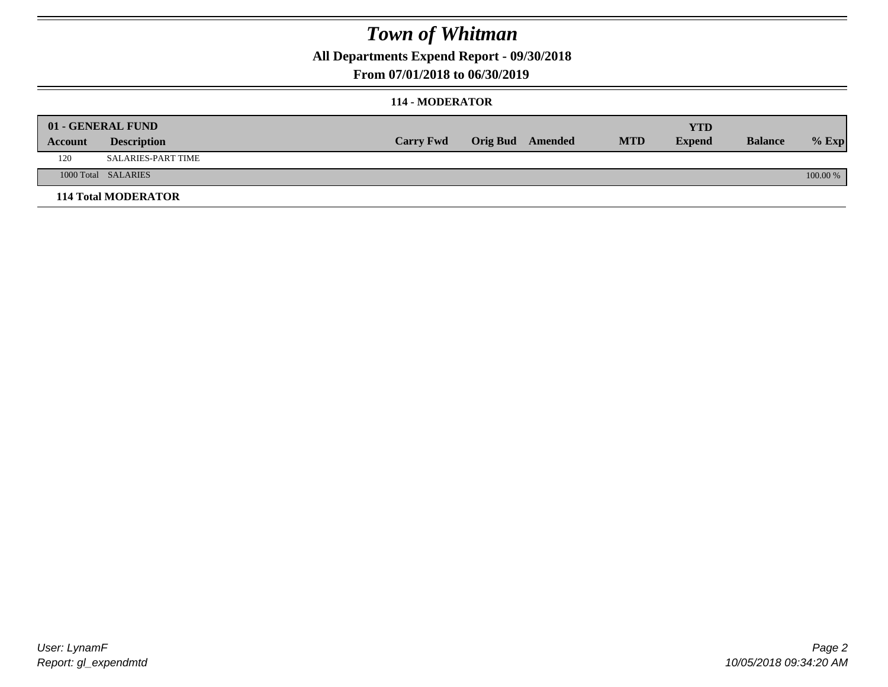**All Departments Expend Report - 09/30/2018**

### **From 07/01/2018 to 06/30/2019**

#### **114 - MODERATOR**

|         | 01 - GENERAL FUND          |                  |                  |            | <b>YTD</b>    |                |          |
|---------|----------------------------|------------------|------------------|------------|---------------|----------------|----------|
| Account | <b>Description</b>         | <b>Carry Fwd</b> | Orig Bud Amended | <b>MTD</b> | <b>Expend</b> | <b>Balance</b> | $%$ Exp  |
| 120     | <b>SALARIES-PART TIME</b>  |                  |                  |            |               |                |          |
|         | 1000 Total SALARIES        |                  |                  |            |               |                | 100.00 % |
|         | <b>114 Total MODERATOR</b> |                  |                  |            |               |                |          |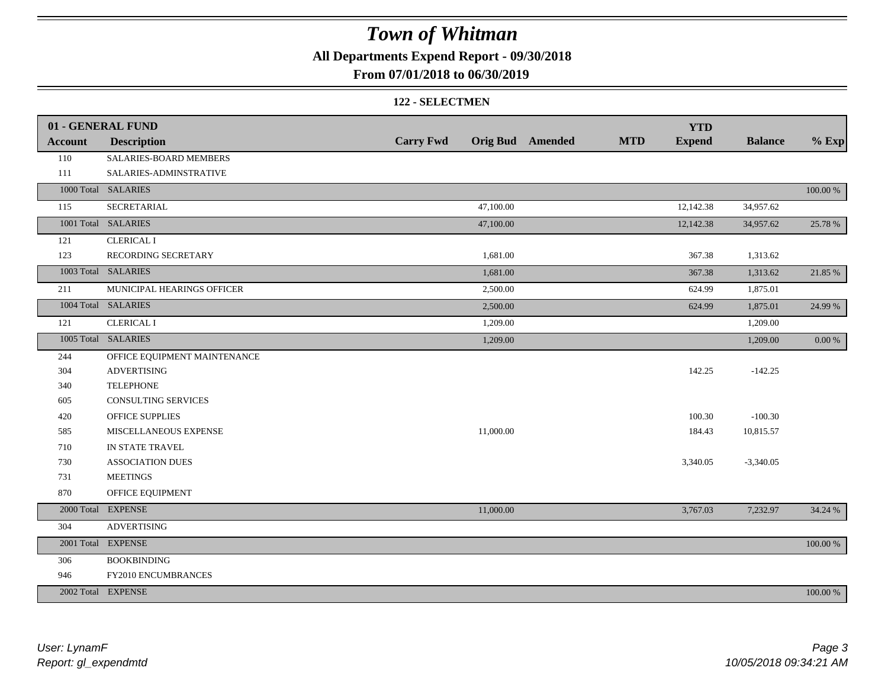**All Departments Expend Report - 09/30/2018**

**From 07/01/2018 to 06/30/2019**

#### **122 - SELECTMEN**

|                | 01 - GENERAL FUND            |                  |           |                         |            | <b>YTD</b>    |                |             |
|----------------|------------------------------|------------------|-----------|-------------------------|------------|---------------|----------------|-------------|
| <b>Account</b> | <b>Description</b>           | <b>Carry Fwd</b> |           | <b>Orig Bud</b> Amended | <b>MTD</b> | <b>Expend</b> | <b>Balance</b> | $%$ Exp     |
| 110            | SALARIES-BOARD MEMBERS       |                  |           |                         |            |               |                |             |
| 111            | SALARIES-ADMINSTRATIVE       |                  |           |                         |            |               |                |             |
|                | 1000 Total SALARIES          |                  |           |                         |            |               |                | $100.00~\%$ |
| 115            | SECRETARIAL                  |                  | 47,100.00 |                         |            | 12,142.38     | 34,957.62      |             |
|                | 1001 Total SALARIES          |                  | 47,100.00 |                         |            | 12,142.38     | 34,957.62      | 25.78 %     |
| 121            | <b>CLERICAL I</b>            |                  |           |                         |            |               |                |             |
| 123            | RECORDING SECRETARY          |                  | 1,681.00  |                         |            | 367.38        | 1,313.62       |             |
|                | 1003 Total SALARIES          |                  | 1,681.00  |                         |            | 367.38        | 1,313.62       | 21.85 %     |
| 211            | MUNICIPAL HEARINGS OFFICER   |                  | 2,500.00  |                         |            | 624.99        | 1,875.01       |             |
|                | 1004 Total SALARIES          |                  | 2,500.00  |                         |            | 624.99        | 1,875.01       | 24.99 %     |
| 121            | <b>CLERICAL I</b>            |                  | 1,209.00  |                         |            |               | 1,209.00       |             |
|                | 1005 Total SALARIES          |                  | 1,209.00  |                         |            |               | 1,209.00       | $0.00~\%$   |
| 244            | OFFICE EQUIPMENT MAINTENANCE |                  |           |                         |            |               |                |             |
| 304            | <b>ADVERTISING</b>           |                  |           |                         |            | 142.25        | $-142.25$      |             |
| 340            | <b>TELEPHONE</b>             |                  |           |                         |            |               |                |             |
| 605            | CONSULTING SERVICES          |                  |           |                         |            |               |                |             |
| 420            | <b>OFFICE SUPPLIES</b>       |                  |           |                         |            | 100.30        | $-100.30$      |             |
| 585            | MISCELLANEOUS EXPENSE        |                  | 11,000.00 |                         |            | 184.43        | 10,815.57      |             |
| 710            | IN STATE TRAVEL              |                  |           |                         |            |               |                |             |
| 730            | <b>ASSOCIATION DUES</b>      |                  |           |                         |            | 3,340.05      | $-3,340.05$    |             |
| 731            | <b>MEETINGS</b>              |                  |           |                         |            |               |                |             |
| 870            | OFFICE EQUIPMENT             |                  |           |                         |            |               |                |             |
|                | 2000 Total EXPENSE           |                  | 11,000.00 |                         |            | 3,767.03      | 7,232.97       | 34.24 %     |
| 304            | <b>ADVERTISING</b>           |                  |           |                         |            |               |                |             |
|                | 2001 Total EXPENSE           |                  |           |                         |            |               |                | 100.00 %    |
| 306            | <b>BOOKBINDING</b>           |                  |           |                         |            |               |                |             |
| 946            | FY2010 ENCUMBRANCES          |                  |           |                         |            |               |                |             |
|                | 2002 Total EXPENSE           |                  |           |                         |            |               |                | 100.00 %    |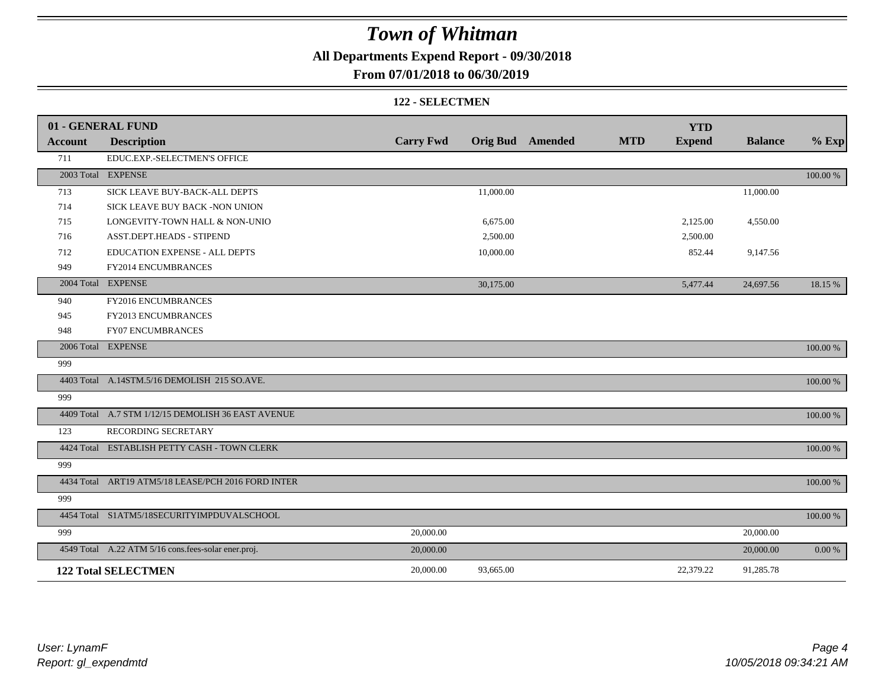**All Departments Expend Report - 09/30/2018**

### **From 07/01/2018 to 06/30/2019**

#### **122 - SELECTMEN**

|                | 01 - GENERAL FUND                                   |                  |           |                         |            | <b>YTD</b>    |                |             |
|----------------|-----------------------------------------------------|------------------|-----------|-------------------------|------------|---------------|----------------|-------------|
| <b>Account</b> | <b>Description</b>                                  | <b>Carry Fwd</b> |           | <b>Orig Bud</b> Amended | <b>MTD</b> | <b>Expend</b> | <b>Balance</b> | $%$ Exp     |
| 711            | EDUC.EXP.-SELECTMEN'S OFFICE                        |                  |           |                         |            |               |                |             |
|                | 2003 Total EXPENSE                                  |                  |           |                         |            |               |                | 100.00 %    |
| 713            | SICK LEAVE BUY-BACK-ALL DEPTS                       |                  | 11,000.00 |                         |            |               | 11,000.00      |             |
| 714            | SICK LEAVE BUY BACK -NON UNION                      |                  |           |                         |            |               |                |             |
| 715            | LONGEVITY-TOWN HALL & NON-UNIO                      |                  | 6,675.00  |                         |            | 2,125.00      | 4,550.00       |             |
| 716            | ASST.DEPT.HEADS - STIPEND                           |                  | 2,500.00  |                         |            | 2,500.00      |                |             |
| 712            | EDUCATION EXPENSE - ALL DEPTS                       |                  | 10,000.00 |                         |            | 852.44        | 9,147.56       |             |
| 949            | FY2014 ENCUMBRANCES                                 |                  |           |                         |            |               |                |             |
|                | 2004 Total EXPENSE                                  |                  | 30,175.00 |                         |            | 5,477.44      | 24,697.56      | 18.15 %     |
| 940            | FY2016 ENCUMBRANCES                                 |                  |           |                         |            |               |                |             |
| 945            | FY2013 ENCUMBRANCES                                 |                  |           |                         |            |               |                |             |
| 948            | <b>FY07 ENCUMBRANCES</b>                            |                  |           |                         |            |               |                |             |
|                | 2006 Total EXPENSE                                  |                  |           |                         |            |               |                | 100.00 %    |
| 999            |                                                     |                  |           |                         |            |               |                |             |
|                | 4403 Total A.14STM.5/16 DEMOLISH 215 SO.AVE.        |                  |           |                         |            |               |                | 100.00 %    |
| 999            |                                                     |                  |           |                         |            |               |                |             |
|                | 4409 Total A.7 STM 1/12/15 DEMOLISH 36 EAST AVENUE  |                  |           |                         |            |               |                | 100.00 %    |
| 123            | RECORDING SECRETARY                                 |                  |           |                         |            |               |                |             |
|                | 4424 Total ESTABLISH PETTY CASH - TOWN CLERK        |                  |           |                         |            |               |                | 100.00 %    |
| 999            |                                                     |                  |           |                         |            |               |                |             |
|                | 4434 Total ART19 ATM5/18 LEASE/PCH 2016 FORD INTER  |                  |           |                         |            |               |                | 100.00 %    |
| 999            |                                                     |                  |           |                         |            |               |                |             |
|                | 4454 Total S1ATM5/18SECURITYIMPDUVALSCHOOL          |                  |           |                         |            |               |                | $100.00~\%$ |
| 999            |                                                     | 20,000.00        |           |                         |            |               | 20,000.00      |             |
|                | 4549 Total A.22 ATM 5/16 cons.fees-solar ener.proj. | 20,000.00        |           |                         |            |               | 20,000.00      | 0.00 %      |
|                | <b>122 Total SELECTMEN</b>                          | 20,000.00        | 93,665.00 |                         |            | 22,379.22     | 91,285.78      |             |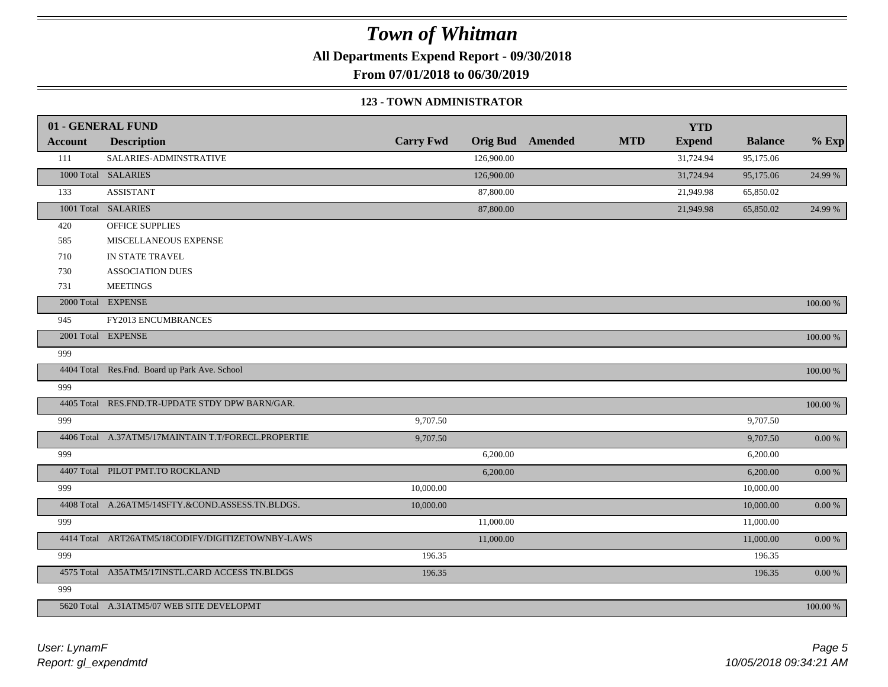**All Departments Expend Report - 09/30/2018**

**From 07/01/2018 to 06/30/2019**

#### **123 - TOWN ADMINISTRATOR**

|                | 01 - GENERAL FUND                                   |                  |            |                         |            | <b>YTD</b>    |                |             |
|----------------|-----------------------------------------------------|------------------|------------|-------------------------|------------|---------------|----------------|-------------|
| <b>Account</b> | <b>Description</b>                                  | <b>Carry Fwd</b> |            | <b>Orig Bud</b> Amended | <b>MTD</b> | <b>Expend</b> | <b>Balance</b> | $%$ Exp     |
| 111            | SALARIES-ADMINSTRATIVE                              |                  | 126,900.00 |                         |            | 31,724.94     | 95,175.06      |             |
|                | 1000 Total SALARIES                                 |                  | 126,900.00 |                         |            | 31,724.94     | 95,175.06      | 24.99 %     |
| 133            | <b>ASSISTANT</b>                                    |                  | 87,800.00  |                         |            | 21,949.98     | 65,850.02      |             |
|                | 1001 Total SALARIES                                 |                  | 87,800.00  |                         |            | 21,949.98     | 65,850.02      | 24.99 %     |
| 420            | OFFICE SUPPLIES                                     |                  |            |                         |            |               |                |             |
| 585            | MISCELLANEOUS EXPENSE                               |                  |            |                         |            |               |                |             |
| 710            | IN STATE TRAVEL                                     |                  |            |                         |            |               |                |             |
| 730            | <b>ASSOCIATION DUES</b>                             |                  |            |                         |            |               |                |             |
| 731            | <b>MEETINGS</b>                                     |                  |            |                         |            |               |                |             |
|                | 2000 Total EXPENSE                                  |                  |            |                         |            |               |                | 100.00 %    |
| 945            | FY2013 ENCUMBRANCES                                 |                  |            |                         |            |               |                |             |
|                | 2001 Total EXPENSE                                  |                  |            |                         |            |               |                | $100.00~\%$ |
| 999            |                                                     |                  |            |                         |            |               |                |             |
|                | 4404 Total Res.Fnd. Board up Park Ave. School       |                  |            |                         |            |               |                | 100.00 %    |
| 999            |                                                     |                  |            |                         |            |               |                |             |
|                | 4405 Total RES.FND.TR-UPDATE STDY DPW BARN/GAR.     |                  |            |                         |            |               |                | $100.00~\%$ |
| 999            |                                                     | 9,707.50         |            |                         |            |               | 9,707.50       |             |
|                | 4406 Total A.37ATM5/17MAINTAIN T.T/FORECL.PROPERTIE | 9,707.50         |            |                         |            |               | 9,707.50       | $0.00\ \%$  |
| 999            |                                                     |                  | 6,200.00   |                         |            |               | 6,200.00       |             |
|                | 4407 Total PILOT PMT.TO ROCKLAND                    |                  | 6,200.00   |                         |            |               | 6,200.00       | $0.00\ \%$  |
| 999            |                                                     | 10,000.00        |            |                         |            |               | 10,000.00      |             |
|                | 4408 Total A.26ATM5/14SFTY.&COND.ASSESS.TN.BLDGS.   | 10,000.00        |            |                         |            |               | 10,000.00      | $0.00\ \%$  |
| 999            |                                                     |                  | 11,000.00  |                         |            |               | 11,000.00      |             |
|                | 4414 Total ART26ATM5/18CODIFY/DIGITIZETOWNBY-LAWS   |                  | 11,000.00  |                         |            |               | 11,000.00      | $0.00~\%$   |
| 999            |                                                     | 196.35           |            |                         |            |               | 196.35         |             |
|                | 4575 Total A35ATM5/17INSTL.CARD ACCESS TN.BLDGS     | 196.35           |            |                         |            |               | 196.35         | $0.00~\%$   |
| 999            |                                                     |                  |            |                         |            |               |                |             |
|                | 5620 Total A.31ATM5/07 WEB SITE DEVELOPMT           |                  |            |                         |            |               |                | 100.00 %    |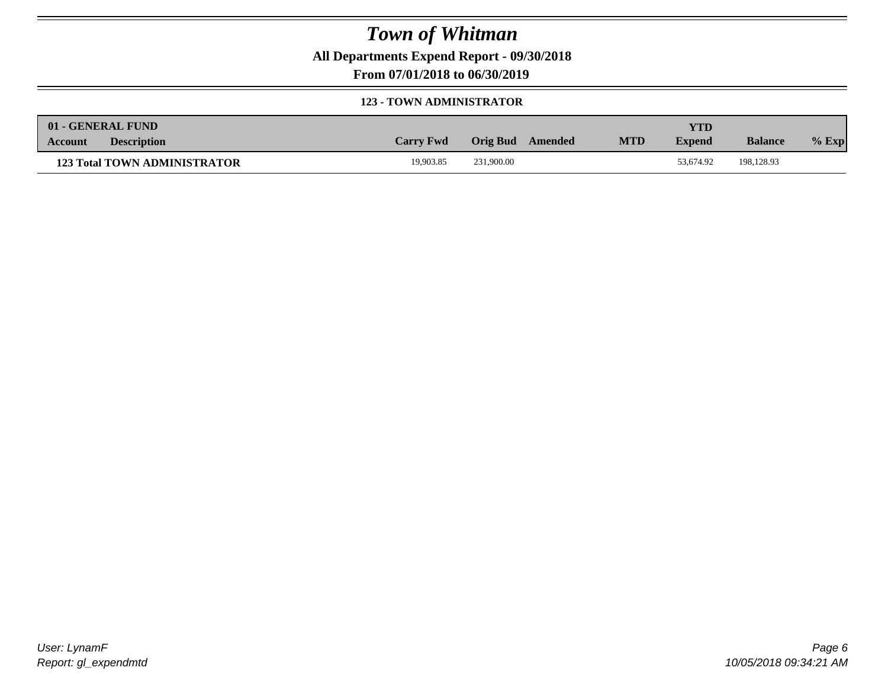**All Departments Expend Report - 09/30/2018**

**From 07/01/2018 to 06/30/2019**

#### **123 - TOWN ADMINISTRATOR**

| 01 - GENERAL FUND                   |                  |                  |            | YTD           |                |         |
|-------------------------------------|------------------|------------------|------------|---------------|----------------|---------|
| <b>Description</b><br>Account       | <b>Carry Fwd</b> | Orig Bud Amended | <b>MTD</b> | <b>Expend</b> | <b>Balance</b> | $%$ Exp |
| <b>123 Total TOWN ADMINISTRATOR</b> | 19.903.85        | 231,900.00       |            | 53.674.92     | 198.128.93     |         |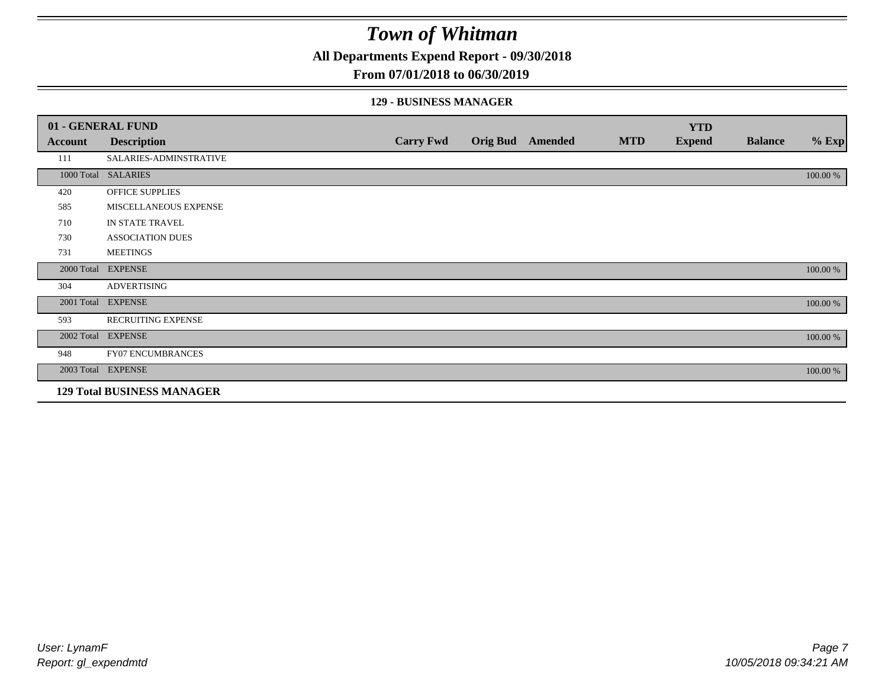**All Departments Expend Report - 09/30/2018**

#### **From 07/01/2018 to 06/30/2019**

#### **129 - BUSINESS MANAGER**

|            | 01 - GENERAL FUND                 |                  |                         |            | <b>YTD</b>    |                |          |
|------------|-----------------------------------|------------------|-------------------------|------------|---------------|----------------|----------|
| Account    | <b>Description</b>                | <b>Carry Fwd</b> | <b>Orig Bud</b> Amended | <b>MTD</b> | <b>Expend</b> | <b>Balance</b> | $%$ Exp  |
| 111        | SALARIES-ADMINSTRATIVE            |                  |                         |            |               |                |          |
|            | 1000 Total SALARIES               |                  |                         |            |               |                | 100.00 % |
| 420        | <b>OFFICE SUPPLIES</b>            |                  |                         |            |               |                |          |
| 585        | MISCELLANEOUS EXPENSE             |                  |                         |            |               |                |          |
| 710        | IN STATE TRAVEL                   |                  |                         |            |               |                |          |
| 730        | <b>ASSOCIATION DUES</b>           |                  |                         |            |               |                |          |
| 731        | <b>MEETINGS</b>                   |                  |                         |            |               |                |          |
| 2000 Total | <b>EXPENSE</b>                    |                  |                         |            |               |                | 100.00 % |
| 304        | <b>ADVERTISING</b>                |                  |                         |            |               |                |          |
| 2001 Total | <b>EXPENSE</b>                    |                  |                         |            |               |                | 100.00 % |
| 593        | RECRUITING EXPENSE                |                  |                         |            |               |                |          |
|            | 2002 Total EXPENSE                |                  |                         |            |               |                | 100.00 % |
| 948        | FY07 ENCUMBRANCES                 |                  |                         |            |               |                |          |
|            | 2003 Total EXPENSE                |                  |                         |            |               |                | 100.00 % |
|            | <b>129 Total BUSINESS MANAGER</b> |                  |                         |            |               |                |          |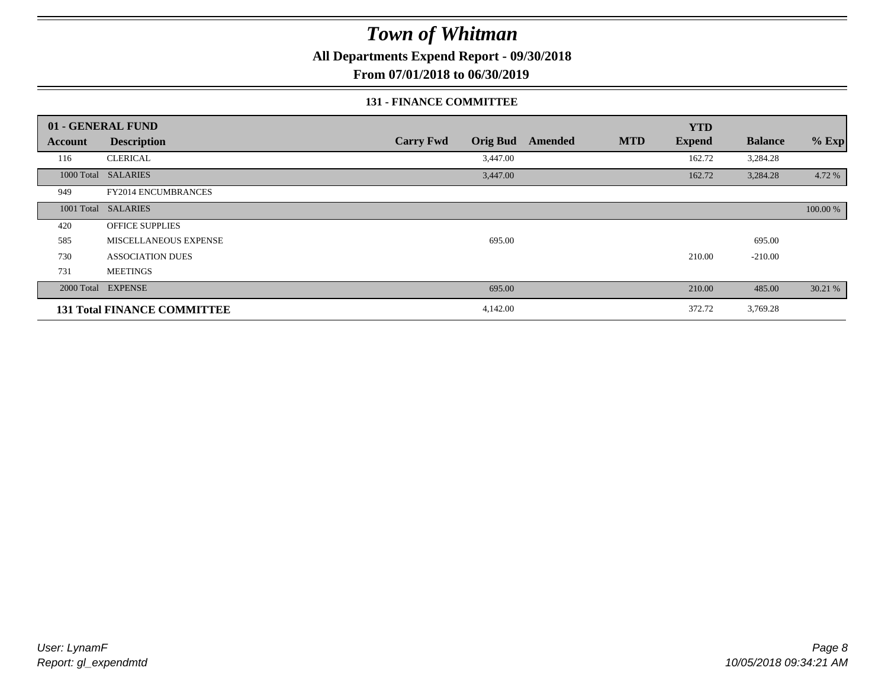**All Departments Expend Report - 09/30/2018**

**From 07/01/2018 to 06/30/2019**

#### **131 - FINANCE COMMITTEE**

|            | 01 - GENERAL FUND                  |                                     |                |            | <b>YTD</b>    |                |          |
|------------|------------------------------------|-------------------------------------|----------------|------------|---------------|----------------|----------|
| Account    | <b>Description</b>                 | <b>Carry Fwd</b><br><b>Orig Bud</b> | <b>Amended</b> | <b>MTD</b> | <b>Expend</b> | <b>Balance</b> | $%$ Exp  |
| 116        | <b>CLERICAL</b>                    | 3,447.00                            |                |            | 162.72        | 3,284.28       |          |
| 1000 Total | <b>SALARIES</b>                    | 3,447.00                            |                |            | 162.72        | 3,284.28       | 4.72 %   |
| 949        | FY2014 ENCUMBRANCES                |                                     |                |            |               |                |          |
|            | 1001 Total SALARIES                |                                     |                |            |               |                | 100.00 % |
| 420        | <b>OFFICE SUPPLIES</b>             |                                     |                |            |               |                |          |
| 585        | MISCELLANEOUS EXPENSE              | 695.00                              |                |            |               | 695.00         |          |
| 730        | <b>ASSOCIATION DUES</b>            |                                     |                |            | 210.00        | $-210.00$      |          |
| 731        | <b>MEETINGS</b>                    |                                     |                |            |               |                |          |
|            | 2000 Total EXPENSE                 | 695.00                              |                |            | 210.00        | 485.00         | 30.21 %  |
|            | <b>131 Total FINANCE COMMITTEE</b> | 4,142.00                            |                |            | 372.72        | 3,769.28       |          |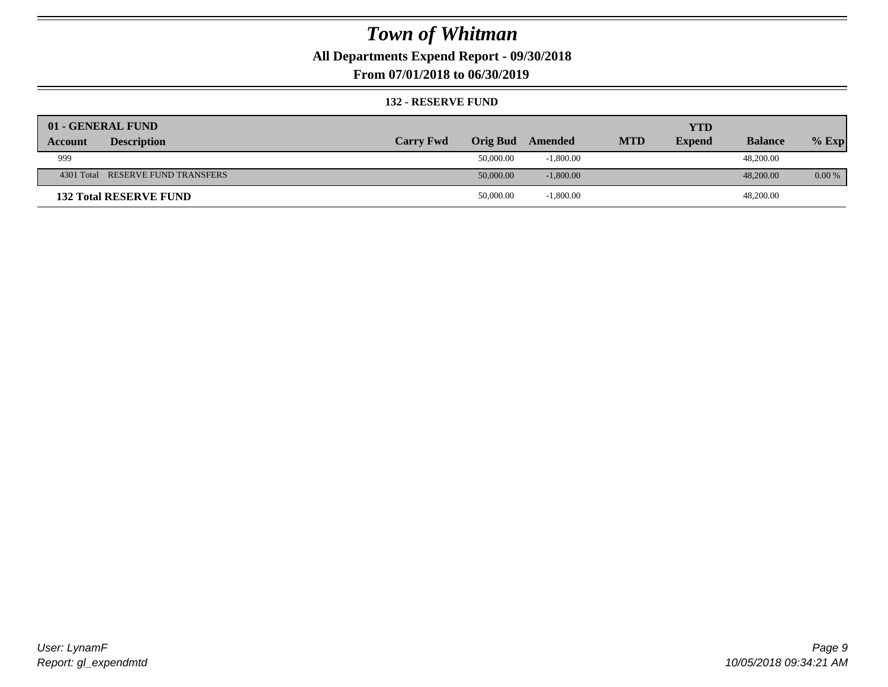**All Departments Expend Report - 09/30/2018**

**From 07/01/2018 to 06/30/2019**

#### **132 - RESERVE FUND**

| 01 - GENERAL FUND                 |                  |                 |             |            | <b>YTD</b>    |                |          |
|-----------------------------------|------------------|-----------------|-------------|------------|---------------|----------------|----------|
| <b>Description</b><br>Account     | <b>Carry Fwd</b> | <b>Orig Bud</b> | Amended     | <b>MTD</b> | <b>Expend</b> | <b>Balance</b> | $%$ Exp  |
| 999                               |                  | 50,000.00       | $-1,800.00$ |            |               | 48,200.00      |          |
| 4301 Total RESERVE FUND TRANSFERS |                  | 50,000.00       | $-1,800.00$ |            |               | 48,200,00      | $0.00\%$ |
| <b>132 Total RESERVE FUND</b>     |                  | 50,000.00       | $-1,800.00$ |            |               | 48,200.00      |          |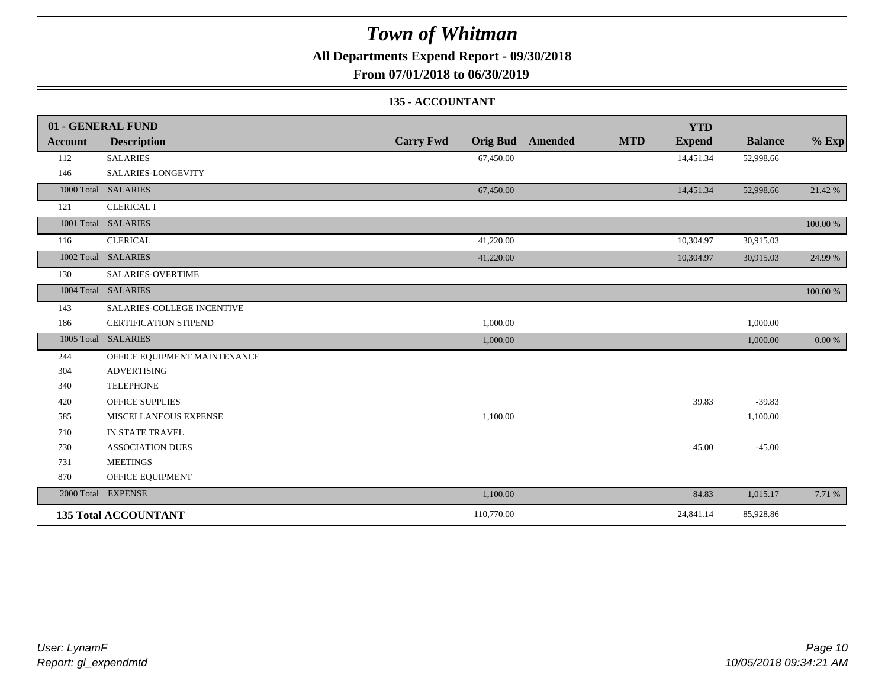**All Departments Expend Report - 09/30/2018**

**From 07/01/2018 to 06/30/2019**

### **135 - ACCOUNTANT**

|         | 01 - GENERAL FUND            |                                     | <b>YTD</b>                             |                |          |
|---------|------------------------------|-------------------------------------|----------------------------------------|----------------|----------|
| Account | <b>Description</b>           | <b>Carry Fwd</b><br><b>Orig Bud</b> | <b>MTD</b><br>Amended<br><b>Expend</b> | <b>Balance</b> | $%$ Exp  |
| 112     | <b>SALARIES</b>              | 67,450.00                           | 14,451.34                              | 52,998.66      |          |
| 146     | SALARIES-LONGEVITY           |                                     |                                        |                |          |
|         | 1000 Total SALARIES          | 67,450.00                           | 14,451.34                              | 52,998.66      | 21.42 %  |
| 121     | <b>CLERICAL I</b>            |                                     |                                        |                |          |
|         | 1001 Total SALARIES          |                                     |                                        |                | 100.00 % |
| 116     | <b>CLERICAL</b>              | 41,220.00                           | 10,304.97                              | 30,915.03      |          |
|         | 1002 Total SALARIES          | 41,220.00                           | 10,304.97                              | 30,915.03      | 24.99 %  |
| 130     | <b>SALARIES-OVERTIME</b>     |                                     |                                        |                |          |
|         | 1004 Total SALARIES          |                                     |                                        |                | 100.00 % |
| 143     | SALARIES-COLLEGE INCENTIVE   |                                     |                                        |                |          |
| 186     | <b>CERTIFICATION STIPEND</b> | 1,000.00                            |                                        | 1,000.00       |          |
|         | 1005 Total SALARIES          | 1,000.00                            |                                        | 1,000.00       | 0.00 %   |
| 244     | OFFICE EQUIPMENT MAINTENANCE |                                     |                                        |                |          |
| 304     | <b>ADVERTISING</b>           |                                     |                                        |                |          |
| 340     | <b>TELEPHONE</b>             |                                     |                                        |                |          |
| 420     | <b>OFFICE SUPPLIES</b>       |                                     | 39.83                                  | $-39.83$       |          |
| 585     | MISCELLANEOUS EXPENSE        | 1,100.00                            |                                        | 1,100.00       |          |
| 710     | IN STATE TRAVEL              |                                     |                                        |                |          |
| 730     | <b>ASSOCIATION DUES</b>      |                                     | 45.00                                  | $-45.00$       |          |
| 731     | <b>MEETINGS</b>              |                                     |                                        |                |          |
| 870     | OFFICE EQUIPMENT             |                                     |                                        |                |          |
|         | 2000 Total EXPENSE           | 1,100.00                            | 84.83                                  | 1,015.17       | 7.71 %   |
|         | <b>135 Total ACCOUNTANT</b>  | 110,770.00                          | 24,841.14                              | 85,928.86      |          |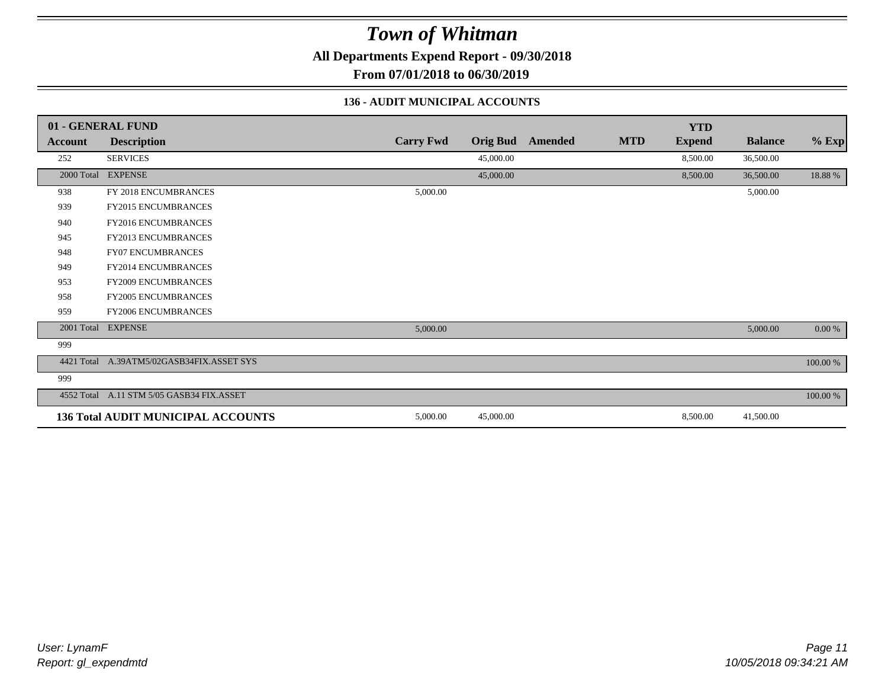**All Departments Expend Report - 09/30/2018**

**From 07/01/2018 to 06/30/2019**

#### **136 - AUDIT MUNICIPAL ACCOUNTS**

|                | 01 - GENERAL FUND                         |                  |                 |         |            | <b>YTD</b>    |                |          |
|----------------|-------------------------------------------|------------------|-----------------|---------|------------|---------------|----------------|----------|
| <b>Account</b> | <b>Description</b>                        | <b>Carry Fwd</b> | <b>Orig Bud</b> | Amended | <b>MTD</b> | <b>Expend</b> | <b>Balance</b> | $%$ Exp  |
| 252            | <b>SERVICES</b>                           |                  | 45,000.00       |         |            | 8,500.00      | 36,500.00      |          |
| 2000 Total     | <b>EXPENSE</b>                            |                  | 45,000.00       |         |            | 8,500.00      | 36,500.00      | 18.88%   |
| 938            | FY 2018 ENCUMBRANCES                      | 5,000.00         |                 |         |            |               | 5,000.00       |          |
| 939            | <b>FY2015 ENCUMBRANCES</b>                |                  |                 |         |            |               |                |          |
| 940            | <b>FY2016 ENCUMBRANCES</b>                |                  |                 |         |            |               |                |          |
| 945            | FY2013 ENCUMBRANCES                       |                  |                 |         |            |               |                |          |
| 948            | <b>FY07 ENCUMBRANCES</b>                  |                  |                 |         |            |               |                |          |
| 949            | <b>FY2014 ENCUMBRANCES</b>                |                  |                 |         |            |               |                |          |
| 953            | <b>FY2009 ENCUMBRANCES</b>                |                  |                 |         |            |               |                |          |
| 958            | <b>FY2005 ENCUMBRANCES</b>                |                  |                 |         |            |               |                |          |
| 959            | <b>FY2006 ENCUMBRANCES</b>                |                  |                 |         |            |               |                |          |
| 2001 Total     | <b>EXPENSE</b>                            | 5,000.00         |                 |         |            |               | 5,000.00       | 0.00 %   |
| 999            |                                           |                  |                 |         |            |               |                |          |
|                | 4421 Total A.39ATM5/02GASB34FIX.ASSET SYS |                  |                 |         |            |               |                | 100.00 % |
| 999            |                                           |                  |                 |         |            |               |                |          |
|                | 4552 Total A.11 STM 5/05 GASB34 FIX.ASSET |                  |                 |         |            |               |                | 100.00 % |
|                | <b>136 Total AUDIT MUNICIPAL ACCOUNTS</b> | 5,000.00         | 45,000.00       |         |            | 8,500.00      | 41,500.00      |          |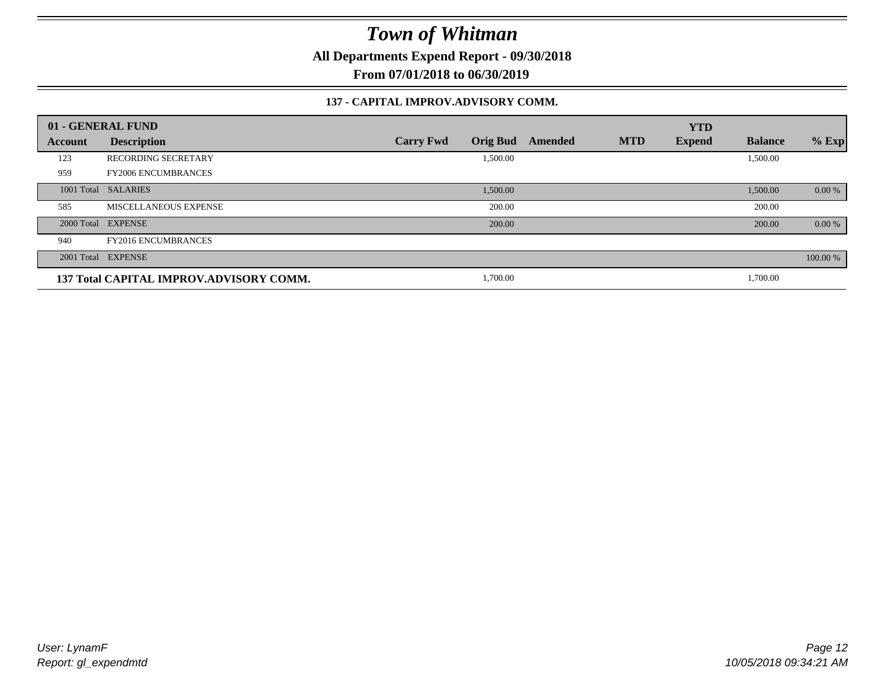**All Departments Expend Report - 09/30/2018**

**From 07/01/2018 to 06/30/2019**

#### **137 - CAPITAL IMPROV.ADVISORY COMM.**

|         | 01 - GENERAL FUND                       |                                     |         |            | <b>YTD</b>    |                |          |
|---------|-----------------------------------------|-------------------------------------|---------|------------|---------------|----------------|----------|
| Account | <b>Description</b>                      | <b>Orig Bud</b><br><b>Carry Fwd</b> | Amended | <b>MTD</b> | <b>Expend</b> | <b>Balance</b> | $%$ Exp  |
| 123     | <b>RECORDING SECRETARY</b>              | 1,500.00                            |         |            |               | 1,500.00       |          |
| 959     | <b>FY2006 ENCUMBRANCES</b>              |                                     |         |            |               |                |          |
|         | 1001 Total SALARIES                     | 1,500.00                            |         |            |               | 1,500.00       | 0.00 %   |
| 585     | MISCELLANEOUS EXPENSE                   | 200.00                              |         |            |               | 200.00         |          |
|         | 2000 Total EXPENSE                      | 200.00                              |         |            |               | 200.00         | 0.00 %   |
| 940     | <b>FY2016 ENCUMBRANCES</b>              |                                     |         |            |               |                |          |
|         | 2001 Total EXPENSE                      |                                     |         |            |               |                | 100.00 % |
|         | 137 Total CAPITAL IMPROV.ADVISORY COMM. | 1,700.00                            |         |            |               | 1,700.00       |          |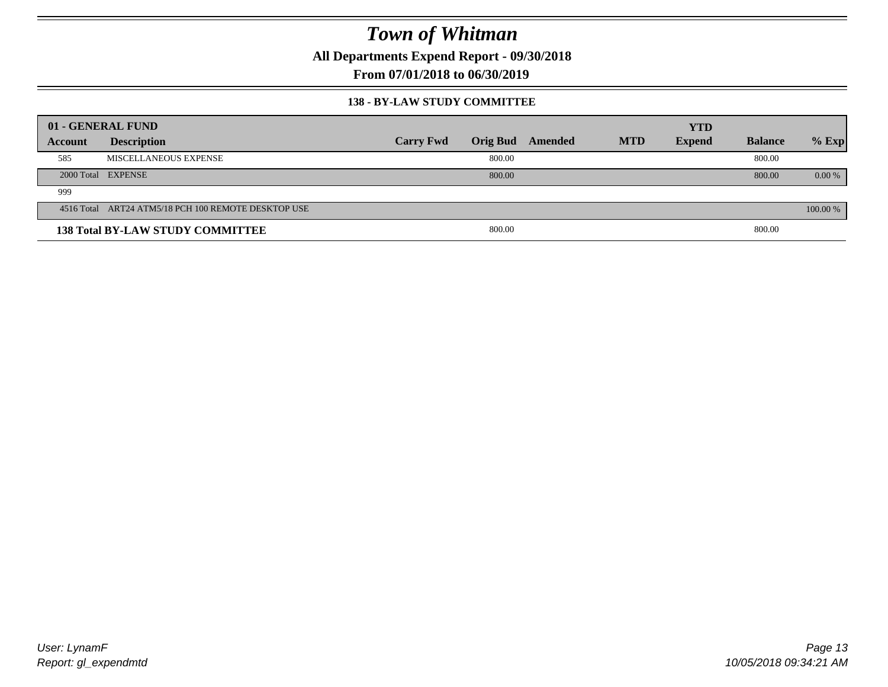**All Departments Expend Report - 09/30/2018**

**From 07/01/2018 to 06/30/2019**

#### **138 - BY-LAW STUDY COMMITTEE**

|         | 01 - GENERAL FUND                                   |                  |                 |         |            | <b>YTD</b>    |                |          |
|---------|-----------------------------------------------------|------------------|-----------------|---------|------------|---------------|----------------|----------|
| Account | <b>Description</b>                                  | <b>Carry Fwd</b> | <b>Orig Bud</b> | Amended | <b>MTD</b> | <b>Expend</b> | <b>Balance</b> | $%$ Exp  |
| 585     | MISCELLANEOUS EXPENSE                               |                  | 800.00          |         |            |               | 800.00         |          |
|         | 2000 Total EXPENSE                                  |                  | 800.00          |         |            |               | 800.00         | $0.00\%$ |
| 999     |                                                     |                  |                 |         |            |               |                |          |
|         | 4516 Total ART24 ATM5/18 PCH 100 REMOTE DESKTOP USE |                  |                 |         |            |               |                | 100.00 % |
|         | <b>138 Total BY-LAW STUDY COMMITTEE</b>             |                  | 800.00          |         |            |               | 800.00         |          |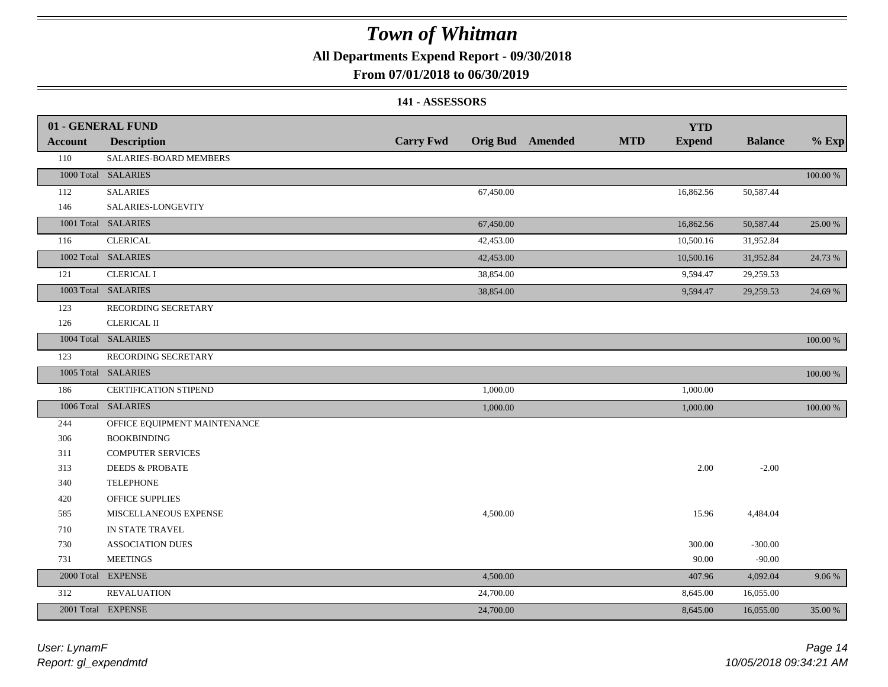**All Departments Expend Report - 09/30/2018**

### **From 07/01/2018 to 06/30/2019**

#### **141 - ASSESSORS**

|                | 01 - GENERAL FUND            |                  |           |                  |            | <b>YTD</b>    |                |          |
|----------------|------------------------------|------------------|-----------|------------------|------------|---------------|----------------|----------|
| <b>Account</b> | <b>Description</b>           | <b>Carry Fwd</b> |           | Orig Bud Amended | <b>MTD</b> | <b>Expend</b> | <b>Balance</b> | $%$ Exp  |
| 110            | SALARIES-BOARD MEMBERS       |                  |           |                  |            |               |                |          |
|                | 1000 Total SALARIES          |                  |           |                  |            |               |                | 100.00 % |
| 112            | <b>SALARIES</b>              |                  | 67,450.00 |                  |            | 16,862.56     | 50,587.44      |          |
| 146            | SALARIES-LONGEVITY           |                  |           |                  |            |               |                |          |
|                | 1001 Total SALARIES          |                  | 67,450.00 |                  |            | 16,862.56     | 50,587.44      | 25.00 %  |
| 116            | <b>CLERICAL</b>              |                  | 42,453.00 |                  |            | 10,500.16     | 31,952.84      |          |
|                | 1002 Total SALARIES          |                  | 42,453.00 |                  |            | 10,500.16     | 31,952.84      | 24.73 %  |
| 121            | <b>CLERICAL I</b>            |                  | 38,854.00 |                  |            | 9,594.47      | 29,259.53      |          |
|                | 1003 Total SALARIES          |                  | 38,854.00 |                  |            | 9,594.47      | 29,259.53      | 24.69 %  |
| 123            | RECORDING SECRETARY          |                  |           |                  |            |               |                |          |
| 126            | <b>CLERICAL II</b>           |                  |           |                  |            |               |                |          |
|                | 1004 Total SALARIES          |                  |           |                  |            |               |                | 100.00 % |
| 123            | RECORDING SECRETARY          |                  |           |                  |            |               |                |          |
|                | 1005 Total SALARIES          |                  |           |                  |            |               |                | 100.00 % |
| 186            | CERTIFICATION STIPEND        |                  | 1,000.00  |                  |            | 1,000.00      |                |          |
|                | 1006 Total SALARIES          |                  | 1,000.00  |                  |            | 1,000.00      |                | 100.00 % |
| 244            | OFFICE EQUIPMENT MAINTENANCE |                  |           |                  |            |               |                |          |
| 306            | <b>BOOKBINDING</b>           |                  |           |                  |            |               |                |          |
| 311            | <b>COMPUTER SERVICES</b>     |                  |           |                  |            |               |                |          |
| 313            | <b>DEEDS &amp; PROBATE</b>   |                  |           |                  |            | 2.00          | $-2.00$        |          |
| 340            | <b>TELEPHONE</b>             |                  |           |                  |            |               |                |          |
| 420            | OFFICE SUPPLIES              |                  |           |                  |            |               |                |          |
| 585            | MISCELLANEOUS EXPENSE        |                  | 4,500.00  |                  |            | 15.96         | 4,484.04       |          |
| 710            | IN STATE TRAVEL              |                  |           |                  |            |               |                |          |
| 730            | <b>ASSOCIATION DUES</b>      |                  |           |                  |            | 300.00        | $-300.00$      |          |
| 731            | <b>MEETINGS</b>              |                  |           |                  |            | 90.00         | $-90.00$       |          |
|                | 2000 Total EXPENSE           |                  | 4,500.00  |                  |            | 407.96        | 4,092.04       | 9.06 %   |
| 312            | <b>REVALUATION</b>           |                  | 24,700.00 |                  |            | 8,645.00      | 16,055.00      |          |
|                | 2001 Total EXPENSE           |                  | 24,700.00 |                  |            | 8,645.00      | 16,055.00      | 35.00 %  |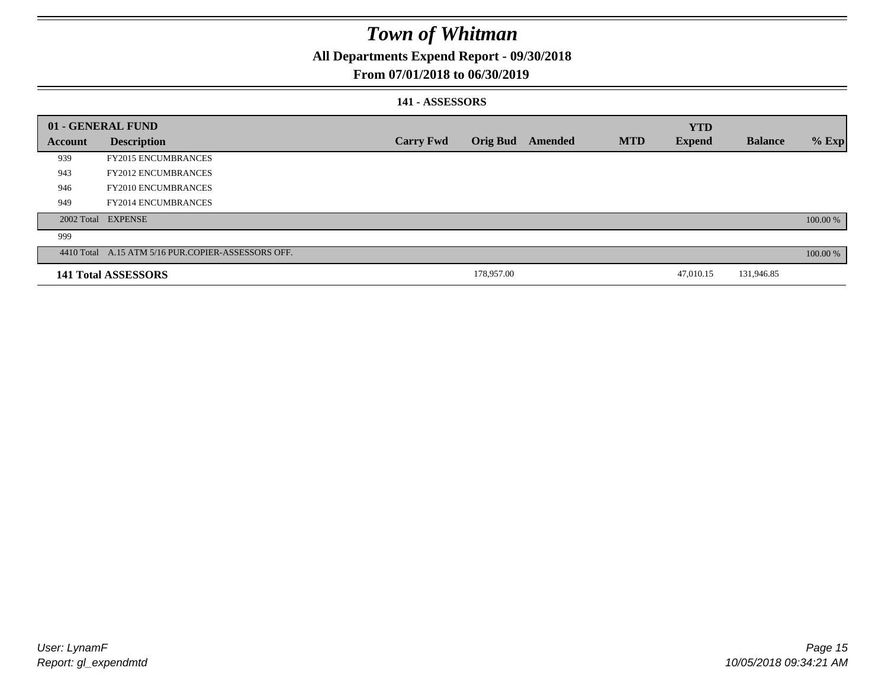**All Departments Expend Report - 09/30/2018**

### **From 07/01/2018 to 06/30/2019**

### **141 - ASSESSORS**

|         | 01 - GENERAL FUND                                  |                  |                 |         |            | <b>YTD</b>    |                |            |
|---------|----------------------------------------------------|------------------|-----------------|---------|------------|---------------|----------------|------------|
| Account | <b>Description</b>                                 | <b>Carry Fwd</b> | <b>Orig Bud</b> | Amended | <b>MTD</b> | <b>Expend</b> | <b>Balance</b> | $%$ Exp    |
| 939     | <b>FY2015 ENCUMBRANCES</b>                         |                  |                 |         |            |               |                |            |
| 943     | <b>FY2012 ENCUMBRANCES</b>                         |                  |                 |         |            |               |                |            |
| 946     | <b>FY2010 ENCUMBRANCES</b>                         |                  |                 |         |            |               |                |            |
| 949     | <b>FY2014 ENCUMBRANCES</b>                         |                  |                 |         |            |               |                |            |
|         | 2002 Total EXPENSE                                 |                  |                 |         |            |               |                | 100.00 %   |
| 999     |                                                    |                  |                 |         |            |               |                |            |
|         | 4410 Total A.15 ATM 5/16 PUR.COPIER-ASSESSORS OFF. |                  |                 |         |            |               |                | $100.00\%$ |
|         | 141 Total ASSESSORS                                |                  | 178,957.00      |         |            | 47,010.15     | 131,946.85     |            |
|         |                                                    |                  |                 |         |            |               |                |            |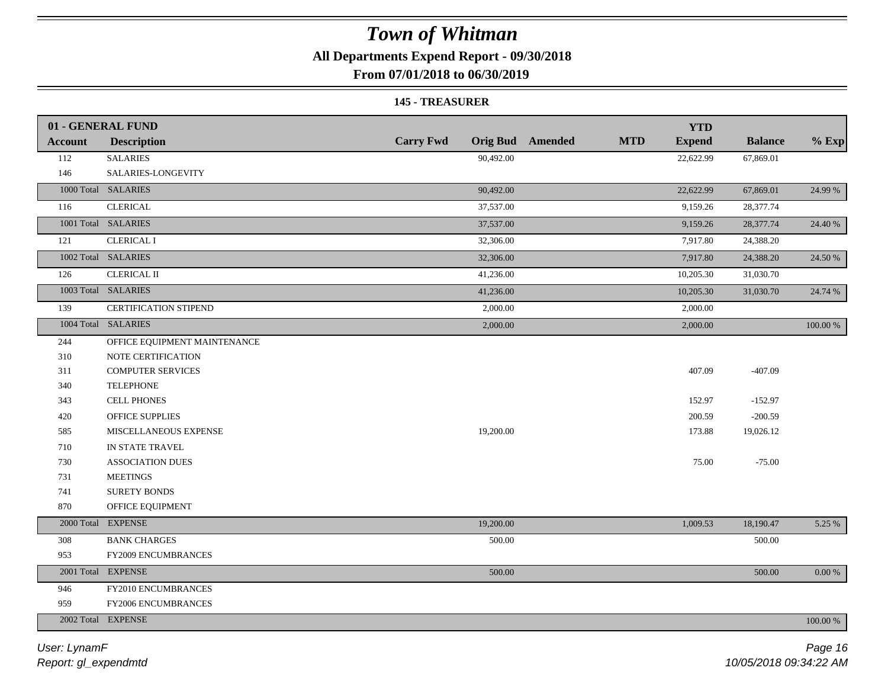**All Departments Expend Report - 09/30/2018**

**From 07/01/2018 to 06/30/2019**

#### **145 - TREASURER**

|                | 01 - GENERAL FUND            |                  |                         |            | <b>YTD</b>    |                |             |
|----------------|------------------------------|------------------|-------------------------|------------|---------------|----------------|-------------|
| <b>Account</b> | <b>Description</b>           | <b>Carry Fwd</b> | <b>Orig Bud</b> Amended | <b>MTD</b> | <b>Expend</b> | <b>Balance</b> | $%$ Exp     |
| 112            | <b>SALARIES</b>              | 90,492.00        |                         |            | 22,622.99     | 67,869.01      |             |
| 146            | SALARIES-LONGEVITY           |                  |                         |            |               |                |             |
|                | 1000 Total SALARIES          | 90,492.00        |                         |            | 22,622.99     | 67,869.01      | 24.99 %     |
| 116            | <b>CLERICAL</b>              | 37,537.00        |                         |            | 9,159.26      | 28,377.74      |             |
|                | 1001 Total SALARIES          | 37,537.00        |                         |            | 9,159.26      | 28,377.74      | 24.40 %     |
| 121            | <b>CLERICAL I</b>            | 32,306.00        |                         |            | 7,917.80      | 24,388.20      |             |
|                | 1002 Total SALARIES          | 32,306.00        |                         |            | 7,917.80      | 24,388.20      | 24.50 %     |
| 126            | <b>CLERICAL II</b>           | 41,236.00        |                         |            | 10,205.30     | 31,030.70      |             |
|                | 1003 Total SALARIES          | 41,236.00        |                         |            | 10,205.30     | 31,030.70      | 24.74 %     |
| 139            | <b>CERTIFICATION STIPEND</b> | 2,000.00         |                         |            | 2,000.00      |                |             |
|                | 1004 Total SALARIES          | 2,000.00         |                         |            | 2,000.00      |                | 100.00 %    |
| 244            | OFFICE EQUIPMENT MAINTENANCE |                  |                         |            |               |                |             |
| 310            | NOTE CERTIFICATION           |                  |                         |            |               |                |             |
| 311            | <b>COMPUTER SERVICES</b>     |                  |                         |            | 407.09        | $-407.09$      |             |
| 340            | <b>TELEPHONE</b>             |                  |                         |            |               |                |             |
| 343            | <b>CELL PHONES</b>           |                  |                         |            | 152.97        | $-152.97$      |             |
| 420            | OFFICE SUPPLIES              |                  |                         |            | 200.59        | $-200.59$      |             |
| 585            | MISCELLANEOUS EXPENSE        | 19,200.00        |                         |            | 173.88        | 19,026.12      |             |
| 710            | IN STATE TRAVEL              |                  |                         |            |               |                |             |
| 730            | <b>ASSOCIATION DUES</b>      |                  |                         |            | 75.00         | $-75.00$       |             |
| 731            | <b>MEETINGS</b>              |                  |                         |            |               |                |             |
| 741            | SURETY BONDS                 |                  |                         |            |               |                |             |
| 870            | OFFICE EQUIPMENT             |                  |                         |            |               |                |             |
|                | 2000 Total EXPENSE           | 19,200.00        |                         |            | 1,009.53      | 18,190.47      | 5.25 %      |
| 308            | <b>BANK CHARGES</b>          | 500.00           |                         |            |               | 500.00         |             |
| 953            | <b>FY2009 ENCUMBRANCES</b>   |                  |                         |            |               |                |             |
|                | 2001 Total EXPENSE           | 500.00           |                         |            |               | 500.00         | $0.00\ \%$  |
| 946            | FY2010 ENCUMBRANCES          |                  |                         |            |               |                |             |
| 959            | FY2006 ENCUMBRANCES          |                  |                         |            |               |                |             |
|                | 2002 Total EXPENSE           |                  |                         |            |               |                | $100.00~\%$ |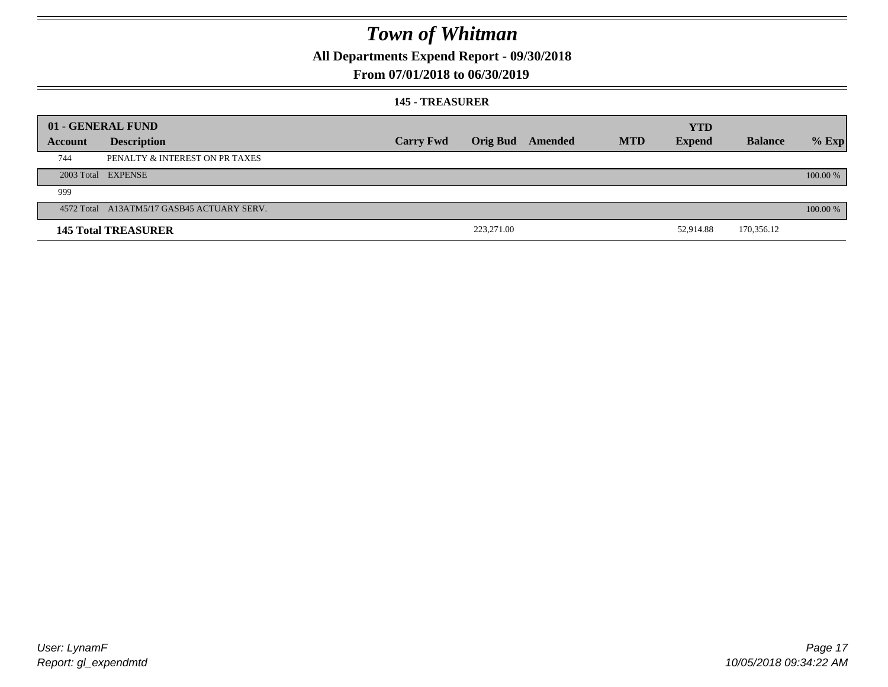**All Departments Expend Report - 09/30/2018**

### **From 07/01/2018 to 06/30/2019**

#### **145 - TREASURER**

|         | 01 - GENERAL FUND                          |                  |                 |         |            | <b>YTD</b>    |                |          |
|---------|--------------------------------------------|------------------|-----------------|---------|------------|---------------|----------------|----------|
| Account | <b>Description</b>                         | <b>Carry Fwd</b> | <b>Orig Bud</b> | Amended | <b>MTD</b> | <b>Expend</b> | <b>Balance</b> | $%$ Exp  |
| 744     | PENALTY & INTEREST ON PR TAXES             |                  |                 |         |            |               |                |          |
|         | 2003 Total EXPENSE                         |                  |                 |         |            |               |                | 100.00 % |
| 999     |                                            |                  |                 |         |            |               |                |          |
|         | 4572 Total A13ATM5/17 GASB45 ACTUARY SERV. |                  |                 |         |            |               |                | 100.00 % |
|         | <b>145 Total TREASURER</b>                 |                  | 223,271.00      |         |            | 52,914.88     | 170,356.12     |          |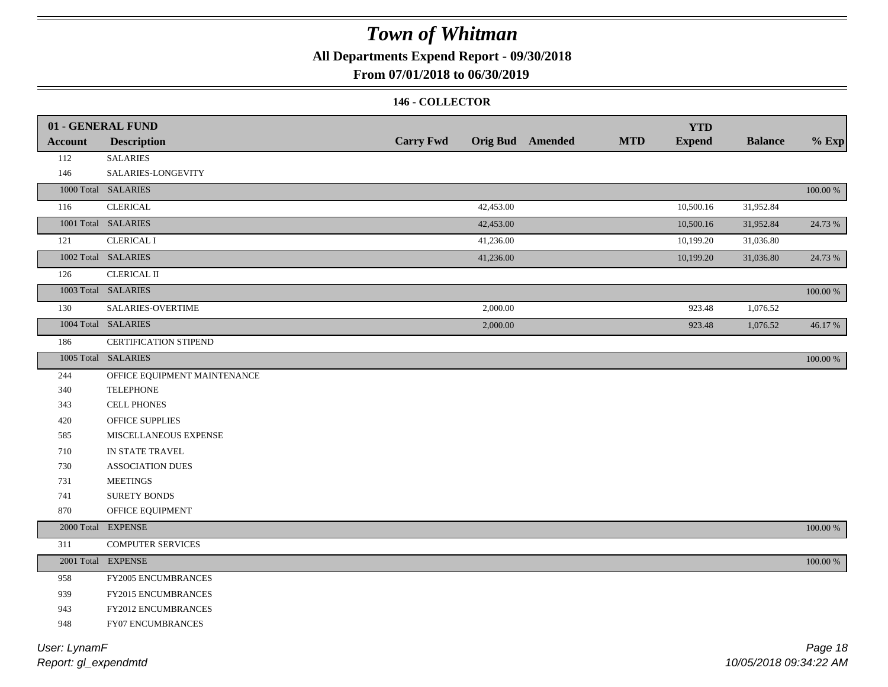**All Departments Expend Report - 09/30/2018**

### **From 07/01/2018 to 06/30/2019**

#### **146 - COLLECTOR**

|                | 01 - GENERAL FUND            |                  |           |                         |            | <b>YTD</b>    |                |             |
|----------------|------------------------------|------------------|-----------|-------------------------|------------|---------------|----------------|-------------|
| <b>Account</b> | <b>Description</b>           | <b>Carry Fwd</b> |           | <b>Orig Bud</b> Amended | <b>MTD</b> | <b>Expend</b> | <b>Balance</b> | $%$ Exp     |
| 112            | <b>SALARIES</b>              |                  |           |                         |            |               |                |             |
| 146            | SALARIES-LONGEVITY           |                  |           |                         |            |               |                |             |
|                | 1000 Total SALARIES          |                  |           |                         |            |               |                | 100.00 %    |
| 116            | <b>CLERICAL</b>              |                  | 42,453.00 |                         |            | 10,500.16     | 31,952.84      |             |
|                | 1001 Total SALARIES          |                  | 42,453.00 |                         |            | 10,500.16     | 31,952.84      | 24.73 %     |
| 121            | <b>CLERICAL I</b>            |                  | 41,236.00 |                         |            | 10,199.20     | 31,036.80      |             |
|                | 1002 Total SALARIES          |                  | 41,236.00 |                         |            | 10,199.20     | 31,036.80      | 24.73 %     |
| 126            | <b>CLERICAL II</b>           |                  |           |                         |            |               |                |             |
|                | 1003 Total SALARIES          |                  |           |                         |            |               |                | 100.00 %    |
| 130            | SALARIES-OVERTIME            |                  | 2,000.00  |                         |            | 923.48        | 1,076.52       |             |
|                | 1004 Total SALARIES          |                  | 2,000.00  |                         |            | 923.48        | 1,076.52       | 46.17%      |
| 186            | CERTIFICATION STIPEND        |                  |           |                         |            |               |                |             |
|                | 1005 Total SALARIES          |                  |           |                         |            |               |                | 100.00 %    |
| 244            | OFFICE EQUIPMENT MAINTENANCE |                  |           |                         |            |               |                |             |
| 340            | <b>TELEPHONE</b>             |                  |           |                         |            |               |                |             |
| 343            | <b>CELL PHONES</b>           |                  |           |                         |            |               |                |             |
| 420            | OFFICE SUPPLIES              |                  |           |                         |            |               |                |             |
| 585            | MISCELLANEOUS EXPENSE        |                  |           |                         |            |               |                |             |
| 710            | IN STATE TRAVEL              |                  |           |                         |            |               |                |             |
| 730            | <b>ASSOCIATION DUES</b>      |                  |           |                         |            |               |                |             |
| 731            | <b>MEETINGS</b>              |                  |           |                         |            |               |                |             |
| 741            | <b>SURETY BONDS</b>          |                  |           |                         |            |               |                |             |
| 870            | OFFICE EQUIPMENT             |                  |           |                         |            |               |                |             |
|                | 2000 Total EXPENSE           |                  |           |                         |            |               |                | $100.00~\%$ |
| 311            | <b>COMPUTER SERVICES</b>     |                  |           |                         |            |               |                |             |
|                | 2001 Total EXPENSE           |                  |           |                         |            |               |                | 100.00 %    |
| 958            | FY2005 ENCUMBRANCES          |                  |           |                         |            |               |                |             |
| 939            | FY2015 ENCUMBRANCES          |                  |           |                         |            |               |                |             |
| 943            | FY2012 ENCUMBRANCES          |                  |           |                         |            |               |                |             |
| 948            | FY07 ENCUMBRANCES            |                  |           |                         |            |               |                |             |
|                |                              |                  |           |                         |            |               |                |             |

*Report: gl\_expendmtd User: LynamF*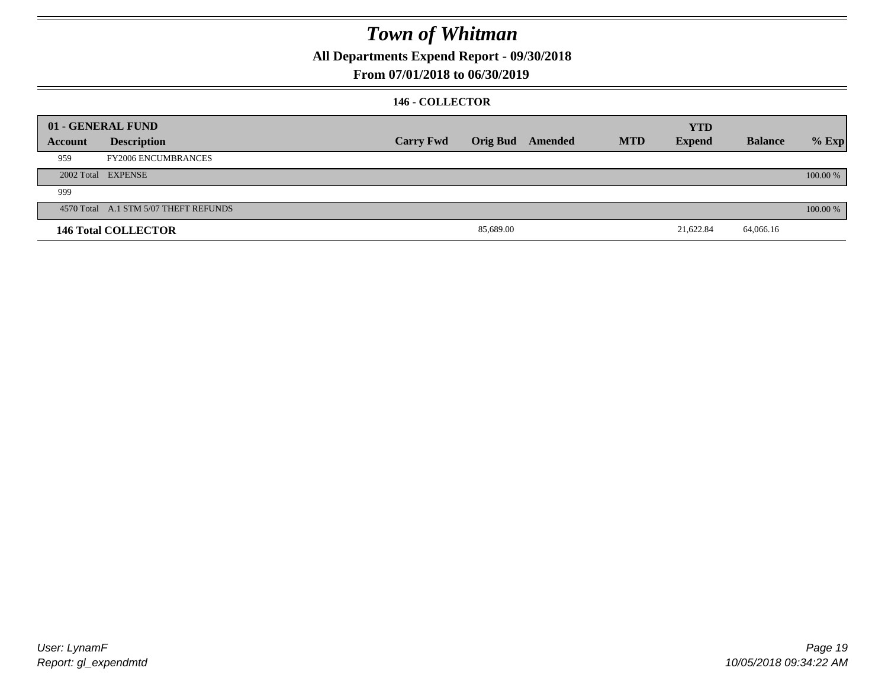**All Departments Expend Report - 09/30/2018**

### **From 07/01/2018 to 06/30/2019**

#### **146 - COLLECTOR**

|         | 01 - GENERAL FUND                     |                  |                 |         |            | <b>YTD</b>    |                |          |
|---------|---------------------------------------|------------------|-----------------|---------|------------|---------------|----------------|----------|
| Account | <b>Description</b>                    | <b>Carry Fwd</b> | <b>Orig Bud</b> | Amended | <b>MTD</b> | <b>Expend</b> | <b>Balance</b> | $%$ Exp  |
| 959     | <b>FY2006 ENCUMBRANCES</b>            |                  |                 |         |            |               |                |          |
|         | 2002 Total EXPENSE                    |                  |                 |         |            |               |                | 100.00 % |
| 999     |                                       |                  |                 |         |            |               |                |          |
|         | 4570 Total A.1 STM 5/07 THEFT REFUNDS |                  |                 |         |            |               |                | 100.00 % |
|         | <b>146 Total COLLECTOR</b>            |                  | 85,689.00       |         |            | 21,622.84     | 64,066.16      |          |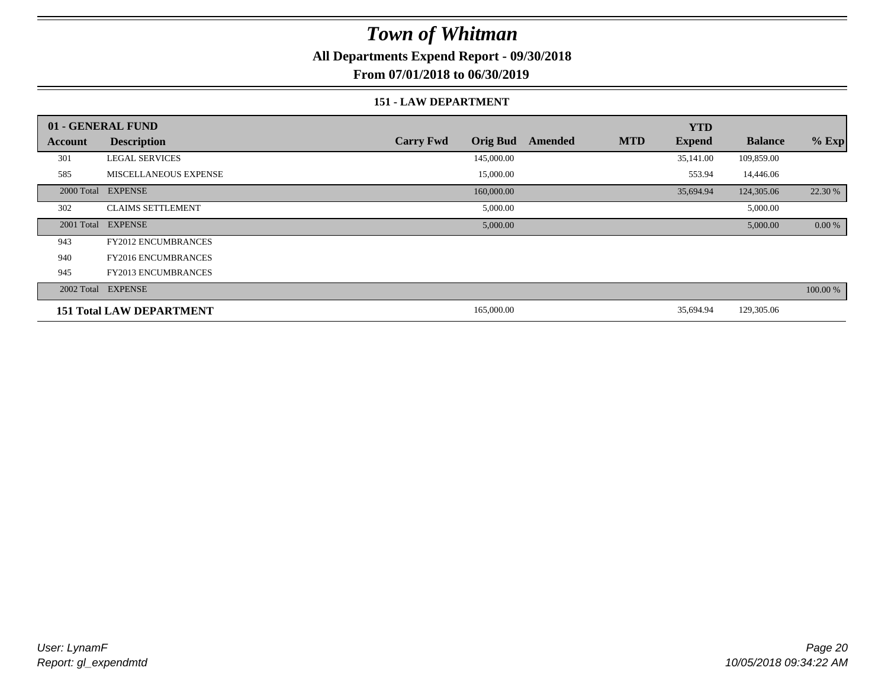**All Departments Expend Report - 09/30/2018**

**From 07/01/2018 to 06/30/2019**

#### **151 - LAW DEPARTMENT**

|            | 01 - GENERAL FUND               |                                     |         |            | <b>YTD</b>    |                |          |
|------------|---------------------------------|-------------------------------------|---------|------------|---------------|----------------|----------|
| Account    | <b>Description</b>              | <b>Carry Fwd</b><br><b>Orig Bud</b> | Amended | <b>MTD</b> | <b>Expend</b> | <b>Balance</b> | $%$ Exp  |
| 301        | <b>LEGAL SERVICES</b>           | 145,000.00                          |         |            | 35,141.00     | 109,859.00     |          |
| 585        | MISCELLANEOUS EXPENSE           | 15,000.00                           |         |            | 553.94        | 14,446.06      |          |
| 2000 Total | <b>EXPENSE</b>                  | 160,000.00                          |         |            | 35,694.94     | 124,305.06     | 22.30 %  |
| 302        | <b>CLAIMS SETTLEMENT</b>        | 5,000.00                            |         |            |               | 5,000.00       |          |
| 2001 Total | <b>EXPENSE</b>                  | 5,000.00                            |         |            |               | 5,000.00       | 0.00 %   |
| 943        | <b>FY2012 ENCUMBRANCES</b>      |                                     |         |            |               |                |          |
| 940        | <b>FY2016 ENCUMBRANCES</b>      |                                     |         |            |               |                |          |
| 945        | <b>FY2013 ENCUMBRANCES</b>      |                                     |         |            |               |                |          |
|            | 2002 Total EXPENSE              |                                     |         |            |               |                | 100.00 % |
|            | <b>151 Total LAW DEPARTMENT</b> | 165,000.00                          |         |            | 35,694.94     | 129,305.06     |          |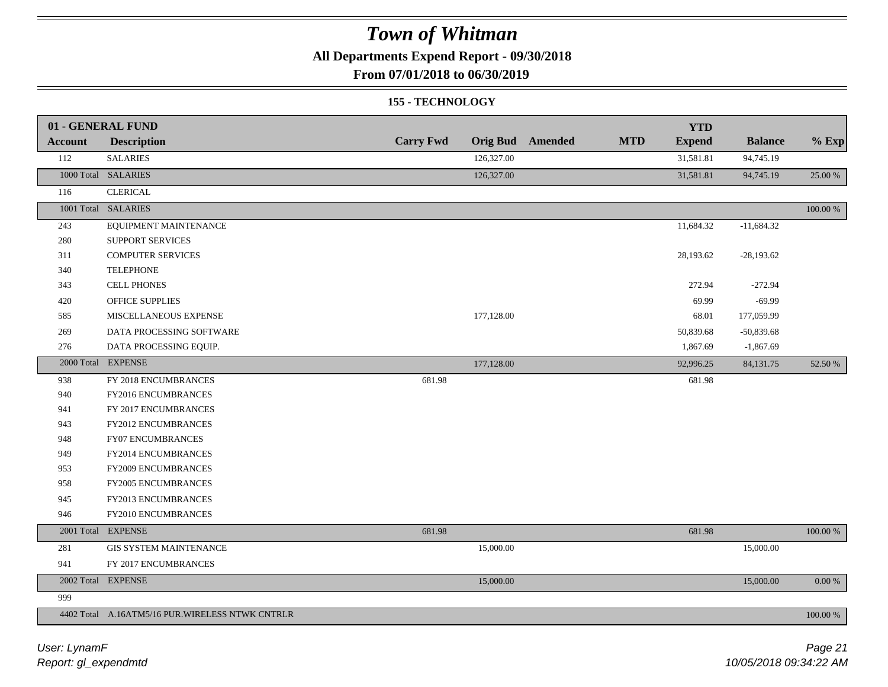**All Departments Expend Report - 09/30/2018**

**From 07/01/2018 to 06/30/2019**

#### **155 - TECHNOLOGY**

|                | 01 - GENERAL FUND                                |                  |            |                         |            | <b>YTD</b>    |                |             |
|----------------|--------------------------------------------------|------------------|------------|-------------------------|------------|---------------|----------------|-------------|
| <b>Account</b> | <b>Description</b>                               | <b>Carry Fwd</b> |            | <b>Orig Bud</b> Amended | <b>MTD</b> | <b>Expend</b> | <b>Balance</b> | $%$ Exp     |
| 112            | <b>SALARIES</b>                                  |                  | 126,327.00 |                         |            | 31,581.81     | 94,745.19      |             |
|                | 1000 Total SALARIES                              |                  | 126,327.00 |                         |            | 31,581.81     | 94,745.19      | 25.00 %     |
| 116            | <b>CLERICAL</b>                                  |                  |            |                         |            |               |                |             |
|                | 1001 Total SALARIES                              |                  |            |                         |            |               |                | 100.00 %    |
| 243            | EQUIPMENT MAINTENANCE                            |                  |            |                         |            | 11,684.32     | $-11,684.32$   |             |
| 280            | <b>SUPPORT SERVICES</b>                          |                  |            |                         |            |               |                |             |
| 311            | <b>COMPUTER SERVICES</b>                         |                  |            |                         |            | 28,193.62     | $-28,193.62$   |             |
| 340            | <b>TELEPHONE</b>                                 |                  |            |                         |            |               |                |             |
| 343            | <b>CELL PHONES</b>                               |                  |            |                         |            | 272.94        | $-272.94$      |             |
| 420            | OFFICE SUPPLIES                                  |                  |            |                         |            | 69.99         | $-69.99$       |             |
| 585            | MISCELLANEOUS EXPENSE                            |                  | 177,128.00 |                         |            | 68.01         | 177,059.99     |             |
| 269            | DATA PROCESSING SOFTWARE                         |                  |            |                         |            | 50,839.68     | $-50,839.68$   |             |
| 276            | DATA PROCESSING EQUIP.                           |                  |            |                         |            | 1,867.69      | $-1,867.69$    |             |
|                | 2000 Total EXPENSE                               |                  | 177,128.00 |                         |            | 92,996.25     | 84,131.75      | 52.50 %     |
| 938            | FY 2018 ENCUMBRANCES                             | 681.98           |            |                         |            | 681.98        |                |             |
| 940            | FY2016 ENCUMBRANCES                              |                  |            |                         |            |               |                |             |
| 941            | FY 2017 ENCUMBRANCES                             |                  |            |                         |            |               |                |             |
| 943            | FY2012 ENCUMBRANCES                              |                  |            |                         |            |               |                |             |
| 948            | FY07 ENCUMBRANCES                                |                  |            |                         |            |               |                |             |
| 949            | FY2014 ENCUMBRANCES                              |                  |            |                         |            |               |                |             |
| 953            | FY2009 ENCUMBRANCES                              |                  |            |                         |            |               |                |             |
| 958            | FY2005 ENCUMBRANCES                              |                  |            |                         |            |               |                |             |
| 945            | FY2013 ENCUMBRANCES                              |                  |            |                         |            |               |                |             |
| 946            | FY2010 ENCUMBRANCES                              |                  |            |                         |            |               |                |             |
|                | 2001 Total EXPENSE                               | 681.98           |            |                         |            | 681.98        |                | $100.00~\%$ |
| 281            | <b>GIS SYSTEM MAINTENANCE</b>                    |                  | 15,000.00  |                         |            |               | 15,000.00      |             |
| 941            | FY 2017 ENCUMBRANCES                             |                  |            |                         |            |               |                |             |
|                | 2002 Total EXPENSE                               |                  | 15,000.00  |                         |            |               | 15,000.00      | $0.00\%$    |
| 999            |                                                  |                  |            |                         |            |               |                |             |
|                | 4402 Total A.16ATM5/16 PUR. WIRELESS NTWK CNTRLR |                  |            |                         |            |               |                | 100.00 %    |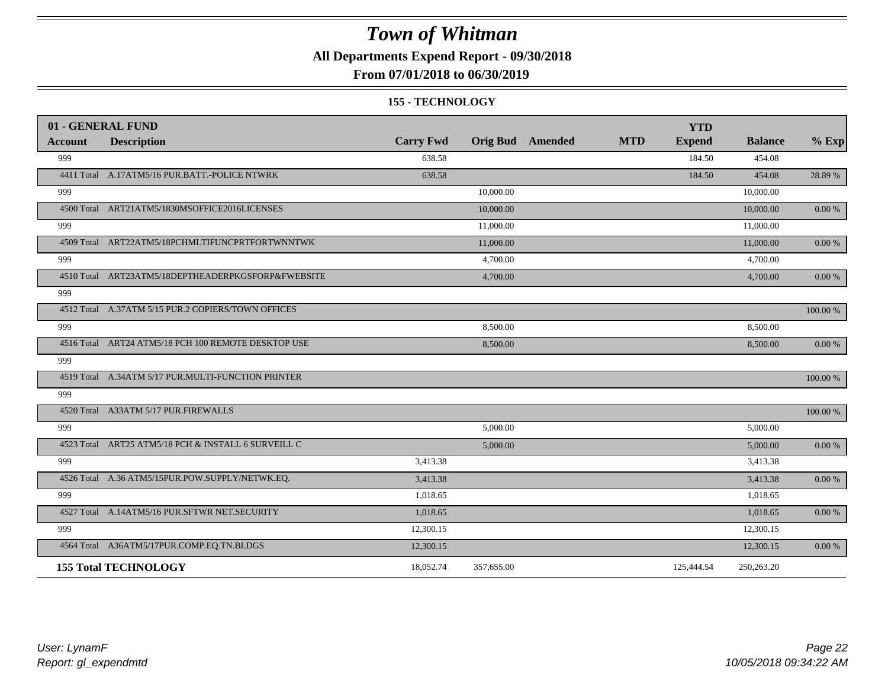**All Departments Expend Report - 09/30/2018**

### **From 07/01/2018 to 06/30/2019**

#### **155 - TECHNOLOGY**

| 01 - GENERAL FUND |                                                     |                  |            |                         |            | <b>YTD</b>    |                |            |
|-------------------|-----------------------------------------------------|------------------|------------|-------------------------|------------|---------------|----------------|------------|
| <b>Account</b>    | <b>Description</b>                                  | <b>Carry Fwd</b> |            | <b>Orig Bud</b> Amended | <b>MTD</b> | <b>Expend</b> | <b>Balance</b> | $%$ Exp    |
| 999               |                                                     | 638.58           |            |                         |            | 184.50        | 454.08         |            |
|                   | 4411 Total A.17ATM5/16 PUR.BATT.-POLICE NTWRK       | 638.58           |            |                         |            | 184.50        | 454.08         | 28.89 %    |
| 999               |                                                     |                  | 10,000.00  |                         |            |               | 10,000.00      |            |
|                   | 4500 Total ART21ATM5/1830MSOFFICE2016LICENSES       |                  | 10,000.00  |                         |            |               | 10,000.00      | 0.00 %     |
| 999               |                                                     |                  | 11,000.00  |                         |            |               | 11,000.00      |            |
|                   | 4509 Total ART22ATM5/18PCHMLTIFUNCPRTFORTWNNTWK     |                  | 11,000.00  |                         |            |               | 11,000.00      | 0.00 %     |
| 999               |                                                     |                  | 4,700.00   |                         |            |               | 4,700.00       |            |
|                   | 4510 Total ART23ATM5/18DEPTHEADERPKGSFORP&FWEBSITE  |                  | 4,700.00   |                         |            |               | 4,700.00       | 0.00 %     |
| 999               |                                                     |                  |            |                         |            |               |                |            |
|                   | 4512 Total A.37ATM 5/15 PUR.2 COPIERS/TOWN OFFICES  |                  |            |                         |            |               |                | 100.00 %   |
| 999               |                                                     |                  | 8,500.00   |                         |            |               | 8,500.00       |            |
|                   | 4516 Total ART24 ATM5/18 PCH 100 REMOTE DESKTOP USE |                  | 8,500.00   |                         |            |               | 8,500.00       | $0.00 \%$  |
| 999               |                                                     |                  |            |                         |            |               |                |            |
|                   | 4519 Total A.34ATM 5/17 PUR.MULTI-FUNCTION PRINTER  |                  |            |                         |            |               |                | 100.00 %   |
| 999               |                                                     |                  |            |                         |            |               |                |            |
|                   | 4520 Total A33ATM 5/17 PUR.FIREWALLS                |                  |            |                         |            |               |                | 100.00 %   |
| 999               |                                                     |                  | 5,000.00   |                         |            |               | 5,000.00       |            |
|                   | 4523 Total ART25 ATM5/18 PCH & INSTALL 6 SURVEILL C |                  | 5,000.00   |                         |            |               | 5,000.00       | 0.00 %     |
| 999               |                                                     | 3,413.38         |            |                         |            |               | 3,413.38       |            |
|                   | 4526 Total A.36 ATM5/15PUR.POW.SUPPLY/NETWK.EQ.     | 3,413.38         |            |                         |            |               | 3,413.38       | $0.00\ \%$ |
| 999               |                                                     | 1,018.65         |            |                         |            |               | 1,018.65       |            |
|                   | 4527 Total A.14ATM5/16 PUR.SFTWR NET.SECURITY       | 1,018.65         |            |                         |            |               | 1,018.65       | 0.00 %     |
| 999               |                                                     | 12,300.15        |            |                         |            |               | 12,300.15      |            |
|                   | 4564 Total A36ATM5/17PUR.COMP.EQ.TN.BLDGS           | 12,300.15        |            |                         |            |               | 12,300.15      | 0.00 %     |
|                   | <b>155 Total TECHNOLOGY</b>                         | 18,052.74        | 357,655.00 |                         |            | 125,444.54    | 250,263.20     |            |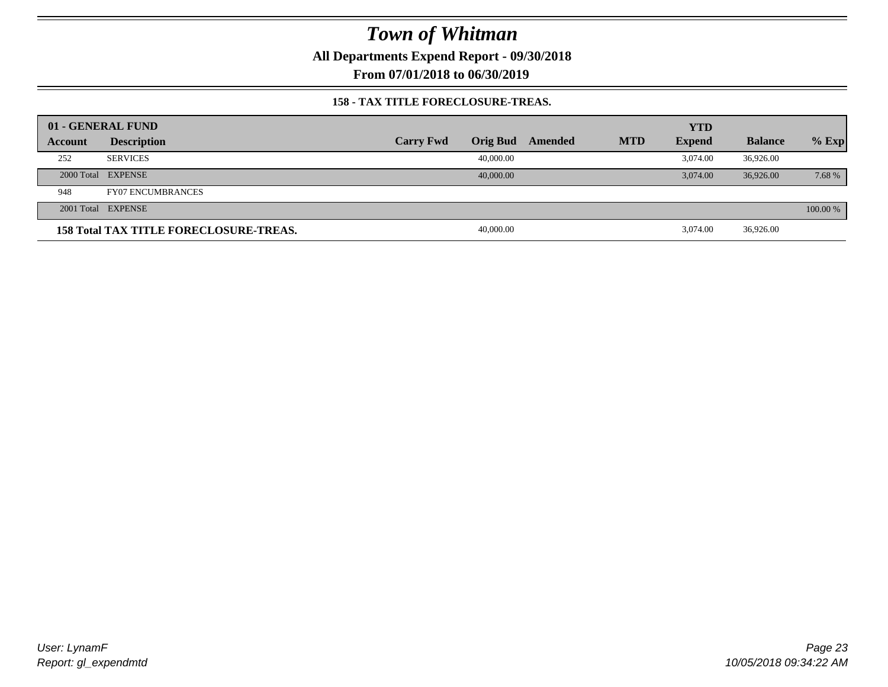**All Departments Expend Report - 09/30/2018**

**From 07/01/2018 to 06/30/2019**

#### **158 - TAX TITLE FORECLOSURE-TREAS.**

|                | 01 - GENERAL FUND                             |                  |                 |         |            | <b>YTD</b>    |                |          |
|----------------|-----------------------------------------------|------------------|-----------------|---------|------------|---------------|----------------|----------|
| <b>Account</b> | <b>Description</b>                            | <b>Carry Fwd</b> | <b>Orig Bud</b> | Amended | <b>MTD</b> | <b>Expend</b> | <b>Balance</b> | $%$ Exp  |
| 252            | <b>SERVICES</b>                               |                  | 40,000.00       |         |            | 3.074.00      | 36,926.00      |          |
|                | 2000 Total EXPENSE                            |                  | 40,000.00       |         |            | 3.074.00      | 36,926,00      | 7.68 %   |
| 948            | <b>FY07 ENCUMBRANCES</b>                      |                  |                 |         |            |               |                |          |
|                | 2001 Total EXPENSE                            |                  |                 |         |            |               |                | 100.00 % |
|                | <b>158 Total TAX TITLE FORECLOSURE-TREAS.</b> |                  | 40,000.00       |         |            | 3.074.00      | 36,926.00      |          |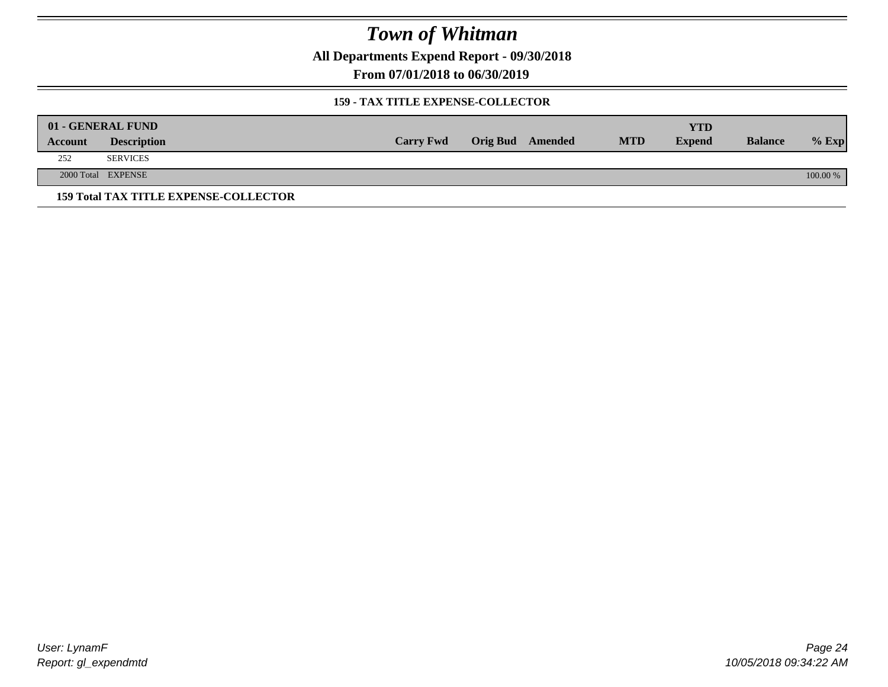**All Departments Expend Report - 09/30/2018**

**From 07/01/2018 to 06/30/2019**

#### **159 - TAX TITLE EXPENSE-COLLECTOR**

| 01 - GENERAL FUND |                                              |                  |                         |            | <b>YTD</b>    |                |            |
|-------------------|----------------------------------------------|------------------|-------------------------|------------|---------------|----------------|------------|
| Account           | <b>Description</b>                           | <b>Carry Fwd</b> | <b>Orig Bud</b> Amended | <b>MTD</b> | <b>Expend</b> | <b>Balance</b> | $%$ Exp    |
| 252               | <b>SERVICES</b>                              |                  |                         |            |               |                |            |
|                   | 2000 Total EXPENSE                           |                  |                         |            |               |                | $100.00\%$ |
|                   | <b>159 Total TAX TITLE EXPENSE-COLLECTOR</b> |                  |                         |            |               |                |            |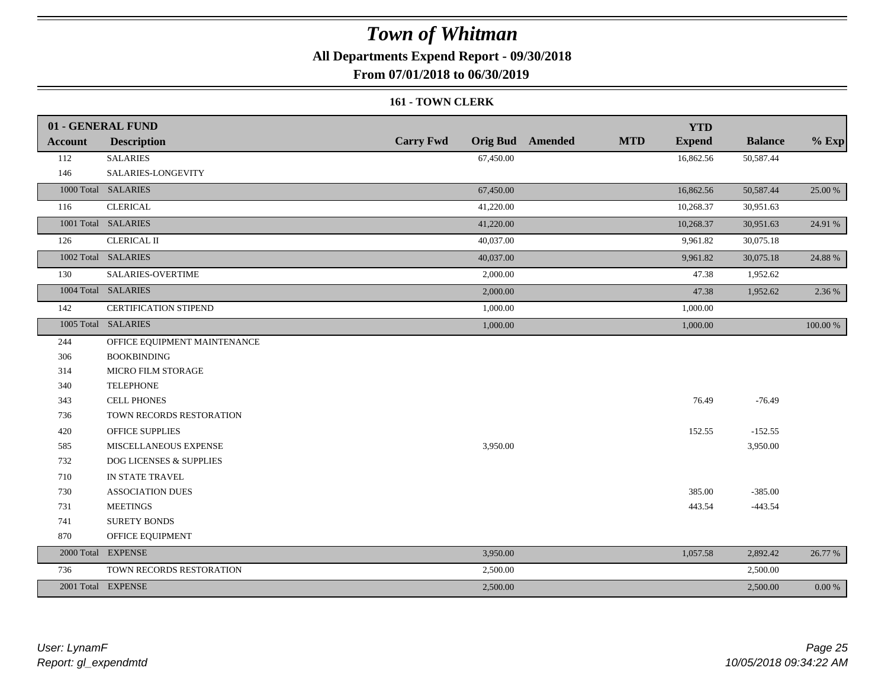**All Departments Expend Report - 09/30/2018**

**From 07/01/2018 to 06/30/2019**

#### **161 - TOWN CLERK**

|                | 01 - GENERAL FUND            |                  | <b>YTD</b>                                             |                |           |
|----------------|------------------------------|------------------|--------------------------------------------------------|----------------|-----------|
| <b>Account</b> | <b>Description</b>           | <b>Carry Fwd</b> | <b>MTD</b><br><b>Orig Bud</b> Amended<br><b>Expend</b> | <b>Balance</b> | $%$ Exp   |
| 112            | <b>SALARIES</b>              | 67,450.00        | 16,862.56                                              | 50,587.44      |           |
| 146            | SALARIES-LONGEVITY           |                  |                                                        |                |           |
|                | 1000 Total SALARIES          | 67,450.00        | 16,862.56                                              | 50,587.44      | 25.00 %   |
| 116            | <b>CLERICAL</b>              | 41,220.00        | 10,268.37                                              | 30,951.63      |           |
|                | 1001 Total SALARIES          | 41,220.00        | 10,268.37                                              | 30,951.63      | 24.91 %   |
| 126            | <b>CLERICAL II</b>           | 40,037.00        | 9,961.82                                               | 30,075.18      |           |
|                | 1002 Total SALARIES          | 40,037.00        | 9,961.82                                               | 30,075.18      | 24.88 %   |
| 130            | SALARIES-OVERTIME            | 2,000.00         | 47.38                                                  | 1,952.62       |           |
|                | 1004 Total SALARIES          | 2,000.00         | 47.38                                                  | 1,952.62       | 2.36 %    |
| 142            | <b>CERTIFICATION STIPEND</b> | 1,000.00         | 1,000.00                                               |                |           |
|                | 1005 Total SALARIES          | 1,000.00         | 1,000.00                                               |                | 100.00 %  |
| 244            | OFFICE EQUIPMENT MAINTENANCE |                  |                                                        |                |           |
| 306            | <b>BOOKBINDING</b>           |                  |                                                        |                |           |
| 314            | MICRO FILM STORAGE           |                  |                                                        |                |           |
| 340            | <b>TELEPHONE</b>             |                  |                                                        |                |           |
| 343            | <b>CELL PHONES</b>           |                  | 76.49                                                  | $-76.49$       |           |
| 736            | TOWN RECORDS RESTORATION     |                  |                                                        |                |           |
| 420            | <b>OFFICE SUPPLIES</b>       |                  | 152.55                                                 | $-152.55$      |           |
| 585            | MISCELLANEOUS EXPENSE        | 3,950.00         |                                                        | 3,950.00       |           |
| 732            | DOG LICENSES & SUPPLIES      |                  |                                                        |                |           |
| 710            | IN STATE TRAVEL              |                  |                                                        |                |           |
| 730            | <b>ASSOCIATION DUES</b>      |                  | 385.00                                                 | $-385.00$      |           |
| 731            | <b>MEETINGS</b>              |                  | 443.54                                                 | $-443.54$      |           |
| 741            | <b>SURETY BONDS</b>          |                  |                                                        |                |           |
| 870            | OFFICE EQUIPMENT             |                  |                                                        |                |           |
|                | 2000 Total EXPENSE           | 3,950.00         | 1,057.58                                               | 2,892.42       | 26.77 %   |
| 736            | TOWN RECORDS RESTORATION     | 2,500.00         |                                                        | 2,500.00       |           |
|                | 2001 Total EXPENSE           | 2,500.00         |                                                        | 2,500.00       | $0.00 \%$ |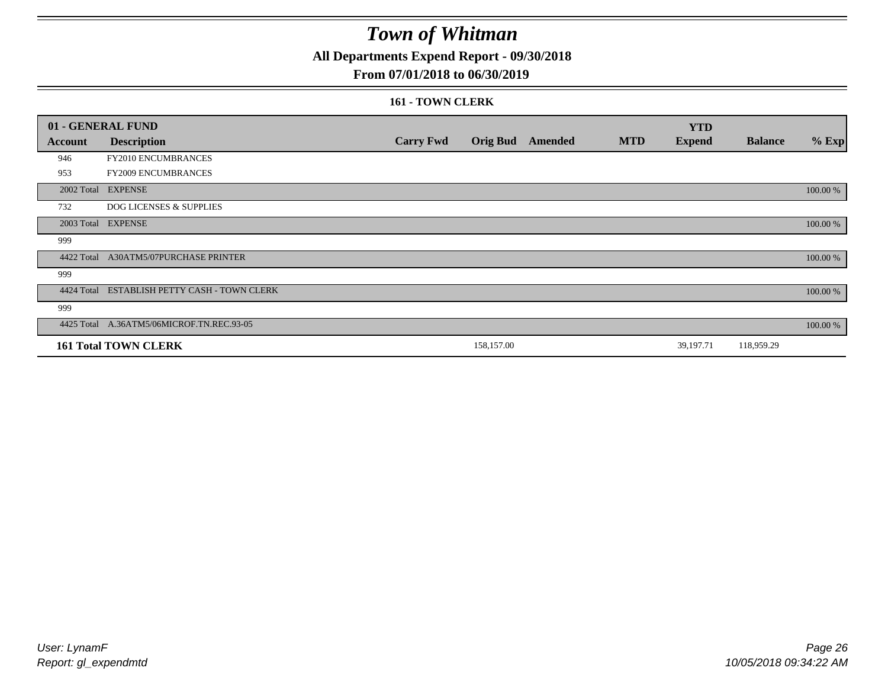**All Departments Expend Report - 09/30/2018**

#### **From 07/01/2018 to 06/30/2019**

#### **161 - TOWN CLERK**

|            | 01 - GENERAL FUND                         |                  |            |                  |            | <b>YTD</b>    |                |          |
|------------|-------------------------------------------|------------------|------------|------------------|------------|---------------|----------------|----------|
| Account    | <b>Description</b>                        | <b>Carry Fwd</b> |            | Orig Bud Amended | <b>MTD</b> | <b>Expend</b> | <b>Balance</b> | $%$ Exp  |
| 946        | FY2010 ENCUMBRANCES                       |                  |            |                  |            |               |                |          |
| 953        | FY2009 ENCUMBRANCES                       |                  |            |                  |            |               |                |          |
|            | 2002 Total EXPENSE                        |                  |            |                  |            |               |                | 100.00 % |
| 732        | <b>DOG LICENSES &amp; SUPPLIES</b>        |                  |            |                  |            |               |                |          |
|            | 2003 Total EXPENSE                        |                  |            |                  |            |               |                | 100.00 % |
| 999        |                                           |                  |            |                  |            |               |                |          |
|            | 4422 Total A30ATM5/07PURCHASE PRINTER     |                  |            |                  |            |               |                | 100.00 % |
| 999        |                                           |                  |            |                  |            |               |                |          |
| 4424 Total | ESTABLISH PETTY CASH - TOWN CLERK         |                  |            |                  |            |               |                | 100.00 % |
| 999        |                                           |                  |            |                  |            |               |                |          |
|            | 4425 Total A.36ATM5/06MICROF.TN.REC.93-05 |                  |            |                  |            |               |                | 100.00 % |
|            | <b>161 Total TOWN CLERK</b>               |                  | 158,157.00 |                  |            | 39,197.71     | 118,959.29     |          |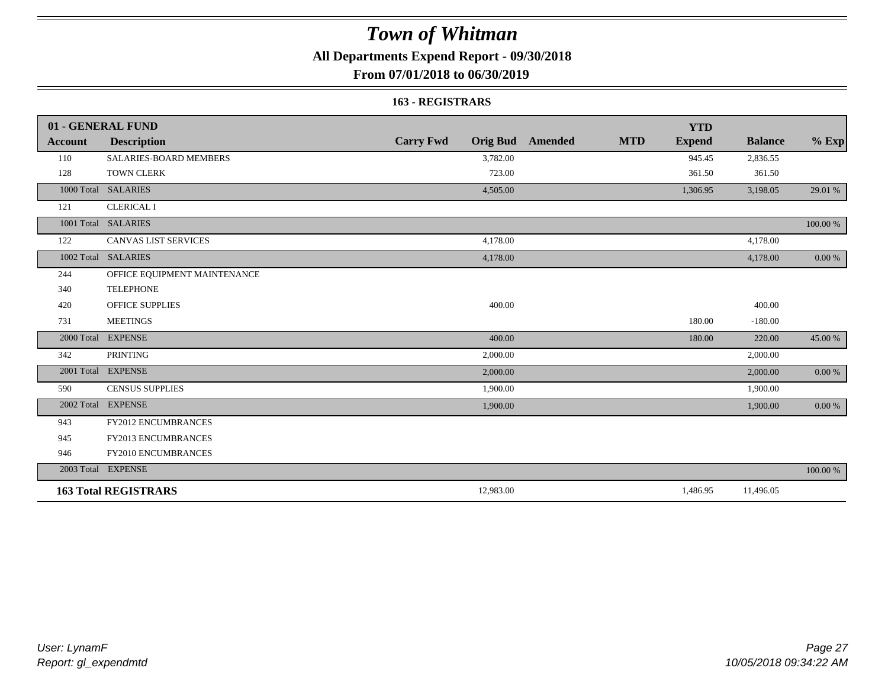**All Departments Expend Report - 09/30/2018**

### **From 07/01/2018 to 06/30/2019**

#### **163 - REGISTRARS**

|            | 01 - GENERAL FUND             |                  |                                       | <b>YTD</b>    |                |             |
|------------|-------------------------------|------------------|---------------------------------------|---------------|----------------|-------------|
| Account    | <b>Description</b>            | <b>Carry Fwd</b> | <b>Orig Bud Amended</b><br><b>MTD</b> | <b>Expend</b> | <b>Balance</b> | $%$ Exp     |
| 110        | <b>SALARIES-BOARD MEMBERS</b> | 3,782.00         |                                       | 945.45        | 2,836.55       |             |
| 128        | <b>TOWN CLERK</b>             | 723.00           |                                       | 361.50        | 361.50         |             |
| 1000 Total | <b>SALARIES</b>               | 4,505.00         |                                       | 1,306.95      | 3,198.05       | 29.01 %     |
| 121        | <b>CLERICAL I</b>             |                  |                                       |               |                |             |
|            | 1001 Total SALARIES           |                  |                                       |               |                | $100.00~\%$ |
| 122        | <b>CANVAS LIST SERVICES</b>   | 4,178.00         |                                       |               | 4,178.00       |             |
|            | 1002 Total SALARIES           | 4,178.00         |                                       |               | 4,178.00       | 0.00 %      |
| 244        | OFFICE EQUIPMENT MAINTENANCE  |                  |                                       |               |                |             |
| 340        | <b>TELEPHONE</b>              |                  |                                       |               |                |             |
| 420        | <b>OFFICE SUPPLIES</b>        | 400.00           |                                       |               | 400.00         |             |
| 731        | <b>MEETINGS</b>               |                  |                                       | 180.00        | $-180.00$      |             |
| 2000 Total | <b>EXPENSE</b>                | 400.00           |                                       | 180.00        | 220.00         | 45.00 %     |
| 342        | <b>PRINTING</b>               | 2,000.00         |                                       |               | 2,000.00       |             |
|            | 2001 Total EXPENSE            | 2,000.00         |                                       |               | 2,000.00       | 0.00 %      |
| 590        | <b>CENSUS SUPPLIES</b>        | 1,900.00         |                                       |               | 1,900.00       |             |
| 2002 Total | <b>EXPENSE</b>                | 1,900.00         |                                       |               | 1,900.00       | 0.00 %      |
| 943        | FY2012 ENCUMBRANCES           |                  |                                       |               |                |             |
| 945        | <b>FY2013 ENCUMBRANCES</b>    |                  |                                       |               |                |             |
| 946        | FY2010 ENCUMBRANCES           |                  |                                       |               |                |             |
|            | 2003 Total EXPENSE            |                  |                                       |               |                | 100.00 %    |
|            | <b>163 Total REGISTRARS</b>   | 12,983.00        |                                       | 1,486.95      | 11,496.05      |             |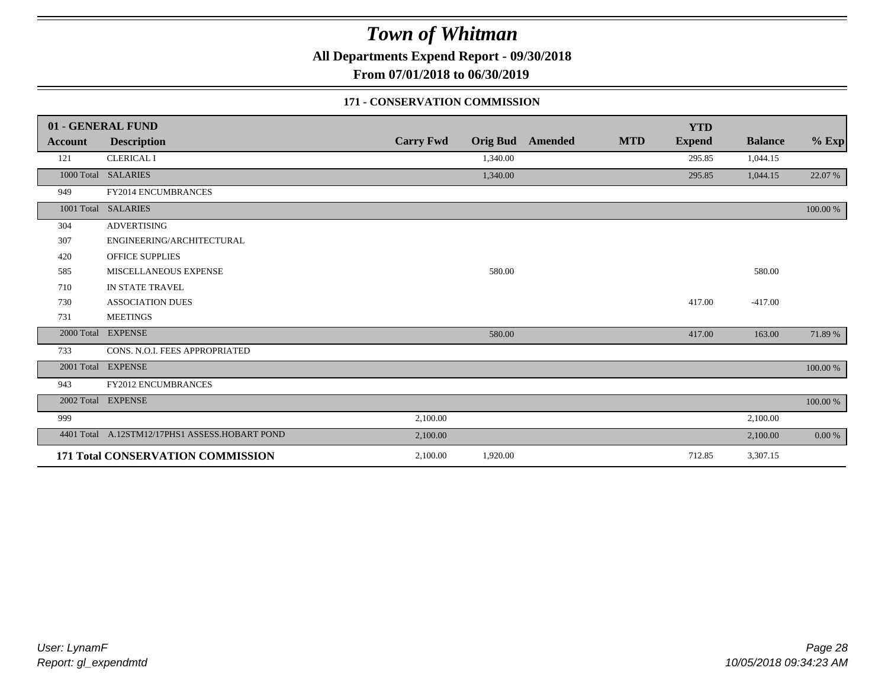**All Departments Expend Report - 09/30/2018**

**From 07/01/2018 to 06/30/2019**

#### **171 - CONSERVATION COMMISSION**

|                | 01 - GENERAL FUND                              |                  |                 |                |            | <b>YTD</b>    |                |          |
|----------------|------------------------------------------------|------------------|-----------------|----------------|------------|---------------|----------------|----------|
| <b>Account</b> | <b>Description</b>                             | <b>Carry Fwd</b> | <b>Orig Bud</b> | <b>Amended</b> | <b>MTD</b> | <b>Expend</b> | <b>Balance</b> | $%$ Exp  |
| 121            | <b>CLERICAL I</b>                              |                  | 1,340.00        |                |            | 295.85        | 1,044.15       |          |
|                | 1000 Total SALARIES                            |                  | 1,340.00        |                |            | 295.85        | 1,044.15       | 22.07 %  |
| 949            | FY2014 ENCUMBRANCES                            |                  |                 |                |            |               |                |          |
|                | 1001 Total SALARIES                            |                  |                 |                |            |               |                | 100.00 % |
| 304            | <b>ADVERTISING</b>                             |                  |                 |                |            |               |                |          |
| 307            | ENGINEERING/ARCHITECTURAL                      |                  |                 |                |            |               |                |          |
| 420            | <b>OFFICE SUPPLIES</b>                         |                  |                 |                |            |               |                |          |
| 585            | MISCELLANEOUS EXPENSE                          |                  | 580.00          |                |            |               | 580.00         |          |
| 710            | IN STATE TRAVEL                                |                  |                 |                |            |               |                |          |
| 730            | <b>ASSOCIATION DUES</b>                        |                  |                 |                |            | 417.00        | $-417.00$      |          |
| 731            | <b>MEETINGS</b>                                |                  |                 |                |            |               |                |          |
| 2000 Total     | <b>EXPENSE</b>                                 |                  | 580.00          |                |            | 417.00        | 163.00         | 71.89 %  |
| 733            | CONS. N.O.I. FEES APPROPRIATED                 |                  |                 |                |            |               |                |          |
|                | 2001 Total EXPENSE                             |                  |                 |                |            |               |                | 100.00 % |
| 943            | <b>FY2012 ENCUMBRANCES</b>                     |                  |                 |                |            |               |                |          |
|                | 2002 Total EXPENSE                             |                  |                 |                |            |               |                | 100.00 % |
| 999            |                                                | 2,100.00         |                 |                |            |               | 2,100.00       |          |
|                | 4401 Total A.12STM12/17PHS1 ASSESS.HOBART POND | 2,100.00         |                 |                |            |               | 2,100.00       | 0.00 %   |
|                | 171 Total CONSERVATION COMMISSION              | 2,100.00         | 1,920.00        |                |            | 712.85        | 3,307.15       |          |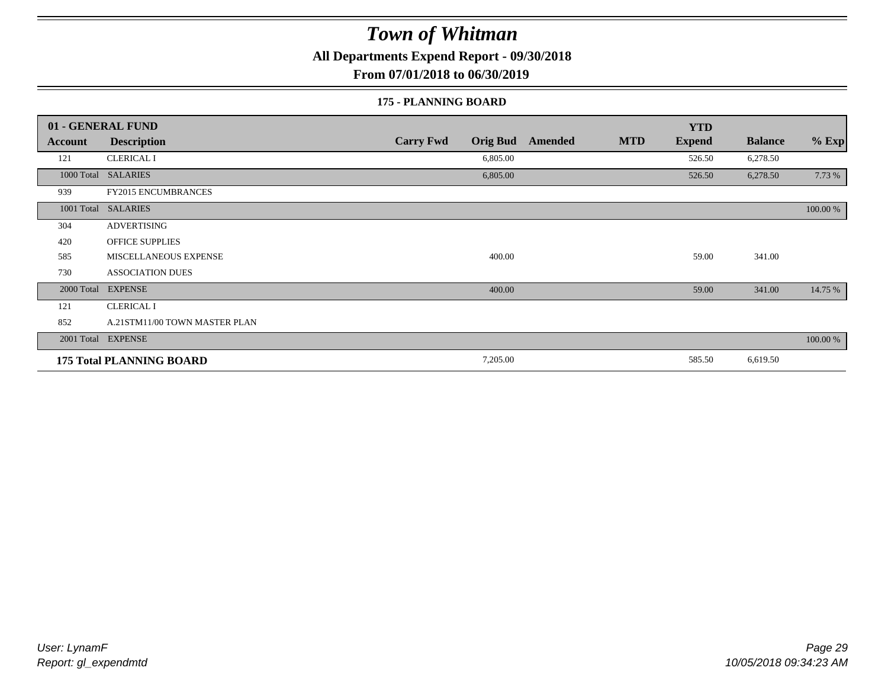**All Departments Expend Report - 09/30/2018**

**From 07/01/2018 to 06/30/2019**

#### **175 - PLANNING BOARD**

|                | 01 - GENERAL FUND               |                                     | <b>YTD</b>                                    |                           |
|----------------|---------------------------------|-------------------------------------|-----------------------------------------------|---------------------------|
| <b>Account</b> | <b>Description</b>              | <b>Carry Fwd</b><br><b>Orig Bud</b> | <b>MTD</b><br><b>Expend</b><br><b>Amended</b> | $%$ Exp<br><b>Balance</b> |
| 121            | <b>CLERICAL I</b>               | 6,805.00                            | 526.50                                        | 6,278.50                  |
|                | 1000 Total SALARIES             | 6,805.00                            | 526.50                                        | 7.73 %<br>6,278.50        |
| 939            | <b>FY2015 ENCUMBRANCES</b>      |                                     |                                               |                           |
|                | 1001 Total SALARIES             |                                     |                                               | 100.00 %                  |
| 304            | <b>ADVERTISING</b>              |                                     |                                               |                           |
| 420            | <b>OFFICE SUPPLIES</b>          |                                     |                                               |                           |
| 585            | MISCELLANEOUS EXPENSE           | 400.00                              | 59.00                                         | 341.00                    |
| 730            | <b>ASSOCIATION DUES</b>         |                                     |                                               |                           |
| 2000 Total     | <b>EXPENSE</b>                  | 400.00                              | 59.00                                         | 14.75 %<br>341.00         |
| 121            | <b>CLERICAL I</b>               |                                     |                                               |                           |
| 852            | A.21STM11/00 TOWN MASTER PLAN   |                                     |                                               |                           |
|                | 2001 Total EXPENSE              |                                     |                                               | 100.00 %                  |
|                | <b>175 Total PLANNING BOARD</b> | 7,205.00                            | 585.50                                        | 6,619.50                  |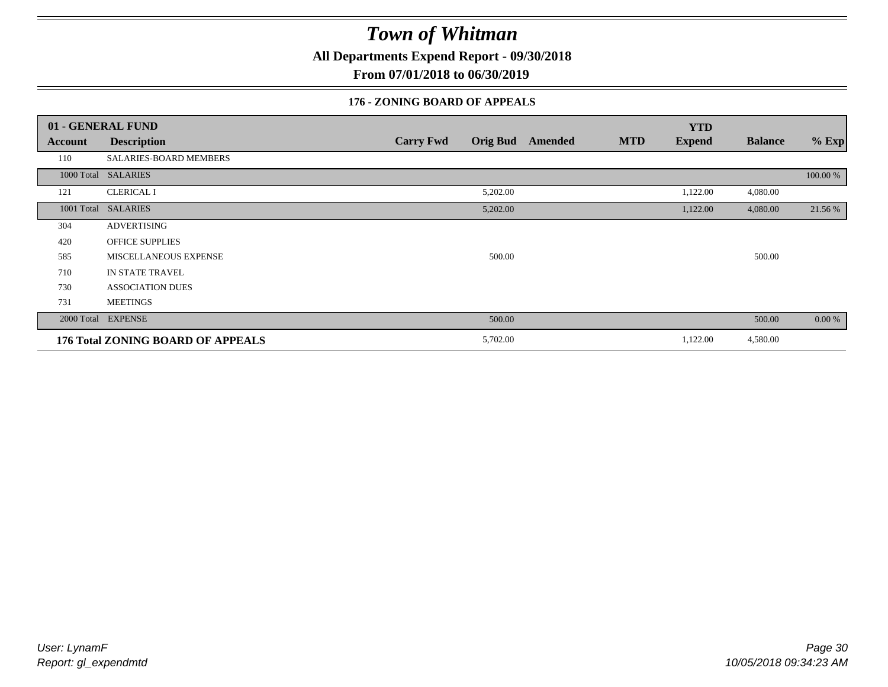**All Departments Expend Report - 09/30/2018**

**From 07/01/2018 to 06/30/2019**

### **176 - ZONING BOARD OF APPEALS**

|            | 01 - GENERAL FUND                 |                  |                 |                |            | <b>YTD</b>    |                |          |
|------------|-----------------------------------|------------------|-----------------|----------------|------------|---------------|----------------|----------|
| Account    | <b>Description</b>                | <b>Carry Fwd</b> | <b>Orig Bud</b> | <b>Amended</b> | <b>MTD</b> | <b>Expend</b> | <b>Balance</b> | $%$ Exp  |
| 110        | SALARIES-BOARD MEMBERS            |                  |                 |                |            |               |                |          |
|            | 1000 Total SALARIES               |                  |                 |                |            |               |                | 100.00 % |
| 121        | <b>CLERICAL I</b>                 |                  | 5,202.00        |                |            | 1,122.00      | 4,080.00       |          |
| 1001 Total | <b>SALARIES</b>                   |                  | 5,202.00        |                |            | 1,122.00      | 4,080.00       | 21.56 %  |
| 304        | <b>ADVERTISING</b>                |                  |                 |                |            |               |                |          |
| 420        | <b>OFFICE SUPPLIES</b>            |                  |                 |                |            |               |                |          |
| 585        | MISCELLANEOUS EXPENSE             |                  | 500.00          |                |            |               | 500.00         |          |
| 710        | IN STATE TRAVEL                   |                  |                 |                |            |               |                |          |
| 730        | <b>ASSOCIATION DUES</b>           |                  |                 |                |            |               |                |          |
| 731        | <b>MEETINGS</b>                   |                  |                 |                |            |               |                |          |
|            | 2000 Total EXPENSE                |                  | 500.00          |                |            |               | 500.00         | $0.00\%$ |
|            | 176 Total ZONING BOARD OF APPEALS |                  | 5,702.00        |                |            | 1,122.00      | 4,580.00       |          |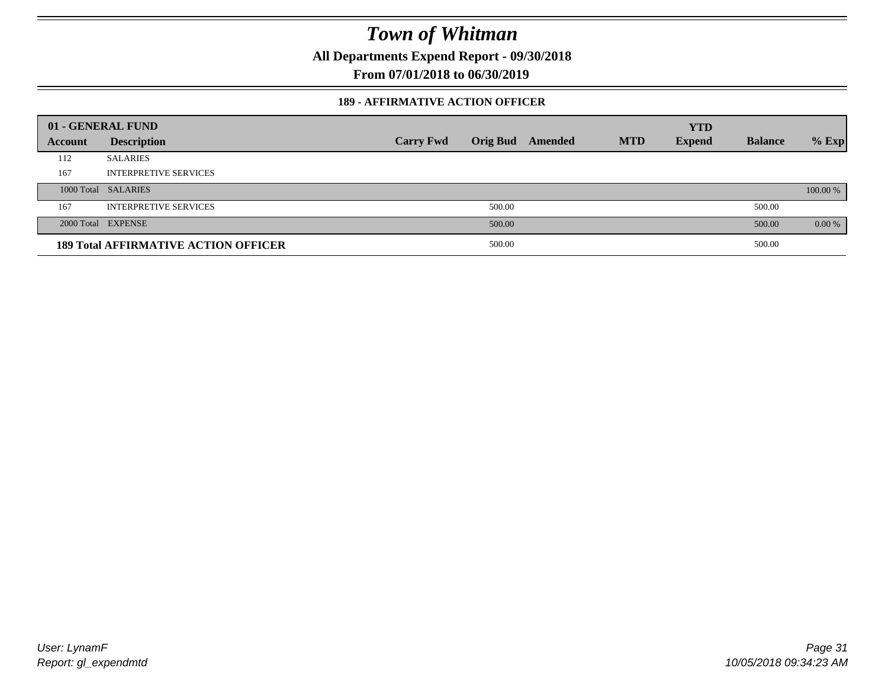**All Departments Expend Report - 09/30/2018**

**From 07/01/2018 to 06/30/2019**

#### **189 - AFFIRMATIVE ACTION OFFICER**

|         | 01 - GENERAL FUND                           |                  |                 |         |            | <b>YTD</b>    |                |          |
|---------|---------------------------------------------|------------------|-----------------|---------|------------|---------------|----------------|----------|
| Account | <b>Description</b>                          | <b>Carry Fwd</b> | <b>Orig Bud</b> | Amended | <b>MTD</b> | <b>Expend</b> | <b>Balance</b> | $%$ Exp  |
| 112     | <b>SALARIES</b>                             |                  |                 |         |            |               |                |          |
| 167     | <b>INTERPRETIVE SERVICES</b>                |                  |                 |         |            |               |                |          |
|         | 1000 Total SALARIES                         |                  |                 |         |            |               |                | 100.00 % |
| 167     | <b>INTERPRETIVE SERVICES</b>                |                  | 500.00          |         |            |               | 500.00         |          |
|         | 2000 Total EXPENSE                          |                  | 500.00          |         |            |               | 500.00         | 0.00 %   |
|         | <b>189 Total AFFIRMATIVE ACTION OFFICER</b> |                  | 500.00          |         |            |               | 500.00         |          |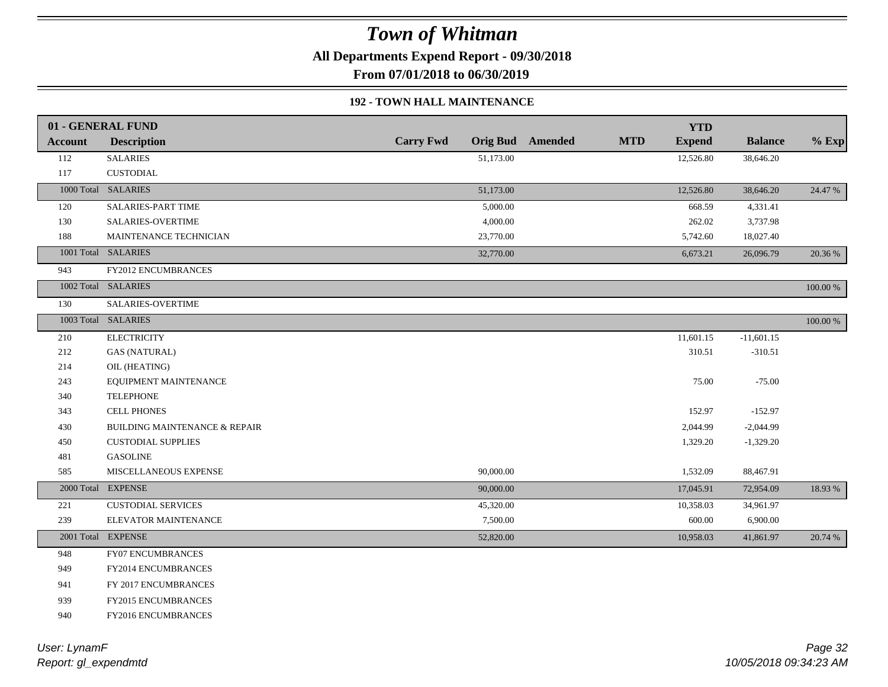**All Departments Expend Report - 09/30/2018**

**From 07/01/2018 to 06/30/2019**

#### **192 - TOWN HALL MAINTENANCE**

|         | 01 - GENERAL FUND                        |                  |           |                  |            | <b>YTD</b>    |                |             |
|---------|------------------------------------------|------------------|-----------|------------------|------------|---------------|----------------|-------------|
| Account | <b>Description</b>                       | <b>Carry Fwd</b> |           | Orig Bud Amended | <b>MTD</b> | <b>Expend</b> | <b>Balance</b> | $%$ Exp     |
| 112     | <b>SALARIES</b>                          |                  | 51,173.00 |                  |            | 12,526.80     | 38,646.20      |             |
| 117     | <b>CUSTODIAL</b>                         |                  |           |                  |            |               |                |             |
|         | 1000 Total SALARIES                      |                  | 51,173.00 |                  |            | 12,526.80     | 38,646.20      | 24.47 %     |
| 120     | SALARIES-PART TIME                       |                  | 5,000.00  |                  |            | 668.59        | 4,331.41       |             |
| 130     | <b>SALARIES-OVERTIME</b>                 |                  | 4,000.00  |                  |            | 262.02        | 3,737.98       |             |
| 188     | MAINTENANCE TECHNICIAN                   |                  | 23,770.00 |                  |            | 5,742.60      | 18,027.40      |             |
|         | 1001 Total SALARIES                      |                  | 32,770.00 |                  |            | 6,673.21      | 26,096.79      | 20.36 %     |
| 943     | FY2012 ENCUMBRANCES                      |                  |           |                  |            |               |                |             |
|         | 1002 Total SALARIES                      |                  |           |                  |            |               |                | 100.00 %    |
| 130     | SALARIES-OVERTIME                        |                  |           |                  |            |               |                |             |
|         | 1003 Total SALARIES                      |                  |           |                  |            |               |                | $100.00~\%$ |
| 210     | <b>ELECTRICITY</b>                       |                  |           |                  |            | 11,601.15     | $-11,601.15$   |             |
| 212     | <b>GAS (NATURAL)</b>                     |                  |           |                  |            | 310.51        | $-310.51$      |             |
| 214     | OIL (HEATING)                            |                  |           |                  |            |               |                |             |
| 243     | EQUIPMENT MAINTENANCE                    |                  |           |                  |            | 75.00         | $-75.00$       |             |
| 340     | <b>TELEPHONE</b>                         |                  |           |                  |            |               |                |             |
| 343     | <b>CELL PHONES</b>                       |                  |           |                  |            | 152.97        | $-152.97$      |             |
| 430     | <b>BUILDING MAINTENANCE &amp; REPAIR</b> |                  |           |                  |            | 2,044.99      | $-2,044.99$    |             |
| 450     | <b>CUSTODIAL SUPPLIES</b>                |                  |           |                  |            | 1,329.20      | $-1,329.20$    |             |
| 481     | <b>GASOLINE</b>                          |                  |           |                  |            |               |                |             |
| 585     | MISCELLANEOUS EXPENSE                    |                  | 90,000.00 |                  |            | 1,532.09      | 88,467.91      |             |
|         | 2000 Total EXPENSE                       |                  | 90,000.00 |                  |            | 17,045.91     | 72,954.09      | 18.93%      |
| 221     | <b>CUSTODIAL SERVICES</b>                |                  | 45,320.00 |                  |            | 10,358.03     | 34,961.97      |             |
| 239     | ELEVATOR MAINTENANCE                     |                  | 7,500.00  |                  |            | 600.00        | 6,900.00       |             |
|         | 2001 Total EXPENSE                       |                  | 52,820.00 |                  |            | 10,958.03     | 41,861.97      | 20.74 %     |
| 948     | FY07 ENCUMBRANCES                        |                  |           |                  |            |               |                |             |
| 949     | FY2014 ENCUMBRANCES                      |                  |           |                  |            |               |                |             |
| 941     | FY 2017 ENCUMBRANCES                     |                  |           |                  |            |               |                |             |
| 939     | FY2015 ENCUMBRANCES                      |                  |           |                  |            |               |                |             |
| 940     | FY2016 ENCUMBRANCES                      |                  |           |                  |            |               |                |             |
|         |                                          |                  |           |                  |            |               |                |             |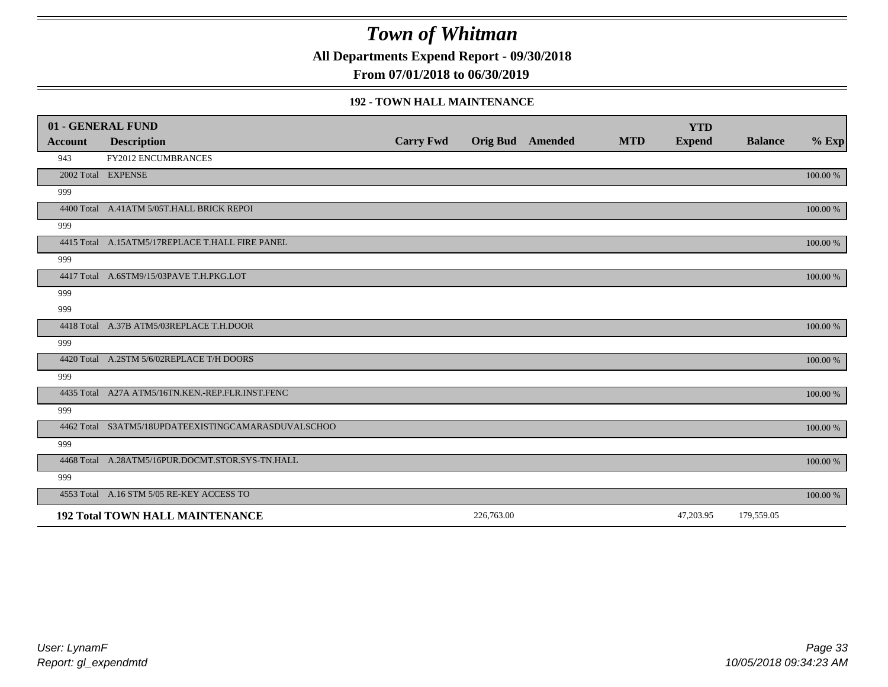**All Departments Expend Report - 09/30/2018**

**From 07/01/2018 to 06/30/2019**

#### **192 - TOWN HALL MAINTENANCE**

|                | 01 - GENERAL FUND                                   |                  |            |                         |            | <b>YTD</b>    |                |          |
|----------------|-----------------------------------------------------|------------------|------------|-------------------------|------------|---------------|----------------|----------|
| <b>Account</b> | <b>Description</b>                                  | <b>Carry Fwd</b> |            | <b>Orig Bud</b> Amended | <b>MTD</b> | <b>Expend</b> | <b>Balance</b> | $%$ Exp  |
| 943            | FY2012 ENCUMBRANCES                                 |                  |            |                         |            |               |                |          |
|                | 2002 Total EXPENSE                                  |                  |            |                         |            |               |                | 100.00 % |
| 999            |                                                     |                  |            |                         |            |               |                |          |
|                | 4400 Total A.41ATM 5/05T.HALL BRICK REPOI           |                  |            |                         |            |               |                | 100.00 % |
| 999            |                                                     |                  |            |                         |            |               |                |          |
|                | 4415 Total A.15ATM5/17REPLACE T.HALL FIRE PANEL     |                  |            |                         |            |               |                | 100.00 % |
| 999            |                                                     |                  |            |                         |            |               |                |          |
|                | 4417 Total A.6STM9/15/03PAVE T.H.PKG.LOT            |                  |            |                         |            |               |                | 100.00 % |
| 999            |                                                     |                  |            |                         |            |               |                |          |
| 999            |                                                     |                  |            |                         |            |               |                |          |
|                | 4418 Total A.37B ATM5/03REPLACE T.H.DOOR            |                  |            |                         |            |               |                | 100.00 % |
| 999            |                                                     |                  |            |                         |            |               |                |          |
|                | 4420 Total A.2STM 5/6/02REPLACE T/H DOORS           |                  |            |                         |            |               |                | 100.00 % |
| 999            |                                                     |                  |            |                         |            |               |                |          |
|                | 4435 Total A27A ATM5/16TN.KEN.-REP.FLR.INST.FENC    |                  |            |                         |            |               |                | 100.00 % |
| 999            |                                                     |                  |            |                         |            |               |                |          |
|                | 4462 Total S3ATM5/18UPDATEEXISTINGCAMARASDUVALSCHOO |                  |            |                         |            |               |                | 100.00 % |
| 999            |                                                     |                  |            |                         |            |               |                |          |
|                | 4468 Total A.28ATM5/16PUR.DOCMT.STOR.SYS-TN.HALL    |                  |            |                         |            |               |                | 100.00 % |
| 999            |                                                     |                  |            |                         |            |               |                |          |
|                | 4553 Total A.16 STM 5/05 RE-KEY ACCESS TO           |                  |            |                         |            |               |                | 100.00 % |
|                | <b>192 Total TOWN HALL MAINTENANCE</b>              |                  | 226,763.00 |                         |            | 47,203.95     | 179,559.05     |          |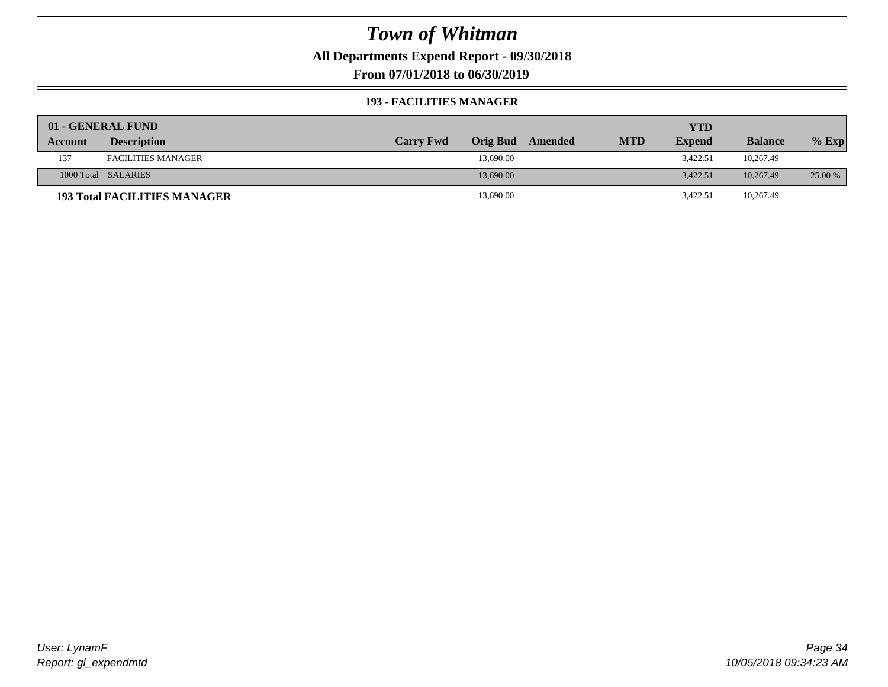**All Departments Expend Report - 09/30/2018**

**From 07/01/2018 to 06/30/2019**

#### **193 - FACILITIES MANAGER**

|         | 01 - GENERAL FUND                   |                  |                 |         |            | <b>YTD</b>    |                |         |
|---------|-------------------------------------|------------------|-----------------|---------|------------|---------------|----------------|---------|
| Account | <b>Description</b>                  | <b>Carry Fwd</b> | <b>Orig Bud</b> | Amended | <b>MTD</b> | <b>Expend</b> | <b>Balance</b> | $%$ Exp |
| 137     | <b>FACILITIES MANAGER</b>           |                  | 13,690.00       |         |            | 3,422.51      | 10,267.49      |         |
|         | 1000 Total SALARIES                 |                  | 13,690.00       |         |            | 3.422.51      | 10.267.49      | 25.00 % |
|         | <b>193 Total FACILITIES MANAGER</b> |                  | 13,690.00       |         |            | 3,422.51      | 10,267.49      |         |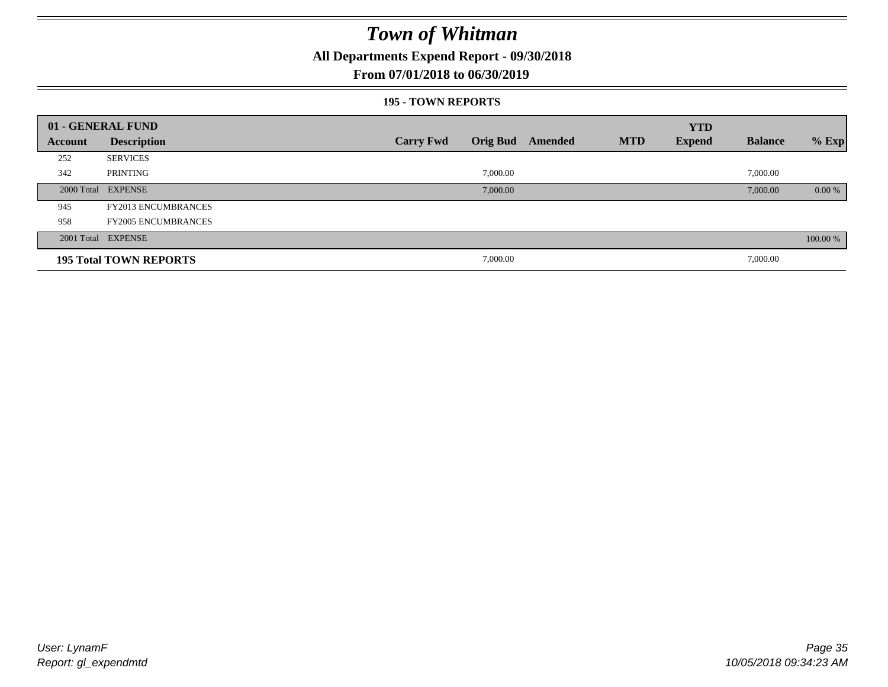**All Departments Expend Report - 09/30/2018**

### **From 07/01/2018 to 06/30/2019**

#### **195 - TOWN REPORTS**

|         | 01 - GENERAL FUND             |                  |          |                         |            | <b>YTD</b>    |                |          |
|---------|-------------------------------|------------------|----------|-------------------------|------------|---------------|----------------|----------|
| Account | <b>Description</b>            | <b>Carry Fwd</b> |          | <b>Orig Bud</b> Amended | <b>MTD</b> | <b>Expend</b> | <b>Balance</b> | $%$ Exp  |
| 252     | <b>SERVICES</b>               |                  |          |                         |            |               |                |          |
| 342     | PRINTING                      |                  | 7,000.00 |                         |            |               | 7,000.00       |          |
|         | 2000 Total EXPENSE            |                  | 7,000.00 |                         |            |               | 7,000.00       | $0.00\%$ |
| 945     | <b>FY2013 ENCUMBRANCES</b>    |                  |          |                         |            |               |                |          |
| 958     | <b>FY2005 ENCUMBRANCES</b>    |                  |          |                         |            |               |                |          |
|         | 2001 Total EXPENSE            |                  |          |                         |            |               |                | 100.00 % |
|         | <b>195 Total TOWN REPORTS</b> |                  | 7,000.00 |                         |            |               | 7,000.00       |          |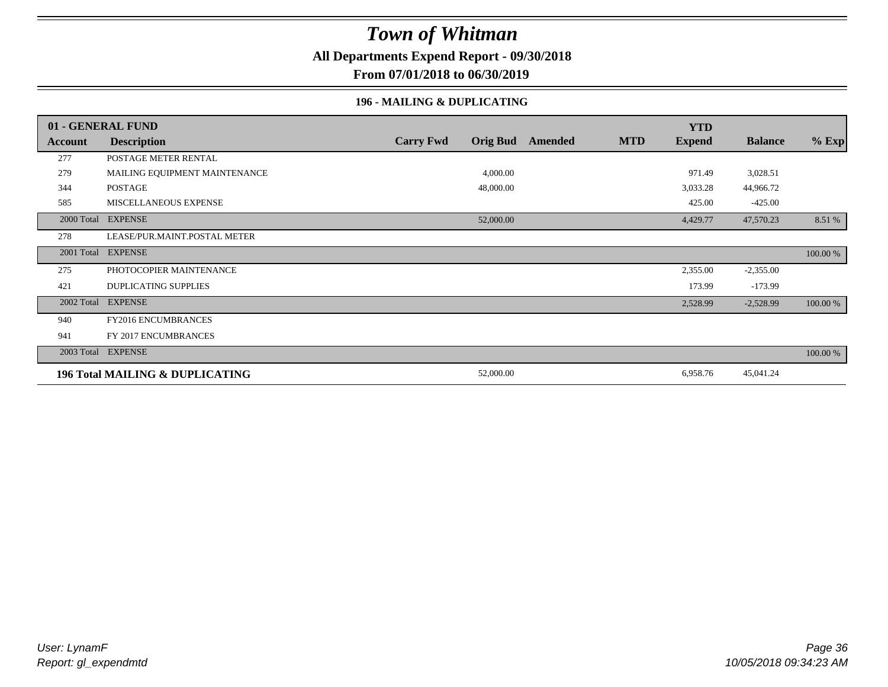**All Departments Expend Report - 09/30/2018**

**From 07/01/2018 to 06/30/2019**

### **196 - MAILING & DUPLICATING**

|            | 01 - GENERAL FUND               |                  |                 |         |            | <b>YTD</b>    |                |          |
|------------|---------------------------------|------------------|-----------------|---------|------------|---------------|----------------|----------|
| Account    | <b>Description</b>              | <b>Carry Fwd</b> | <b>Orig Bud</b> | Amended | <b>MTD</b> | <b>Expend</b> | <b>Balance</b> | $%$ Exp  |
| 277        | POSTAGE METER RENTAL            |                  |                 |         |            |               |                |          |
| 279        | MAILING EQUIPMENT MAINTENANCE   |                  | 4,000.00        |         |            | 971.49        | 3,028.51       |          |
| 344        | POSTAGE                         |                  | 48,000.00       |         |            | 3,033.28      | 44,966.72      |          |
| 585        | MISCELLANEOUS EXPENSE           |                  |                 |         |            | 425.00        | $-425.00$      |          |
| 2000 Total | <b>EXPENSE</b>                  |                  | 52,000.00       |         |            | 4,429.77      | 47,570.23      | 8.51 %   |
| 278        | LEASE/PUR.MAINT.POSTAL METER    |                  |                 |         |            |               |                |          |
| 2001 Total | <b>EXPENSE</b>                  |                  |                 |         |            |               |                | 100.00 % |
| 275        | PHOTOCOPIER MAINTENANCE         |                  |                 |         |            | 2,355.00      | $-2,355.00$    |          |
| 421        | <b>DUPLICATING SUPPLIES</b>     |                  |                 |         |            | 173.99        | $-173.99$      |          |
| 2002 Total | <b>EXPENSE</b>                  |                  |                 |         |            | 2,528.99      | $-2,528.99$    | 100.00 % |
| 940        | FY2016 ENCUMBRANCES             |                  |                 |         |            |               |                |          |
| 941        | FY 2017 ENCUMBRANCES            |                  |                 |         |            |               |                |          |
| 2003 Total | <b>EXPENSE</b>                  |                  |                 |         |            |               |                | 100.00 % |
|            | 196 Total MAILING & DUPLICATING |                  | 52,000.00       |         |            | 6,958.76      | 45,041.24      |          |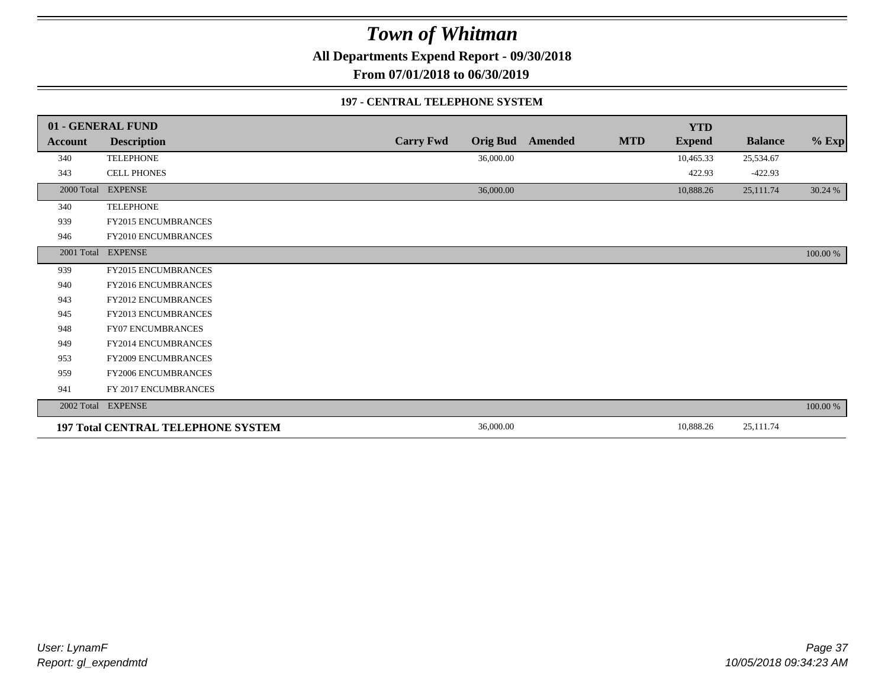**All Departments Expend Report - 09/30/2018**

**From 07/01/2018 to 06/30/2019**

#### **197 - CENTRAL TELEPHONE SYSTEM**

|                | 01 - GENERAL FUND                         |                  |                 |                |            | <b>YTD</b>    |                |          |
|----------------|-------------------------------------------|------------------|-----------------|----------------|------------|---------------|----------------|----------|
| <b>Account</b> | <b>Description</b>                        | <b>Carry Fwd</b> | <b>Orig Bud</b> | <b>Amended</b> | <b>MTD</b> | <b>Expend</b> | <b>Balance</b> | $%$ Exp  |
| 340            | <b>TELEPHONE</b>                          |                  | 36,000.00       |                |            | 10,465.33     | 25,534.67      |          |
| 343            | <b>CELL PHONES</b>                        |                  |                 |                |            | 422.93        | $-422.93$      |          |
| 2000 Total     | <b>EXPENSE</b>                            |                  | 36,000.00       |                |            | 10,888.26     | 25,111.74      | 30.24 %  |
| 340            | <b>TELEPHONE</b>                          |                  |                 |                |            |               |                |          |
| 939            | <b>FY2015 ENCUMBRANCES</b>                |                  |                 |                |            |               |                |          |
| 946            | FY2010 ENCUMBRANCES                       |                  |                 |                |            |               |                |          |
|                | 2001 Total EXPENSE                        |                  |                 |                |            |               |                | 100.00 % |
| 939            | FY2015 ENCUMBRANCES                       |                  |                 |                |            |               |                |          |
| 940            | FY2016 ENCUMBRANCES                       |                  |                 |                |            |               |                |          |
| 943            | <b>FY2012 ENCUMBRANCES</b>                |                  |                 |                |            |               |                |          |
| 945            | FY2013 ENCUMBRANCES                       |                  |                 |                |            |               |                |          |
| 948            | <b>FY07 ENCUMBRANCES</b>                  |                  |                 |                |            |               |                |          |
| 949            | <b>FY2014 ENCUMBRANCES</b>                |                  |                 |                |            |               |                |          |
| 953            | FY2009 ENCUMBRANCES                       |                  |                 |                |            |               |                |          |
| 959            | FY2006 ENCUMBRANCES                       |                  |                 |                |            |               |                |          |
| 941            | FY 2017 ENCUMBRANCES                      |                  |                 |                |            |               |                |          |
|                | 2002 Total EXPENSE                        |                  |                 |                |            |               |                | 100.00 % |
|                | <b>197 Total CENTRAL TELEPHONE SYSTEM</b> |                  | 36,000.00       |                |            | 10,888.26     | 25,111.74      |          |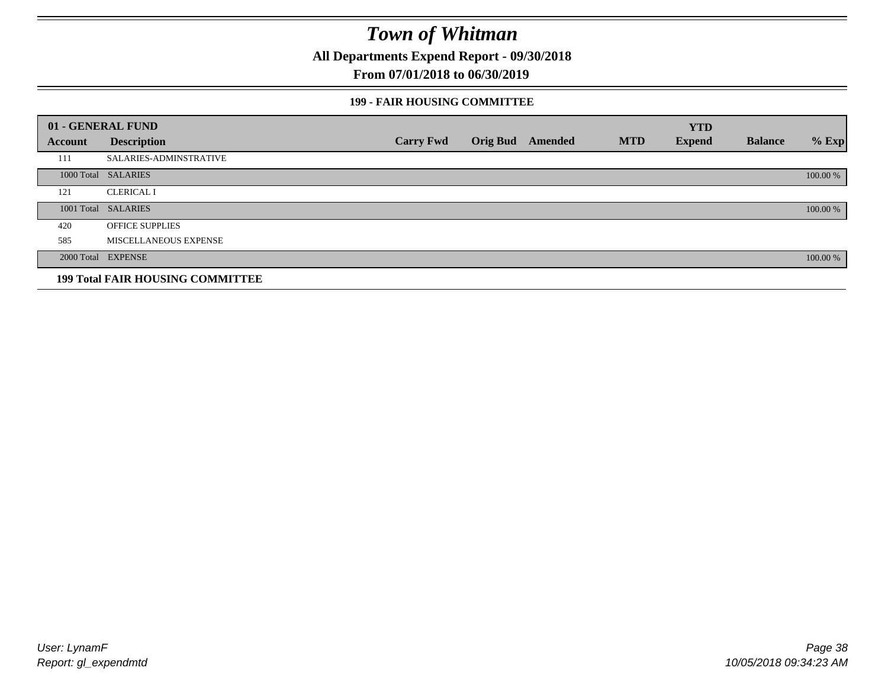**All Departments Expend Report - 09/30/2018**

### **From 07/01/2018 to 06/30/2019**

#### **199 - FAIR HOUSING COMMITTEE**

|         | 01 - GENERAL FUND                       |                  |                         |            | <b>YTD</b>    |                |          |
|---------|-----------------------------------------|------------------|-------------------------|------------|---------------|----------------|----------|
| Account | <b>Description</b>                      | <b>Carry Fwd</b> | <b>Orig Bud</b> Amended | <b>MTD</b> | <b>Expend</b> | <b>Balance</b> | $%$ Exp  |
| 111     | <b>SALARIES-ADMINSTRATIVE</b>           |                  |                         |            |               |                |          |
|         | 1000 Total SALARIES                     |                  |                         |            |               |                | 100.00 % |
| 121     | <b>CLERICAL I</b>                       |                  |                         |            |               |                |          |
|         | 1001 Total SALARIES                     |                  |                         |            |               |                | 100.00 % |
| 420     | <b>OFFICE SUPPLIES</b>                  |                  |                         |            |               |                |          |
| 585     | MISCELLANEOUS EXPENSE                   |                  |                         |            |               |                |          |
|         | 2000 Total EXPENSE                      |                  |                         |            |               |                | 100.00 % |
|         | <b>199 Total FAIR HOUSING COMMITTEE</b> |                  |                         |            |               |                |          |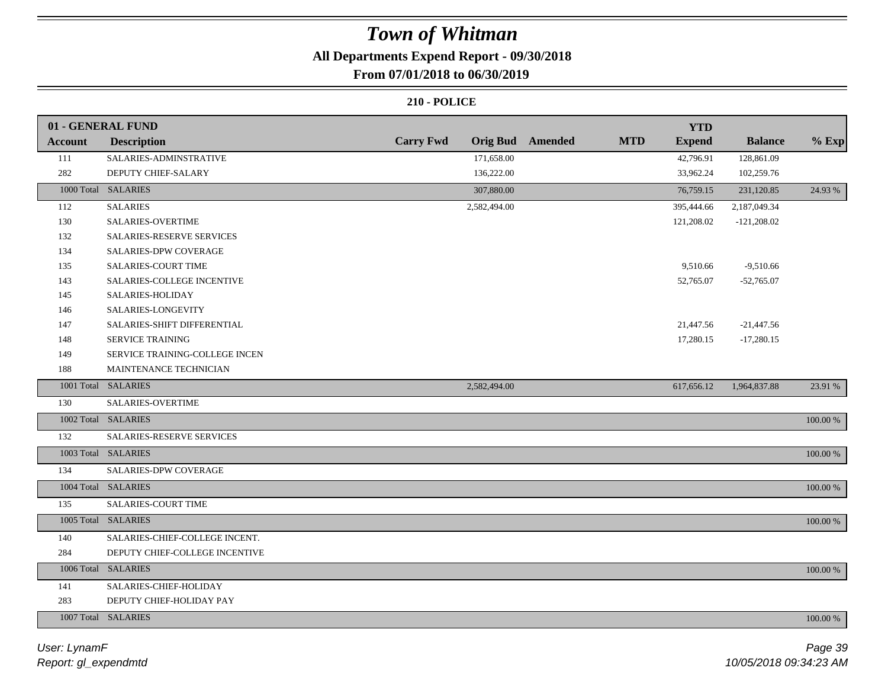### **All Departments Expend Report - 09/30/2018**

### **From 07/01/2018 to 06/30/2019**

|         | 01 - GENERAL FUND              |                  |                         |            | <b>YTD</b>    |                |             |
|---------|--------------------------------|------------------|-------------------------|------------|---------------|----------------|-------------|
| Account | <b>Description</b>             | <b>Carry Fwd</b> | <b>Orig Bud</b> Amended | <b>MTD</b> | <b>Expend</b> | <b>Balance</b> | $%$ Exp     |
| 111     | SALARIES-ADMINSTRATIVE         | 171,658.00       |                         |            | 42,796.91     | 128,861.09     |             |
| 282     | DEPUTY CHIEF-SALARY            | 136,222.00       |                         |            | 33,962.24     | 102,259.76     |             |
|         | 1000 Total SALARIES            | 307,880.00       |                         |            | 76,759.15     | 231,120.85     | 24.93 %     |
| 112     | <b>SALARIES</b>                | 2,582,494.00     |                         |            | 395,444.66    | 2,187,049.34   |             |
| 130     | SALARIES-OVERTIME              |                  |                         |            | 121,208.02    | $-121,208.02$  |             |
| 132     | SALARIES-RESERVE SERVICES      |                  |                         |            |               |                |             |
| 134     | <b>SALARIES-DPW COVERAGE</b>   |                  |                         |            |               |                |             |
| 135     | SALARIES-COURT TIME            |                  |                         |            | 9,510.66      | $-9,510.66$    |             |
| 143     | SALARIES-COLLEGE INCENTIVE     |                  |                         |            | 52,765.07     | $-52,765.07$   |             |
| 145     | SALARIES-HOLIDAY               |                  |                         |            |               |                |             |
| 146     | SALARIES-LONGEVITY             |                  |                         |            |               |                |             |
| 147     | SALARIES-SHIFT DIFFERENTIAL    |                  |                         |            | 21,447.56     | $-21,447.56$   |             |
| 148     | SERVICE TRAINING               |                  |                         |            | 17,280.15     | $-17,280.15$   |             |
| 149     | SERVICE TRAINING-COLLEGE INCEN |                  |                         |            |               |                |             |
| 188     | MAINTENANCE TECHNICIAN         |                  |                         |            |               |                |             |
|         | 1001 Total SALARIES            | 2,582,494.00     |                         |            | 617,656.12    | 1,964,837.88   | 23.91 %     |
| 130     | SALARIES-OVERTIME              |                  |                         |            |               |                |             |
|         | 1002 Total SALARIES            |                  |                         |            |               |                | 100.00 %    |
| 132     | SALARIES-RESERVE SERVICES      |                  |                         |            |               |                |             |
|         | 1003 Total SALARIES            |                  |                         |            |               |                | $100.00~\%$ |
| 134     | <b>SALARIES-DPW COVERAGE</b>   |                  |                         |            |               |                |             |
|         | 1004 Total SALARIES            |                  |                         |            |               |                | 100.00 %    |
| 135     | <b>SALARIES-COURT TIME</b>     |                  |                         |            |               |                |             |
|         | 1005 Total SALARIES            |                  |                         |            |               |                | 100.00 %    |
| 140     | SALARIES-CHIEF-COLLEGE INCENT. |                  |                         |            |               |                |             |
| 284     | DEPUTY CHIEF-COLLEGE INCENTIVE |                  |                         |            |               |                |             |
|         | 1006 Total SALARIES            |                  |                         |            |               |                | 100.00 %    |
| 141     | SALARIES-CHIEF-HOLIDAY         |                  |                         |            |               |                |             |
| 283     | DEPUTY CHIEF-HOLIDAY PAY       |                  |                         |            |               |                |             |
|         | 1007 Total SALARIES            |                  |                         |            |               |                | 100.00 %    |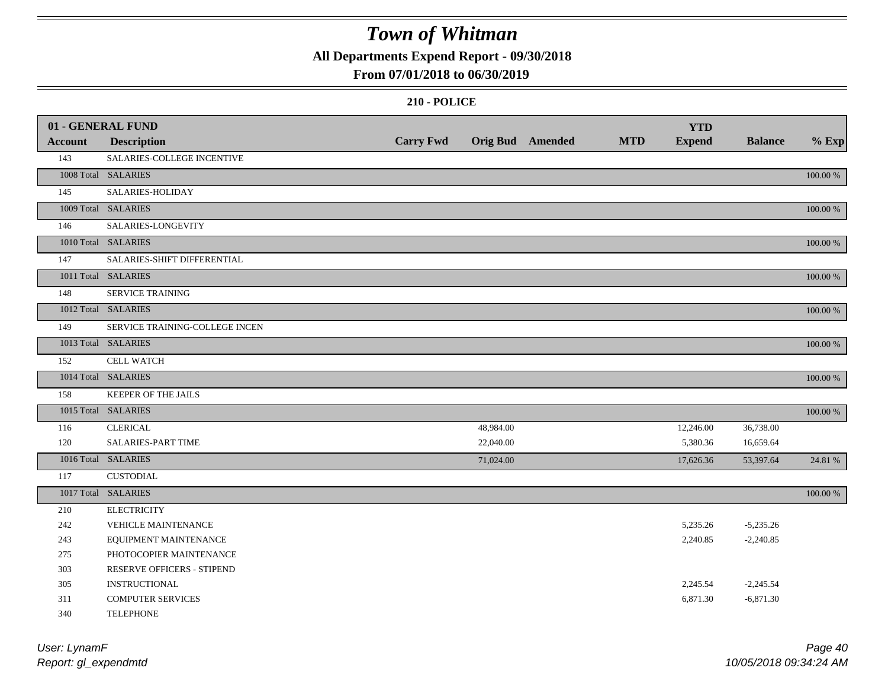**All Departments Expend Report - 09/30/2018**

### **From 07/01/2018 to 06/30/2019**

|                | 01 - GENERAL FUND              |                  |           |                         |            | <b>YTD</b>    |                |          |
|----------------|--------------------------------|------------------|-----------|-------------------------|------------|---------------|----------------|----------|
| <b>Account</b> | <b>Description</b>             | <b>Carry Fwd</b> |           | <b>Orig Bud</b> Amended | <b>MTD</b> | <b>Expend</b> | <b>Balance</b> | $%$ Exp  |
| 143            | SALARIES-COLLEGE INCENTIVE     |                  |           |                         |            |               |                |          |
|                | 1008 Total SALARIES            |                  |           |                         |            |               |                | 100.00 % |
| 145            | SALARIES-HOLIDAY               |                  |           |                         |            |               |                |          |
|                | 1009 Total SALARIES            |                  |           |                         |            |               |                | 100.00 % |
| 146            | SALARIES-LONGEVITY             |                  |           |                         |            |               |                |          |
|                | 1010 Total SALARIES            |                  |           |                         |            |               |                | 100.00 % |
| 147            | SALARIES-SHIFT DIFFERENTIAL    |                  |           |                         |            |               |                |          |
|                | 1011 Total SALARIES            |                  |           |                         |            |               |                | 100.00 % |
| 148            | <b>SERVICE TRAINING</b>        |                  |           |                         |            |               |                |          |
|                | 1012 Total SALARIES            |                  |           |                         |            |               |                | 100.00 % |
| 149            | SERVICE TRAINING-COLLEGE INCEN |                  |           |                         |            |               |                |          |
|                | 1013 Total SALARIES            |                  |           |                         |            |               |                | 100.00 % |
| 152            | <b>CELL WATCH</b>              |                  |           |                         |            |               |                |          |
|                | 1014 Total SALARIES            |                  |           |                         |            |               |                | 100.00 % |
| 158            | <b>KEEPER OF THE JAILS</b>     |                  |           |                         |            |               |                |          |
|                | 1015 Total SALARIES            |                  |           |                         |            |               |                | 100.00 % |
| 116            | <b>CLERICAL</b>                |                  | 48,984.00 |                         |            | 12,246.00     | 36,738.00      |          |
| 120            | SALARIES-PART TIME             |                  | 22,040.00 |                         |            | 5,380.36      | 16,659.64      |          |
|                | 1016 Total SALARIES            |                  | 71,024.00 |                         |            | 17,626.36     | 53,397.64      | 24.81 %  |
| 117            | <b>CUSTODIAL</b>               |                  |           |                         |            |               |                |          |
|                | 1017 Total SALARIES            |                  |           |                         |            |               |                | 100.00 % |
| 210            | <b>ELECTRICITY</b>             |                  |           |                         |            |               |                |          |
| 242            | VEHICLE MAINTENANCE            |                  |           |                         |            | 5,235.26      | $-5,235.26$    |          |
| 243            | EQUIPMENT MAINTENANCE          |                  |           |                         |            | 2,240.85      | $-2,240.85$    |          |
| 275            | PHOTOCOPIER MAINTENANCE        |                  |           |                         |            |               |                |          |
| 303            | RESERVE OFFICERS - STIPEND     |                  |           |                         |            |               |                |          |
| 305            | <b>INSTRUCTIONAL</b>           |                  |           |                         |            | 2,245.54      | $-2,245.54$    |          |
| 311            | <b>COMPUTER SERVICES</b>       |                  |           |                         |            | 6,871.30      | $-6,871.30$    |          |
| 340            | <b>TELEPHONE</b>               |                  |           |                         |            |               |                |          |

| User: LynamF         | Page 40                |
|----------------------|------------------------|
| Report: gl_expendmtd | 10/05/2018 09:34:24 AM |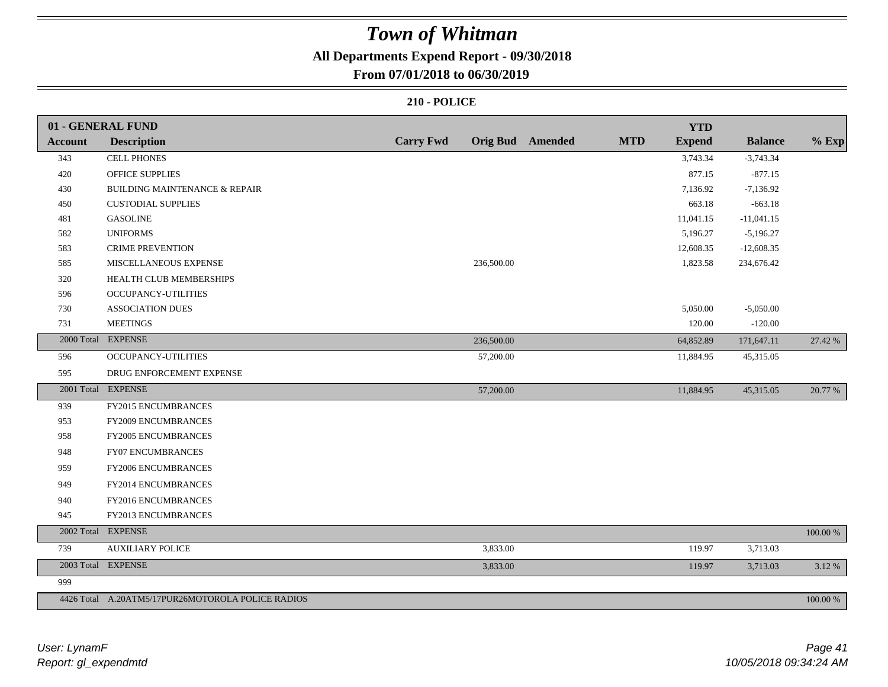### **All Departments Expend Report - 09/30/2018**

### **From 07/01/2018 to 06/30/2019**

|                | 01 - GENERAL FUND                                 |                  |                         |            | <b>YTD</b>    |                |          |
|----------------|---------------------------------------------------|------------------|-------------------------|------------|---------------|----------------|----------|
| <b>Account</b> | <b>Description</b>                                | <b>Carry Fwd</b> | <b>Orig Bud</b> Amended | <b>MTD</b> | <b>Expend</b> | <b>Balance</b> | $%$ Exp  |
| 343            | <b>CELL PHONES</b>                                |                  |                         |            | 3,743.34      | $-3,743.34$    |          |
| 420            | <b>OFFICE SUPPLIES</b>                            |                  |                         |            | 877.15        | $-877.15$      |          |
| 430            | <b>BUILDING MAINTENANCE &amp; REPAIR</b>          |                  |                         |            | 7,136.92      | $-7,136.92$    |          |
| 450            | <b>CUSTODIAL SUPPLIES</b>                         |                  |                         |            | 663.18        | $-663.18$      |          |
| 481            | <b>GASOLINE</b>                                   |                  |                         |            | 11,041.15     | $-11,041.15$   |          |
| 582            | <b>UNIFORMS</b>                                   |                  |                         |            | 5,196.27      | $-5,196.27$    |          |
| 583            | <b>CRIME PREVENTION</b>                           |                  |                         |            | 12,608.35     | $-12,608.35$   |          |
| 585            | MISCELLANEOUS EXPENSE                             | 236,500.00       |                         |            | 1,823.58      | 234,676.42     |          |
| 320            | HEALTH CLUB MEMBERSHIPS                           |                  |                         |            |               |                |          |
| 596            | OCCUPANCY-UTILITIES                               |                  |                         |            |               |                |          |
| 730            | <b>ASSOCIATION DUES</b>                           |                  |                         |            | 5,050.00      | $-5,050.00$    |          |
| 731            | <b>MEETINGS</b>                                   |                  |                         |            | 120.00        | $-120.00$      |          |
|                | 2000 Total EXPENSE                                | 236,500.00       |                         |            | 64,852.89     | 171,647.11     | 27.42 %  |
| 596            | OCCUPANCY-UTILITIES                               | 57,200.00        |                         |            | 11,884.95     | 45,315.05      |          |
| 595            | DRUG ENFORCEMENT EXPENSE                          |                  |                         |            |               |                |          |
|                | 2001 Total EXPENSE                                | 57,200.00        |                         |            | 11,884.95     | 45,315.05      | 20.77 %  |
| 939            | FY2015 ENCUMBRANCES                               |                  |                         |            |               |                |          |
| 953            | FY2009 ENCUMBRANCES                               |                  |                         |            |               |                |          |
| 958            | FY2005 ENCUMBRANCES                               |                  |                         |            |               |                |          |
| 948            | FY07 ENCUMBRANCES                                 |                  |                         |            |               |                |          |
| 959            | FY2006 ENCUMBRANCES                               |                  |                         |            |               |                |          |
| 949            | FY2014 ENCUMBRANCES                               |                  |                         |            |               |                |          |
| 940            | FY2016 ENCUMBRANCES                               |                  |                         |            |               |                |          |
| 945            | FY2013 ENCUMBRANCES                               |                  |                         |            |               |                |          |
| 2002 Total     | <b>EXPENSE</b>                                    |                  |                         |            |               |                | 100.00 % |
| 739            | <b>AUXILIARY POLICE</b>                           | 3,833.00         |                         |            | 119.97        | 3,713.03       |          |
|                | 2003 Total EXPENSE                                | 3,833.00         |                         |            | 119.97        | 3,713.03       | 3.12%    |
| 999            |                                                   |                  |                         |            |               |                |          |
|                | 4426 Total A.20ATM5/17PUR26MOTOROLA POLICE RADIOS |                  |                         |            |               |                | 100.00 % |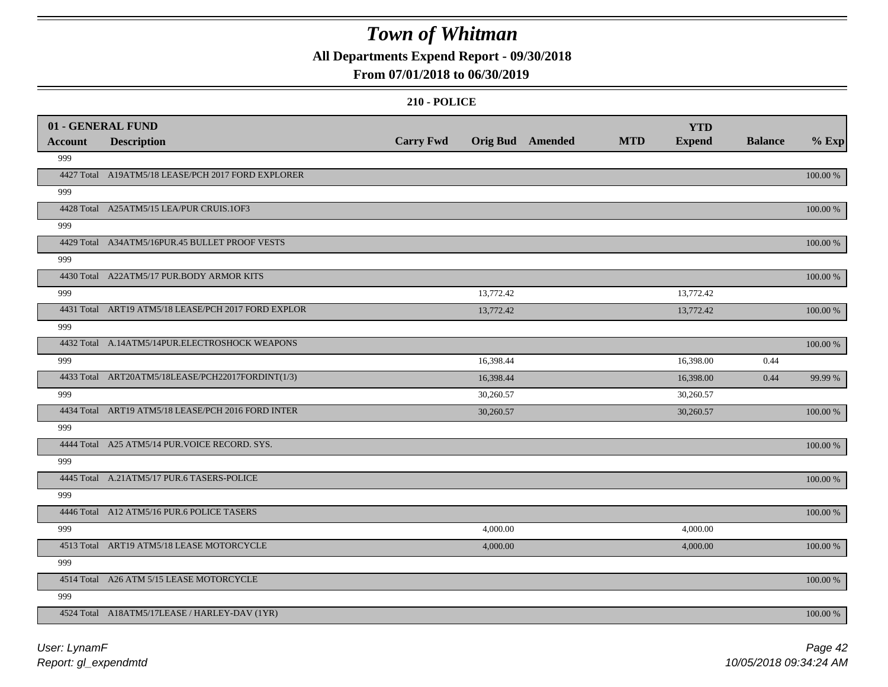**All Departments Expend Report - 09/30/2018**

### **From 07/01/2018 to 06/30/2019**

|         | 01 - GENERAL FUND                                   |                  |                         |            | <b>YTD</b>    |                |             |
|---------|-----------------------------------------------------|------------------|-------------------------|------------|---------------|----------------|-------------|
| Account | <b>Description</b>                                  | <b>Carry Fwd</b> | <b>Orig Bud</b> Amended | <b>MTD</b> | <b>Expend</b> | <b>Balance</b> | $%$ Exp     |
| 999     |                                                     |                  |                         |            |               |                |             |
|         | 4427 Total A19ATM5/18 LEASE/PCH 2017 FORD EXPLORER  |                  |                         |            |               |                | 100.00 %    |
| 999     |                                                     |                  |                         |            |               |                |             |
|         | 4428 Total A25ATM5/15 LEA/PUR CRUIS.1OF3            |                  |                         |            |               |                | 100.00 %    |
| 999     |                                                     |                  |                         |            |               |                |             |
|         | 4429 Total A34ATM5/16PUR.45 BULLET PROOF VESTS      |                  |                         |            |               |                | 100.00 %    |
| 999     |                                                     |                  |                         |            |               |                |             |
|         | 4430 Total A22ATM5/17 PUR.BODY ARMOR KITS           |                  |                         |            |               |                | 100.00 %    |
| 999     |                                                     |                  | 13,772.42               |            | 13,772.42     |                |             |
|         | 4431 Total ART19 ATM5/18 LEASE/PCH 2017 FORD EXPLOR |                  | 13,772.42               |            | 13,772.42     |                | 100.00 %    |
| 999     |                                                     |                  |                         |            |               |                |             |
|         | 4432 Total A.14ATM5/14PUR.ELECTROSHOCK WEAPONS      |                  |                         |            |               |                | 100.00 %    |
| 999     |                                                     |                  | 16,398.44               |            | 16,398.00     | 0.44           |             |
|         | 4433 Total ART20ATM5/18LEASE/PCH22017FORDINT(1/3)   |                  | 16,398.44               |            | 16,398.00     | 0.44           | 99.99 %     |
| 999     |                                                     |                  | 30,260.57               |            | 30,260.57     |                |             |
|         | 4434 Total ART19 ATM5/18 LEASE/PCH 2016 FORD INTER  |                  | 30,260.57               |            | 30,260.57     |                | 100.00 %    |
| 999     |                                                     |                  |                         |            |               |                |             |
|         | 4444 Total A25 ATM5/14 PUR. VOICE RECORD. SYS.      |                  |                         |            |               |                | 100.00 %    |
| 999     |                                                     |                  |                         |            |               |                |             |
|         | 4445 Total A.21ATM5/17 PUR.6 TASERS-POLICE          |                  |                         |            |               |                | 100.00 %    |
| 999     |                                                     |                  |                         |            |               |                |             |
|         | 4446 Total A12 ATM5/16 PUR.6 POLICE TASERS          |                  |                         |            |               |                | 100.00 %    |
| 999     |                                                     |                  | 4,000.00                |            | 4,000.00      |                |             |
|         | 4513 Total ART19 ATM5/18 LEASE MOTORCYCLE           |                  | 4,000.00                |            | 4,000.00      |                | 100.00 %    |
| 999     |                                                     |                  |                         |            |               |                |             |
|         | 4514 Total A26 ATM 5/15 LEASE MOTORCYCLE            |                  |                         |            |               |                | $100.00~\%$ |
| 999     |                                                     |                  |                         |            |               |                |             |
|         | 4524 Total A18ATM5/17LEASE / HARLEY-DAV (1YR)       |                  |                         |            |               |                | 100.00 %    |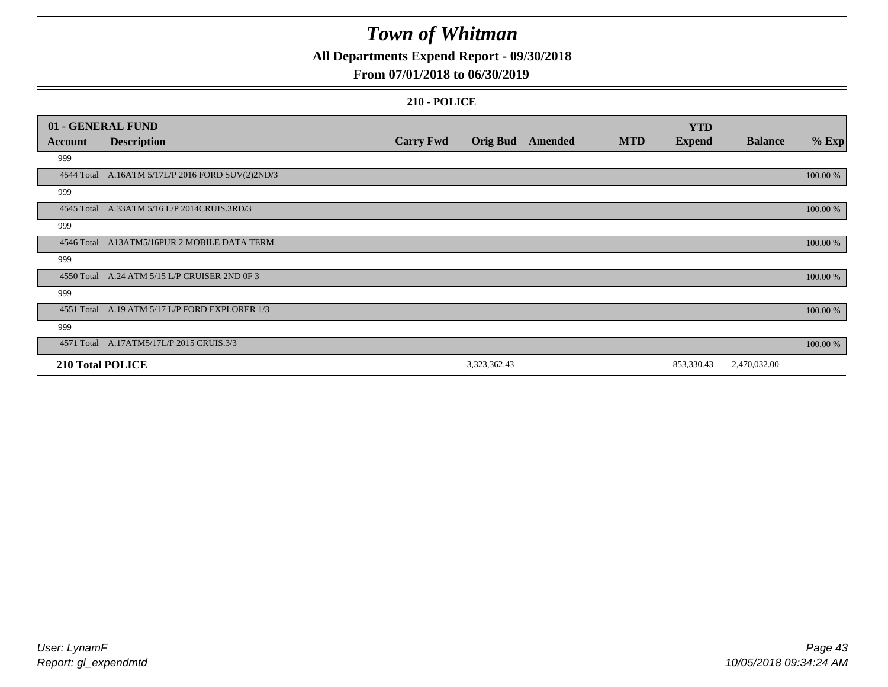**All Departments Expend Report - 09/30/2018**

### **From 07/01/2018 to 06/30/2019**

|                         | 01 - GENERAL FUND                                |                  |                 |         |            | <b>YTD</b>    |                |          |
|-------------------------|--------------------------------------------------|------------------|-----------------|---------|------------|---------------|----------------|----------|
| <b>Account</b>          | <b>Description</b>                               | <b>Carry Fwd</b> | <b>Orig Bud</b> | Amended | <b>MTD</b> | <b>Expend</b> | <b>Balance</b> | $%$ Exp  |
| 999                     |                                                  |                  |                 |         |            |               |                |          |
|                         | 4544 Total A.16ATM 5/17L/P 2016 FORD SUV(2)2ND/3 |                  |                 |         |            |               |                | 100.00 % |
| 999                     |                                                  |                  |                 |         |            |               |                |          |
|                         | 4545 Total A.33ATM 5/16 L/P 2014CRUIS.3RD/3      |                  |                 |         |            |               |                | 100.00 % |
| 999                     |                                                  |                  |                 |         |            |               |                |          |
|                         | 4546 Total A13ATM5/16PUR 2 MOBILE DATA TERM      |                  |                 |         |            |               |                | 100.00 % |
| 999                     |                                                  |                  |                 |         |            |               |                |          |
|                         | 4550 Total A.24 ATM 5/15 L/P CRUISER 2ND 0F 3    |                  |                 |         |            |               |                | 100.00 % |
| 999                     |                                                  |                  |                 |         |            |               |                |          |
|                         | 4551 Total A.19 ATM 5/17 L/P FORD EXPLORER 1/3   |                  |                 |         |            |               |                | 100.00 % |
| 999                     |                                                  |                  |                 |         |            |               |                |          |
|                         | 4571 Total A.17ATM5/17L/P 2015 CRUIS.3/3         |                  |                 |         |            |               |                | 100.00 % |
| <b>210 Total POLICE</b> |                                                  |                  | 3,323,362.43    |         |            | 853,330.43    | 2,470,032.00   |          |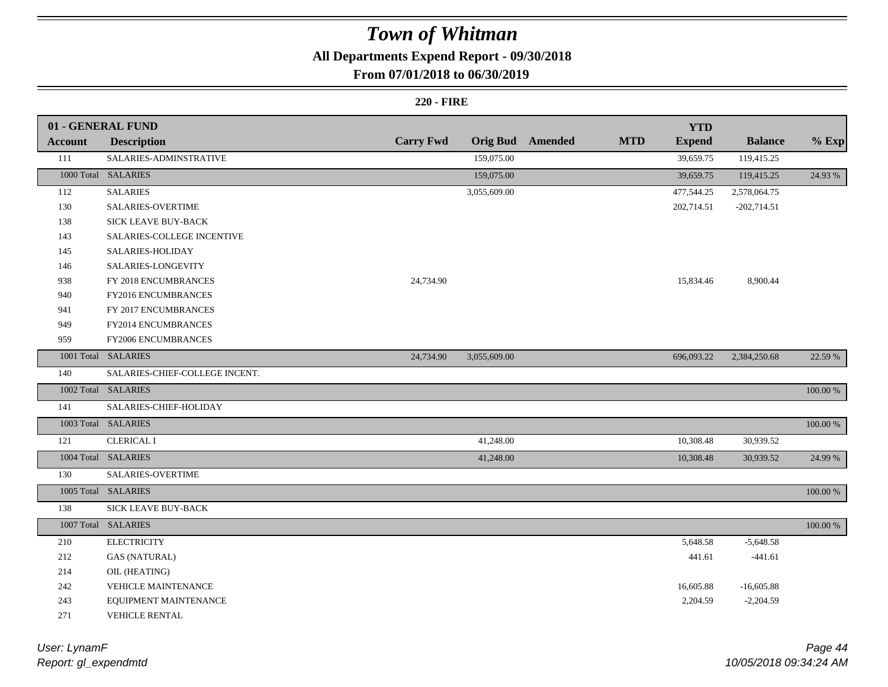### **All Departments Expend Report - 09/30/2018**

### **From 07/01/2018 to 06/30/2019**

### **220 - FIRE**

|                | 01 - GENERAL FUND              |                  |                 |         |            | <b>YTD</b>    |                |             |
|----------------|--------------------------------|------------------|-----------------|---------|------------|---------------|----------------|-------------|
| <b>Account</b> | <b>Description</b>             | <b>Carry Fwd</b> | <b>Orig Bud</b> | Amended | <b>MTD</b> | <b>Expend</b> | <b>Balance</b> | $%$ Exp     |
| 111            | SALARIES-ADMINSTRATIVE         |                  | 159,075.00      |         |            | 39,659.75     | 119,415.25     |             |
|                | 1000 Total SALARIES            |                  | 159,075.00      |         |            | 39,659.75     | 119,415.25     | 24.93 %     |
| 112            | <b>SALARIES</b>                |                  | 3,055,609.00    |         |            | 477,544.25    | 2,578,064.75   |             |
| 130            | <b>SALARIES-OVERTIME</b>       |                  |                 |         |            | 202,714.51    | $-202,714.51$  |             |
| 138            | SICK LEAVE BUY-BACK            |                  |                 |         |            |               |                |             |
| 143            | SALARIES-COLLEGE INCENTIVE     |                  |                 |         |            |               |                |             |
| 145            | SALARIES-HOLIDAY               |                  |                 |         |            |               |                |             |
| 146            | SALARIES-LONGEVITY             |                  |                 |         |            |               |                |             |
| 938            | FY 2018 ENCUMBRANCES           | 24,734.90        |                 |         |            | 15,834.46     | 8,900.44       |             |
| 940            | FY2016 ENCUMBRANCES            |                  |                 |         |            |               |                |             |
| 941            | FY 2017 ENCUMBRANCES           |                  |                 |         |            |               |                |             |
| 949            | FY2014 ENCUMBRANCES            |                  |                 |         |            |               |                |             |
| 959            | FY2006 ENCUMBRANCES            |                  |                 |         |            |               |                |             |
|                | 1001 Total SALARIES            | 24,734.90        | 3,055,609.00    |         |            | 696,093.22    | 2,384,250.68   | 22.59 %     |
| 140            | SALARIES-CHIEF-COLLEGE INCENT. |                  |                 |         |            |               |                |             |
|                | 1002 Total SALARIES            |                  |                 |         |            |               |                | 100.00 %    |
| 141            | SALARIES-CHIEF-HOLIDAY         |                  |                 |         |            |               |                |             |
|                | 1003 Total SALARIES            |                  |                 |         |            |               |                | $100.00~\%$ |
| 121            | <b>CLERICAL I</b>              |                  | 41,248.00       |         |            | 10,308.48     | 30,939.52      |             |
|                | 1004 Total SALARIES            |                  | 41,248.00       |         |            | 10,308.48     | 30,939.52      | 24.99 %     |
| 130            | SALARIES-OVERTIME              |                  |                 |         |            |               |                |             |
|                | 1005 Total SALARIES            |                  |                 |         |            |               |                | 100.00 %    |
| 138            | <b>SICK LEAVE BUY-BACK</b>     |                  |                 |         |            |               |                |             |
|                | 1007 Total SALARIES            |                  |                 |         |            |               |                | 100.00 %    |
| 210            | <b>ELECTRICITY</b>             |                  |                 |         |            | 5,648.58      | $-5,648.58$    |             |
| 212            | <b>GAS (NATURAL)</b>           |                  |                 |         |            | 441.61        | $-441.61$      |             |
| 214            | OIL (HEATING)                  |                  |                 |         |            |               |                |             |
| 242            | VEHICLE MAINTENANCE            |                  |                 |         |            | 16,605.88     | $-16,605.88$   |             |
| 243            | EQUIPMENT MAINTENANCE          |                  |                 |         |            | 2,204.59      | $-2,204.59$    |             |
| 271            | <b>VEHICLE RENTAL</b>          |                  |                 |         |            |               |                |             |

*Report: gl\_expendmtd User: LynamF*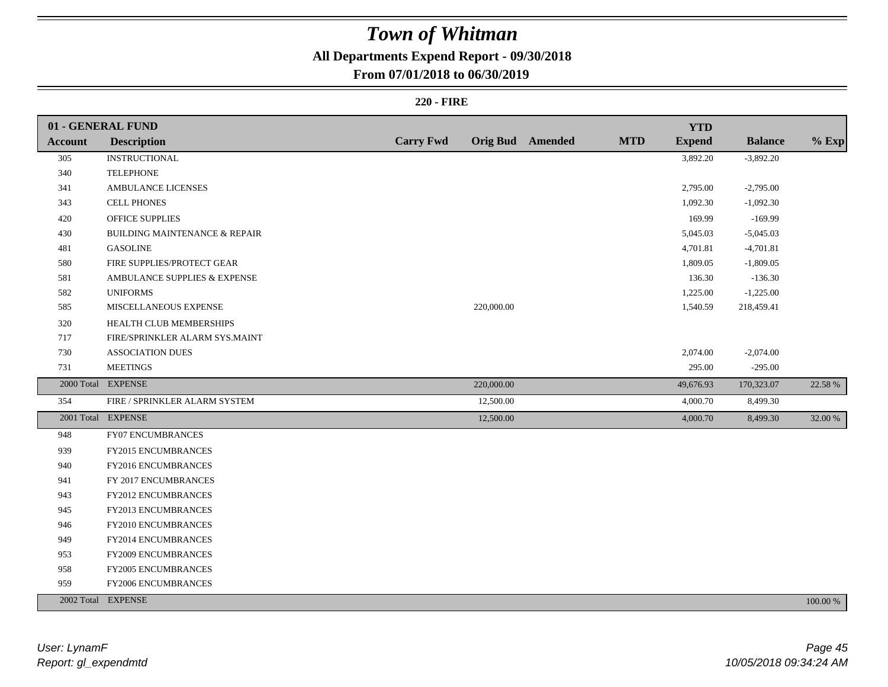### **All Departments Expend Report - 09/30/2018**

### **From 07/01/2018 to 06/30/2019**

### **220 - FIRE**

|         | 01 - GENERAL FUND                        |                  |            |                         |            | <b>YTD</b>    |                |          |
|---------|------------------------------------------|------------------|------------|-------------------------|------------|---------------|----------------|----------|
| Account | <b>Description</b>                       | <b>Carry Fwd</b> |            | <b>Orig Bud</b> Amended | <b>MTD</b> | <b>Expend</b> | <b>Balance</b> | $%$ Exp  |
| 305     | <b>INSTRUCTIONAL</b>                     |                  |            |                         |            | 3,892.20      | $-3,892.20$    |          |
| 340     | <b>TELEPHONE</b>                         |                  |            |                         |            |               |                |          |
| 341     | <b>AMBULANCE LICENSES</b>                |                  |            |                         |            | 2,795.00      | $-2,795.00$    |          |
| 343     | <b>CELL PHONES</b>                       |                  |            |                         |            | 1,092.30      | $-1,092.30$    |          |
| 420     | <b>OFFICE SUPPLIES</b>                   |                  |            |                         |            | 169.99        | $-169.99$      |          |
| 430     | <b>BUILDING MAINTENANCE &amp; REPAIR</b> |                  |            |                         |            | 5,045.03      | $-5,045.03$    |          |
| 481     | <b>GASOLINE</b>                          |                  |            |                         |            | 4,701.81      | $-4,701.81$    |          |
| 580     | FIRE SUPPLIES/PROTECT GEAR               |                  |            |                         |            | 1,809.05      | $-1,809.05$    |          |
| 581     | AMBULANCE SUPPLIES & EXPENSE             |                  |            |                         |            | 136.30        | $-136.30$      |          |
| 582     | <b>UNIFORMS</b>                          |                  |            |                         |            | 1,225.00      | $-1,225.00$    |          |
| 585     | MISCELLANEOUS EXPENSE                    |                  | 220,000.00 |                         |            | 1,540.59      | 218,459.41     |          |
| 320     | HEALTH CLUB MEMBERSHIPS                  |                  |            |                         |            |               |                |          |
| 717     | FIRE/SPRINKLER ALARM SYS.MAINT           |                  |            |                         |            |               |                |          |
| 730     | <b>ASSOCIATION DUES</b>                  |                  |            |                         |            | 2,074.00      | $-2,074.00$    |          |
| 731     | <b>MEETINGS</b>                          |                  |            |                         |            | 295.00        | $-295.00$      |          |
|         | 2000 Total EXPENSE                       |                  | 220,000.00 |                         |            | 49,676.93     | 170,323.07     | 22.58 %  |
| 354     | FIRE / SPRINKLER ALARM SYSTEM            |                  | 12,500.00  |                         |            | 4,000.70      | 8,499.30       |          |
|         | 2001 Total EXPENSE                       |                  | 12,500.00  |                         |            | 4,000.70      | 8,499.30       | 32.00 %  |
| 948     | FY07 ENCUMBRANCES                        |                  |            |                         |            |               |                |          |
| 939     | <b>FY2015 ENCUMBRANCES</b>               |                  |            |                         |            |               |                |          |
| 940     | FY2016 ENCUMBRANCES                      |                  |            |                         |            |               |                |          |
| 941     | FY 2017 ENCUMBRANCES                     |                  |            |                         |            |               |                |          |
| 943     | FY2012 ENCUMBRANCES                      |                  |            |                         |            |               |                |          |
| 945     | FY2013 ENCUMBRANCES                      |                  |            |                         |            |               |                |          |
| 946     | FY2010 ENCUMBRANCES                      |                  |            |                         |            |               |                |          |
| 949     | FY2014 ENCUMBRANCES                      |                  |            |                         |            |               |                |          |
| 953     | FY2009 ENCUMBRANCES                      |                  |            |                         |            |               |                |          |
| 958     | FY2005 ENCUMBRANCES                      |                  |            |                         |            |               |                |          |
| 959     | FY2006 ENCUMBRANCES                      |                  |            |                         |            |               |                |          |
|         | 2002 Total EXPENSE                       |                  |            |                         |            |               |                | 100.00 % |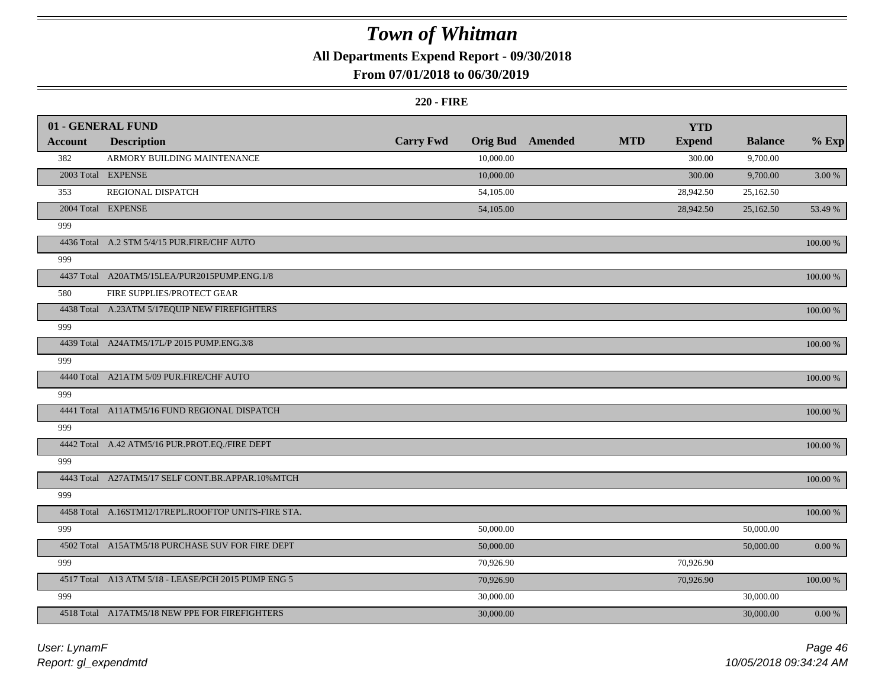### **All Departments Expend Report - 09/30/2018**

### **From 07/01/2018 to 06/30/2019**

#### **220 - FIRE**

|         | 01 - GENERAL FUND                                   |                  |                 |         |            | <b>YTD</b>    |                |            |
|---------|-----------------------------------------------------|------------------|-----------------|---------|------------|---------------|----------------|------------|
| Account | <b>Description</b>                                  | <b>Carry Fwd</b> | <b>Orig Bud</b> | Amended | <b>MTD</b> | <b>Expend</b> | <b>Balance</b> | $%$ Exp    |
| 382     | ARMORY BUILDING MAINTENANCE                         |                  | 10,000.00       |         |            | 300.00        | 9,700.00       |            |
|         | 2003 Total EXPENSE                                  |                  | 10,000.00       |         |            | 300.00        | 9,700.00       | 3.00 %     |
| 353     | REGIONAL DISPATCH                                   |                  | 54,105.00       |         |            | 28,942.50     | 25,162.50      |            |
|         | 2004 Total EXPENSE                                  |                  | 54,105.00       |         |            | 28,942.50     | 25,162.50      | 53.49 %    |
| 999     |                                                     |                  |                 |         |            |               |                |            |
|         | 4436 Total A.2 STM 5/4/15 PUR.FIRE/CHF AUTO         |                  |                 |         |            |               |                | 100.00 %   |
| 999     |                                                     |                  |                 |         |            |               |                |            |
|         | 4437 Total A20ATM5/15LEA/PUR2015PUMP.ENG.1/8        |                  |                 |         |            |               |                | 100.00 %   |
| 580     | FIRE SUPPLIES/PROTECT GEAR                          |                  |                 |         |            |               |                |            |
|         | 4438 Total A.23ATM 5/17EQUIP NEW FIREFIGHTERS       |                  |                 |         |            |               |                | 100.00 %   |
| 999     |                                                     |                  |                 |         |            |               |                |            |
|         | 4439 Total A24ATM5/17L/P 2015 PUMP.ENG.3/8          |                  |                 |         |            |               |                | 100.00 %   |
| 999     |                                                     |                  |                 |         |            |               |                |            |
|         | 4440 Total A21ATM 5/09 PUR.FIRE/CHF AUTO            |                  |                 |         |            |               |                | 100.00 %   |
| 999     |                                                     |                  |                 |         |            |               |                |            |
|         | 4441 Total A11ATM5/16 FUND REGIONAL DISPATCH        |                  |                 |         |            |               |                | 100.00 %   |
| 999     |                                                     |                  |                 |         |            |               |                |            |
|         | 4442 Total A.42 ATM5/16 PUR.PROT.EQ./FIRE DEPT      |                  |                 |         |            |               |                | 100.00 %   |
| 999     |                                                     |                  |                 |         |            |               |                |            |
|         | 4443 Total A27ATM5/17 SELF CONT.BR.APPAR.10%MTCH    |                  |                 |         |            |               |                | 100.00 %   |
| 999     |                                                     |                  |                 |         |            |               |                |            |
|         | 4458 Total A.16STM12/17REPL.ROOFTOP UNITS-FIRE STA. |                  |                 |         |            |               |                | 100.00 %   |
| 999     |                                                     |                  | 50,000.00       |         |            |               | 50,000.00      |            |
|         | 4502 Total A15ATM5/18 PURCHASE SUV FOR FIRE DEPT    |                  | 50,000.00       |         |            |               | 50,000.00      | $0.00\ \%$ |
| 999     |                                                     |                  | 70,926.90       |         |            | 70,926.90     |                |            |
|         | 4517 Total A13 ATM 5/18 - LEASE/PCH 2015 PUMP ENG 5 |                  | 70,926.90       |         |            | 70,926.90     |                | 100.00 %   |
| 999     |                                                     |                  | 30,000.00       |         |            |               | 30,000.00      |            |
|         | 4518 Total A17ATM5/18 NEW PPE FOR FIREFIGHTERS      |                  | 30,000.00       |         |            |               | 30,000.00      | $0.00 \%$  |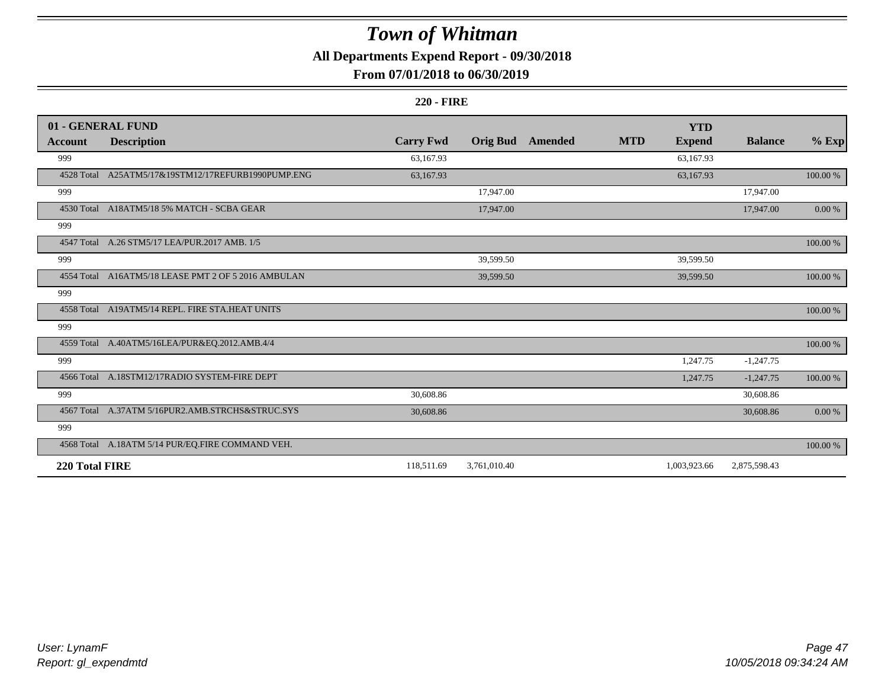**All Departments Expend Report - 09/30/2018**

### **From 07/01/2018 to 06/30/2019**

#### **220 - FIRE**

|                | 01 - GENERAL FUND                                   |                  |                 |         |            | <b>YTD</b>    |                |             |
|----------------|-----------------------------------------------------|------------------|-----------------|---------|------------|---------------|----------------|-------------|
| Account        | <b>Description</b>                                  | <b>Carry Fwd</b> | <b>Orig Bud</b> | Amended | <b>MTD</b> | <b>Expend</b> | <b>Balance</b> | $%$ Exp     |
| 999            |                                                     | 63,167.93        |                 |         |            | 63,167.93     |                |             |
| 4528 Total     | A25ATM5/17&19STM12/17REFURB1990PUMP.ENG             | 63,167.93        |                 |         |            | 63,167.93     |                | $100.00~\%$ |
| 999            |                                                     |                  | 17,947.00       |         |            |               | 17,947.00      |             |
|                | 4530 Total A18ATM5/18 5% MATCH - SCBA GEAR          |                  | 17,947.00       |         |            |               | 17,947.00      | $0.00\ \%$  |
| 999            |                                                     |                  |                 |         |            |               |                |             |
|                | 4547 Total A.26 STM5/17 LEA/PUR.2017 AMB. 1/5       |                  |                 |         |            |               |                | 100.00 %    |
| 999            |                                                     |                  | 39,599.50       |         |            | 39,599.50     |                |             |
|                | 4554 Total A16ATM5/18 LEASE PMT 2 OF 5 2016 AMBULAN |                  | 39,599.50       |         |            | 39,599.50     |                | 100.00 %    |
| 999            |                                                     |                  |                 |         |            |               |                |             |
|                | 4558 Total A19ATM5/14 REPL. FIRE STA.HEAT UNITS     |                  |                 |         |            |               |                | 100.00 %    |
| 999            |                                                     |                  |                 |         |            |               |                |             |
|                | 4559 Total A.40ATM5/16LEA/PUR&EQ.2012.AMB.4/4       |                  |                 |         |            |               |                | $100.00~\%$ |
| 999            |                                                     |                  |                 |         |            | 1,247.75      | $-1,247.75$    |             |
|                | 4566 Total A.18STM12/17RADIO SYSTEM-FIRE DEPT       |                  |                 |         |            | 1,247.75      | $-1,247.75$    | $100.00~\%$ |
| 999            |                                                     | 30,608.86        |                 |         |            |               | 30,608.86      |             |
|                | 4567 Total A.37ATM 5/16PUR2.AMB.STRCHS&STRUC.SYS    | 30,608.86        |                 |         |            |               | 30,608.86      | $0.00\ \%$  |
| 999            |                                                     |                  |                 |         |            |               |                |             |
|                | 4568 Total A.18ATM 5/14 PUR/EQ.FIRE COMMAND VEH.    |                  |                 |         |            |               |                | 100.00 %    |
| 220 Total FIRE |                                                     | 118,511.69       | 3,761,010.40    |         |            | 1,003,923.66  | 2,875,598.43   |             |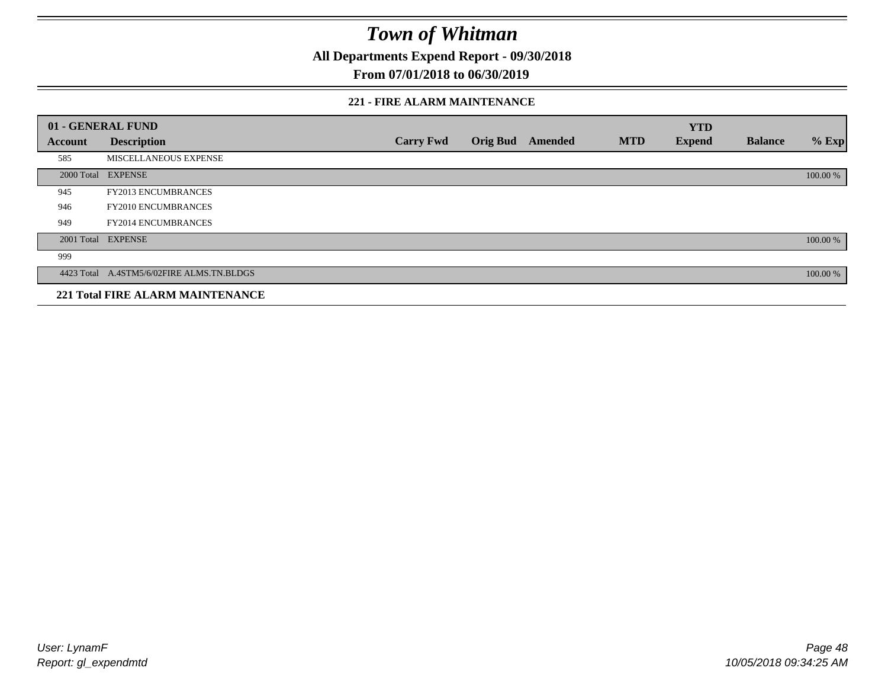**All Departments Expend Report - 09/30/2018**

### **From 07/01/2018 to 06/30/2019**

#### **221 - FIRE ALARM MAINTENANCE**

|         | 01 - GENERAL FUND                         |                  |                 |                |            | <b>YTD</b>    |                |          |
|---------|-------------------------------------------|------------------|-----------------|----------------|------------|---------------|----------------|----------|
| Account | <b>Description</b>                        | <b>Carry Fwd</b> | <b>Orig Bud</b> | <b>Amended</b> | <b>MTD</b> | <b>Expend</b> | <b>Balance</b> | $%$ Exp  |
| 585     | MISCELLANEOUS EXPENSE                     |                  |                 |                |            |               |                |          |
|         | 2000 Total EXPENSE                        |                  |                 |                |            |               |                | 100.00 % |
| 945     | FY2013 ENCUMBRANCES                       |                  |                 |                |            |               |                |          |
| 946     | FY2010 ENCUMBRANCES                       |                  |                 |                |            |               |                |          |
| 949     | <b>FY2014 ENCUMBRANCES</b>                |                  |                 |                |            |               |                |          |
|         | 2001 Total EXPENSE                        |                  |                 |                |            |               |                | 100.00 % |
| 999     |                                           |                  |                 |                |            |               |                |          |
|         | 4423 Total A.4STM5/6/02FIRE ALMS.TN.BLDGS |                  |                 |                |            |               |                | 100.00 % |
|         | <b>221 Total FIRE ALARM MAINTENANCE</b>   |                  |                 |                |            |               |                |          |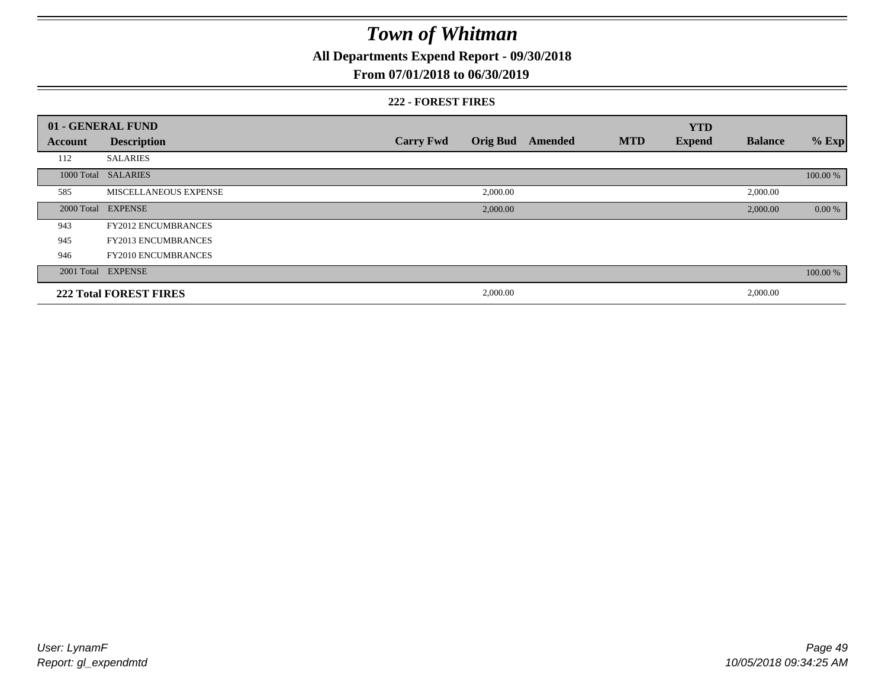**All Departments Expend Report - 09/30/2018**

### **From 07/01/2018 to 06/30/2019**

#### **222 - FOREST FIRES**

|         | 01 - GENERAL FUND             |                  |                 |         |            | <b>YTD</b>    |                |          |
|---------|-------------------------------|------------------|-----------------|---------|------------|---------------|----------------|----------|
| Account | <b>Description</b>            | <b>Carry Fwd</b> | <b>Orig Bud</b> | Amended | <b>MTD</b> | <b>Expend</b> | <b>Balance</b> | $%$ Exp  |
| 112     | <b>SALARIES</b>               |                  |                 |         |            |               |                |          |
|         | 1000 Total SALARIES           |                  |                 |         |            |               |                | 100.00 % |
| 585     | MISCELLANEOUS EXPENSE         |                  | 2,000.00        |         |            |               | 2,000.00       |          |
|         | 2000 Total EXPENSE            |                  | 2,000.00        |         |            |               | 2,000.00       | 0.00 %   |
| 943     | <b>FY2012 ENCUMBRANCES</b>    |                  |                 |         |            |               |                |          |
| 945     | <b>FY2013 ENCUMBRANCES</b>    |                  |                 |         |            |               |                |          |
| 946     | <b>FY2010 ENCUMBRANCES</b>    |                  |                 |         |            |               |                |          |
|         | 2001 Total EXPENSE            |                  |                 |         |            |               |                | 100.00 % |
|         | <b>222 Total FOREST FIRES</b> |                  | 2,000.00        |         |            |               | 2,000.00       |          |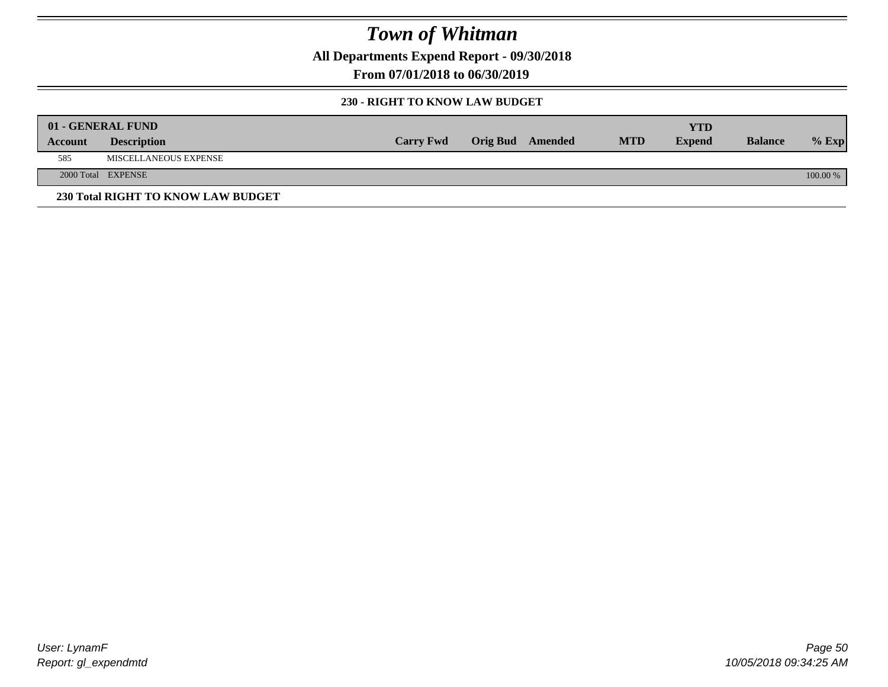**All Departments Expend Report - 09/30/2018**

**From 07/01/2018 to 06/30/2019**

#### **230 - RIGHT TO KNOW LAW BUDGET**

|         | 01 - GENERAL FUND                  |                  |                  |            | <b>YTD</b>    |                |          |
|---------|------------------------------------|------------------|------------------|------------|---------------|----------------|----------|
| Account | <b>Description</b>                 | <b>Carry Fwd</b> | Orig Bud Amended | <b>MTD</b> | <b>Expend</b> | <b>Balance</b> | $%$ Exp  |
| 585     | MISCELLANEOUS EXPENSE              |                  |                  |            |               |                |          |
|         | 2000 Total EXPENSE                 |                  |                  |            |               |                | 100.00 % |
|         | 230 Total RIGHT TO KNOW LAW BUDGET |                  |                  |            |               |                |          |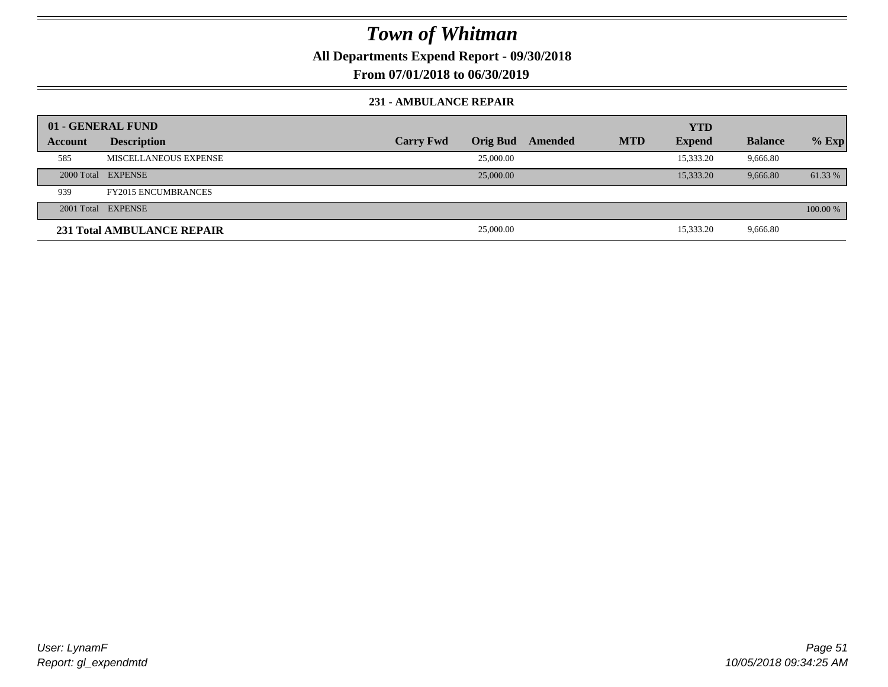**All Departments Expend Report - 09/30/2018**

**From 07/01/2018 to 06/30/2019**

#### **231 - AMBULANCE REPAIR**

|         | 01 - GENERAL FUND          |                  |                 |         |            | <b>YTD</b>    |                |          |
|---------|----------------------------|------------------|-----------------|---------|------------|---------------|----------------|----------|
| Account | <b>Description</b>         | <b>Carry Fwd</b> | <b>Orig Bud</b> | Amended | <b>MTD</b> | <b>Expend</b> | <b>Balance</b> | $%$ Exp  |
| 585     | MISCELLANEOUS EXPENSE      |                  | 25,000.00       |         |            | 15,333.20     | 9,666.80       |          |
|         | 2000 Total EXPENSE         |                  | 25,000.00       |         |            | 15,333.20     | 9,666.80       | 61.33 %  |
| 939     | <b>FY2015 ENCUMBRANCES</b> |                  |                 |         |            |               |                |          |
|         | 2001 Total EXPENSE         |                  |                 |         |            |               |                | 100.00 % |
|         | 231 Total AMBULANCE REPAIR |                  | 25,000.00       |         |            | 15,333.20     | 9,666.80       |          |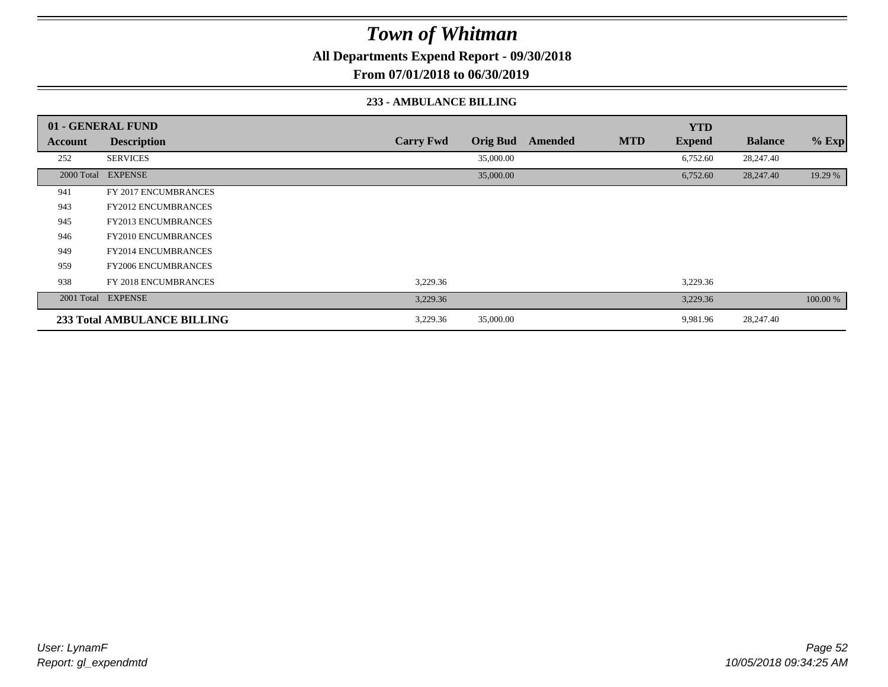**All Departments Expend Report - 09/30/2018**

**From 07/01/2018 to 06/30/2019**

#### **233 - AMBULANCE BILLING**

|         | 01 - GENERAL FUND                  |                  |                 |         |            | <b>YTD</b>    |                |          |
|---------|------------------------------------|------------------|-----------------|---------|------------|---------------|----------------|----------|
| Account | <b>Description</b>                 | <b>Carry Fwd</b> | <b>Orig Bud</b> | Amended | <b>MTD</b> | <b>Expend</b> | <b>Balance</b> | % Exp    |
| 252     | <b>SERVICES</b>                    |                  | 35,000.00       |         |            | 6,752.60      | 28,247.40      |          |
|         | 2000 Total EXPENSE                 |                  | 35,000.00       |         |            | 6,752.60      | 28,247.40      | 19.29 %  |
| 941     | FY 2017 ENCUMBRANCES               |                  |                 |         |            |               |                |          |
| 943     | <b>FY2012 ENCUMBRANCES</b>         |                  |                 |         |            |               |                |          |
| 945     | <b>FY2013 ENCUMBRANCES</b>         |                  |                 |         |            |               |                |          |
| 946     | <b>FY2010 ENCUMBRANCES</b>         |                  |                 |         |            |               |                |          |
| 949     | <b>FY2014 ENCUMBRANCES</b>         |                  |                 |         |            |               |                |          |
| 959     | <b>FY2006 ENCUMBRANCES</b>         |                  |                 |         |            |               |                |          |
| 938     | FY 2018 ENCUMBRANCES               | 3,229.36         |                 |         |            | 3,229.36      |                |          |
|         | 2001 Total EXPENSE                 | 3,229.36         |                 |         |            | 3,229.36      |                | 100.00 % |
|         | <b>233 Total AMBULANCE BILLING</b> | 3,229.36         | 35,000.00       |         |            | 9,981.96      | 28,247.40      |          |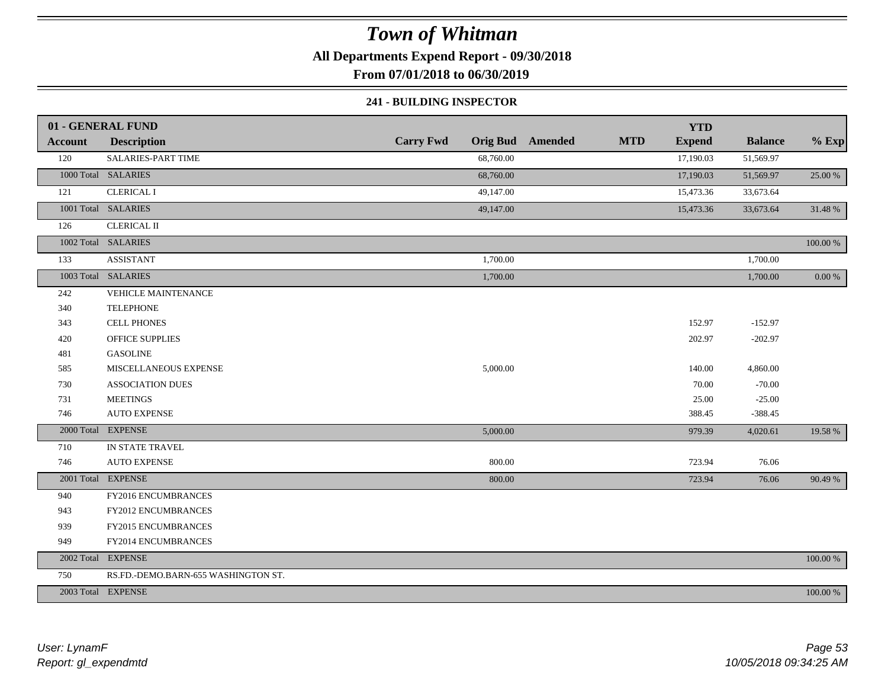**All Departments Expend Report - 09/30/2018**

**From 07/01/2018 to 06/30/2019**

#### **241 - BUILDING INSPECTOR**

|                | 01 - GENERAL FUND                   |                  |           |                         |            | <b>YTD</b>    |                |            |
|----------------|-------------------------------------|------------------|-----------|-------------------------|------------|---------------|----------------|------------|
| <b>Account</b> | <b>Description</b>                  | <b>Carry Fwd</b> |           | <b>Orig Bud</b> Amended | <b>MTD</b> | <b>Expend</b> | <b>Balance</b> | $%$ Exp    |
| 120            | SALARIES-PART TIME                  |                  | 68,760.00 |                         |            | 17,190.03     | 51,569.97      |            |
|                | 1000 Total SALARIES                 |                  | 68,760.00 |                         |            | 17,190.03     | 51,569.97      | 25.00 %    |
| 121            | <b>CLERICAL I</b>                   |                  | 49,147.00 |                         |            | 15,473.36     | 33,673.64      |            |
|                | 1001 Total SALARIES                 |                  | 49,147.00 |                         |            | 15,473.36     | 33,673.64      | 31.48 %    |
| 126            | <b>CLERICAL II</b>                  |                  |           |                         |            |               |                |            |
|                | 1002 Total SALARIES                 |                  |           |                         |            |               |                | 100.00 %   |
| 133            | <b>ASSISTANT</b>                    |                  | 1,700.00  |                         |            |               | 1,700.00       |            |
|                | 1003 Total SALARIES                 |                  | 1,700.00  |                         |            |               | 1,700.00       | $0.00\ \%$ |
| 242            | <b>VEHICLE MAINTENANCE</b>          |                  |           |                         |            |               |                |            |
| 340            | <b>TELEPHONE</b>                    |                  |           |                         |            |               |                |            |
| 343            | <b>CELL PHONES</b>                  |                  |           |                         |            | 152.97        | $-152.97$      |            |
| 420            | <b>OFFICE SUPPLIES</b>              |                  |           |                         |            | 202.97        | $-202.97$      |            |
| 481            | <b>GASOLINE</b>                     |                  |           |                         |            |               |                |            |
| 585            | MISCELLANEOUS EXPENSE               |                  | 5,000.00  |                         |            | 140.00        | 4,860.00       |            |
| 730            | <b>ASSOCIATION DUES</b>             |                  |           |                         |            | 70.00         | $-70.00$       |            |
| 731            | <b>MEETINGS</b>                     |                  |           |                         |            | 25.00         | $-25.00$       |            |
| 746            | <b>AUTO EXPENSE</b>                 |                  |           |                         |            | 388.45        | $-388.45$      |            |
|                | 2000 Total EXPENSE                  |                  | 5,000.00  |                         |            | 979.39        | 4,020.61       | 19.58 %    |
| 710            | IN STATE TRAVEL                     |                  |           |                         |            |               |                |            |
| 746            | <b>AUTO EXPENSE</b>                 |                  | 800.00    |                         |            | 723.94        | 76.06          |            |
|                | 2001 Total EXPENSE                  |                  | 800.00    |                         |            | 723.94        | 76.06          | 90.49 %    |
| 940            | FY2016 ENCUMBRANCES                 |                  |           |                         |            |               |                |            |
| 943            | FY2012 ENCUMBRANCES                 |                  |           |                         |            |               |                |            |
| 939            | FY2015 ENCUMBRANCES                 |                  |           |                         |            |               |                |            |
| 949            | FY2014 ENCUMBRANCES                 |                  |           |                         |            |               |                |            |
|                | 2002 Total EXPENSE                  |                  |           |                         |            |               |                | 100.00 %   |
| 750            | RS.FD.-DEMO.BARN-655 WASHINGTON ST. |                  |           |                         |            |               |                |            |
|                | 2003 Total EXPENSE                  |                  |           |                         |            |               |                | 100.00 %   |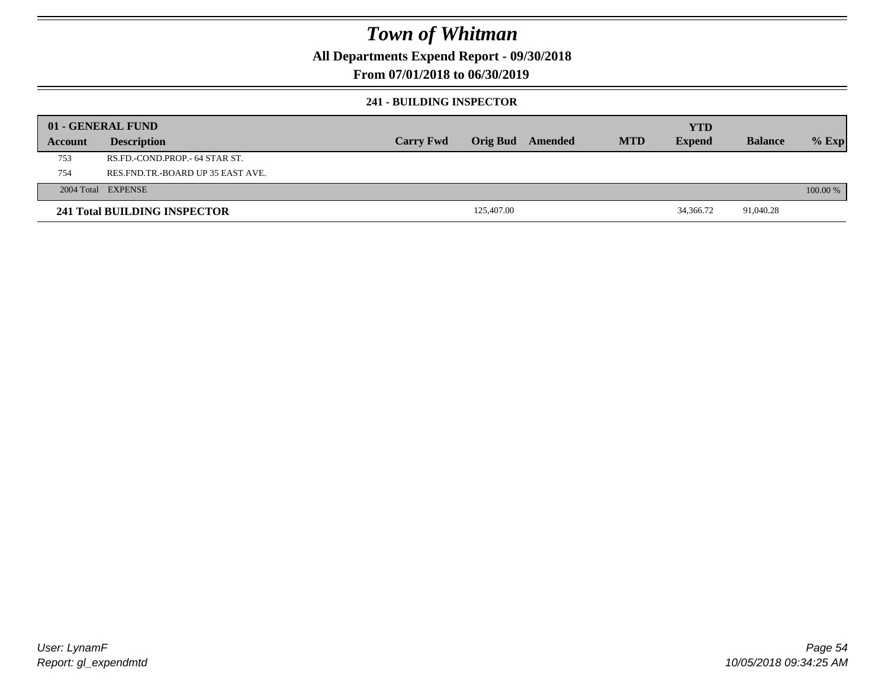**All Departments Expend Report - 09/30/2018**

### **From 07/01/2018 to 06/30/2019**

#### **241 - BUILDING INSPECTOR**

| 01 - GENERAL FUND |                                       |                  |                 |         |            |               |                |          |
|-------------------|---------------------------------------|------------------|-----------------|---------|------------|---------------|----------------|----------|
|                   |                                       |                  |                 |         |            | YTD           |                |          |
| Account           | <b>Description</b>                    | <b>Carry Fwd</b> | <b>Orig Bud</b> | Amended | <b>MTD</b> | <b>Expend</b> | <b>Balance</b> | $%$ Exp  |
| 753               | RS.FD.-COND.PROP.- 64 STAR ST.        |                  |                 |         |            |               |                |          |
| 754               | RES. FND. TR. - BOARD UP 35 EAST AVE. |                  |                 |         |            |               |                |          |
|                   | 2004 Total EXPENSE                    |                  |                 |         |            |               |                | 100.00 % |
|                   | <b>241 Total BUILDING INSPECTOR</b>   |                  | 125,407.00      |         |            | 34,366.72     | 91,040.28      |          |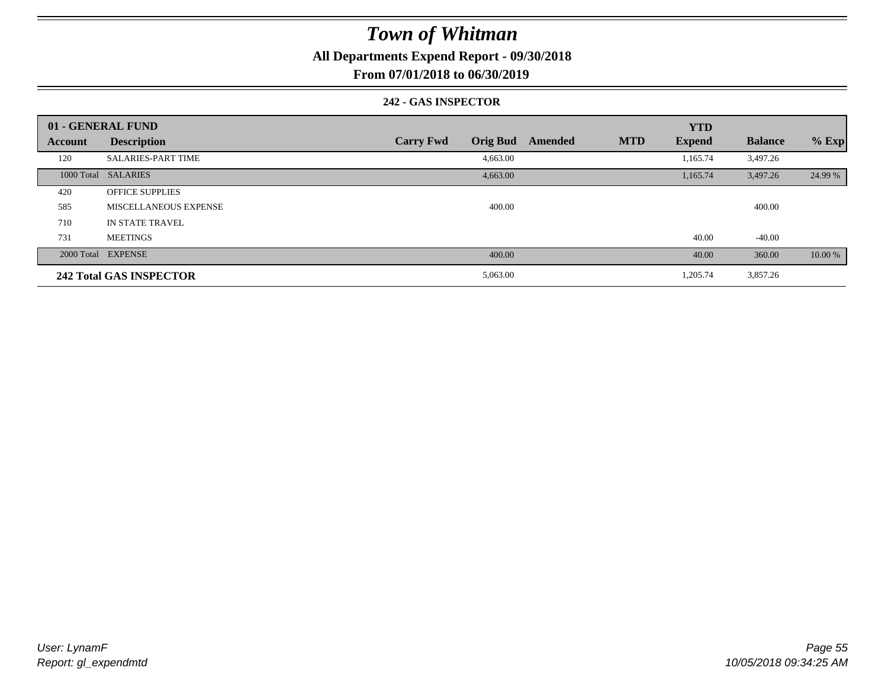**All Departments Expend Report - 09/30/2018**

**From 07/01/2018 to 06/30/2019**

#### **242 - GAS INSPECTOR**

|                | 01 - GENERAL FUND              |                                     |         | <b>YTD</b>                  |                |         |
|----------------|--------------------------------|-------------------------------------|---------|-----------------------------|----------------|---------|
| <b>Account</b> | <b>Description</b>             | <b>Orig Bud</b><br><b>Carry Fwd</b> | Amended | <b>MTD</b><br><b>Expend</b> | <b>Balance</b> | $%$ Exp |
| 120            | <b>SALARIES-PART TIME</b>      | 4,663.00                            |         | 1,165.74                    | 3,497.26       |         |
|                | 1000 Total SALARIES            | 4,663.00                            |         | 1,165.74                    | 3,497.26       | 24.99 % |
| 420            | <b>OFFICE SUPPLIES</b>         |                                     |         |                             |                |         |
| 585            | MISCELLANEOUS EXPENSE          | 400.00                              |         |                             | 400.00         |         |
| 710            | IN STATE TRAVEL                |                                     |         |                             |                |         |
| 731            | <b>MEETINGS</b>                |                                     |         | 40.00                       | $-40.00$       |         |
|                | 2000 Total EXPENSE             | 400.00                              |         | 40.00                       | 360.00         | 10.00 % |
|                | <b>242 Total GAS INSPECTOR</b> | 5,063.00                            |         | 1,205.74                    | 3,857.26       |         |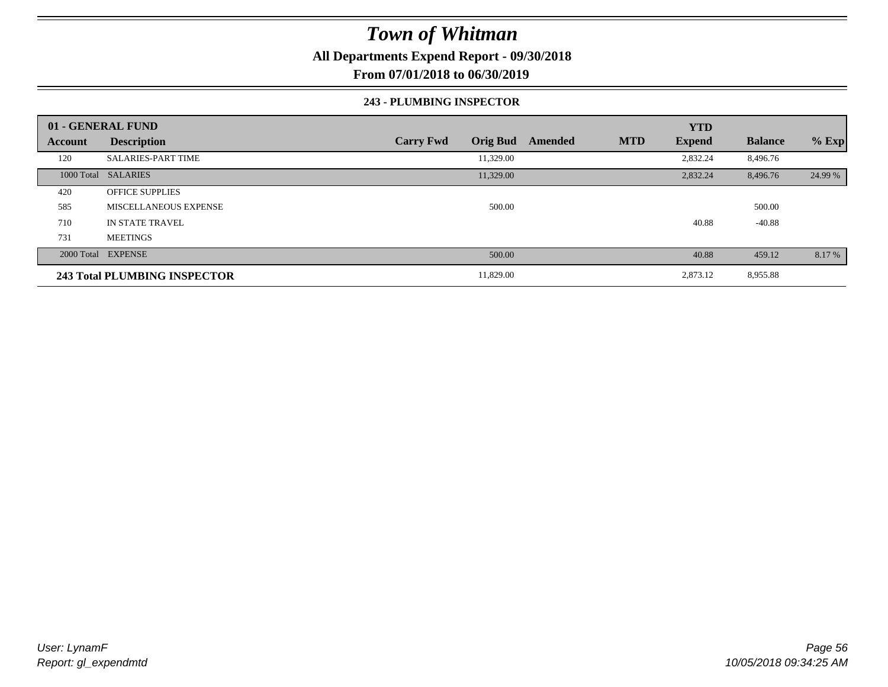**All Departments Expend Report - 09/30/2018**

**From 07/01/2018 to 06/30/2019**

#### **243 - PLUMBING INSPECTOR**

|                | 01 - GENERAL FUND            |                                     |         | <b>YTD</b>                  |                |         |
|----------------|------------------------------|-------------------------------------|---------|-----------------------------|----------------|---------|
| <b>Account</b> | <b>Description</b>           | <b>Orig Bud</b><br><b>Carry Fwd</b> | Amended | <b>MTD</b><br><b>Expend</b> | <b>Balance</b> | $%$ Exp |
| 120            | <b>SALARIES-PART TIME</b>    | 11,329.00                           |         | 2,832.24                    | 8,496.76       |         |
|                | 1000 Total SALARIES          | 11,329.00                           |         | 2,832.24                    | 8,496.76       | 24.99 % |
| 420            | <b>OFFICE SUPPLIES</b>       |                                     |         |                             |                |         |
| 585            | <b>MISCELLANEOUS EXPENSE</b> | 500.00                              |         |                             | 500.00         |         |
| 710            | <b>IN STATE TRAVEL</b>       |                                     |         | 40.88                       | $-40.88$       |         |
| 731            | <b>MEETINGS</b>              |                                     |         |                             |                |         |
|                | 2000 Total EXPENSE           | 500.00                              |         | 40.88                       | 459.12         | 8.17 %  |
|                | 243 Total PLUMBING INSPECTOR | 11,829.00                           |         | 2,873.12                    | 8,955.88       |         |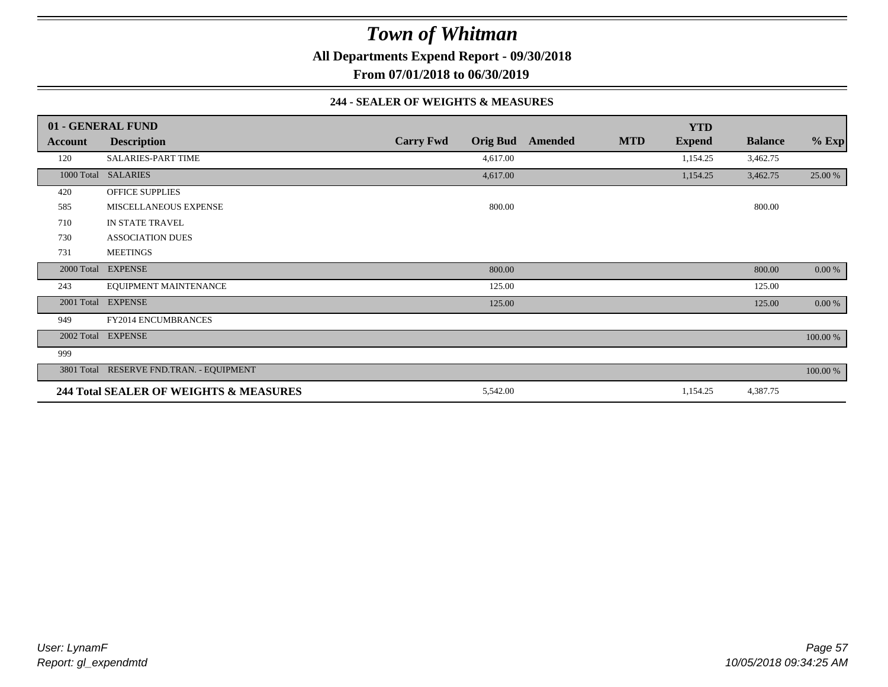**All Departments Expend Report - 09/30/2018**

**From 07/01/2018 to 06/30/2019**

#### **244 - SEALER OF WEIGHTS & MEASURES**

|            | 01 - GENERAL FUND                        |                  |                 |         |            | <b>YTD</b>    |                |           |
|------------|------------------------------------------|------------------|-----------------|---------|------------|---------------|----------------|-----------|
| Account    | <b>Description</b>                       | <b>Carry Fwd</b> | <b>Orig Bud</b> | Amended | <b>MTD</b> | <b>Expend</b> | <b>Balance</b> | $%$ Exp   |
| 120        | <b>SALARIES-PART TIME</b>                |                  | 4,617.00        |         |            | 1,154.25      | 3,462.75       |           |
| 1000 Total | <b>SALARIES</b>                          |                  | 4,617.00        |         |            | 1,154.25      | 3,462.75       | 25.00 %   |
| 420        | <b>OFFICE SUPPLIES</b>                   |                  |                 |         |            |               |                |           |
| 585        | MISCELLANEOUS EXPENSE                    |                  | 800.00          |         |            |               | 800.00         |           |
| 710        | IN STATE TRAVEL                          |                  |                 |         |            |               |                |           |
| 730        | <b>ASSOCIATION DUES</b>                  |                  |                 |         |            |               |                |           |
| 731        | <b>MEETINGS</b>                          |                  |                 |         |            |               |                |           |
|            | 2000 Total EXPENSE                       |                  | 800.00          |         |            |               | 800.00         | 0.00 %    |
| 243        | EQUIPMENT MAINTENANCE                    |                  | 125.00          |         |            |               | 125.00         |           |
| 2001 Total | <b>EXPENSE</b>                           |                  | 125.00          |         |            |               | 125.00         | $0.00 \%$ |
| 949        | <b>FY2014 ENCUMBRANCES</b>               |                  |                 |         |            |               |                |           |
| 2002 Total | <b>EXPENSE</b>                           |                  |                 |         |            |               |                | 100.00 %  |
| 999        |                                          |                  |                 |         |            |               |                |           |
|            | 3801 Total RESERVE FND.TRAN. - EQUIPMENT |                  |                 |         |            |               |                | 100.00 %  |
|            | 244 Total SEALER OF WEIGHTS & MEASURES   |                  | 5,542.00        |         |            | 1,154.25      | 4,387.75       |           |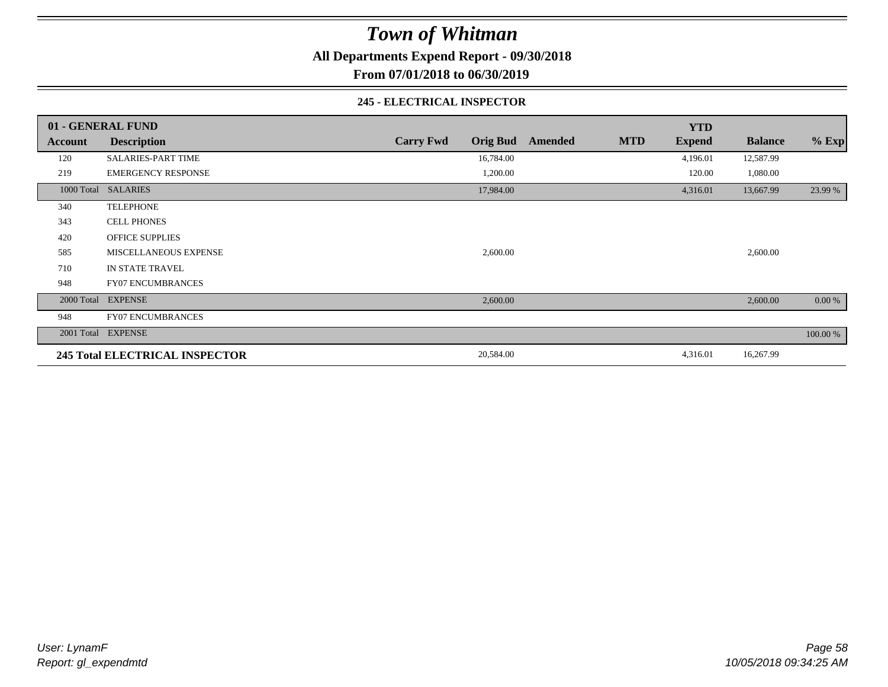**All Departments Expend Report - 09/30/2018**

**From 07/01/2018 to 06/30/2019**

#### **245 - ELECTRICAL INSPECTOR**

|         | 01 - GENERAL FUND                     |                                     |         |            | <b>YTD</b>    |                |          |
|---------|---------------------------------------|-------------------------------------|---------|------------|---------------|----------------|----------|
| Account | <b>Description</b>                    | <b>Carry Fwd</b><br><b>Orig Bud</b> | Amended | <b>MTD</b> | <b>Expend</b> | <b>Balance</b> | $%$ Exp  |
| 120     | <b>SALARIES-PART TIME</b>             | 16,784.00                           |         |            | 4,196.01      | 12,587.99      |          |
| 219     | <b>EMERGENCY RESPONSE</b>             | 1,200.00                            |         |            | 120.00        | 1,080.00       |          |
|         | 1000 Total SALARIES                   | 17,984.00                           |         |            | 4,316.01      | 13,667.99      | 23.99 %  |
| 340     | <b>TELEPHONE</b>                      |                                     |         |            |               |                |          |
| 343     | <b>CELL PHONES</b>                    |                                     |         |            |               |                |          |
| 420     | <b>OFFICE SUPPLIES</b>                |                                     |         |            |               |                |          |
| 585     | MISCELLANEOUS EXPENSE                 | 2,600.00                            |         |            |               | 2,600.00       |          |
| 710     | IN STATE TRAVEL                       |                                     |         |            |               |                |          |
| 948     | <b>FY07 ENCUMBRANCES</b>              |                                     |         |            |               |                |          |
|         | 2000 Total EXPENSE                    | 2,600.00                            |         |            |               | 2,600.00       | 0.00 %   |
| 948     | <b>FY07 ENCUMBRANCES</b>              |                                     |         |            |               |                |          |
|         | 2001 Total EXPENSE                    |                                     |         |            |               |                | 100.00 % |
|         | <b>245 Total ELECTRICAL INSPECTOR</b> | 20,584.00                           |         |            | 4,316.01      | 16,267.99      |          |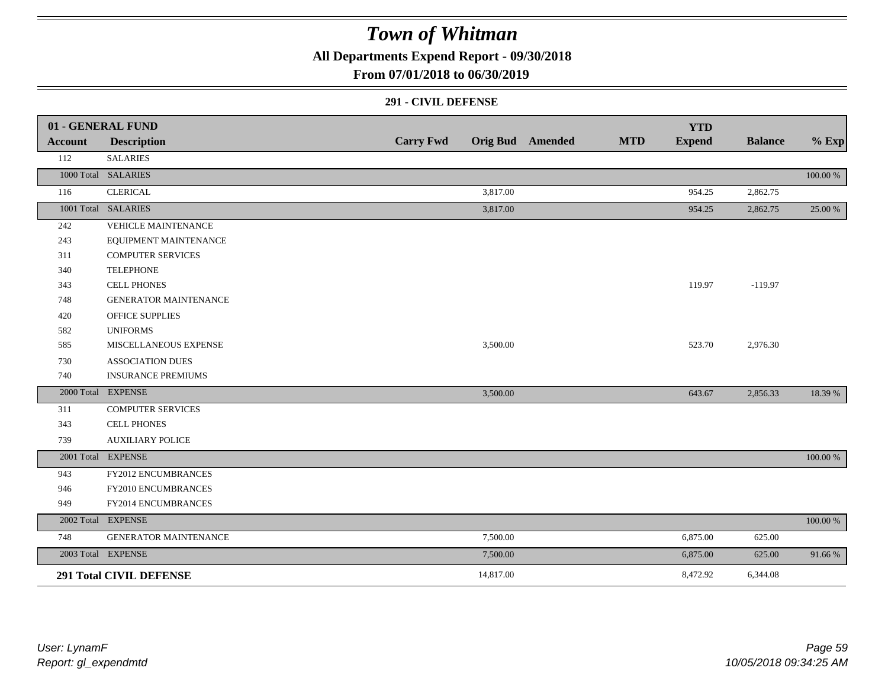**All Departments Expend Report - 09/30/2018**

### **From 07/01/2018 to 06/30/2019**

#### **291 - CIVIL DEFENSE**

|                | 01 - GENERAL FUND              |                  |           |                         |            | <b>YTD</b>    |                |          |
|----------------|--------------------------------|------------------|-----------|-------------------------|------------|---------------|----------------|----------|
| <b>Account</b> | <b>Description</b>             | <b>Carry Fwd</b> |           | <b>Orig Bud</b> Amended | <b>MTD</b> | <b>Expend</b> | <b>Balance</b> | $%$ Exp  |
| 112            | <b>SALARIES</b>                |                  |           |                         |            |               |                |          |
|                | 1000 Total SALARIES            |                  |           |                         |            |               |                | 100.00 % |
| 116            | <b>CLERICAL</b>                |                  | 3,817.00  |                         |            | 954.25        | 2,862.75       |          |
|                | 1001 Total SALARIES            |                  | 3,817.00  |                         |            | 954.25        | 2,862.75       | 25.00 %  |
| 242            | <b>VEHICLE MAINTENANCE</b>     |                  |           |                         |            |               |                |          |
| 243            | EQUIPMENT MAINTENANCE          |                  |           |                         |            |               |                |          |
| 311            | <b>COMPUTER SERVICES</b>       |                  |           |                         |            |               |                |          |
| 340            | <b>TELEPHONE</b>               |                  |           |                         |            |               |                |          |
| 343            | <b>CELL PHONES</b>             |                  |           |                         |            | 119.97        | $-119.97$      |          |
| 748            | <b>GENERATOR MAINTENANCE</b>   |                  |           |                         |            |               |                |          |
| 420            | <b>OFFICE SUPPLIES</b>         |                  |           |                         |            |               |                |          |
| 582            | <b>UNIFORMS</b>                |                  |           |                         |            |               |                |          |
| 585            | MISCELLANEOUS EXPENSE          |                  | 3,500.00  |                         |            | 523.70        | 2,976.30       |          |
| 730            | <b>ASSOCIATION DUES</b>        |                  |           |                         |            |               |                |          |
| 740            | <b>INSURANCE PREMIUMS</b>      |                  |           |                         |            |               |                |          |
|                | 2000 Total EXPENSE             |                  | 3,500.00  |                         |            | 643.67        | 2,856.33       | 18.39 %  |
| 311            | <b>COMPUTER SERVICES</b>       |                  |           |                         |            |               |                |          |
| 343            | <b>CELL PHONES</b>             |                  |           |                         |            |               |                |          |
| 739            | <b>AUXILIARY POLICE</b>        |                  |           |                         |            |               |                |          |
|                | 2001 Total EXPENSE             |                  |           |                         |            |               |                | 100.00 % |
| 943            | FY2012 ENCUMBRANCES            |                  |           |                         |            |               |                |          |
| 946            | FY2010 ENCUMBRANCES            |                  |           |                         |            |               |                |          |
| 949            | FY2014 ENCUMBRANCES            |                  |           |                         |            |               |                |          |
|                | 2002 Total EXPENSE             |                  |           |                         |            |               |                | 100.00 % |
| 748            | GENERATOR MAINTENANCE          |                  | 7,500.00  |                         |            | 6,875.00      | 625.00         |          |
|                | 2003 Total EXPENSE             |                  | 7,500.00  |                         |            | 6,875.00      | 625.00         | 91.66%   |
|                | <b>291 Total CIVIL DEFENSE</b> |                  | 14,817.00 |                         |            | 8,472.92      | 6,344.08       |          |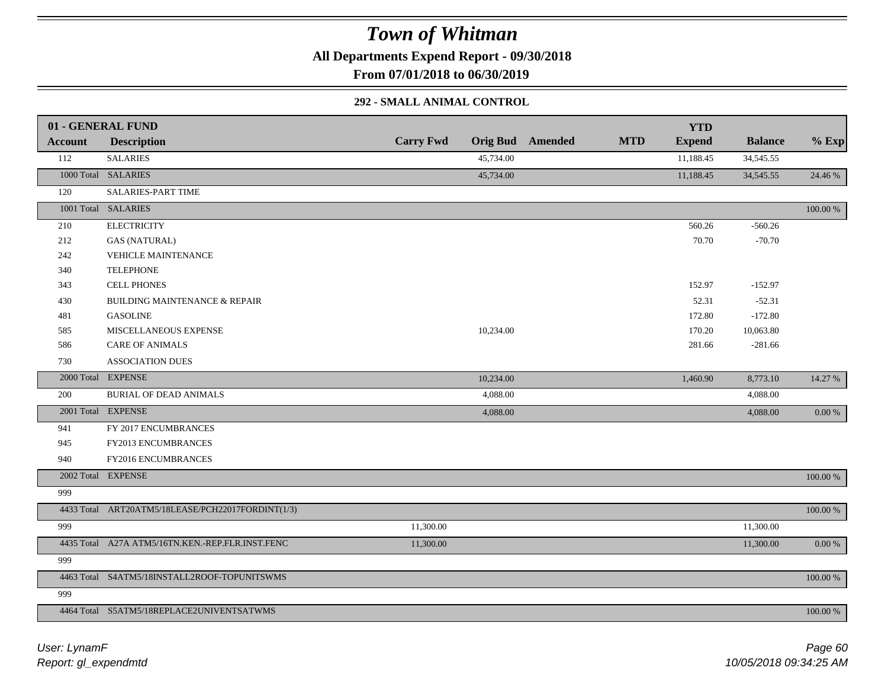**All Departments Expend Report - 09/30/2018**

**From 07/01/2018 to 06/30/2019**

#### **292 - SMALL ANIMAL CONTROL**

|                | 01 - GENERAL FUND                                 |                  |           |                         |            | <b>YTD</b>    |                |           |
|----------------|---------------------------------------------------|------------------|-----------|-------------------------|------------|---------------|----------------|-----------|
| <b>Account</b> | <b>Description</b>                                | <b>Carry Fwd</b> |           | <b>Orig Bud</b> Amended | <b>MTD</b> | <b>Expend</b> | <b>Balance</b> | $%$ Exp   |
| 112            | <b>SALARIES</b>                                   |                  | 45,734.00 |                         |            | 11,188.45     | 34,545.55      |           |
|                | 1000 Total SALARIES                               |                  | 45,734.00 |                         |            | 11,188.45     | 34, 545.55     | 24.46 %   |
| 120            | SALARIES-PART TIME                                |                  |           |                         |            |               |                |           |
|                | 1001 Total SALARIES                               |                  |           |                         |            |               |                | 100.00 %  |
| 210            | <b>ELECTRICITY</b>                                |                  |           |                         |            | 560.26        | $-560.26$      |           |
| 212            | <b>GAS (NATURAL)</b>                              |                  |           |                         |            | 70.70         | $-70.70$       |           |
| 242            | <b>VEHICLE MAINTENANCE</b>                        |                  |           |                         |            |               |                |           |
| 340            | <b>TELEPHONE</b>                                  |                  |           |                         |            |               |                |           |
| 343            | <b>CELL PHONES</b>                                |                  |           |                         |            | 152.97        | $-152.97$      |           |
| 430            | <b>BUILDING MAINTENANCE &amp; REPAIR</b>          |                  |           |                         |            | 52.31         | $-52.31$       |           |
| 481            | <b>GASOLINE</b>                                   |                  |           |                         |            | 172.80        | $-172.80$      |           |
| 585            | MISCELLANEOUS EXPENSE                             |                  | 10,234.00 |                         |            | 170.20        | 10,063.80      |           |
| 586            | <b>CARE OF ANIMALS</b>                            |                  |           |                         |            | 281.66        | $-281.66$      |           |
| 730            | <b>ASSOCIATION DUES</b>                           |                  |           |                         |            |               |                |           |
|                | 2000 Total EXPENSE                                |                  | 10,234.00 |                         |            | 1,460.90      | 8,773.10       | 14.27 %   |
| 200            | BURIAL OF DEAD ANIMALS                            |                  | 4,088.00  |                         |            |               | 4,088.00       |           |
|                | 2001 Total EXPENSE                                |                  | 4,088.00  |                         |            |               | 4,088.00       | $0.00 \%$ |
| 941            | FY 2017 ENCUMBRANCES                              |                  |           |                         |            |               |                |           |
| 945            | FY2013 ENCUMBRANCES                               |                  |           |                         |            |               |                |           |
| 940            | FY2016 ENCUMBRANCES                               |                  |           |                         |            |               |                |           |
|                | 2002 Total EXPENSE                                |                  |           |                         |            |               |                | 100.00 %  |
| 999            |                                                   |                  |           |                         |            |               |                |           |
|                | 4433 Total ART20ATM5/18LEASE/PCH22017FORDINT(1/3) |                  |           |                         |            |               |                | 100.00 %  |
| 999            |                                                   | 11,300.00        |           |                         |            |               | 11,300.00      |           |
|                | 4435 Total A27A ATM5/16TN.KEN.-REP.FLR.INST.FENC  | 11,300.00        |           |                         |            |               | 11,300.00      | $0.00 \%$ |
| 999            |                                                   |                  |           |                         |            |               |                |           |
|                | 4463 Total S4ATM5/18INSTALL2ROOF-TOPUNITSWMS      |                  |           |                         |            |               |                | 100.00 %  |
| 999            |                                                   |                  |           |                         |            |               |                |           |
|                | 4464 Total S5ATM5/18REPLACE2UNIVENTSATWMS         |                  |           |                         |            |               |                | 100.00 %  |
|                |                                                   |                  |           |                         |            |               |                |           |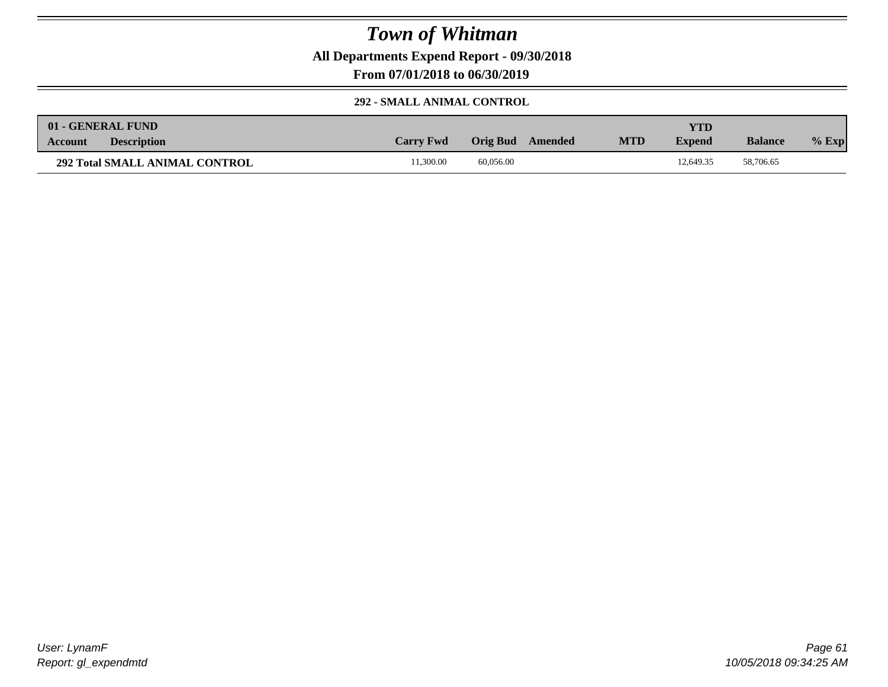**All Departments Expend Report - 09/30/2018**

**From 07/01/2018 to 06/30/2019**

### **292 - SMALL ANIMAL CONTROL**

|         | 01 - GENERAL FUND                     |                  |           |         |            | <b>YTD</b>    |                |         |
|---------|---------------------------------------|------------------|-----------|---------|------------|---------------|----------------|---------|
| Account | <b>Description</b>                    | <b>Carry Fwd</b> | Orig Bud  | Amended | <b>MTD</b> | <b>Expend</b> | <b>Balance</b> | $%$ Exp |
|         | <b>292 Total SMALL ANIMAL CONTROL</b> | 1,300.00         | 60,056.00 |         |            | 12,649.35     | 58,706.65      |         |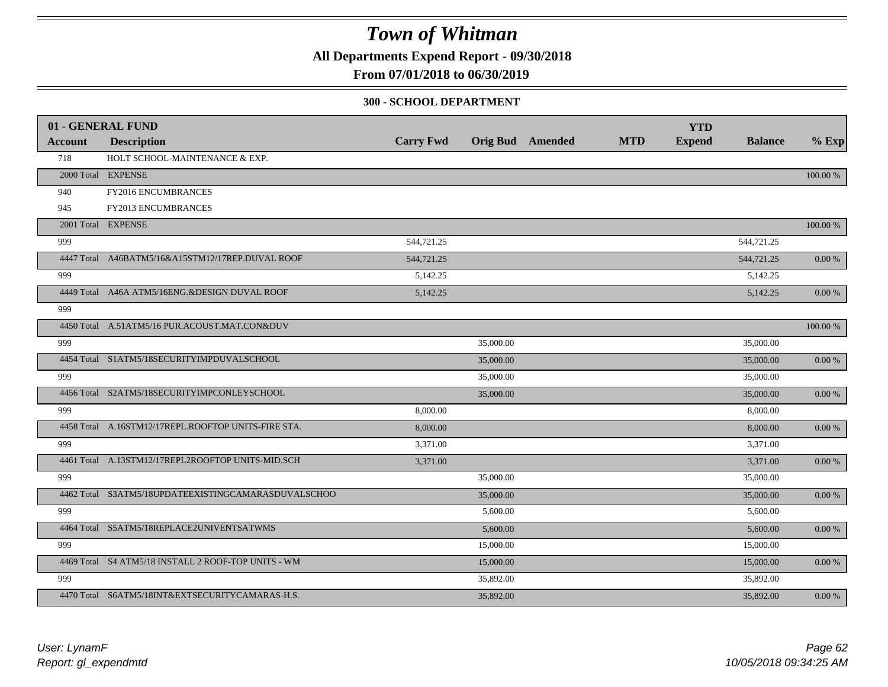**All Departments Expend Report - 09/30/2018**

### **From 07/01/2018 to 06/30/2019**

#### **300 - SCHOOL DEPARTMENT**

|                | 01 - GENERAL FUND                                   |                  |           |                         |            | <b>YTD</b>    |                |            |
|----------------|-----------------------------------------------------|------------------|-----------|-------------------------|------------|---------------|----------------|------------|
| <b>Account</b> | <b>Description</b>                                  | <b>Carry Fwd</b> |           | <b>Orig Bud</b> Amended | <b>MTD</b> | <b>Expend</b> | <b>Balance</b> | $%$ Exp    |
| 718            | HOLT SCHOOL-MAINTENANCE & EXP.                      |                  |           |                         |            |               |                |            |
|                | 2000 Total EXPENSE                                  |                  |           |                         |            |               |                | 100.00 %   |
| 940            | FY2016 ENCUMBRANCES                                 |                  |           |                         |            |               |                |            |
| 945            | FY2013 ENCUMBRANCES                                 |                  |           |                         |            |               |                |            |
|                | 2001 Total EXPENSE                                  |                  |           |                         |            |               |                | 100.00 %   |
| 999            |                                                     | 544,721.25       |           |                         |            |               | 544,721.25     |            |
|                | 4447 Total A46BATM5/16&A15STM12/17REP.DUVAL ROOF    | 544,721.25       |           |                         |            |               | 544,721.25     | $0.00 \%$  |
| 999            |                                                     | 5,142.25         |           |                         |            |               | 5,142.25       |            |
|                | 4449 Total A46A ATM5/16ENG.&DESIGN DUVAL ROOF       | 5,142.25         |           |                         |            |               | 5,142.25       | 0.00 %     |
| 999            |                                                     |                  |           |                         |            |               |                |            |
|                | 4450 Total A.51ATM5/16 PUR.ACOUST.MAT.CON&DUV       |                  |           |                         |            |               |                | 100.00 %   |
| 999            |                                                     |                  | 35,000.00 |                         |            |               | 35,000.00      |            |
|                | 4454 Total S1ATM5/18SECURITYIMPDUVALSCHOOL          |                  | 35,000.00 |                         |            |               | 35,000.00      | 0.00 %     |
| 999            |                                                     |                  | 35,000.00 |                         |            |               | 35,000.00      |            |
|                | 4456 Total S2ATM5/18SECURITYIMPCONLEYSCHOOL         |                  | 35,000.00 |                         |            |               | 35,000.00      | $0.00\ \%$ |
| 999            |                                                     | 8,000.00         |           |                         |            |               | 8,000.00       |            |
|                | 4458 Total A.16STM12/17REPL.ROOFTOP UNITS-FIRE STA. | 8,000.00         |           |                         |            |               | 8,000.00       | 0.00 %     |
| 999            |                                                     | 3,371.00         |           |                         |            |               | 3,371.00       |            |
|                | 4461 Total A.13STM12/17REPL2ROOFTOP UNITS-MID.SCH   | 3,371.00         |           |                         |            |               | 3,371.00       | $0.00\ \%$ |
| 999            |                                                     |                  | 35,000.00 |                         |            |               | 35,000.00      |            |
|                | 4462 Total S3ATM5/18UPDATEEXISTINGCAMARASDUVALSCHOO |                  | 35,000.00 |                         |            |               | 35,000.00      | $0.00\ \%$ |
| 999            |                                                     |                  | 5,600.00  |                         |            |               | 5,600.00       |            |
|                | 4464 Total S5ATM5/18REPLACE2UNIVENTSATWMS           |                  | 5,600.00  |                         |            |               | 5,600.00       | $0.00~\%$  |
| 999            |                                                     |                  | 15,000.00 |                         |            |               | 15,000.00      |            |
|                | 4469 Total S4 ATM5/18 INSTALL 2 ROOF-TOP UNITS - WM |                  | 15,000.00 |                         |            |               | 15,000.00      | 0.00 %     |
| 999            |                                                     |                  | 35,892.00 |                         |            |               | 35,892.00      |            |
|                | 4470 Total S6ATM5/18INT&EXTSECURITYCAMARAS-H.S.     |                  | 35,892.00 |                         |            |               | 35,892.00      | $0.00\ \%$ |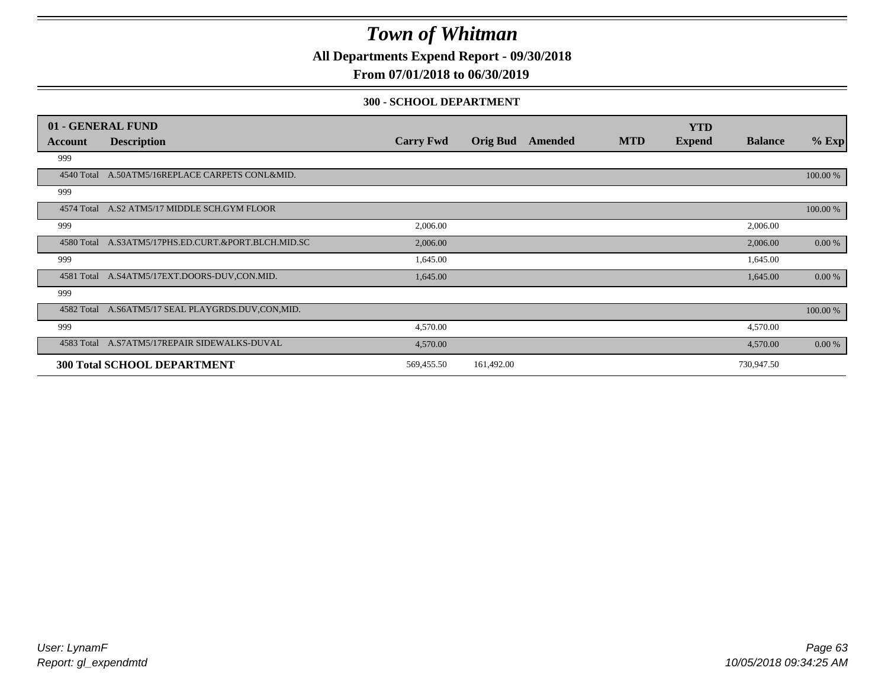**All Departments Expend Report - 09/30/2018**

### **From 07/01/2018 to 06/30/2019**

#### **300 - SCHOOL DEPARTMENT**

|            | 01 - GENERAL FUND                                   |                  |                 |         |            | <b>YTD</b>    |                |           |
|------------|-----------------------------------------------------|------------------|-----------------|---------|------------|---------------|----------------|-----------|
| Account    | <b>Description</b>                                  | <b>Carry Fwd</b> | <b>Orig Bud</b> | Amended | <b>MTD</b> | <b>Expend</b> | <b>Balance</b> | $%$ Exp   |
| 999        |                                                     |                  |                 |         |            |               |                |           |
| 4540 Total | A.50ATM5/16REPLACE CARPETS CONL&MID.                |                  |                 |         |            |               |                | 100.00 %  |
| 999        |                                                     |                  |                 |         |            |               |                |           |
|            | 4574 Total A.S2 ATM5/17 MIDDLE SCH.GYM FLOOR        |                  |                 |         |            |               |                | 100.00 %  |
| 999        |                                                     | 2,006.00         |                 |         |            |               | 2,006.00       |           |
|            | 4580 Total A.S3ATM5/17PHS.ED.CURT.&PORT.BLCH.MID.SC | 2,006.00         |                 |         |            |               | 2,006.00       | 0.00 %    |
| 999        |                                                     | 1,645.00         |                 |         |            |               | 1,645.00       |           |
| 4581 Total | A.S4ATM5/17EXT.DOORS-DUV.CON.MID.                   | 1,645.00         |                 |         |            |               | 1,645.00       | $0.00 \%$ |
| 999        |                                                     |                  |                 |         |            |               |                |           |
| 4582 Total | A.S6ATM5/17 SEAL PLAYGRDS.DUV,CON,MID.              |                  |                 |         |            |               |                | 100.00 %  |
| 999        |                                                     | 4,570.00         |                 |         |            |               | 4,570.00       |           |
|            | 4583 Total A.S7ATM5/17REPAIR SIDEWALKS-DUVAL        | 4,570.00         |                 |         |            |               | 4,570.00       | 0.00 %    |
|            | <b>300 Total SCHOOL DEPARTMENT</b>                  | 569,455.50       | 161,492.00      |         |            |               | 730,947.50     |           |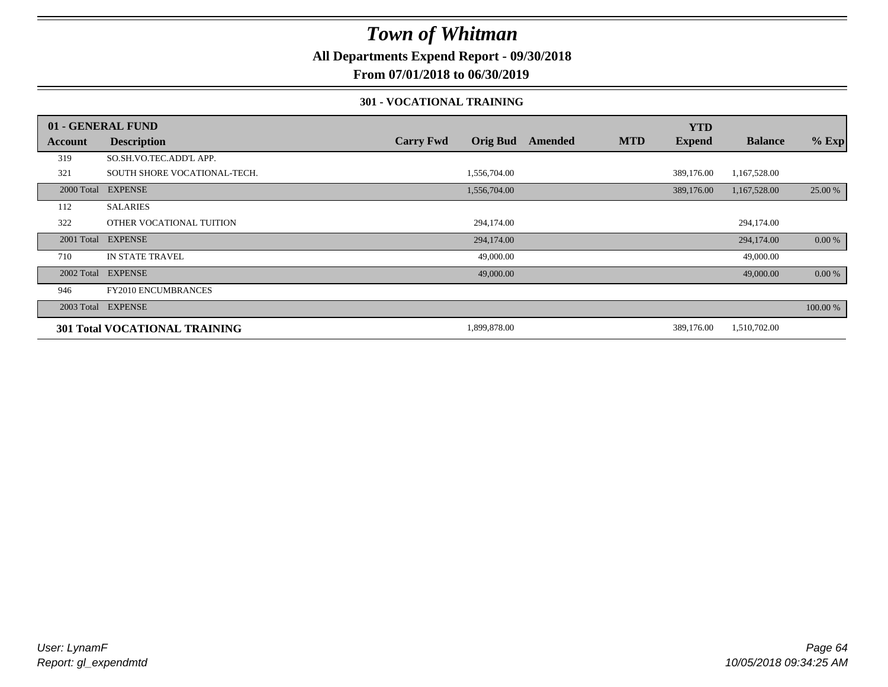**All Departments Expend Report - 09/30/2018**

### **From 07/01/2018 to 06/30/2019**

#### **301 - VOCATIONAL TRAINING**

|         | 01 - GENERAL FUND                    |                  |                 |         |            | <b>YTD</b>    |                |          |
|---------|--------------------------------------|------------------|-----------------|---------|------------|---------------|----------------|----------|
| Account | <b>Description</b>                   | <b>Carry Fwd</b> | <b>Orig Bud</b> | Amended | <b>MTD</b> | <b>Expend</b> | <b>Balance</b> | $%$ Exp  |
| 319     | SO.SH.VO.TEC.ADD'L APP.              |                  |                 |         |            |               |                |          |
| 321     | SOUTH SHORE VOCATIONAL-TECH.         |                  | 1,556,704.00    |         |            | 389,176.00    | 1,167,528.00   |          |
|         | 2000 Total EXPENSE                   |                  | 1,556,704.00    |         |            | 389,176.00    | 1,167,528.00   | 25.00 %  |
| 112     | <b>SALARIES</b>                      |                  |                 |         |            |               |                |          |
| 322     | OTHER VOCATIONAL TUITION             |                  | 294,174.00      |         |            |               | 294,174.00     |          |
|         | 2001 Total EXPENSE                   |                  | 294,174.00      |         |            |               | 294,174.00     | 0.00 %   |
| 710     | <b>IN STATE TRAVEL</b>               |                  | 49,000.00       |         |            |               | 49,000.00      |          |
|         | 2002 Total EXPENSE                   |                  | 49,000.00       |         |            |               | 49,000.00      | $0.00\%$ |
| 946     | <b>FY2010 ENCUMBRANCES</b>           |                  |                 |         |            |               |                |          |
|         | 2003 Total EXPENSE                   |                  |                 |         |            |               |                | 100.00 % |
|         | <b>301 Total VOCATIONAL TRAINING</b> |                  | 1,899,878.00    |         |            | 389,176.00    | 1,510,702.00   |          |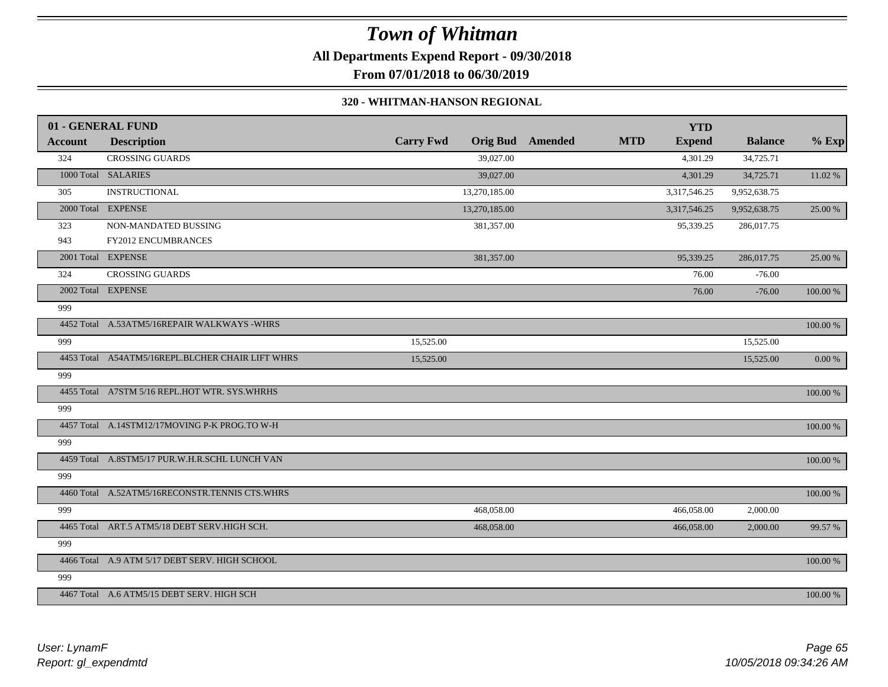**All Departments Expend Report - 09/30/2018**

**From 07/01/2018 to 06/30/2019**

#### **320 - WHITMAN-HANSON REGIONAL**

|                | 01 - GENERAL FUND                                |                  |                 |         |            | <b>YTD</b>    |                |           |
|----------------|--------------------------------------------------|------------------|-----------------|---------|------------|---------------|----------------|-----------|
| <b>Account</b> | <b>Description</b>                               | <b>Carry Fwd</b> | <b>Orig Bud</b> | Amended | <b>MTD</b> | <b>Expend</b> | <b>Balance</b> | $%$ Exp   |
| 324            | <b>CROSSING GUARDS</b>                           |                  | 39,027.00       |         |            | 4,301.29      | 34,725.71      |           |
|                | 1000 Total SALARIES                              |                  | 39,027.00       |         |            | 4,301.29      | 34,725.71      | 11.02 %   |
| 305            | <b>INSTRUCTIONAL</b>                             |                  | 13,270,185.00   |         |            | 3,317,546.25  | 9,952,638.75   |           |
|                | 2000 Total EXPENSE                               |                  | 13,270,185.00   |         |            | 3,317,546.25  | 9,952,638.75   | 25.00 %   |
| 323            | NON-MANDATED BUSSING                             |                  | 381,357.00      |         |            | 95,339.25     | 286,017.75     |           |
| 943            | FY2012 ENCUMBRANCES                              |                  |                 |         |            |               |                |           |
|                | 2001 Total EXPENSE                               |                  | 381,357.00      |         |            | 95,339.25     | 286,017.75     | 25.00 %   |
| 324            | <b>CROSSING GUARDS</b>                           |                  |                 |         |            | 76.00         | $-76.00$       |           |
|                | 2002 Total EXPENSE                               |                  |                 |         |            | 76.00         | $-76.00$       | 100.00 %  |
| 999            |                                                  |                  |                 |         |            |               |                |           |
|                | 4452 Total A.53ATM5/16REPAIR WALKWAYS -WHRS      |                  |                 |         |            |               |                | 100.00 %  |
| 999            |                                                  | 15,525.00        |                 |         |            |               | 15,525.00      |           |
|                | 4453 Total A54ATM5/16REPL.BLCHER CHAIR LIFT WHRS | 15,525.00        |                 |         |            |               | 15,525.00      | $0.00~\%$ |
| 999            |                                                  |                  |                 |         |            |               |                |           |
|                | 4455 Total A7STM 5/16 REPL.HOT WTR. SYS.WHRHS    |                  |                 |         |            |               |                | 100.00 %  |
| 999            |                                                  |                  |                 |         |            |               |                |           |
|                | 4457 Total A.14STM12/17MOVING P-K PROG.TO W-H    |                  |                 |         |            |               |                | 100.00 %  |
| 999            |                                                  |                  |                 |         |            |               |                |           |
|                | 4459 Total A.8STM5/17 PUR.W.H.R.SCHL LUNCH VAN   |                  |                 |         |            |               |                | 100.00 %  |
| 999            |                                                  |                  |                 |         |            |               |                |           |
|                | 4460 Total A.52ATM5/16RECONSTR.TENNIS CTS.WHRS   |                  |                 |         |            |               |                | 100.00 %  |
| 999            |                                                  |                  | 468,058.00      |         |            | 466,058.00    | 2,000.00       |           |
|                | 4465 Total ART.5 ATM5/18 DEBT SERV.HIGH SCH.     |                  | 468,058.00      |         |            | 466,058.00    | 2,000.00       | 99.57 %   |
| 999            |                                                  |                  |                 |         |            |               |                |           |
|                | 4466 Total A.9 ATM 5/17 DEBT SERV. HIGH SCHOOL   |                  |                 |         |            |               |                | 100.00 %  |
| 999            |                                                  |                  |                 |         |            |               |                |           |
|                | 4467 Total A.6 ATM5/15 DEBT SERV. HIGH SCH       |                  |                 |         |            |               |                | 100.00 %  |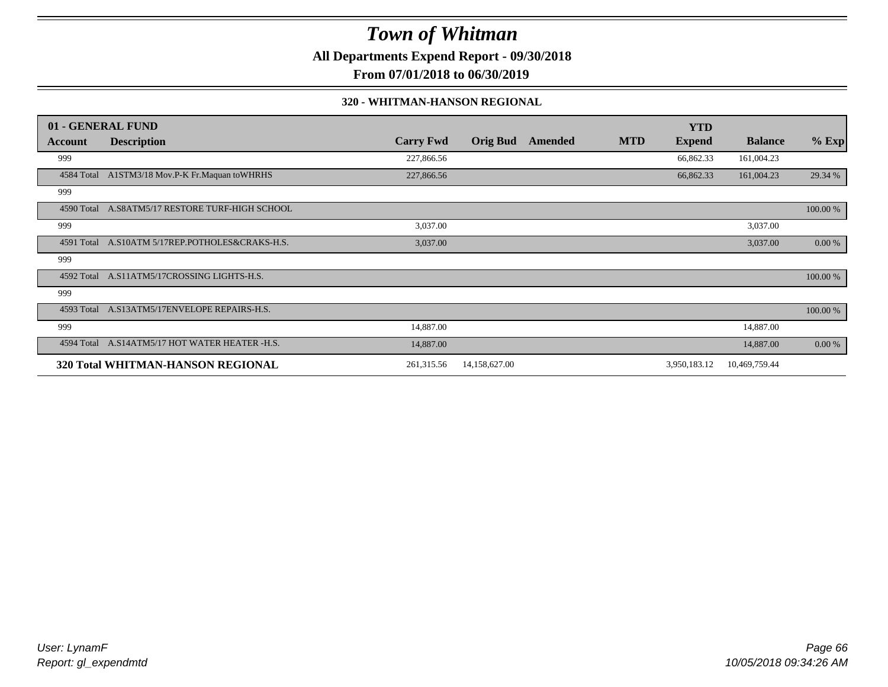**All Departments Expend Report - 09/30/2018**

**From 07/01/2018 to 06/30/2019**

#### **320 - WHITMAN-HANSON REGIONAL**

|            | 01 - GENERAL FUND                               |                  |                 |         |            | <b>YTD</b>    |                |          |
|------------|-------------------------------------------------|------------------|-----------------|---------|------------|---------------|----------------|----------|
| Account    | <b>Description</b>                              | <b>Carry Fwd</b> | <b>Orig Bud</b> | Amended | <b>MTD</b> | <b>Expend</b> | <b>Balance</b> | $%$ Exp  |
| 999        |                                                 | 227,866.56       |                 |         |            | 66,862.33     | 161,004.23     |          |
| 4584 Total | A1STM3/18 Mov.P-K Fr.Maquan toWHRHS             | 227,866.56       |                 |         |            | 66,862.33     | 161,004.23     | 29.34 %  |
| 999        |                                                 |                  |                 |         |            |               |                |          |
|            | 4590 Total A.S8ATM5/17 RESTORE TURF-HIGH SCHOOL |                  |                 |         |            |               |                | 100.00 % |
| 999        |                                                 | 3,037.00         |                 |         |            |               | 3,037.00       |          |
| 4591 Total | A.S10ATM 5/17REP.POTHOLES&CRAKS-H.S.            | 3,037.00         |                 |         |            |               | 3,037.00       | 0.00 %   |
| 999        |                                                 |                  |                 |         |            |               |                |          |
| 4592 Total | A.S11ATM5/17CROSSING LIGHTS-H.S.                |                  |                 |         |            |               |                | 100.00 % |
| 999        |                                                 |                  |                 |         |            |               |                |          |
|            | 4593 Total A.S13ATM5/17ENVELOPE REPAIRS-H.S.    |                  |                 |         |            |               |                | 100.00 % |
| 999        |                                                 | 14,887.00        |                 |         |            |               | 14,887.00      |          |
|            | 4594 Total A.S14ATM5/17 HOT WATER HEATER -H.S.  | 14,887.00        |                 |         |            |               | 14,887.00      | 0.00 %   |
|            | 320 Total WHITMAN-HANSON REGIONAL               | 261,315.56       | 14,158,627.00   |         |            | 3,950,183.12  | 10,469,759.44  |          |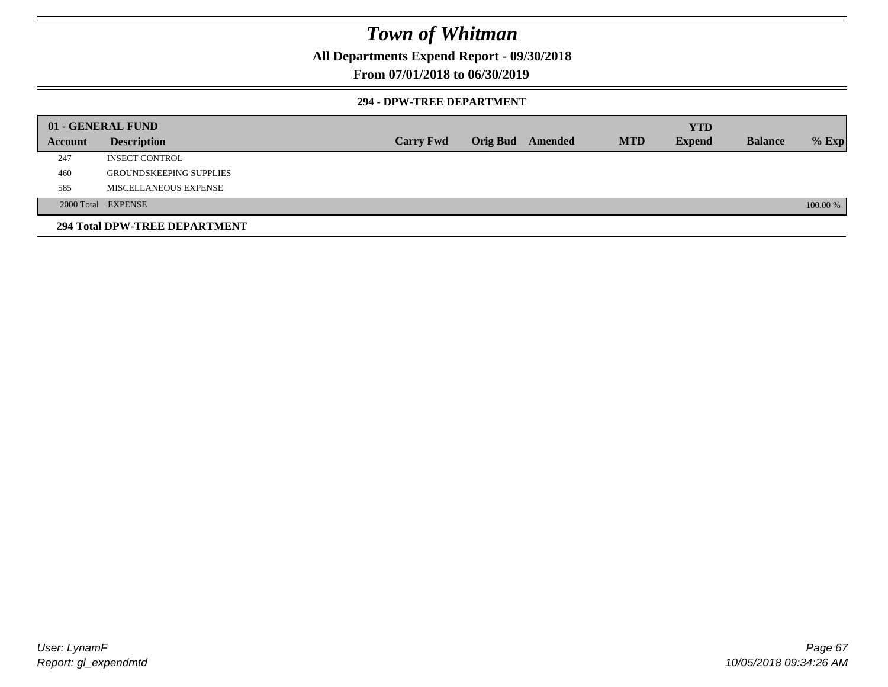**All Departments Expend Report - 09/30/2018**

### **From 07/01/2018 to 06/30/2019**

#### **294 - DPW-TREE DEPARTMENT**

|         | 01 - GENERAL FUND              |                  |                         |  |            | <b>YTD</b>    |                |          |
|---------|--------------------------------|------------------|-------------------------|--|------------|---------------|----------------|----------|
| Account | <b>Description</b>             | <b>Carry Fwd</b> | <b>Orig Bud</b> Amended |  | <b>MTD</b> | <b>Expend</b> | <b>Balance</b> | $%$ Exp  |
| 247     | INSECT CONTROL                 |                  |                         |  |            |               |                |          |
| 460     | <b>GROUNDSKEEPING SUPPLIES</b> |                  |                         |  |            |               |                |          |
| 585     | MISCELLANEOUS EXPENSE          |                  |                         |  |            |               |                |          |
|         | 2000 Total EXPENSE             |                  |                         |  |            |               |                | 100.00 % |
|         | 294 Total DPW-TREE DEPARTMENT  |                  |                         |  |            |               |                |          |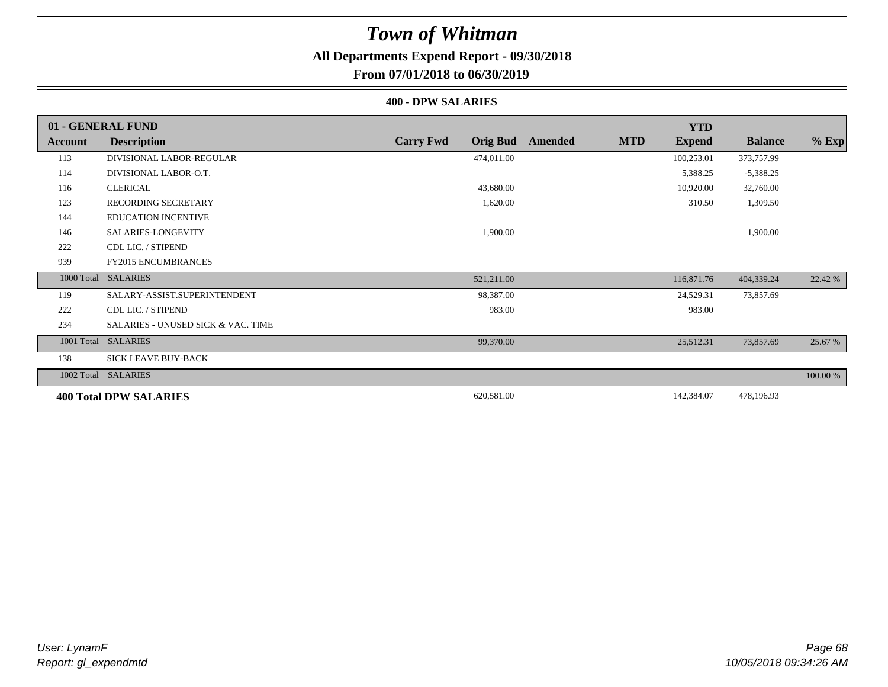### **All Departments Expend Report - 09/30/2018**

### **From 07/01/2018 to 06/30/2019**

#### **400 - DPW SALARIES**

|         | 01 - GENERAL FUND                  |                                     |                       | <b>YTD</b>    |                |          |
|---------|------------------------------------|-------------------------------------|-----------------------|---------------|----------------|----------|
| Account | <b>Description</b>                 | <b>Carry Fwd</b><br><b>Orig Bud</b> | <b>MTD</b><br>Amended | <b>Expend</b> | <b>Balance</b> | $%$ Exp  |
| 113     | DIVISIONAL LABOR-REGULAR           | 474,011.00                          |                       | 100,253.01    | 373,757.99     |          |
| 114     | DIVISIONAL LABOR-O.T.              |                                     |                       | 5,388.25      | $-5,388.25$    |          |
| 116     | <b>CLERICAL</b>                    | 43,680.00                           |                       | 10,920.00     | 32,760.00      |          |
| 123     | <b>RECORDING SECRETARY</b>         | 1,620.00                            |                       | 310.50        | 1,309.50       |          |
| 144     | <b>EDUCATION INCENTIVE</b>         |                                     |                       |               |                |          |
| 146     | SALARIES-LONGEVITY                 | 1,900.00                            |                       |               | 1,900.00       |          |
| 222     | CDL LIC. / STIPEND                 |                                     |                       |               |                |          |
| 939     | <b>FY2015 ENCUMBRANCES</b>         |                                     |                       |               |                |          |
|         | 1000 Total SALARIES                | 521,211.00                          |                       | 116,871.76    | 404,339.24     | 22.42 %  |
| 119     | SALARY-ASSIST.SUPERINTENDENT       | 98,387.00                           |                       | 24,529.31     | 73,857.69      |          |
| 222     | CDL LIC. / STIPEND                 | 983.00                              |                       | 983.00        |                |          |
| 234     | SALARIES - UNUSED SICK & VAC. TIME |                                     |                       |               |                |          |
|         | 1001 Total SALARIES                | 99,370.00                           |                       | 25,512.31     | 73,857.69      | 25.67 %  |
| 138     | SICK LEAVE BUY-BACK                |                                     |                       |               |                |          |
|         | 1002 Total SALARIES                |                                     |                       |               |                | 100.00 % |
|         | <b>400 Total DPW SALARIES</b>      | 620,581.00                          |                       | 142,384.07    | 478,196.93     |          |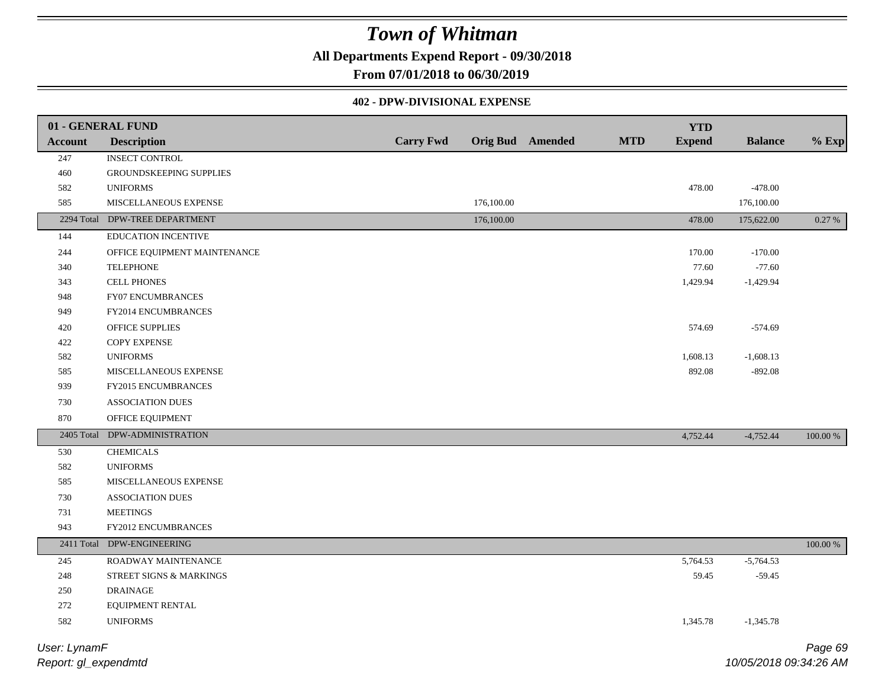**All Departments Expend Report - 09/30/2018**

**From 07/01/2018 to 06/30/2019**

### **402 - DPW-DIVISIONAL EXPENSE**

|                | 01 - GENERAL FUND              |                  |            |                         |            | <b>YTD</b>    |                |             |
|----------------|--------------------------------|------------------|------------|-------------------------|------------|---------------|----------------|-------------|
| <b>Account</b> | <b>Description</b>             | <b>Carry Fwd</b> |            | <b>Orig Bud Amended</b> | <b>MTD</b> | <b>Expend</b> | <b>Balance</b> | $%$ Exp     |
| 247            | <b>INSECT CONTROL</b>          |                  |            |                         |            |               |                |             |
| 460            | GROUNDSKEEPING SUPPLIES        |                  |            |                         |            |               |                |             |
| 582            | <b>UNIFORMS</b>                |                  |            |                         |            | 478.00        | $-478.00$      |             |
| 585            | MISCELLANEOUS EXPENSE          |                  | 176,100.00 |                         |            |               | 176,100.00     |             |
|                | 2294 Total DPW-TREE DEPARTMENT |                  | 176,100.00 |                         |            | 478.00        | 175,622.00     | 0.27 %      |
| 144            | <b>EDUCATION INCENTIVE</b>     |                  |            |                         |            |               |                |             |
| 244            | OFFICE EQUIPMENT MAINTENANCE   |                  |            |                         |            | 170.00        | $-170.00$      |             |
| 340            | <b>TELEPHONE</b>               |                  |            |                         |            | 77.60         | $-77.60$       |             |
| 343            | <b>CELL PHONES</b>             |                  |            |                         |            | 1,429.94      | $-1,429.94$    |             |
| 948            | FY07 ENCUMBRANCES              |                  |            |                         |            |               |                |             |
| 949            | FY2014 ENCUMBRANCES            |                  |            |                         |            |               |                |             |
| 420            | OFFICE SUPPLIES                |                  |            |                         |            | 574.69        | $-574.69$      |             |
| 422            | COPY EXPENSE                   |                  |            |                         |            |               |                |             |
| 582            | <b>UNIFORMS</b>                |                  |            |                         |            | 1,608.13      | $-1,608.13$    |             |
| 585            | MISCELLANEOUS EXPENSE          |                  |            |                         |            | 892.08        | $-892.08$      |             |
| 939            | FY2015 ENCUMBRANCES            |                  |            |                         |            |               |                |             |
| 730            | <b>ASSOCIATION DUES</b>        |                  |            |                         |            |               |                |             |
| 870            | OFFICE EQUIPMENT               |                  |            |                         |            |               |                |             |
| 2405 Total     | DPW-ADMINISTRATION             |                  |            |                         |            | 4,752.44      | $-4,752.44$    | 100.00 %    |
| 530            | <b>CHEMICALS</b>               |                  |            |                         |            |               |                |             |
| 582            | <b>UNIFORMS</b>                |                  |            |                         |            |               |                |             |
| 585            | MISCELLANEOUS EXPENSE          |                  |            |                         |            |               |                |             |
| 730            | <b>ASSOCIATION DUES</b>        |                  |            |                         |            |               |                |             |
| 731            | <b>MEETINGS</b>                |                  |            |                         |            |               |                |             |
| 943            | FY2012 ENCUMBRANCES            |                  |            |                         |            |               |                |             |
| 2411 Total     | DPW-ENGINEERING                |                  |            |                         |            |               |                | $100.00~\%$ |
| 245            | ROADWAY MAINTENANCE            |                  |            |                         |            | 5,764.53      | $-5,764.53$    |             |
| $248\,$        | STREET SIGNS & MARKINGS        |                  |            |                         |            | 59.45         | $-59.45$       |             |
| 250            | <b>DRAINAGE</b>                |                  |            |                         |            |               |                |             |
| 272            | EQUIPMENT RENTAL               |                  |            |                         |            |               |                |             |
| 582            | <b>UNIFORMS</b>                |                  |            |                         |            | 1,345.78      | $-1,345.78$    |             |
| User: LynamF   |                                |                  |            |                         |            |               |                | Page 69     |

*Report: gl\_expendmtd*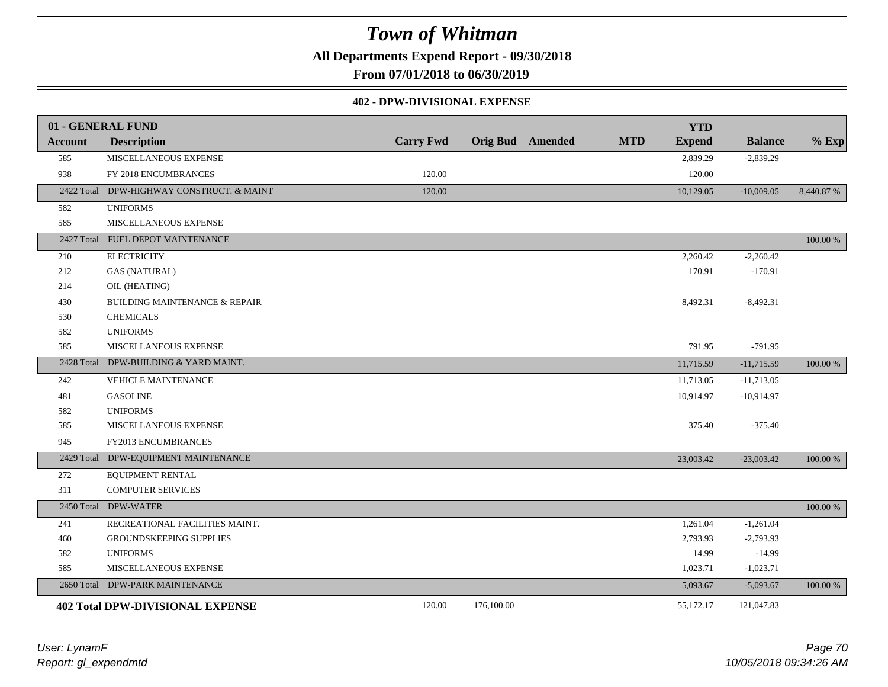**All Departments Expend Report - 09/30/2018**

**From 07/01/2018 to 06/30/2019**

#### **402 - DPW-DIVISIONAL EXPENSE**

|                | 01 - GENERAL FUND                        |                  |            |                         |            | <b>YTD</b>    |                |           |
|----------------|------------------------------------------|------------------|------------|-------------------------|------------|---------------|----------------|-----------|
| <b>Account</b> | <b>Description</b>                       | <b>Carry Fwd</b> |            | <b>Orig Bud</b> Amended | <b>MTD</b> | <b>Expend</b> | <b>Balance</b> | $%$ Exp   |
| 585            | MISCELLANEOUS EXPENSE                    |                  |            |                         |            | 2,839.29      | $-2,839.29$    |           |
| 938            | FY 2018 ENCUMBRANCES                     | 120.00           |            |                         |            | 120.00        |                |           |
| 2422 Total     | DPW-HIGHWAY CONSTRUCT. & MAINT           | 120.00           |            |                         |            | 10,129.05     | $-10,009.05$   | 8,440.87% |
| 582            | <b>UNIFORMS</b>                          |                  |            |                         |            |               |                |           |
| 585            | MISCELLANEOUS EXPENSE                    |                  |            |                         |            |               |                |           |
|                | 2427 Total FUEL DEPOT MAINTENANCE        |                  |            |                         |            |               |                | 100.00 %  |
| 210            | <b>ELECTRICITY</b>                       |                  |            |                         |            | 2,260.42      | $-2,260.42$    |           |
| 212            | <b>GAS (NATURAL)</b>                     |                  |            |                         |            | 170.91        | $-170.91$      |           |
| 214            | OIL (HEATING)                            |                  |            |                         |            |               |                |           |
| 430            | <b>BUILDING MAINTENANCE &amp; REPAIR</b> |                  |            |                         |            | 8,492.31      | $-8,492.31$    |           |
| 530            | <b>CHEMICALS</b>                         |                  |            |                         |            |               |                |           |
| 582            | <b>UNIFORMS</b>                          |                  |            |                         |            |               |                |           |
| 585            | MISCELLANEOUS EXPENSE                    |                  |            |                         |            | 791.95        | $-791.95$      |           |
|                | 2428 Total DPW-BUILDING & YARD MAINT.    |                  |            |                         |            | 11,715.59     | $-11,715.59$   | 100.00 %  |
| 242            | VEHICLE MAINTENANCE                      |                  |            |                         |            | 11,713.05     | $-11,713.05$   |           |
| 481            | <b>GASOLINE</b>                          |                  |            |                         |            | 10,914.97     | $-10,914.97$   |           |
| 582            | <b>UNIFORMS</b>                          |                  |            |                         |            |               |                |           |
| 585            | MISCELLANEOUS EXPENSE                    |                  |            |                         |            | 375.40        | $-375.40$      |           |
| 945            | FY2013 ENCUMBRANCES                      |                  |            |                         |            |               |                |           |
| 2429 Total     | DPW-EQUIPMENT MAINTENANCE                |                  |            |                         |            | 23,003.42     | $-23,003.42$   | 100.00 %  |
| 272            | EQUIPMENT RENTAL                         |                  |            |                         |            |               |                |           |
| 311            | <b>COMPUTER SERVICES</b>                 |                  |            |                         |            |               |                |           |
|                | 2450 Total DPW-WATER                     |                  |            |                         |            |               |                | 100.00 %  |
| 241            | RECREATIONAL FACILITIES MAINT.           |                  |            |                         |            | 1,261.04      | $-1,261.04$    |           |
| 460            | <b>GROUNDSKEEPING SUPPLIES</b>           |                  |            |                         |            | 2,793.93      | $-2,793.93$    |           |
| 582            | <b>UNIFORMS</b>                          |                  |            |                         |            | 14.99         | $-14.99$       |           |
| 585            | MISCELLANEOUS EXPENSE                    |                  |            |                         |            | 1,023.71      | $-1,023.71$    |           |
| 2650 Total     | DPW-PARK MAINTENANCE                     |                  |            |                         |            | 5,093.67      | $-5,093.67$    | 100.00 %  |
|                | <b>402 Total DPW-DIVISIONAL EXPENSE</b>  | 120.00           | 176,100.00 |                         |            | 55,172.17     | 121,047.83     |           |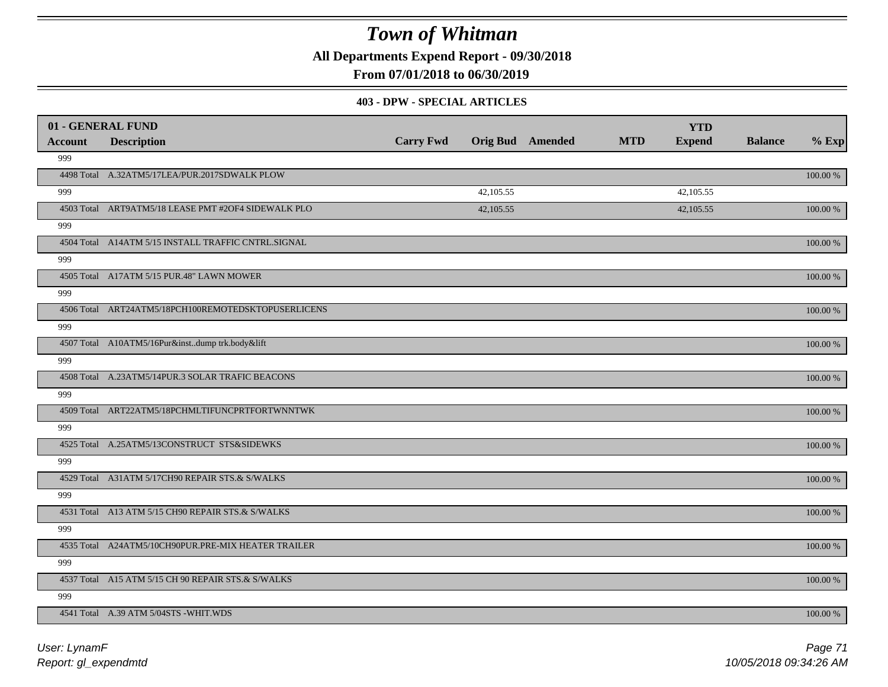**All Departments Expend Report - 09/30/2018**

**From 07/01/2018 to 06/30/2019**

#### **403 - DPW - SPECIAL ARTICLES**

| 01 - GENERAL FUND |                                                     |                  |                         |            | <b>YTD</b>    |                |          |
|-------------------|-----------------------------------------------------|------------------|-------------------------|------------|---------------|----------------|----------|
| <b>Account</b>    | <b>Description</b>                                  | <b>Carry Fwd</b> | <b>Orig Bud Amended</b> | <b>MTD</b> | <b>Expend</b> | <b>Balance</b> | $%$ Exp  |
| 999               |                                                     |                  |                         |            |               |                |          |
|                   | 4498 Total A.32ATM5/17LEA/PUR.2017SDWALK PLOW       |                  |                         |            |               |                | 100.00 % |
| 999               |                                                     |                  | 42,105.55               |            | 42,105.55     |                |          |
|                   | 4503 Total ART9ATM5/18 LEASE PMT #2OF4 SIDEWALK PLO |                  | 42,105.55               |            | 42,105.55     |                | 100.00 % |
| 999               |                                                     |                  |                         |            |               |                |          |
|                   | 4504 Total A14ATM 5/15 INSTALL TRAFFIC CNTRL.SIGNAL |                  |                         |            |               |                | 100.00 % |
| 999               |                                                     |                  |                         |            |               |                |          |
|                   | 4505 Total A17ATM 5/15 PUR.48" LAWN MOWER           |                  |                         |            |               |                | 100.00 % |
| 999               |                                                     |                  |                         |            |               |                |          |
|                   | 4506 Total ART24ATM5/18PCH100REMOTEDSKTOPUSERLICENS |                  |                         |            |               |                | 100.00 % |
| 999               |                                                     |                  |                         |            |               |                |          |
|                   | 4507 Total A10ATM5/16Pur&instdump trk.body&lift     |                  |                         |            |               |                | 100.00 % |
| 999               |                                                     |                  |                         |            |               |                |          |
|                   | 4508 Total A.23ATM5/14PUR.3 SOLAR TRAFIC BEACONS    |                  |                         |            |               |                | 100.00 % |
| 999               |                                                     |                  |                         |            |               |                |          |
|                   | 4509 Total ART22ATM5/18PCHMLTIFUNCPRTFORTWNNTWK     |                  |                         |            |               |                | 100.00 % |
| 999               |                                                     |                  |                         |            |               |                |          |
|                   | 4525 Total A.25ATM5/13CONSTRUCT STS&SIDEWKS         |                  |                         |            |               |                | 100.00 % |
| 999               |                                                     |                  |                         |            |               |                |          |
|                   | 4529 Total A31ATM 5/17CH90 REPAIR STS.& S/WALKS     |                  |                         |            |               |                | 100.00 % |
| 999               |                                                     |                  |                         |            |               |                |          |
|                   | 4531 Total A13 ATM 5/15 CH90 REPAIR STS.& S/WALKS   |                  |                         |            |               |                | 100.00 % |
| 999               |                                                     |                  |                         |            |               |                |          |
|                   | 4535 Total A24ATM5/10CH90PUR.PRE-MIX HEATER TRAILER |                  |                         |            |               |                | 100.00 % |
| 999               |                                                     |                  |                         |            |               |                |          |
|                   | 4537 Total A15 ATM 5/15 CH 90 REPAIR STS.& S/WALKS  |                  |                         |            |               |                | 100.00 % |
| 999               |                                                     |                  |                         |            |               |                |          |
|                   | 4541 Total A.39 ATM 5/04STS -WHIT.WDS               |                  |                         |            |               |                | 100.00 % |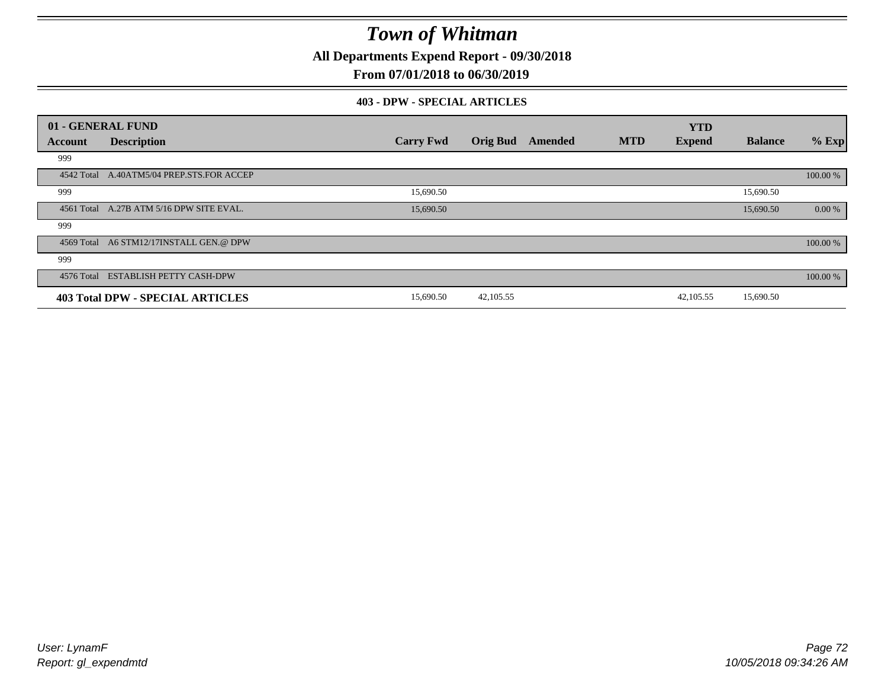**All Departments Expend Report - 09/30/2018**

### **From 07/01/2018 to 06/30/2019**

#### **403 - DPW - SPECIAL ARTICLES**

| 01 - GENERAL FUND |                                           |                  |                 |         |            | <b>YTD</b>    |                |          |
|-------------------|-------------------------------------------|------------------|-----------------|---------|------------|---------------|----------------|----------|
| Account           | <b>Description</b>                        | <b>Carry Fwd</b> | <b>Orig Bud</b> | Amended | <b>MTD</b> | <b>Expend</b> | <b>Balance</b> | $%$ Exp  |
| 999               |                                           |                  |                 |         |            |               |                |          |
|                   | 4542 Total A.40ATM5/04 PREP.STS.FOR ACCEP |                  |                 |         |            |               |                | 100.00 % |
| 999               |                                           | 15,690.50        |                 |         |            |               | 15,690.50      |          |
|                   | 4561 Total A.27B ATM 5/16 DPW SITE EVAL.  | 15,690.50        |                 |         |            |               | 15,690.50      | 0.00 %   |
| 999               |                                           |                  |                 |         |            |               |                |          |
|                   | 4569 Total A6 STM12/17INSTALL GEN.@ DPW   |                  |                 |         |            |               |                | 100.00 % |
| 999               |                                           |                  |                 |         |            |               |                |          |
|                   | 4576 Total ESTABLISH PETTY CASH-DPW       |                  |                 |         |            |               |                | 100.00 % |
|                   | 403 Total DPW - SPECIAL ARTICLES          | 15,690.50        | 42, 105.55      |         |            | 42,105.55     | 15,690.50      |          |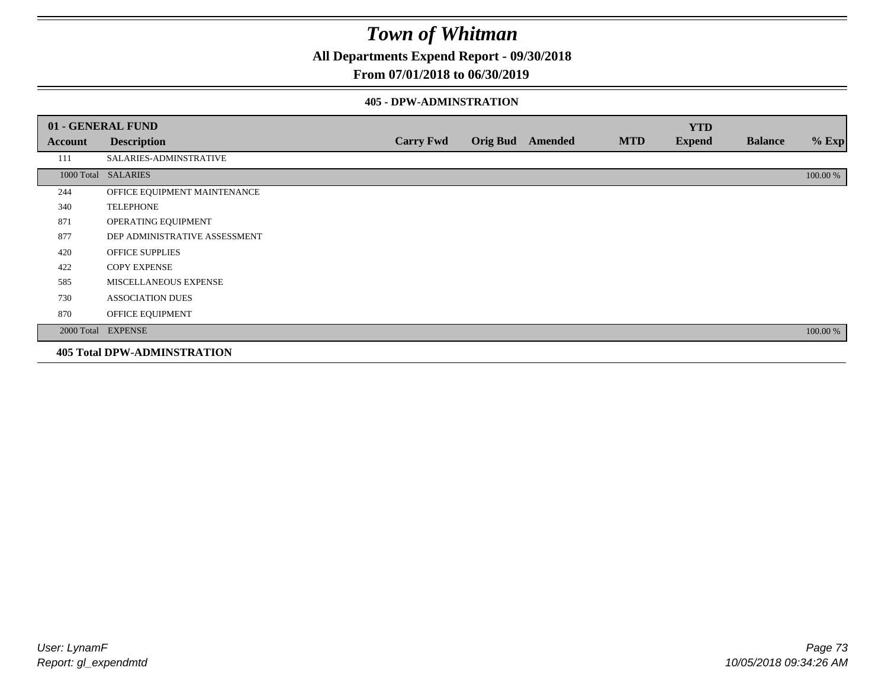**All Departments Expend Report - 09/30/2018**

### **From 07/01/2018 to 06/30/2019**

#### **405 - DPW-ADMINSTRATION**

|         | 01 - GENERAL FUND                  |                  |                  |            | <b>YTD</b>    |                |          |
|---------|------------------------------------|------------------|------------------|------------|---------------|----------------|----------|
| Account | <b>Description</b>                 | <b>Carry Fwd</b> | Orig Bud Amended | <b>MTD</b> | <b>Expend</b> | <b>Balance</b> | $%$ Exp  |
| 111     | SALARIES-ADMINSTRATIVE             |                  |                  |            |               |                |          |
|         | 1000 Total SALARIES                |                  |                  |            |               |                | 100.00 % |
| 244     | OFFICE EQUIPMENT MAINTENANCE       |                  |                  |            |               |                |          |
| 340     | <b>TELEPHONE</b>                   |                  |                  |            |               |                |          |
| 871     | OPERATING EQUIPMENT                |                  |                  |            |               |                |          |
| 877     | DEP ADMINISTRATIVE ASSESSMENT      |                  |                  |            |               |                |          |
| 420     | <b>OFFICE SUPPLIES</b>             |                  |                  |            |               |                |          |
| 422     | <b>COPY EXPENSE</b>                |                  |                  |            |               |                |          |
| 585     | MISCELLANEOUS EXPENSE              |                  |                  |            |               |                |          |
| 730     | <b>ASSOCIATION DUES</b>            |                  |                  |            |               |                |          |
| 870     | OFFICE EQUIPMENT                   |                  |                  |            |               |                |          |
|         | 2000 Total EXPENSE                 |                  |                  |            |               |                | 100.00 % |
|         | <b>405 Total DPW-ADMINSTRATION</b> |                  |                  |            |               |                |          |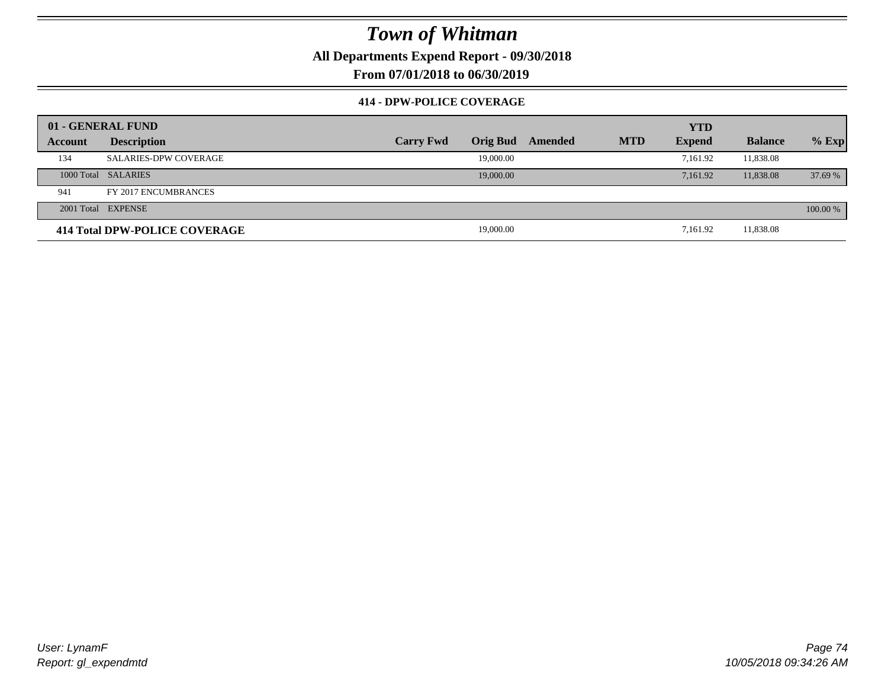**All Departments Expend Report - 09/30/2018**

**From 07/01/2018 to 06/30/2019**

### **414 - DPW-POLICE COVERAGE**

|         | 01 - GENERAL FUND             |                  |                 |         |            | <b>YTD</b>    |                |          |
|---------|-------------------------------|------------------|-----------------|---------|------------|---------------|----------------|----------|
| Account | <b>Description</b>            | <b>Carry Fwd</b> | <b>Orig Bud</b> | Amended | <b>MTD</b> | <b>Expend</b> | <b>Balance</b> | $%$ Exp  |
| 134     | <b>SALARIES-DPW COVERAGE</b>  |                  | 19,000.00       |         |            | 7.161.92      | 11,838.08      |          |
|         | 1000 Total SALARIES           |                  | 19,000.00       |         |            | 7.161.92      | 11,838.08      | 37.69%   |
| 941     | FY 2017 ENCUMBRANCES          |                  |                 |         |            |               |                |          |
|         | 2001 Total EXPENSE            |                  |                 |         |            |               |                | 100.00 % |
|         | 414 Total DPW-POLICE COVERAGE |                  | 19,000.00       |         |            | 7.161.92      | 11,838.08      |          |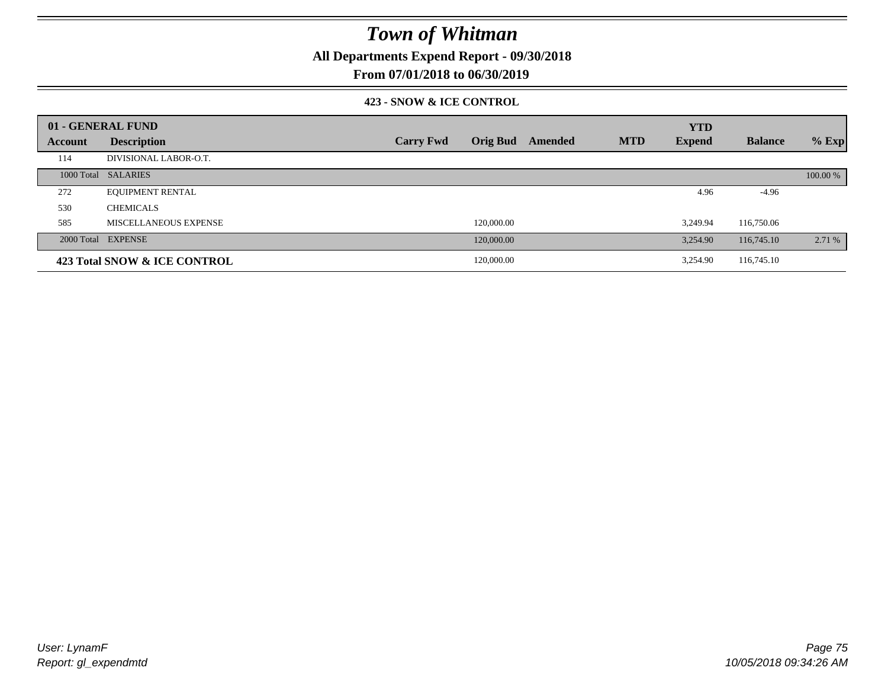**All Departments Expend Report - 09/30/2018**

**From 07/01/2018 to 06/30/2019**

### **423 - SNOW & ICE CONTROL**

|         | 01 - GENERAL FUND            |                  |                 |         |            | <b>YTD</b>    |                |          |
|---------|------------------------------|------------------|-----------------|---------|------------|---------------|----------------|----------|
| Account | <b>Description</b>           | <b>Carry Fwd</b> | <b>Orig Bud</b> | Amended | <b>MTD</b> | <b>Expend</b> | <b>Balance</b> | $%$ Exp  |
| 114     | DIVISIONAL LABOR-O.T.        |                  |                 |         |            |               |                |          |
|         | 1000 Total SALARIES          |                  |                 |         |            |               |                | 100.00 % |
| 272     | <b>EQUIPMENT RENTAL</b>      |                  |                 |         |            | 4.96          | $-4.96$        |          |
| 530     | <b>CHEMICALS</b>             |                  |                 |         |            |               |                |          |
| 585     | MISCELLANEOUS EXPENSE        |                  | 120,000.00      |         |            | 3.249.94      | 116,750.06     |          |
|         | 2000 Total EXPENSE           |                  | 120,000.00      |         |            | 3.254.90      | 116,745.10     | 2.71 %   |
|         | 423 Total SNOW & ICE CONTROL |                  | 120,000.00      |         |            | 3.254.90      | 116,745.10     |          |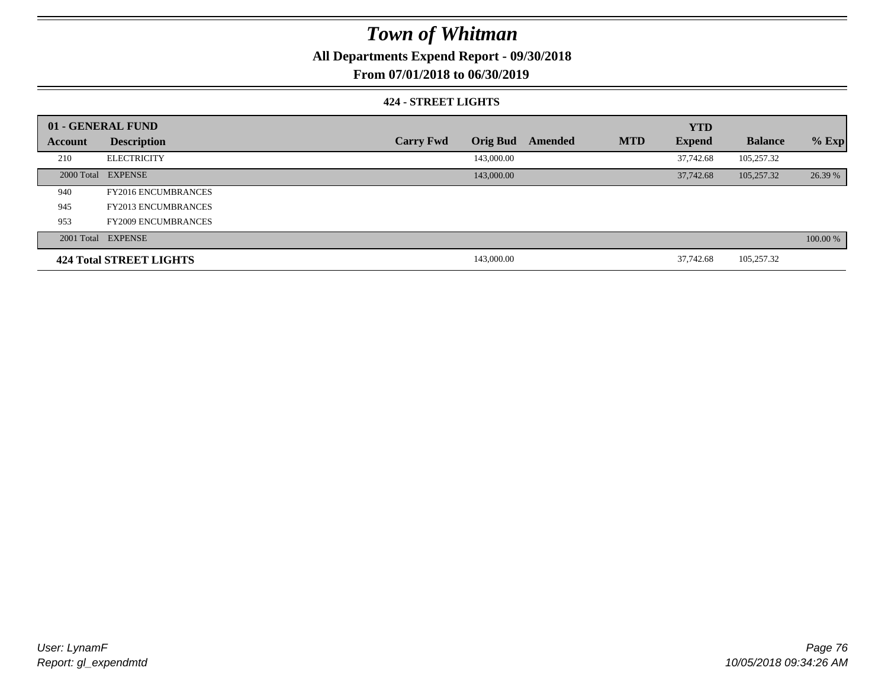**All Departments Expend Report - 09/30/2018**

**From 07/01/2018 to 06/30/2019**

### **424 - STREET LIGHTS**

|         | 01 - GENERAL FUND          |                  |                 |         |            | <b>YTD</b>    |                |          |
|---------|----------------------------|------------------|-----------------|---------|------------|---------------|----------------|----------|
| Account | <b>Description</b>         | <b>Carry Fwd</b> | <b>Orig Bud</b> | Amended | <b>MTD</b> | <b>Expend</b> | <b>Balance</b> | $%$ Exp  |
| 210     | <b>ELECTRICITY</b>         |                  | 143,000.00      |         |            | 37,742.68     | 105,257.32     |          |
|         | 2000 Total EXPENSE         |                  | 143,000.00      |         |            | 37,742.68     | 105,257.32     | 26.39 %  |
| 940     | <b>FY2016 ENCUMBRANCES</b> |                  |                 |         |            |               |                |          |
| 945     | <b>FY2013 ENCUMBRANCES</b> |                  |                 |         |            |               |                |          |
| 953     | <b>FY2009 ENCUMBRANCES</b> |                  |                 |         |            |               |                |          |
|         | 2001 Total EXPENSE         |                  |                 |         |            |               |                | 100.00 % |
|         | 424 Total STREET LIGHTS    |                  | 143,000.00      |         |            | 37,742.68     | 105.257.32     |          |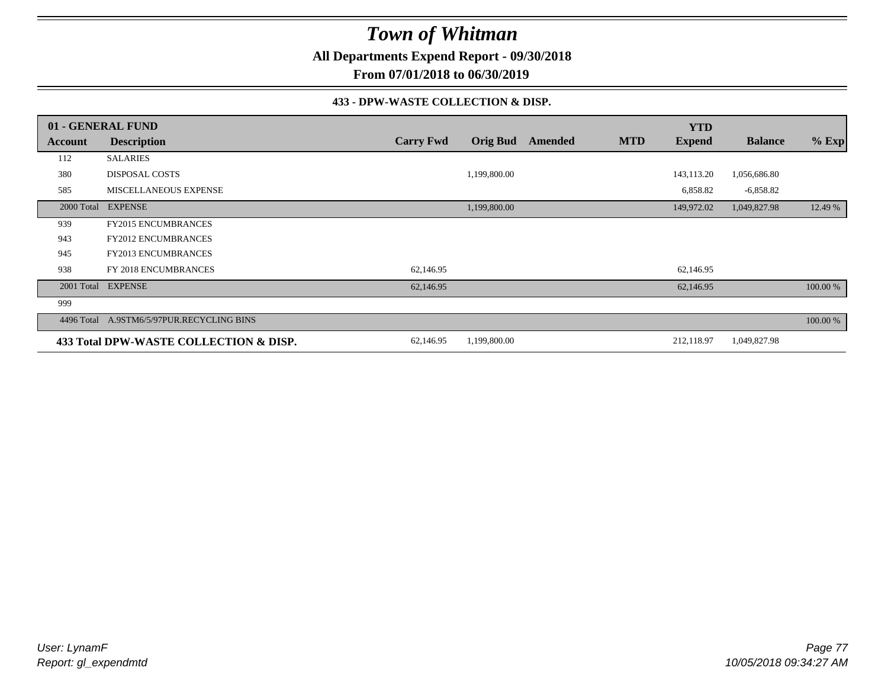**All Departments Expend Report - 09/30/2018**

**From 07/01/2018 to 06/30/2019**

### **433 - DPW-WASTE COLLECTION & DISP.**

|            | 01 - GENERAL FUND                         |                  |                 |         |            | <b>YTD</b>    |                |          |
|------------|-------------------------------------------|------------------|-----------------|---------|------------|---------------|----------------|----------|
| Account    | <b>Description</b>                        | <b>Carry Fwd</b> | <b>Orig Bud</b> | Amended | <b>MTD</b> | <b>Expend</b> | <b>Balance</b> | $%$ Exp  |
| 112        | <b>SALARIES</b>                           |                  |                 |         |            |               |                |          |
| 380        | <b>DISPOSAL COSTS</b>                     |                  | 1,199,800.00    |         |            | 143,113.20    | 1,056,686.80   |          |
| 585        | MISCELLANEOUS EXPENSE                     |                  |                 |         |            | 6,858.82      | $-6,858.82$    |          |
| 2000 Total | <b>EXPENSE</b>                            |                  | 1,199,800.00    |         |            | 149,972.02    | 1,049,827.98   | 12.49 %  |
| 939        | <b>FY2015 ENCUMBRANCES</b>                |                  |                 |         |            |               |                |          |
| 943        | <b>FY2012 ENCUMBRANCES</b>                |                  |                 |         |            |               |                |          |
| 945        | <b>FY2013 ENCUMBRANCES</b>                |                  |                 |         |            |               |                |          |
| 938        | FY 2018 ENCUMBRANCES                      | 62,146.95        |                 |         |            | 62,146.95     |                |          |
|            | 2001 Total EXPENSE                        | 62,146.95        |                 |         |            | 62,146.95     |                | 100.00 % |
| 999        |                                           |                  |                 |         |            |               |                |          |
|            | 4496 Total A.9STM6/5/97PUR.RECYCLING BINS |                  |                 |         |            |               |                | 100.00 % |
|            | 433 Total DPW-WASTE COLLECTION & DISP.    | 62,146.95        | 1,199,800.00    |         |            | 212,118.97    | 1,049,827.98   |          |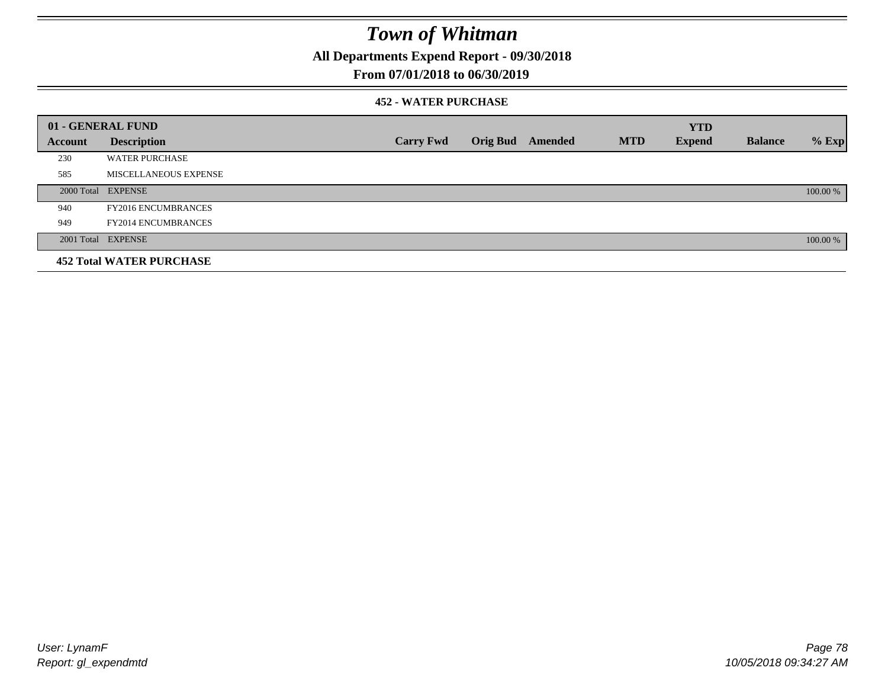**All Departments Expend Report - 09/30/2018**

### **From 07/01/2018 to 06/30/2019**

### **452 - WATER PURCHASE**

|                | 01 - GENERAL FUND               |                  |                  |            | <b>YTD</b>    |                |          |
|----------------|---------------------------------|------------------|------------------|------------|---------------|----------------|----------|
| <b>Account</b> | <b>Description</b>              | <b>Carry Fwd</b> | Orig Bud Amended | <b>MTD</b> | <b>Expend</b> | <b>Balance</b> | $%$ Exp  |
| 230            | <b>WATER PURCHASE</b>           |                  |                  |            |               |                |          |
| 585            | MISCELLANEOUS EXPENSE           |                  |                  |            |               |                |          |
|                | 2000 Total EXPENSE              |                  |                  |            |               |                | 100.00 % |
| 940            | <b>FY2016 ENCUMBRANCES</b>      |                  |                  |            |               |                |          |
| 949            | <b>FY2014 ENCUMBRANCES</b>      |                  |                  |            |               |                |          |
|                | 2001 Total EXPENSE              |                  |                  |            |               |                | 100.00 % |
|                | <b>452 Total WATER PURCHASE</b> |                  |                  |            |               |                |          |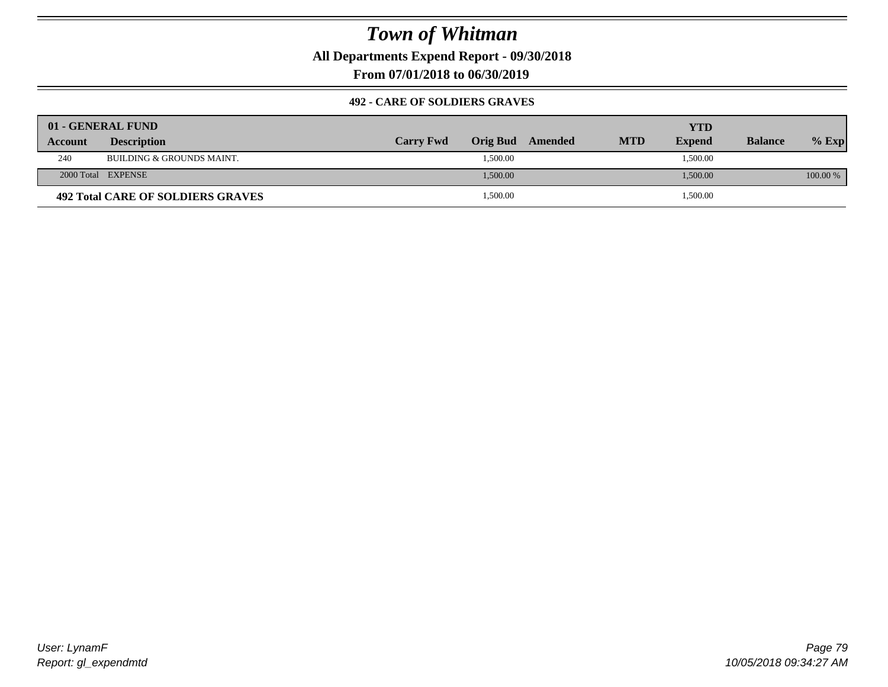**All Departments Expend Report - 09/30/2018**

**From 07/01/2018 to 06/30/2019**

### **492 - CARE OF SOLDIERS GRAVES**

|                | 01 - GENERAL FUND                 |                  |          |                  |            | YTD           |                |            |
|----------------|-----------------------------------|------------------|----------|------------------|------------|---------------|----------------|------------|
| <b>Account</b> | <b>Description</b>                | <b>Carry Fwd</b> |          | Orig Bud Amended | <b>MTD</b> | <b>Expend</b> | <b>Balance</b> | $%$ Exp    |
| 240            | BUILDING & GROUNDS MAINT.         |                  | 1,500.00 |                  |            | 1,500.00      |                |            |
|                | 2000 Total EXPENSE                |                  | 1,500.00 |                  |            | 1,500.00      |                | $100.00\%$ |
|                | 492 Total CARE OF SOLDIERS GRAVES |                  | 1,500.00 |                  |            | 1,500.00      |                |            |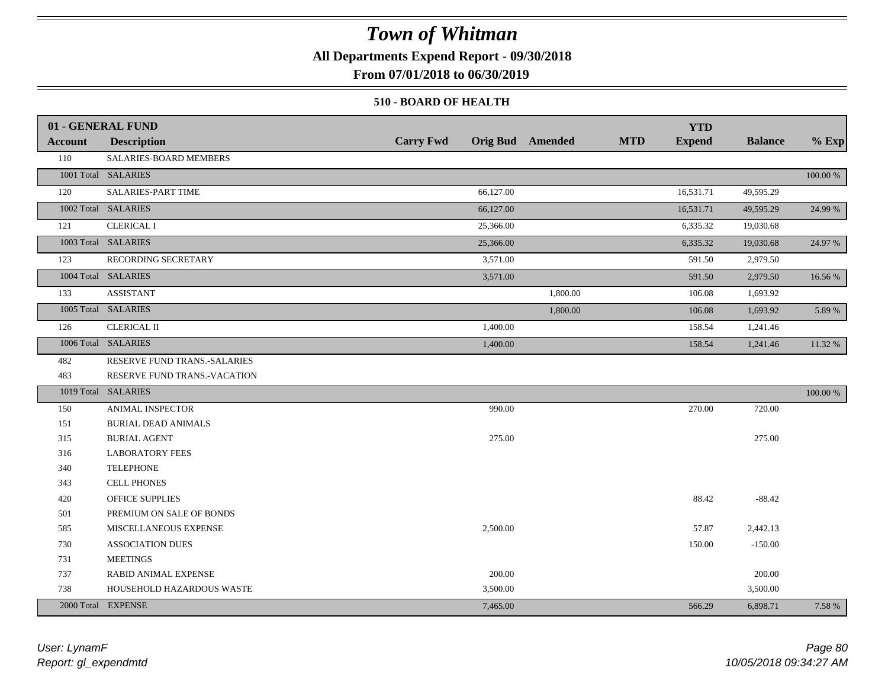**All Departments Expend Report - 09/30/2018**

**From 07/01/2018 to 06/30/2019**

#### **510 - BOARD OF HEALTH**

|         | 01 - GENERAL FUND            |                  |                       |                         |            | <b>YTD</b>    |                |          |
|---------|------------------------------|------------------|-----------------------|-------------------------|------------|---------------|----------------|----------|
| Account | <b>Description</b>           | <b>Carry Fwd</b> |                       | <b>Orig Bud</b> Amended | <b>MTD</b> | <b>Expend</b> | <b>Balance</b> | $%$ Exp  |
| 110     | SALARIES-BOARD MEMBERS       |                  |                       |                         |            |               |                |          |
|         | 1001 Total SALARIES          |                  |                       |                         |            |               |                | 100.00 % |
| 120     | <b>SALARIES-PART TIME</b>    |                  | 66,127.00             |                         |            | 16,531.71     | 49,595.29      |          |
|         | 1002 Total SALARIES          |                  | 66,127.00             |                         |            | 16,531.71     | 49,595.29      | 24.99 %  |
| 121     | <b>CLERICAL I</b>            |                  | 25,366.00             |                         |            | 6,335.32      | 19,030.68      |          |
|         | 1003 Total SALARIES          |                  | 25,366.00             |                         |            | 6,335.32      | 19,030.68      | 24.97 %  |
| 123     | RECORDING SECRETARY          |                  | $\overline{3,571.00}$ |                         |            | 591.50        | 2,979.50       |          |
|         | 1004 Total SALARIES          |                  | 3,571.00              |                         |            | 591.50        | 2,979.50       | 16.56 %  |
| 133     | <b>ASSISTANT</b>             |                  |                       | 1,800.00                |            | 106.08        | 1,693.92       |          |
|         | 1005 Total SALARIES          |                  |                       | 1,800.00                |            | 106.08        | 1,693.92       | 5.89 %   |
| 126     | <b>CLERICAL II</b>           |                  | 1,400.00              |                         |            | 158.54        | 1,241.46       |          |
|         | 1006 Total SALARIES          |                  | 1,400.00              |                         |            | 158.54        | 1,241.46       | 11.32 %  |
| 482     | RESERVE FUND TRANS.-SALARIES |                  |                       |                         |            |               |                |          |
| 483     | RESERVE FUND TRANS.-VACATION |                  |                       |                         |            |               |                |          |
|         | 1019 Total SALARIES          |                  |                       |                         |            |               |                | 100.00 % |
| 150     | ANIMAL INSPECTOR             |                  | 990.00                |                         |            | 270.00        | 720.00         |          |
| 151     | <b>BURIAL DEAD ANIMALS</b>   |                  |                       |                         |            |               |                |          |
| 315     | <b>BURIAL AGENT</b>          |                  | 275.00                |                         |            |               | 275.00         |          |
| 316     | <b>LABORATORY FEES</b>       |                  |                       |                         |            |               |                |          |
| 340     | <b>TELEPHONE</b>             |                  |                       |                         |            |               |                |          |
| 343     | <b>CELL PHONES</b>           |                  |                       |                         |            |               |                |          |
| 420     | <b>OFFICE SUPPLIES</b>       |                  |                       |                         |            | 88.42         | $-88.42$       |          |
| 501     | PREMIUM ON SALE OF BONDS     |                  |                       |                         |            |               |                |          |
| 585     | MISCELLANEOUS EXPENSE        |                  | 2,500.00              |                         |            | 57.87         | 2,442.13       |          |
| 730     | <b>ASSOCIATION DUES</b>      |                  |                       |                         |            | 150.00        | $-150.00$      |          |
| 731     | <b>MEETINGS</b>              |                  |                       |                         |            |               |                |          |
| 737     | RABID ANIMAL EXPENSE         |                  | 200.00                |                         |            |               | 200.00         |          |
| 738     | HOUSEHOLD HAZARDOUS WASTE    |                  | 3,500.00              |                         |            |               | 3,500.00       |          |
|         | 2000 Total EXPENSE           |                  | 7,465.00              |                         |            | 566.29        | 6,898.71       | 7.58 %   |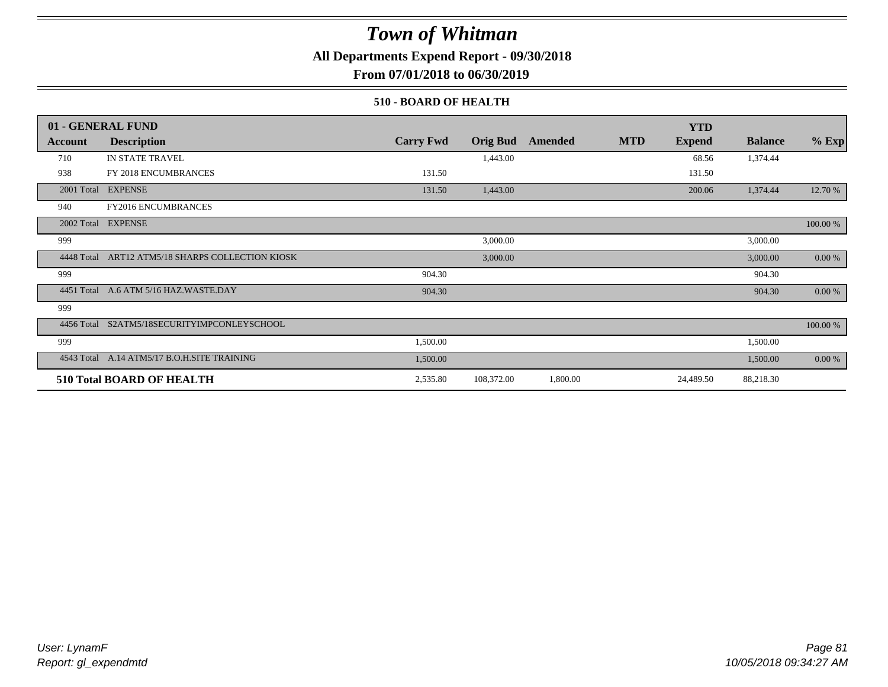**All Departments Expend Report - 09/30/2018**

**From 07/01/2018 to 06/30/2019**

### **510 - BOARD OF HEALTH**

|            | 01 - GENERAL FUND                                |                  |                 |          |            | <b>YTD</b>    |                |          |
|------------|--------------------------------------------------|------------------|-----------------|----------|------------|---------------|----------------|----------|
| Account    | <b>Description</b>                               | <b>Carry Fwd</b> | <b>Orig Bud</b> | Amended  | <b>MTD</b> | <b>Expend</b> | <b>Balance</b> | $%$ Exp  |
| 710        | IN STATE TRAVEL                                  |                  | 1,443.00        |          |            | 68.56         | 1,374.44       |          |
| 938        | FY 2018 ENCUMBRANCES                             | 131.50           |                 |          |            | 131.50        |                |          |
| 2001 Total | <b>EXPENSE</b>                                   | 131.50           | 1,443.00        |          |            | 200.06        | 1,374.44       | 12.70 %  |
| 940        | <b>FY2016 ENCUMBRANCES</b>                       |                  |                 |          |            |               |                |          |
| 2002 Total | <b>EXPENSE</b>                                   |                  |                 |          |            |               |                | 100.00 % |
| 999        |                                                  |                  | 3,000.00        |          |            |               | 3,000.00       |          |
|            | 4448 Total ART12 ATM5/18 SHARPS COLLECTION KIOSK |                  | 3,000.00        |          |            |               | 3,000.00       | 0.00 %   |
| 999        |                                                  | 904.30           |                 |          |            |               | 904.30         |          |
|            | 4451 Total A.6 ATM 5/16 HAZ.WASTE.DAY            | 904.30           |                 |          |            |               | 904.30         | 0.00 %   |
| 999        |                                                  |                  |                 |          |            |               |                |          |
|            | 4456 Total S2ATM5/18SECURITYIMPCONLEYSCHOOL      |                  |                 |          |            |               |                | 100.00 % |
| 999        |                                                  | 1,500.00         |                 |          |            |               | 1,500.00       |          |
|            | 4543 Total A.14 ATM5/17 B.O.H.SITE TRAINING      | 1,500.00         |                 |          |            |               | 1,500.00       | 0.00 %   |
|            | <b>510 Total BOARD OF HEALTH</b>                 | 2,535.80         | 108,372.00      | 1,800.00 |            | 24,489.50     | 88,218.30      |          |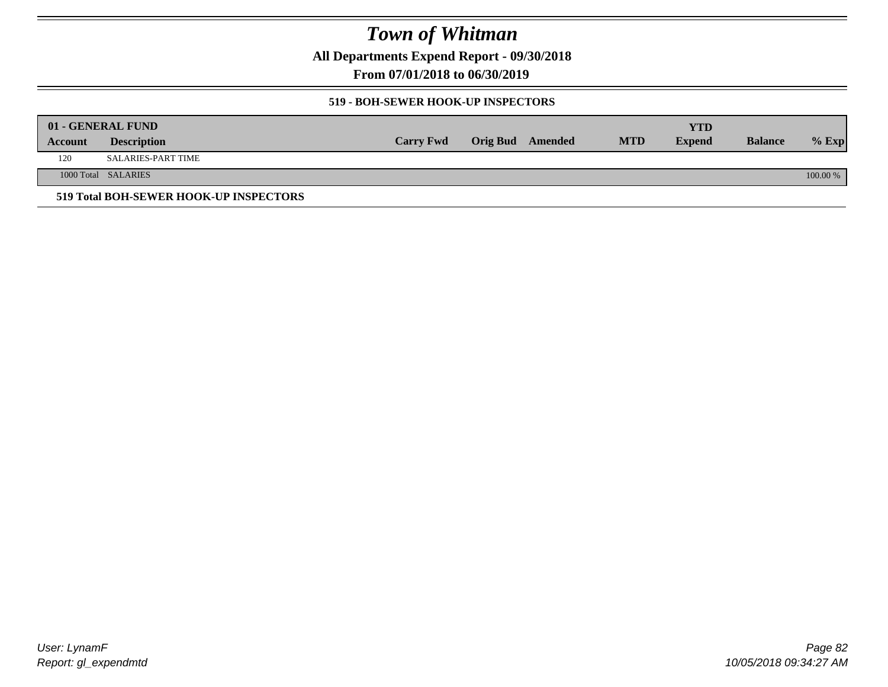**All Departments Expend Report - 09/30/2018**

**From 07/01/2018 to 06/30/2019**

### **519 - BOH-SEWER HOOK-UP INSPECTORS**

|         | 01 - GENERAL FUND                      |                  |                         |            | YTD           |                |          |
|---------|----------------------------------------|------------------|-------------------------|------------|---------------|----------------|----------|
| Account | <b>Description</b>                     | <b>Carry Fwd</b> | <b>Orig Bud</b> Amended | <b>MTD</b> | <b>Expend</b> | <b>Balance</b> | $%$ Exp  |
| 120     | SALARIES-PART TIME                     |                  |                         |            |               |                |          |
|         | 1000 Total SALARIES                    |                  |                         |            |               |                | 100.00 % |
|         | 519 Total BOH-SEWER HOOK-UP INSPECTORS |                  |                         |            |               |                |          |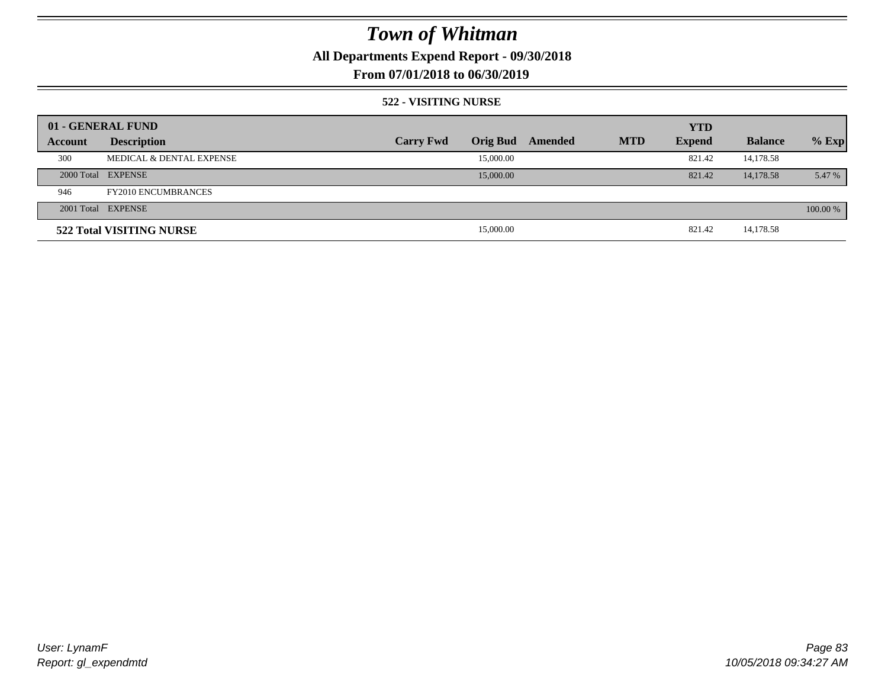**All Departments Expend Report - 09/30/2018**

### **From 07/01/2018 to 06/30/2019**

#### **522 - VISITING NURSE**

|         | 01 - GENERAL FUND                   |                  |                 |         |            | <b>YTD</b>    |                |          |
|---------|-------------------------------------|------------------|-----------------|---------|------------|---------------|----------------|----------|
| Account | <b>Description</b>                  | <b>Carry Fwd</b> | <b>Orig Bud</b> | Amended | <b>MTD</b> | <b>Expend</b> | <b>Balance</b> | $%$ Exp  |
| 300     | <b>MEDICAL &amp; DENTAL EXPENSE</b> |                  | 15,000.00       |         |            | 821.42        | 14,178.58      |          |
|         | 2000 Total EXPENSE                  |                  | 15,000.00       |         |            | 821.42        | 14,178.58      | 5.47 %   |
| 946     | <b>FY2010 ENCUMBRANCES</b>          |                  |                 |         |            |               |                |          |
|         | 2001 Total EXPENSE                  |                  |                 |         |            |               |                | 100.00 % |
|         | 522 Total VISITING NURSE            |                  | 15,000.00       |         |            | 821.42        | 14,178.58      |          |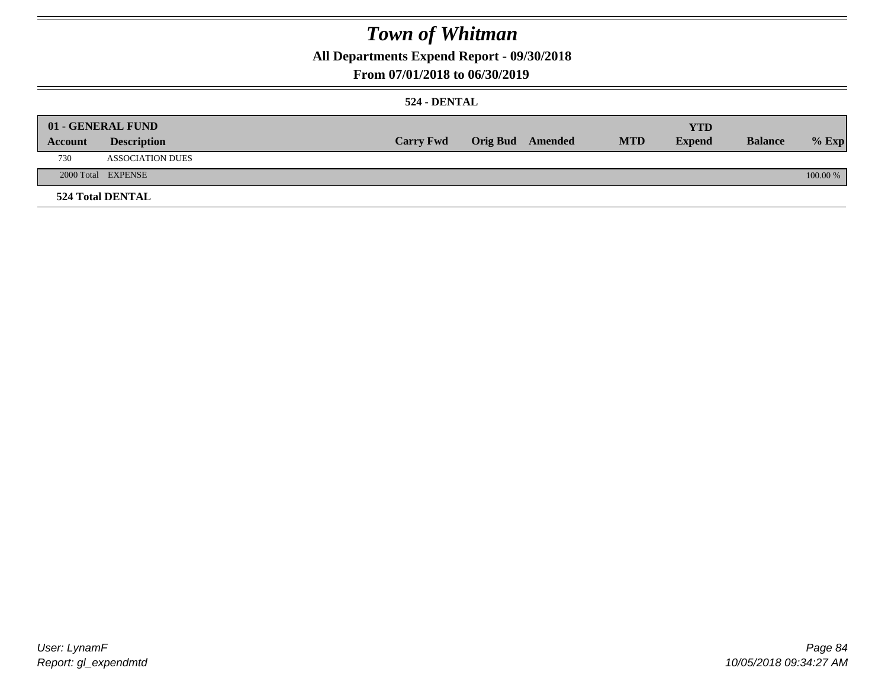**All Departments Expend Report - 09/30/2018**

### **From 07/01/2018 to 06/30/2019**

### **524 - DENTAL**

|         | 01 - GENERAL FUND       | <b>Carry Fwd</b> | <b>Orig Bud</b> Amended | <b>MTD</b> | <b>YTD</b><br><b>Expend</b> | <b>Balance</b> | $%$ Exp  |
|---------|-------------------------|------------------|-------------------------|------------|-----------------------------|----------------|----------|
| Account | <b>Description</b>      |                  |                         |            |                             |                |          |
| 730     | <b>ASSOCIATION DUES</b> |                  |                         |            |                             |                |          |
|         | 2000 Total EXPENSE      |                  |                         |            |                             |                | 100.00 % |
|         | <b>524 Total DENTAL</b> |                  |                         |            |                             |                |          |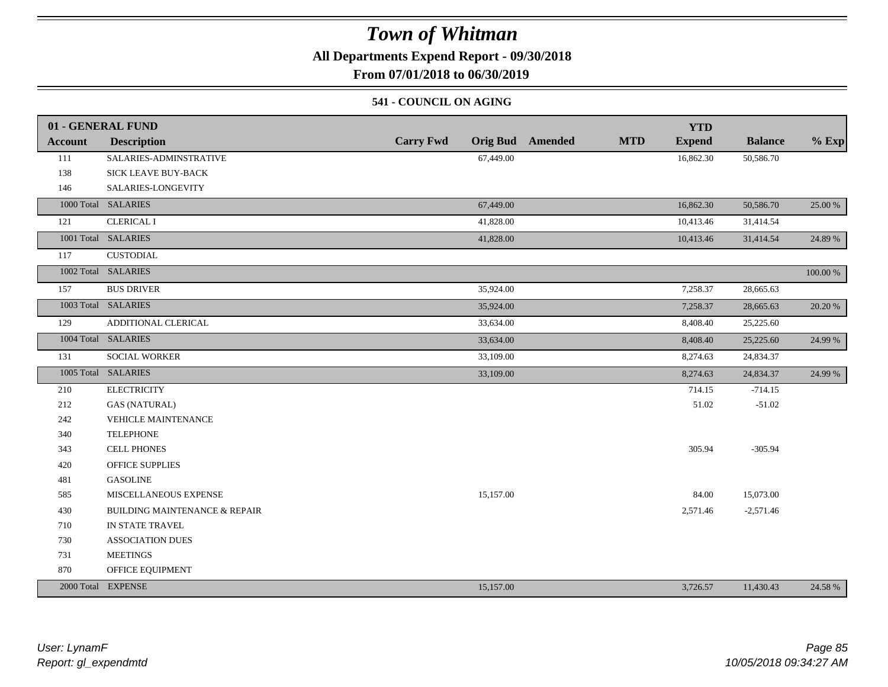**All Departments Expend Report - 09/30/2018**

**From 07/01/2018 to 06/30/2019**

### **541 - COUNCIL ON AGING**

|                | 01 - GENERAL FUND                        |                  |                         |            | <b>YTD</b>    |                |          |
|----------------|------------------------------------------|------------------|-------------------------|------------|---------------|----------------|----------|
| <b>Account</b> | <b>Description</b>                       | <b>Carry Fwd</b> | <b>Orig Bud</b> Amended | <b>MTD</b> | <b>Expend</b> | <b>Balance</b> | $%$ Exp  |
| 111            | SALARIES-ADMINSTRATIVE                   | 67,449.00        |                         |            | 16,862.30     | 50,586.70      |          |
| 138            | SICK LEAVE BUY-BACK                      |                  |                         |            |               |                |          |
| 146            | SALARIES-LONGEVITY                       |                  |                         |            |               |                |          |
|                | 1000 Total SALARIES                      | 67,449.00        |                         |            | 16,862.30     | 50,586.70      | 25.00 %  |
| 121            | <b>CLERICAL I</b>                        | 41,828.00        |                         |            | 10,413.46     | 31,414.54      |          |
|                | 1001 Total SALARIES                      | 41,828.00        |                         |            | 10,413.46     | 31,414.54      | 24.89 %  |
| 117            | <b>CUSTODIAL</b>                         |                  |                         |            |               |                |          |
|                | 1002 Total SALARIES                      |                  |                         |            |               |                | 100.00 % |
| 157            | <b>BUS DRIVER</b>                        | 35,924.00        |                         |            | 7,258.37      | 28,665.63      |          |
|                | 1003 Total SALARIES                      | 35,924.00        |                         |            | 7,258.37      | 28,665.63      | 20.20 %  |
| 129            | ADDITIONAL CLERICAL                      | 33,634.00        |                         |            | 8,408.40      | 25,225.60      |          |
|                | 1004 Total SALARIES                      | 33,634.00        |                         |            | 8,408.40      | 25,225.60      | 24.99 %  |
| 131            | <b>SOCIAL WORKER</b>                     | 33,109.00        |                         |            | 8,274.63      | 24,834.37      |          |
|                | 1005 Total SALARIES                      | 33,109.00        |                         |            | 8,274.63      | 24,834.37      | 24.99 %  |
| 210            | <b>ELECTRICITY</b>                       |                  |                         |            | 714.15        | $-714.15$      |          |
| 212            | <b>GAS (NATURAL)</b>                     |                  |                         |            | 51.02         | $-51.02$       |          |
| 242            | VEHICLE MAINTENANCE                      |                  |                         |            |               |                |          |
| 340            | <b>TELEPHONE</b>                         |                  |                         |            |               |                |          |
| 343            | <b>CELL PHONES</b>                       |                  |                         |            | 305.94        | $-305.94$      |          |
| 420            | <b>OFFICE SUPPLIES</b>                   |                  |                         |            |               |                |          |
| 481            | <b>GASOLINE</b>                          |                  |                         |            |               |                |          |
| 585            | MISCELLANEOUS EXPENSE                    | 15,157.00        |                         |            | 84.00         | 15,073.00      |          |
| 430            | <b>BUILDING MAINTENANCE &amp; REPAIR</b> |                  |                         |            | 2,571.46      | $-2,571.46$    |          |
| 710            | IN STATE TRAVEL                          |                  |                         |            |               |                |          |
| 730            | <b>ASSOCIATION DUES</b>                  |                  |                         |            |               |                |          |
| 731            | <b>MEETINGS</b>                          |                  |                         |            |               |                |          |
| 870            | OFFICE EQUIPMENT                         |                  |                         |            |               |                |          |
|                | 2000 Total EXPENSE                       | 15,157.00        |                         |            | 3,726.57      | 11,430.43      | 24.58 %  |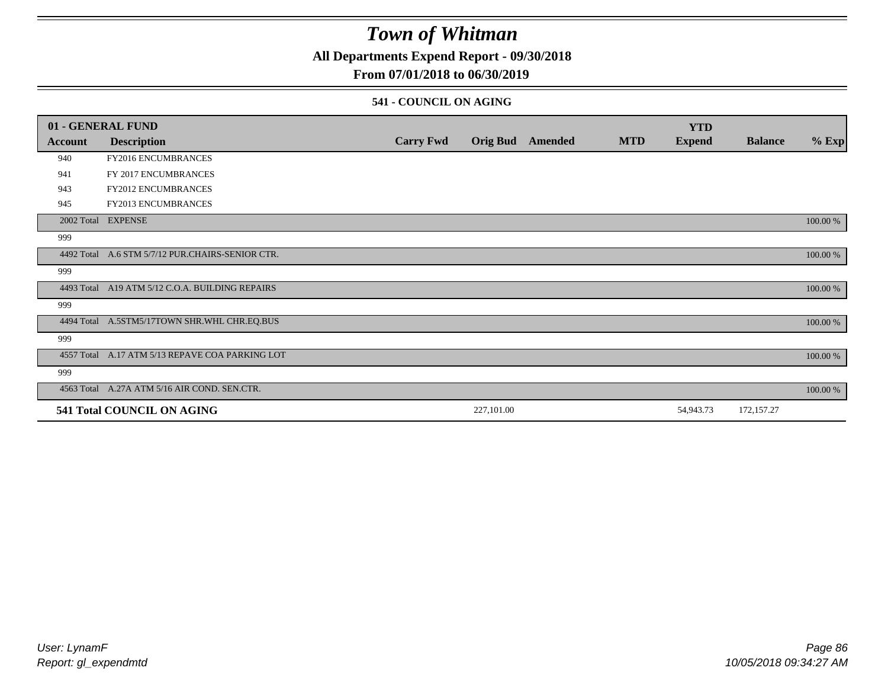**All Departments Expend Report - 09/30/2018**

### **From 07/01/2018 to 06/30/2019**

### **541 - COUNCIL ON AGING**

|         | 01 - GENERAL FUND                                |                  |                 |         |            | <b>YTD</b>    |                |          |
|---------|--------------------------------------------------|------------------|-----------------|---------|------------|---------------|----------------|----------|
| Account | <b>Description</b>                               | <b>Carry Fwd</b> | <b>Orig Bud</b> | Amended | <b>MTD</b> | <b>Expend</b> | <b>Balance</b> | $%$ Exp  |
| 940     | FY2016 ENCUMBRANCES                              |                  |                 |         |            |               |                |          |
| 941     | FY 2017 ENCUMBRANCES                             |                  |                 |         |            |               |                |          |
| 943     | FY2012 ENCUMBRANCES                              |                  |                 |         |            |               |                |          |
| 945     | <b>FY2013 ENCUMBRANCES</b>                       |                  |                 |         |            |               |                |          |
|         | 2002 Total EXPENSE                               |                  |                 |         |            |               |                | 100.00 % |
| 999     |                                                  |                  |                 |         |            |               |                |          |
|         | 4492 Total A.6 STM 5/7/12 PUR.CHAIRS-SENIOR CTR. |                  |                 |         |            |               |                | 100.00 % |
| 999     |                                                  |                  |                 |         |            |               |                |          |
|         | 4493 Total A19 ATM 5/12 C.O.A. BUILDING REPAIRS  |                  |                 |         |            |               |                | 100.00 % |
| 999     |                                                  |                  |                 |         |            |               |                |          |
|         | 4494 Total A.5STM5/17TOWN SHR.WHL CHR.EQ.BUS     |                  |                 |         |            |               |                | 100.00 % |
| 999     |                                                  |                  |                 |         |            |               |                |          |
|         | 4557 Total A.17 ATM 5/13 REPAVE COA PARKING LOT  |                  |                 |         |            |               |                | 100.00 % |
| 999     |                                                  |                  |                 |         |            |               |                |          |
|         | 4563 Total A.27A ATM 5/16 AIR COND. SEN.CTR.     |                  |                 |         |            |               |                | 100.00 % |
|         | 541 Total COUNCIL ON AGING                       |                  | 227,101.00      |         |            | 54,943.73     | 172,157.27     |          |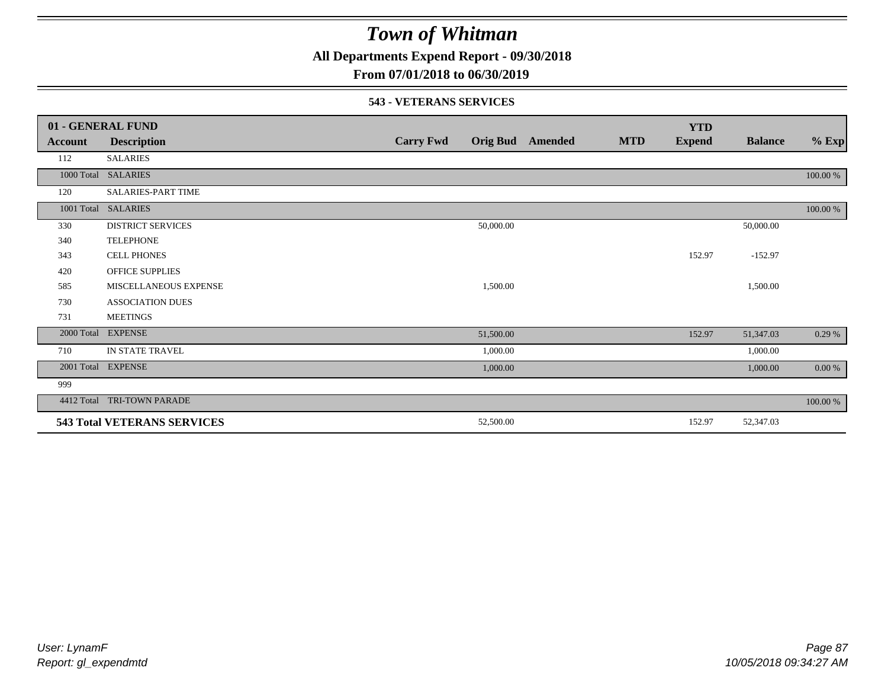**All Departments Expend Report - 09/30/2018**

**From 07/01/2018 to 06/30/2019**

### **543 - VETERANS SERVICES**

|            | 01 - GENERAL FUND                  |                  |           |                         |            | <b>YTD</b>    |                |          |
|------------|------------------------------------|------------------|-----------|-------------------------|------------|---------------|----------------|----------|
| Account    | <b>Description</b>                 | <b>Carry Fwd</b> |           | <b>Orig Bud</b> Amended | <b>MTD</b> | <b>Expend</b> | <b>Balance</b> | $%$ Exp  |
| 112        | <b>SALARIES</b>                    |                  |           |                         |            |               |                |          |
| 1000 Total | <b>SALARIES</b>                    |                  |           |                         |            |               |                | 100.00 % |
| 120        | SALARIES-PART TIME                 |                  |           |                         |            |               |                |          |
| 1001 Total | <b>SALARIES</b>                    |                  |           |                         |            |               |                | 100.00 % |
| 330        | <b>DISTRICT SERVICES</b>           |                  | 50,000.00 |                         |            |               | 50,000.00      |          |
| 340        | <b>TELEPHONE</b>                   |                  |           |                         |            |               |                |          |
| 343        | <b>CELL PHONES</b>                 |                  |           |                         |            | 152.97        | $-152.97$      |          |
| 420        | OFFICE SUPPLIES                    |                  |           |                         |            |               |                |          |
| 585        | MISCELLANEOUS EXPENSE              |                  | 1,500.00  |                         |            |               | 1,500.00       |          |
| 730        | <b>ASSOCIATION DUES</b>            |                  |           |                         |            |               |                |          |
| 731        | <b>MEETINGS</b>                    |                  |           |                         |            |               |                |          |
| 2000 Total | <b>EXPENSE</b>                     |                  | 51,500.00 |                         |            | 152.97        | 51,347.03      | 0.29%    |
| 710        | IN STATE TRAVEL                    |                  | 1,000.00  |                         |            |               | 1,000.00       |          |
| 2001 Total | <b>EXPENSE</b>                     |                  | 1,000.00  |                         |            |               | 1,000.00       | 0.00 %   |
| 999        |                                    |                  |           |                         |            |               |                |          |
| 4412 Total | TRI-TOWN PARADE                    |                  |           |                         |            |               |                | 100.00 % |
|            | <b>543 Total VETERANS SERVICES</b> |                  | 52,500.00 |                         |            | 152.97        | 52,347.03      |          |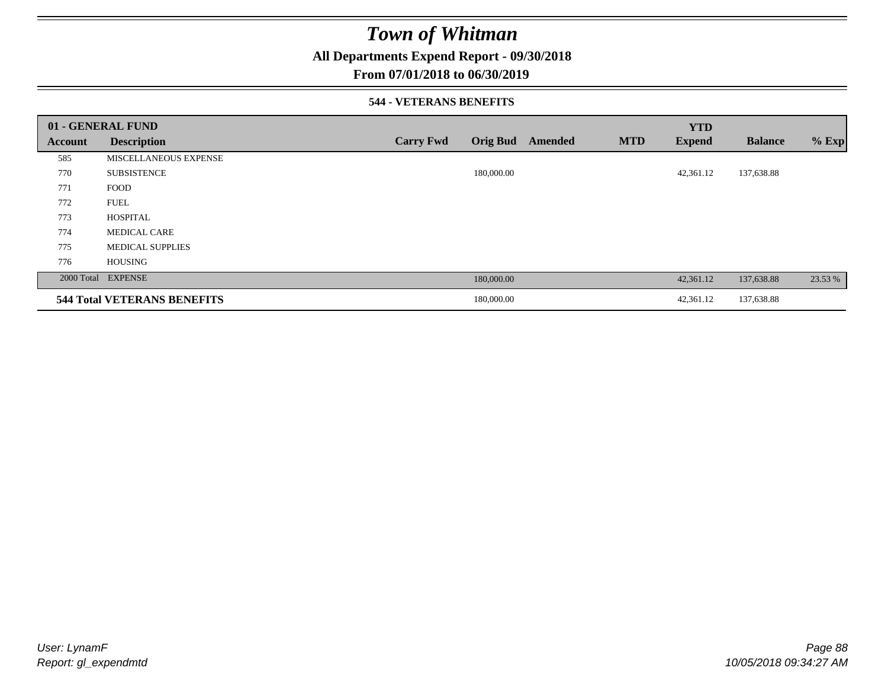**All Departments Expend Report - 09/30/2018**

### **From 07/01/2018 to 06/30/2019**

#### **544 - VETERANS BENEFITS**

|         | 01 - GENERAL FUND                  |                  |                 |         |            | <b>YTD</b>    |                |         |
|---------|------------------------------------|------------------|-----------------|---------|------------|---------------|----------------|---------|
| Account | <b>Description</b>                 | <b>Carry Fwd</b> | <b>Orig Bud</b> | Amended | <b>MTD</b> | <b>Expend</b> | <b>Balance</b> | $%$ Exp |
| 585     | MISCELLANEOUS EXPENSE              |                  |                 |         |            |               |                |         |
| 770     | <b>SUBSISTENCE</b>                 |                  | 180,000.00      |         |            | 42,361.12     | 137,638.88     |         |
| 771     | <b>FOOD</b>                        |                  |                 |         |            |               |                |         |
| 772     | <b>FUEL</b>                        |                  |                 |         |            |               |                |         |
| 773     | <b>HOSPITAL</b>                    |                  |                 |         |            |               |                |         |
| 774     | <b>MEDICAL CARE</b>                |                  |                 |         |            |               |                |         |
| 775     | <b>MEDICAL SUPPLIES</b>            |                  |                 |         |            |               |                |         |
| 776     | <b>HOUSING</b>                     |                  |                 |         |            |               |                |         |
|         | 2000 Total EXPENSE                 |                  | 180,000.00      |         |            | 42,361.12     | 137,638.88     | 23.53 % |
|         | <b>544 Total VETERANS BENEFITS</b> |                  | 180,000.00      |         |            | 42,361.12     | 137,638.88     |         |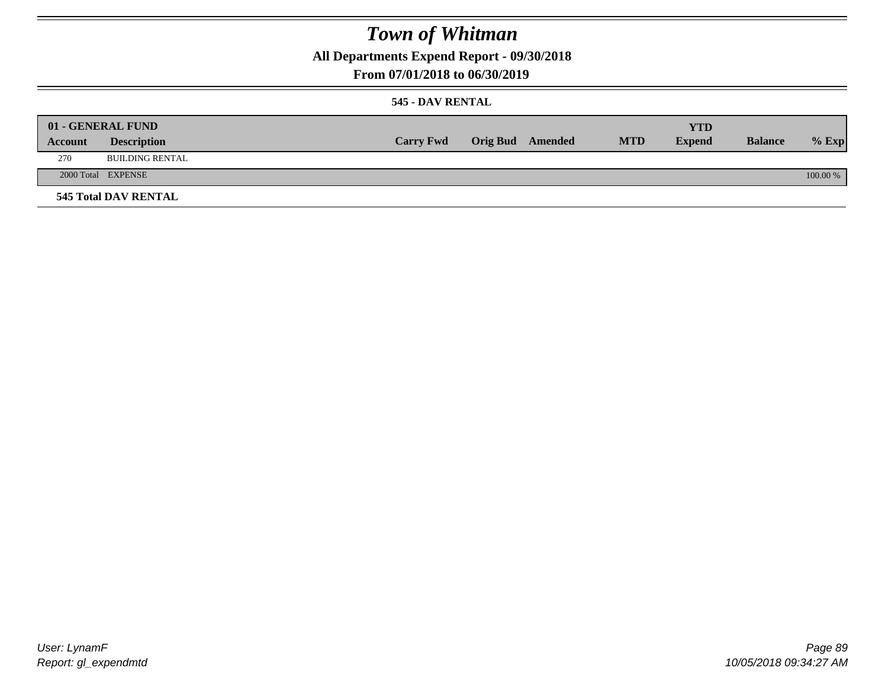**All Departments Expend Report - 09/30/2018**

### **From 07/01/2018 to 06/30/2019**

### **545 - DAV RENTAL**

|         | 01 - GENERAL FUND           |                  |                  |            | <b>YTD</b>    |                |          |
|---------|-----------------------------|------------------|------------------|------------|---------------|----------------|----------|
| Account | <b>Description</b>          | <b>Carry Fwd</b> | Orig Bud Amended | <b>MTD</b> | <b>Expend</b> | <b>Balance</b> | $%$ Exp  |
| 270     | <b>BUILDING RENTAL</b>      |                  |                  |            |               |                |          |
|         | 2000 Total EXPENSE          |                  |                  |            |               |                | 100.00 % |
|         | <b>545 Total DAV RENTAL</b> |                  |                  |            |               |                |          |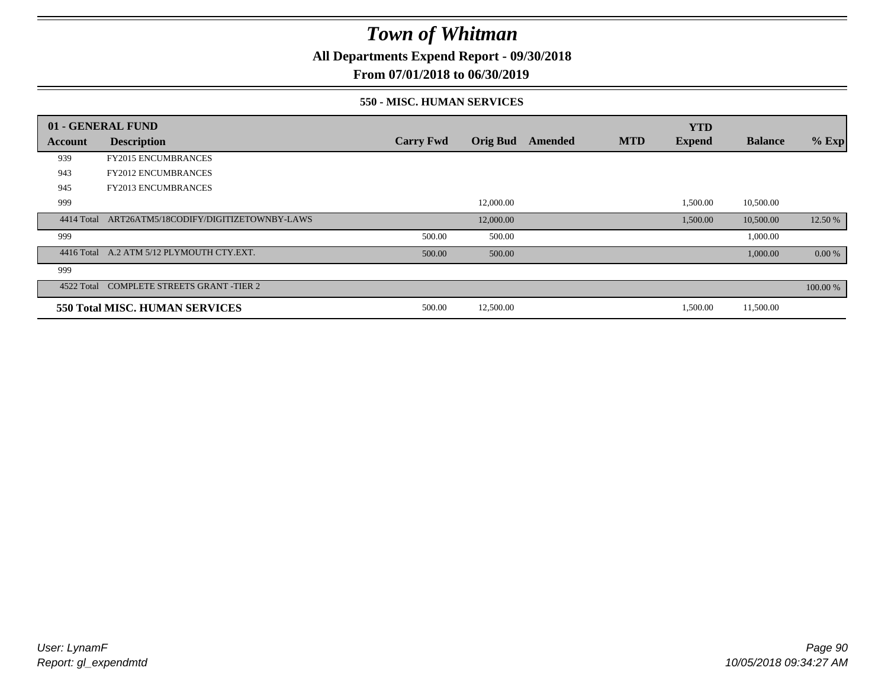**All Departments Expend Report - 09/30/2018**

**From 07/01/2018 to 06/30/2019**

### **550 - MISC. HUMAN SERVICES**

|            | 01 - GENERAL FUND                         |                  |                 |         |            | <b>YTD</b>    |                |          |
|------------|-------------------------------------------|------------------|-----------------|---------|------------|---------------|----------------|----------|
| Account    | <b>Description</b>                        | <b>Carry Fwd</b> | <b>Orig Bud</b> | Amended | <b>MTD</b> | <b>Expend</b> | <b>Balance</b> | $%$ Exp  |
| 939        | <b>FY2015 ENCUMBRANCES</b>                |                  |                 |         |            |               |                |          |
| 943        | <b>FY2012 ENCUMBRANCES</b>                |                  |                 |         |            |               |                |          |
| 945        | <b>FY2013 ENCUMBRANCES</b>                |                  |                 |         |            |               |                |          |
| 999        |                                           |                  | 12,000.00       |         |            | 1,500.00      | 10,500.00      |          |
| 4414 Total | ART26ATM5/18CODIFY/DIGITIZETOWNBY-LAWS    |                  | 12,000.00       |         |            | 1,500.00      | 10,500.00      | 12.50 %  |
| 999        |                                           | 500.00           | 500.00          |         |            |               | 1,000.00       |          |
|            | 4416 Total A.2 ATM 5/12 PLYMOUTH CTY.EXT. | 500.00           | 500.00          |         |            |               | 1,000.00       | 0.00 %   |
| 999        |                                           |                  |                 |         |            |               |                |          |
|            | 4522 Total COMPLETE STREETS GRANT -TIER 2 |                  |                 |         |            |               |                | 100.00 % |
|            | 550 Total MISC. HUMAN SERVICES            | 500.00           | 12,500.00       |         |            | 1,500.00      | 11,500.00      |          |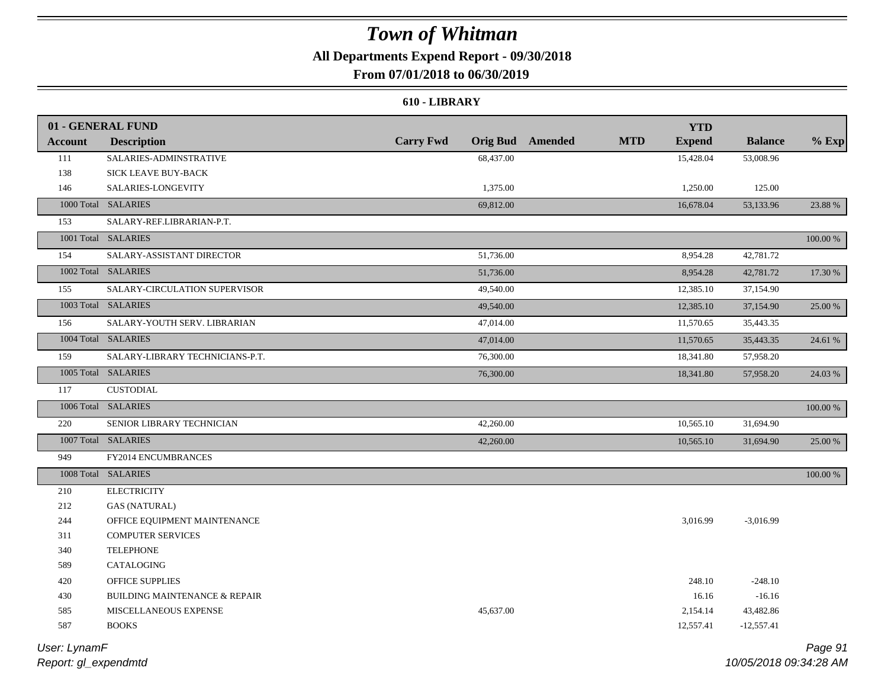### **All Departments Expend Report - 09/30/2018**

### **From 07/01/2018 to 06/30/2019**

#### **610 - LIBRARY**

|                | 01 - GENERAL FUND                        |                  |                  | <b>YTD</b>                  |                |          |
|----------------|------------------------------------------|------------------|------------------|-----------------------------|----------------|----------|
| <b>Account</b> | <b>Description</b>                       | <b>Carry Fwd</b> | Orig Bud Amended | <b>MTD</b><br><b>Expend</b> | <b>Balance</b> | $%$ Exp  |
| 111            | SALARIES-ADMINSTRATIVE                   | 68,437.00        |                  | 15,428.04                   | 53,008.96      |          |
| 138            | SICK LEAVE BUY-BACK                      |                  |                  |                             |                |          |
| 146            | SALARIES-LONGEVITY                       | 1,375.00         |                  | 1,250.00                    | 125.00         |          |
|                | 1000 Total SALARIES                      | 69,812.00        |                  | 16,678.04                   | 53,133.96      | 23.88 %  |
| 153            | SALARY-REF.LIBRARIAN-P.T.                |                  |                  |                             |                |          |
|                | 1001 Total SALARIES                      |                  |                  |                             |                | 100.00 % |
| 154            | SALARY-ASSISTANT DIRECTOR                | 51,736.00        |                  | 8,954.28                    | 42,781.72      |          |
|                | 1002 Total SALARIES                      | 51,736.00        |                  | 8,954.28                    | 42,781.72      | 17.30 %  |
| 155            | SALARY-CIRCULATION SUPERVISOR            | 49,540.00        |                  | 12,385.10                   | 37,154.90      |          |
|                | 1003 Total SALARIES                      | 49,540.00        |                  | 12,385.10                   | 37,154.90      | 25.00 %  |
| 156            | SALARY-YOUTH SERV. LIBRARIAN             | 47,014.00        |                  | 11,570.65                   | 35,443.35      |          |
|                | 1004 Total SALARIES                      | 47,014.00        |                  | 11,570.65                   | 35,443.35      | 24.61 %  |
| 159            | SALARY-LIBRARY TECHNICIANS-P.T.          | 76,300.00        |                  | 18,341.80                   | 57,958.20      |          |
|                | 1005 Total SALARIES                      | 76,300.00        |                  | 18,341.80                   | 57,958.20      | 24.03 %  |
| 117            | <b>CUSTODIAL</b>                         |                  |                  |                             |                |          |
|                | 1006 Total SALARIES                      |                  |                  |                             |                | 100.00 % |
| 220            | SENIOR LIBRARY TECHNICIAN                | 42,260.00        |                  | 10,565.10                   | 31,694.90      |          |
|                | 1007 Total SALARIES                      | 42,260.00        |                  | 10,565.10                   | 31,694.90      | 25.00 %  |
| 949            | FY2014 ENCUMBRANCES                      |                  |                  |                             |                |          |
|                | 1008 Total SALARIES                      |                  |                  |                             |                | 100.00 % |
| 210            | <b>ELECTRICITY</b>                       |                  |                  |                             |                |          |
| 212            | <b>GAS (NATURAL)</b>                     |                  |                  |                             |                |          |
| 244            | OFFICE EQUIPMENT MAINTENANCE             |                  |                  | 3,016.99                    | $-3,016.99$    |          |
| 311            | <b>COMPUTER SERVICES</b>                 |                  |                  |                             |                |          |
| 340            | <b>TELEPHONE</b>                         |                  |                  |                             |                |          |
| 589            | CATALOGING                               |                  |                  |                             |                |          |
| 420            | <b>OFFICE SUPPLIES</b>                   |                  |                  | 248.10                      | $-248.10$      |          |
| 430            | <b>BUILDING MAINTENANCE &amp; REPAIR</b> |                  |                  | 16.16                       | $-16.16$       |          |
| 585            | MISCELLANEOUS EXPENSE                    | 45,637.00        |                  | 2,154.14                    | 43,482.86      |          |
| 587            | <b>BOOKS</b>                             |                  |                  | 12,557.41                   | $-12,557.41$   |          |
|                |                                          |                  |                  |                             |                |          |

*Report: gl\_expendmtd User: LynamF*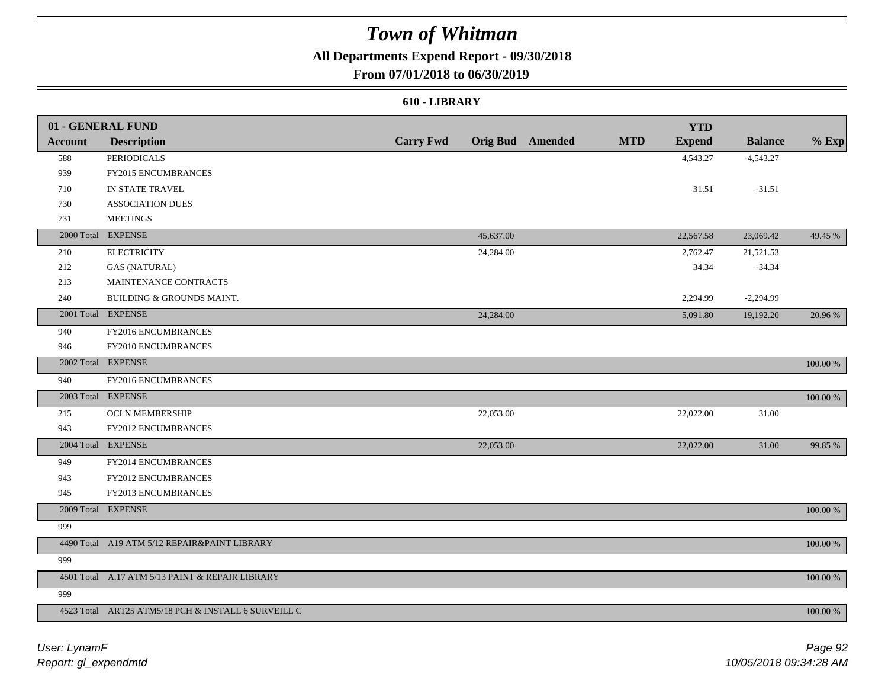### **All Departments Expend Report - 09/30/2018**

### **From 07/01/2018 to 06/30/2019**

#### **610 - LIBRARY**

|                | 01 - GENERAL FUND                                   |                  |           |                         |            | <b>YTD</b>    |                |             |
|----------------|-----------------------------------------------------|------------------|-----------|-------------------------|------------|---------------|----------------|-------------|
| <b>Account</b> | <b>Description</b>                                  | <b>Carry Fwd</b> |           | <b>Orig Bud</b> Amended | <b>MTD</b> | <b>Expend</b> | <b>Balance</b> | $%$ Exp     |
| 588            | <b>PERIODICALS</b>                                  |                  |           |                         |            | 4,543.27      | $-4,543.27$    |             |
| 939            | FY2015 ENCUMBRANCES                                 |                  |           |                         |            |               |                |             |
| 710            | IN STATE TRAVEL                                     |                  |           |                         |            | 31.51         | $-31.51$       |             |
| 730            | <b>ASSOCIATION DUES</b>                             |                  |           |                         |            |               |                |             |
| 731            | <b>MEETINGS</b>                                     |                  |           |                         |            |               |                |             |
|                | 2000 Total EXPENSE                                  |                  | 45,637.00 |                         |            | 22,567.58     | 23,069.42      | 49.45 %     |
| 210            | <b>ELECTRICITY</b>                                  |                  | 24,284.00 |                         |            | 2,762.47      | 21,521.53      |             |
| 212            | <b>GAS (NATURAL)</b>                                |                  |           |                         |            | 34.34         | $-34.34$       |             |
| 213            | MAINTENANCE CONTRACTS                               |                  |           |                         |            |               |                |             |
| 240            | <b>BUILDING &amp; GROUNDS MAINT.</b>                |                  |           |                         |            | 2,294.99      | $-2,294.99$    |             |
|                | 2001 Total EXPENSE                                  |                  | 24,284.00 |                         |            | 5,091.80      | 19,192.20      | 20.96 %     |
| 940            | FY2016 ENCUMBRANCES                                 |                  |           |                         |            |               |                |             |
| 946            | FY2010 ENCUMBRANCES                                 |                  |           |                         |            |               |                |             |
|                | 2002 Total EXPENSE                                  |                  |           |                         |            |               |                | $100.00~\%$ |
| 940            | FY2016 ENCUMBRANCES                                 |                  |           |                         |            |               |                |             |
|                | 2003 Total EXPENSE                                  |                  |           |                         |            |               |                | 100.00 %    |
| 215            | <b>OCLN MEMBERSHIP</b>                              |                  | 22,053.00 |                         |            | 22,022.00     | 31.00          |             |
| 943            | FY2012 ENCUMBRANCES                                 |                  |           |                         |            |               |                |             |
|                | 2004 Total EXPENSE                                  |                  | 22,053.00 |                         |            | 22,022.00     | 31.00          | 99.85 %     |
| 949            | FY2014 ENCUMBRANCES                                 |                  |           |                         |            |               |                |             |
| 943            | FY2012 ENCUMBRANCES                                 |                  |           |                         |            |               |                |             |
| 945            | FY2013 ENCUMBRANCES                                 |                  |           |                         |            |               |                |             |
|                | 2009 Total EXPENSE                                  |                  |           |                         |            |               |                | 100.00 %    |
| 999            |                                                     |                  |           |                         |            |               |                |             |
|                | 4490 Total A19 ATM 5/12 REPAIR&PAINT LIBRARY        |                  |           |                         |            |               |                | $100.00~\%$ |
| 999            |                                                     |                  |           |                         |            |               |                |             |
|                | 4501 Total A.17 ATM 5/13 PAINT & REPAIR LIBRARY     |                  |           |                         |            |               |                | 100.00 %    |
| 999            |                                                     |                  |           |                         |            |               |                |             |
|                | 4523 Total ART25 ATM5/18 PCH & INSTALL 6 SURVEILL C |                  |           |                         |            |               |                | 100.00 %    |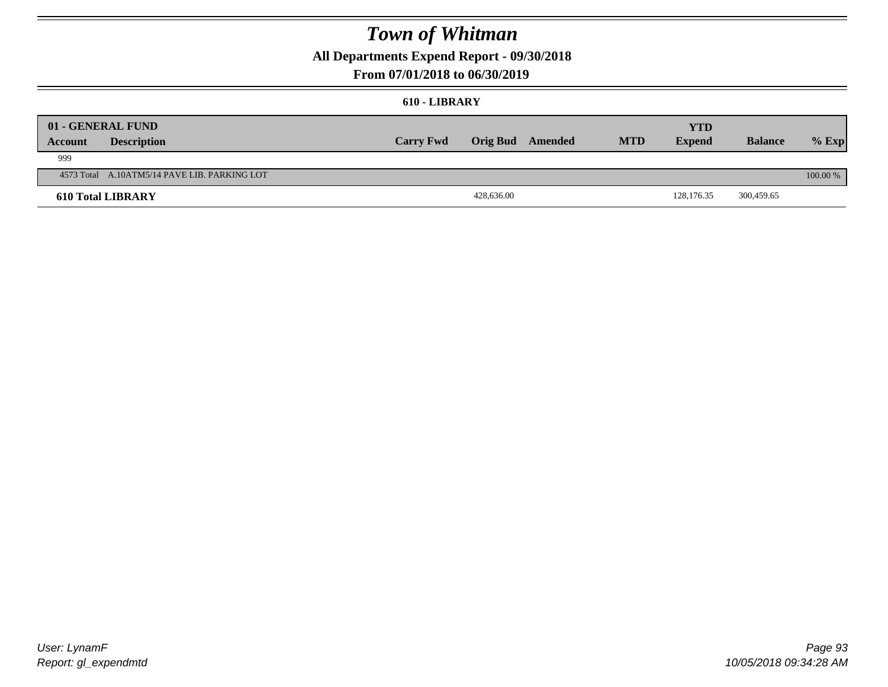**All Departments Expend Report - 09/30/2018**

### **From 07/01/2018 to 06/30/2019**

#### **610 - LIBRARY**

| <b>Account</b> | 01 - GENERAL FUND<br><b>Description</b>      | <b>Carry Fwd</b> |            | Orig Bud Amended | <b>MTD</b> | YTD<br><b>Expend</b> | <b>Balance</b> | $%$ Exp    |
|----------------|----------------------------------------------|------------------|------------|------------------|------------|----------------------|----------------|------------|
| 999            |                                              |                  |            |                  |            |                      |                |            |
|                | 4573 Total A.10ATM5/14 PAVE LIB. PARKING LOT |                  |            |                  |            |                      |                | $100.00\%$ |
|                | <b>610 Total LIBRARY</b>                     |                  | 428,636.00 |                  |            | 128,176.35           | 300,459.65     |            |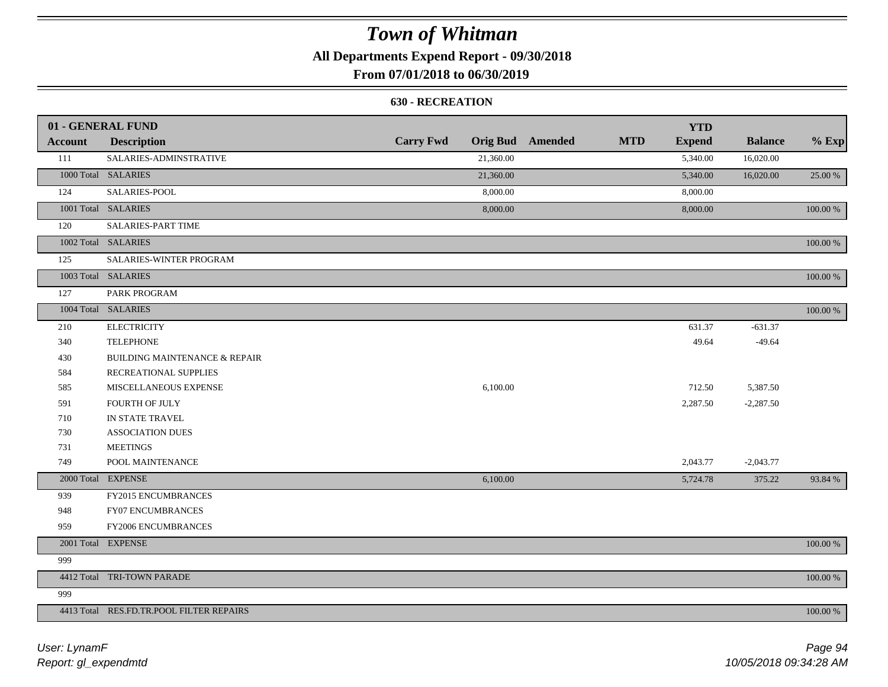**All Departments Expend Report - 09/30/2018**

### **From 07/01/2018 to 06/30/2019**

#### **630 - RECREATION**

|                | 01 - GENERAL FUND                        |                  |           |                         |            | <b>YTD</b>    |                |          |
|----------------|------------------------------------------|------------------|-----------|-------------------------|------------|---------------|----------------|----------|
| <b>Account</b> | <b>Description</b>                       | <b>Carry Fwd</b> |           | <b>Orig Bud</b> Amended | <b>MTD</b> | <b>Expend</b> | <b>Balance</b> | $%$ Exp  |
| 111            | SALARIES-ADMINSTRATIVE                   |                  | 21,360.00 |                         |            | 5,340.00      | 16,020.00      |          |
|                | 1000 Total SALARIES                      |                  | 21,360.00 |                         |            | 5,340.00      | 16,020.00      | 25.00 %  |
| 124            | SALARIES-POOL                            |                  | 8,000.00  |                         |            | 8,000.00      |                |          |
|                | 1001 Total SALARIES                      |                  | 8,000.00  |                         |            | 8,000.00      |                | 100.00 % |
| 120            | SALARIES-PART TIME                       |                  |           |                         |            |               |                |          |
|                | 1002 Total SALARIES                      |                  |           |                         |            |               |                | 100.00 % |
| 125            | SALARIES-WINTER PROGRAM                  |                  |           |                         |            |               |                |          |
|                | 1003 Total SALARIES                      |                  |           |                         |            |               |                | 100.00 % |
| 127            | PARK PROGRAM                             |                  |           |                         |            |               |                |          |
|                | 1004 Total SALARIES                      |                  |           |                         |            |               |                | 100.00 % |
| 210            | <b>ELECTRICITY</b>                       |                  |           |                         |            | 631.37        | $-631.37$      |          |
| 340            | <b>TELEPHONE</b>                         |                  |           |                         |            | 49.64         | $-49.64$       |          |
| 430            | <b>BUILDING MAINTENANCE &amp; REPAIR</b> |                  |           |                         |            |               |                |          |
| 584            | RECREATIONAL SUPPLIES                    |                  |           |                         |            |               |                |          |
| 585            | MISCELLANEOUS EXPENSE                    |                  | 6,100.00  |                         |            | 712.50        | 5,387.50       |          |
| 591            | FOURTH OF JULY                           |                  |           |                         |            | 2,287.50      | $-2,287.50$    |          |
| 710            | IN STATE TRAVEL                          |                  |           |                         |            |               |                |          |
| 730            | <b>ASSOCIATION DUES</b>                  |                  |           |                         |            |               |                |          |
| 731            | <b>MEETINGS</b>                          |                  |           |                         |            |               |                |          |
| 749            | POOL MAINTENANCE                         |                  |           |                         |            | 2,043.77      | $-2,043.77$    |          |
|                | 2000 Total EXPENSE                       |                  | 6,100.00  |                         |            | 5,724.78      | 375.22         | 93.84 %  |
| 939            | FY2015 ENCUMBRANCES                      |                  |           |                         |            |               |                |          |
| 948            | FY07 ENCUMBRANCES                        |                  |           |                         |            |               |                |          |
| 959            | FY2006 ENCUMBRANCES                      |                  |           |                         |            |               |                |          |
|                | 2001 Total EXPENSE                       |                  |           |                         |            |               |                | 100.00 % |
| 999            |                                          |                  |           |                         |            |               |                |          |
|                | 4412 Total TRI-TOWN PARADE               |                  |           |                         |            |               |                | 100.00 % |
| 999            |                                          |                  |           |                         |            |               |                |          |
|                | 4413 Total RES.FD.TR.POOL FILTER REPAIRS |                  |           |                         |            |               |                | 100.00 % |

*Report: gl\_expendmtd User: LynamF*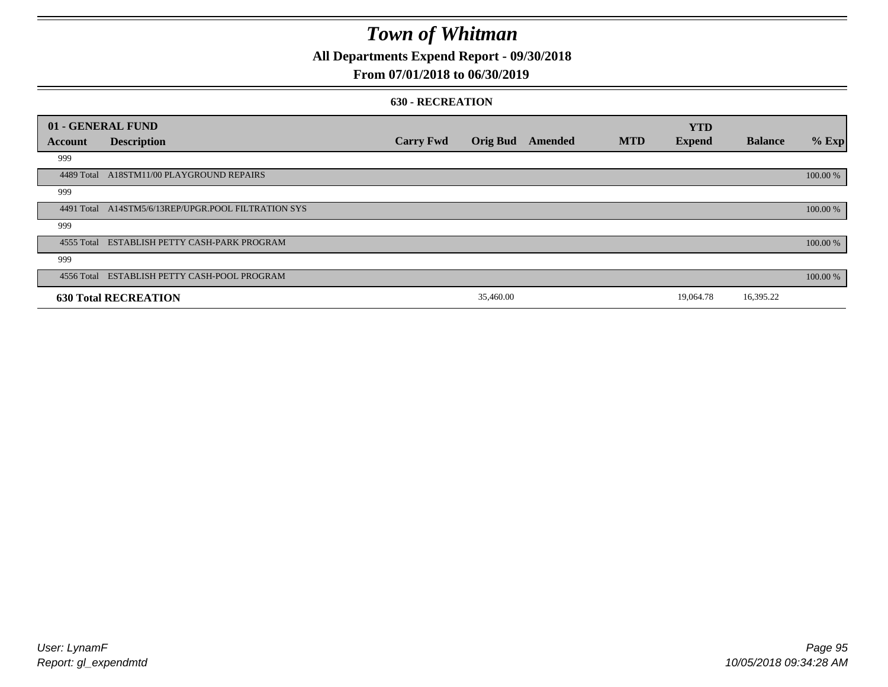**All Departments Expend Report - 09/30/2018**

### **From 07/01/2018 to 06/30/2019**

#### **630 - RECREATION**

|            | 01 - GENERAL FUND                                   |                  |                 |         |            | <b>YTD</b>    |                |          |
|------------|-----------------------------------------------------|------------------|-----------------|---------|------------|---------------|----------------|----------|
| Account    | <b>Description</b>                                  | <b>Carry Fwd</b> | <b>Orig Bud</b> | Amended | <b>MTD</b> | <b>Expend</b> | <b>Balance</b> | $%$ Exp  |
| 999        |                                                     |                  |                 |         |            |               |                |          |
|            | 4489 Total A18STM11/00 PLAYGROUND REPAIRS           |                  |                 |         |            |               |                | 100.00 % |
| 999        |                                                     |                  |                 |         |            |               |                |          |
|            | 4491 Total A14STM5/6/13REP/UPGR.POOL FILTRATION SYS |                  |                 |         |            |               |                | 100.00 % |
| 999        |                                                     |                  |                 |         |            |               |                |          |
|            | 4555 Total ESTABLISH PETTY CASH-PARK PROGRAM        |                  |                 |         |            |               |                | 100.00 % |
| 999        |                                                     |                  |                 |         |            |               |                |          |
| 4556 Total | ESTABLISH PETTY CASH-POOL PROGRAM                   |                  |                 |         |            |               |                | 100.00 % |
|            | <b>630 Total RECREATION</b>                         |                  | 35,460.00       |         |            | 19,064.78     | 16,395.22      |          |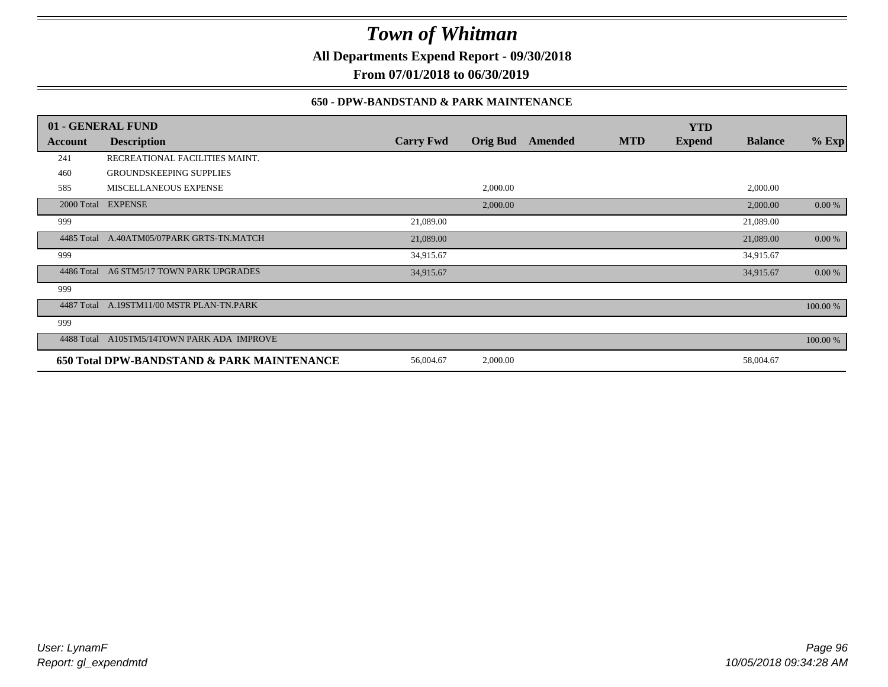**All Departments Expend Report - 09/30/2018**

**From 07/01/2018 to 06/30/2019**

### **650 - DPW-BANDSTAND & PARK MAINTENANCE**

| 01 - GENERAL FUND |                                            |                  |                 |         |            | <b>YTD</b>    |                |          |
|-------------------|--------------------------------------------|------------------|-----------------|---------|------------|---------------|----------------|----------|
| Account           | <b>Description</b>                         | <b>Carry Fwd</b> | <b>Orig Bud</b> | Amended | <b>MTD</b> | <b>Expend</b> | <b>Balance</b> | $%$ Exp  |
| 241               | RECREATIONAL FACILITIES MAINT.             |                  |                 |         |            |               |                |          |
| 460               | <b>GROUNDSKEEPING SUPPLIES</b>             |                  |                 |         |            |               |                |          |
| 585               | <b>MISCELLANEOUS EXPENSE</b>               |                  | 2,000.00        |         |            |               | 2,000.00       |          |
|                   | 2000 Total EXPENSE                         |                  | 2,000.00        |         |            |               | 2,000.00       | 0.00 %   |
| 999               |                                            | 21,089.00        |                 |         |            |               | 21,089.00      |          |
|                   | 4485 Total A.40ATM05/07PARK GRTS-TN.MATCH  | 21,089.00        |                 |         |            |               | 21,089.00      | 0.00 %   |
| 999               |                                            | 34,915.67        |                 |         |            |               | 34,915.67      |          |
| 4486 Total        | A6 STM5/17 TOWN PARK UPGRADES              | 34,915.67        |                 |         |            |               | 34,915.67      | 0.00 %   |
| 999               |                                            |                  |                 |         |            |               |                |          |
| 4487 Total        | A.19STM11/00 MSTR PLAN-TN.PARK             |                  |                 |         |            |               |                | 100.00 % |
| 999               |                                            |                  |                 |         |            |               |                |          |
| 4488 Total        | A10STM5/14TOWN PARK ADA IMPROVE            |                  |                 |         |            |               |                | 100.00 % |
|                   | 650 Total DPW-BANDSTAND & PARK MAINTENANCE | 56,004.67        | 2,000.00        |         |            |               | 58,004.67      |          |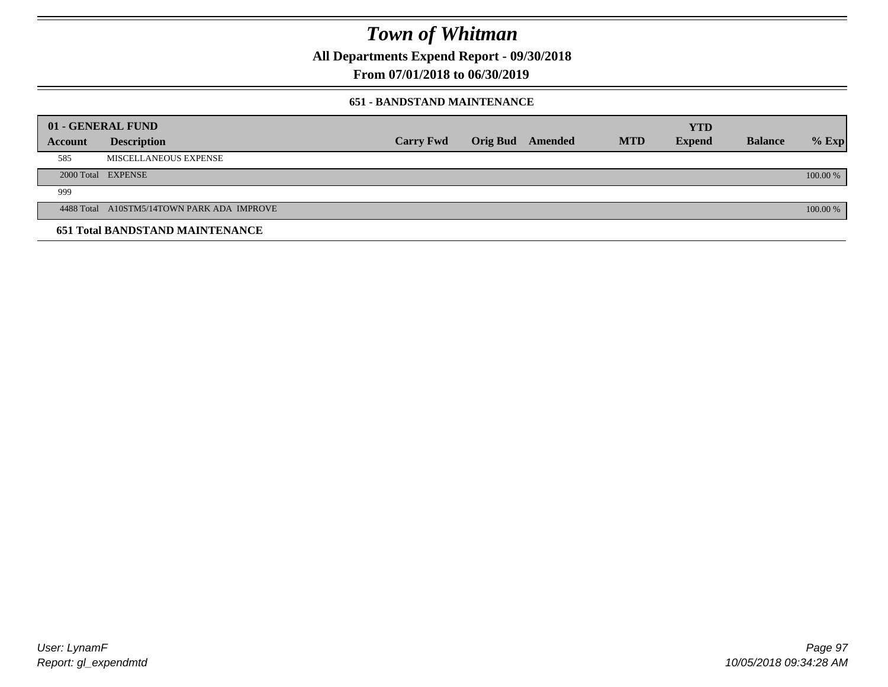**All Departments Expend Report - 09/30/2018**

**From 07/01/2018 to 06/30/2019**

### **651 - BANDSTAND MAINTENANCE**

| 01 - GENERAL FUND |                                            |                  |                         |            | <b>YTD</b>    |                |          |
|-------------------|--------------------------------------------|------------------|-------------------------|------------|---------------|----------------|----------|
| <b>Account</b>    | <b>Description</b>                         | <b>Carry Fwd</b> | <b>Orig Bud</b> Amended | <b>MTD</b> | <b>Expend</b> | <b>Balance</b> | $%$ Exp  |
| 585               | MISCELLANEOUS EXPENSE                      |                  |                         |            |               |                |          |
|                   | 2000 Total EXPENSE                         |                  |                         |            |               |                | 100.00 % |
| 999               |                                            |                  |                         |            |               |                |          |
|                   | 4488 Total A10STM5/14TOWN PARK ADA IMPROVE |                  |                         |            |               |                | 100.00 % |
|                   | <b>651 Total BANDSTAND MAINTENANCE</b>     |                  |                         |            |               |                |          |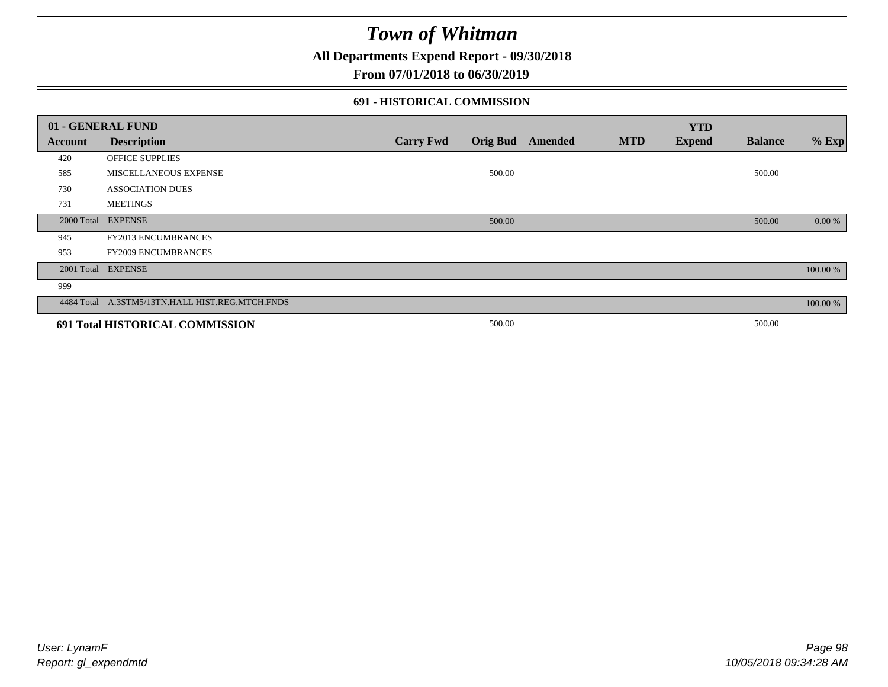**All Departments Expend Report - 09/30/2018**

### **From 07/01/2018 to 06/30/2019**

### **691 - HISTORICAL COMMISSION**

| 01 - GENERAL FUND |                                                 |                  |                 |         |            | <b>YTD</b>    |                |          |
|-------------------|-------------------------------------------------|------------------|-----------------|---------|------------|---------------|----------------|----------|
| Account           | <b>Description</b>                              | <b>Carry Fwd</b> | <b>Orig Bud</b> | Amended | <b>MTD</b> | <b>Expend</b> | <b>Balance</b> | $%$ Exp  |
| 420               | OFFICE SUPPLIES                                 |                  |                 |         |            |               |                |          |
| 585               | MISCELLANEOUS EXPENSE                           |                  | 500.00          |         |            |               | 500.00         |          |
| 730               | <b>ASSOCIATION DUES</b>                         |                  |                 |         |            |               |                |          |
| 731               | <b>MEETINGS</b>                                 |                  |                 |         |            |               |                |          |
| 2000 Total        | <b>EXPENSE</b>                                  |                  | 500.00          |         |            |               | 500.00         | 0.00 %   |
| 945               | <b>FY2013 ENCUMBRANCES</b>                      |                  |                 |         |            |               |                |          |
| 953               | <b>FY2009 ENCUMBRANCES</b>                      |                  |                 |         |            |               |                |          |
|                   | 2001 Total EXPENSE                              |                  |                 |         |            |               |                | 100.00 % |
| 999               |                                                 |                  |                 |         |            |               |                |          |
|                   | 4484 Total A.3STM5/13TN.HALL HIST.REG.MTCH.FNDS |                  |                 |         |            |               |                | 100.00 % |
|                   | 691 Total HISTORICAL COMMISSION                 |                  | 500.00          |         |            |               | 500.00         |          |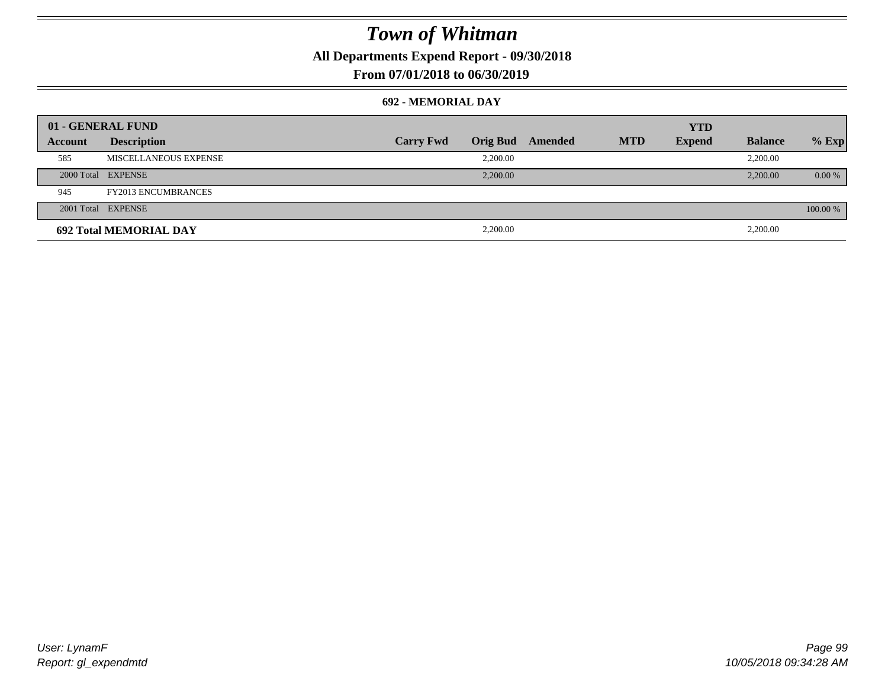**All Departments Expend Report - 09/30/2018**

### **From 07/01/2018 to 06/30/2019**

#### **692 - MEMORIAL DAY**

| 01 - GENERAL FUND |                               |                  |                 |         |            | <b>YTD</b>    |                |          |
|-------------------|-------------------------------|------------------|-----------------|---------|------------|---------------|----------------|----------|
| Account           | <b>Description</b>            | <b>Carry Fwd</b> | <b>Orig Bud</b> | Amended | <b>MTD</b> | <b>Expend</b> | <b>Balance</b> | $%$ Exp  |
| 585               | MISCELLANEOUS EXPENSE         |                  | 2,200.00        |         |            |               | 2,200.00       |          |
|                   | 2000 Total EXPENSE            |                  | 2,200.00        |         |            |               | 2,200.00       | $0.00\%$ |
| 945               | <b>FY2013 ENCUMBRANCES</b>    |                  |                 |         |            |               |                |          |
|                   | 2001 Total EXPENSE            |                  |                 |         |            |               |                | 100.00 % |
|                   | <b>692 Total MEMORIAL DAY</b> |                  | 2,200.00        |         |            |               | 2,200.00       |          |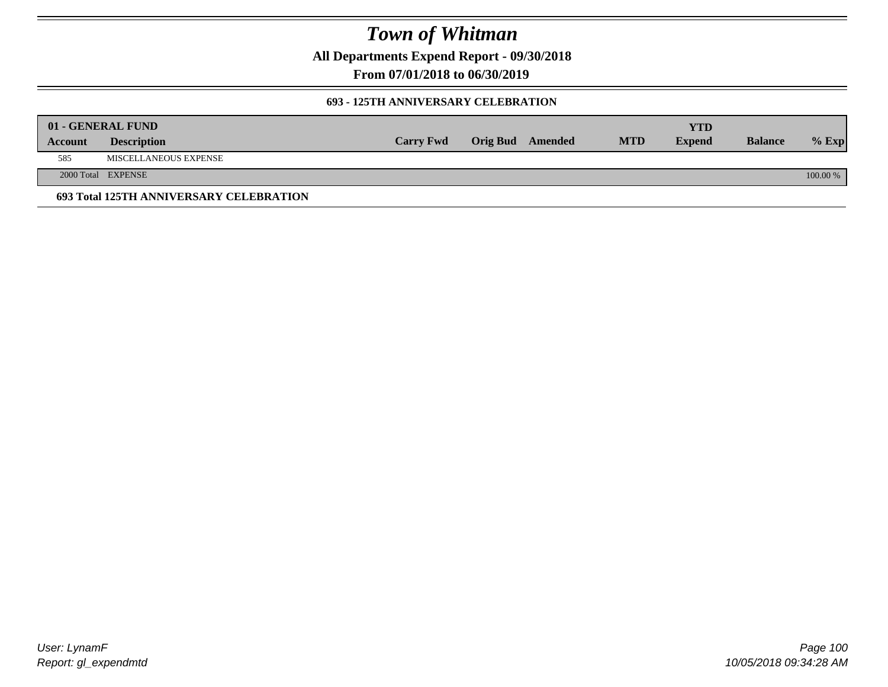**All Departments Expend Report - 09/30/2018**

**From 07/01/2018 to 06/30/2019**

### **693 - 125TH ANNIVERSARY CELEBRATION**

|         | 01 - GENERAL FUND                       |                  |                         |            | YTD           |                |          |
|---------|-----------------------------------------|------------------|-------------------------|------------|---------------|----------------|----------|
| Account | <b>Description</b>                      | <b>Carry Fwd</b> | <b>Orig Bud</b> Amended | <b>MTD</b> | <b>Expend</b> | <b>Balance</b> | $%$ Exp  |
| 585     | MISCELLANEOUS EXPENSE                   |                  |                         |            |               |                |          |
|         | 2000 Total EXPENSE                      |                  |                         |            |               |                | 100.00 % |
|         | 693 Total 125TH ANNIVERSARY CELEBRATION |                  |                         |            |               |                |          |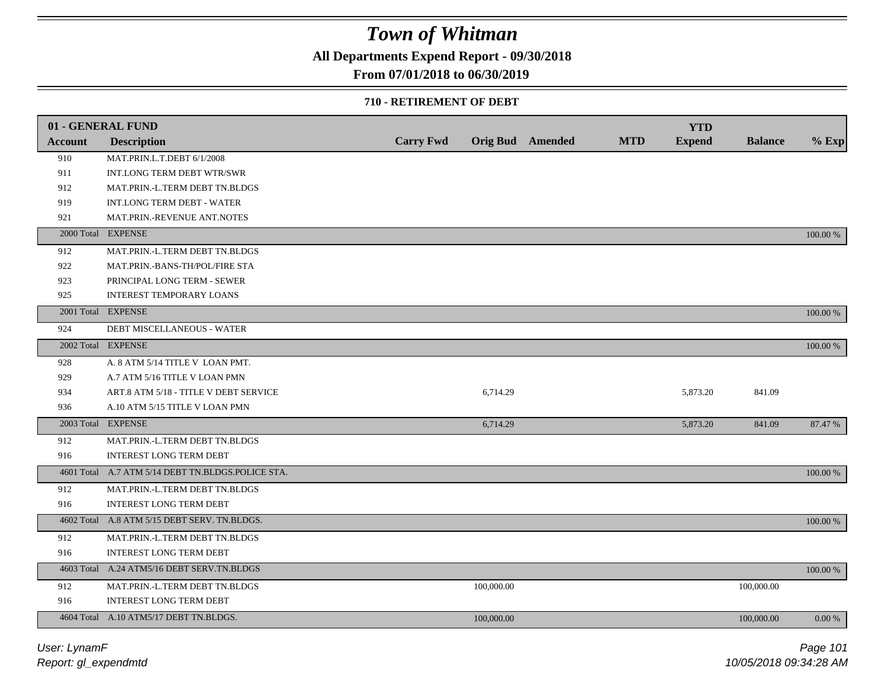**All Departments Expend Report - 09/30/2018**

### **From 07/01/2018 to 06/30/2019**

#### **710 - RETIREMENT OF DEBT**

|                | 01 - GENERAL FUND                                 |                  |            |                         |            | <b>YTD</b>    |                |          |
|----------------|---------------------------------------------------|------------------|------------|-------------------------|------------|---------------|----------------|----------|
| <b>Account</b> | <b>Description</b>                                | <b>Carry Fwd</b> |            | <b>Orig Bud</b> Amended | <b>MTD</b> | <b>Expend</b> | <b>Balance</b> | $%$ Exp  |
| 910            | MAT.PRIN.L.T.DEBT 6/1/2008                        |                  |            |                         |            |               |                |          |
| 911            | INT.LONG TERM DEBT WTR/SWR                        |                  |            |                         |            |               |                |          |
| 912            | MAT.PRIN.-L.TERM DEBT TN.BLDGS                    |                  |            |                         |            |               |                |          |
| 919            | <b>INT.LONG TERM DEBT - WATER</b>                 |                  |            |                         |            |               |                |          |
| 921            | MAT.PRIN.-REVENUE ANT.NOTES                       |                  |            |                         |            |               |                |          |
|                | 2000 Total EXPENSE                                |                  |            |                         |            |               |                | 100.00 % |
| 912            | MAT.PRIN.-L.TERM DEBT TN.BLDGS                    |                  |            |                         |            |               |                |          |
| 922            | MAT.PRIN.-BANS-TH/POL/FIRE STA                    |                  |            |                         |            |               |                |          |
| 923            | PRINCIPAL LONG TERM - SEWER                       |                  |            |                         |            |               |                |          |
| 925            | INTEREST TEMPORARY LOANS                          |                  |            |                         |            |               |                |          |
|                | 2001 Total EXPENSE                                |                  |            |                         |            |               |                | 100.00 % |
| 924            | DEBT MISCELLANEOUS - WATER                        |                  |            |                         |            |               |                |          |
|                | 2002 Total EXPENSE                                |                  |            |                         |            |               |                | 100.00 % |
| 928            | A. 8 ATM 5/14 TITLE V LOAN PMT.                   |                  |            |                         |            |               |                |          |
| 929            | A.7 ATM 5/16 TITLE V LOAN PMN                     |                  |            |                         |            |               |                |          |
| 934            | ART.8 ATM 5/18 - TITLE V DEBT SERVICE             |                  | 6,714.29   |                         |            | 5,873.20      | 841.09         |          |
| 936            | A.10 ATM 5/15 TITLE V LOAN PMN                    |                  |            |                         |            |               |                |          |
|                | 2003 Total EXPENSE                                |                  | 6,714.29   |                         |            | 5,873.20      | 841.09         | 87.47 %  |
| 912            | MAT.PRIN.-L.TERM DEBT TN.BLDGS                    |                  |            |                         |            |               |                |          |
| 916            | <b>INTEREST LONG TERM DEBT</b>                    |                  |            |                         |            |               |                |          |
|                | 4601 Total A.7 ATM 5/14 DEBT TN.BLDGS.POLICE STA. |                  |            |                         |            |               |                | 100.00 % |
| 912            | MAT.PRIN.-L.TERM DEBT TN.BLDGS                    |                  |            |                         |            |               |                |          |
| 916            | <b>INTEREST LONG TERM DEBT</b>                    |                  |            |                         |            |               |                |          |
|                | 4602 Total A.8 ATM 5/15 DEBT SERV. TN.BLDGS.      |                  |            |                         |            |               |                | 100.00 % |
| 912            | MAT.PRIN.-L.TERM DEBT TN.BLDGS                    |                  |            |                         |            |               |                |          |
| 916            | INTEREST LONG TERM DEBT                           |                  |            |                         |            |               |                |          |
|                | 4603 Total A.24 ATM5/16 DEBT SERV.TN.BLDGS        |                  |            |                         |            |               |                | 100.00 % |
| 912            | MAT.PRIN.-L.TERM DEBT TN.BLDGS                    |                  | 100,000.00 |                         |            |               | 100,000.00     |          |
| 916            | <b>INTEREST LONG TERM DEBT</b>                    |                  |            |                         |            |               |                |          |
|                | 4604 Total A.10 ATM5/17 DEBT TN.BLDGS.            |                  | 100,000.00 |                         |            |               | 100,000,00     | 0.00 %   |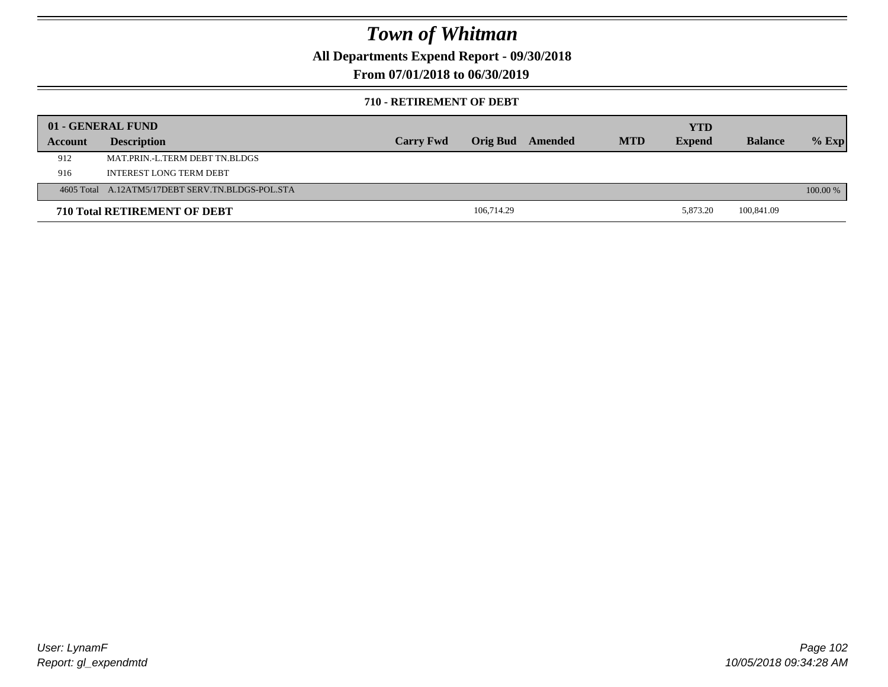**All Departments Expend Report - 09/30/2018**

**From 07/01/2018 to 06/30/2019**

#### **710 - RETIREMENT OF DEBT**

|         | 01 - GENERAL FUND                                |                  |                 |         |            | <b>YTD</b>    |                |          |
|---------|--------------------------------------------------|------------------|-----------------|---------|------------|---------------|----------------|----------|
| Account | <b>Description</b>                               | <b>Carry Fwd</b> | <b>Orig Bud</b> | Amended | <b>MTD</b> | <b>Expend</b> | <b>Balance</b> | $%$ Exp  |
| 912     | MAT.PRIN.-L.TERM DEBT TN.BLDGS                   |                  |                 |         |            |               |                |          |
| 916     | <b>INTEREST LONG TERM DEBT</b>                   |                  |                 |         |            |               |                |          |
|         | 4605 Total A.12ATM5/17DEBT SERV.TN.BLDGS-POL.STA |                  |                 |         |            |               |                | 100.00 % |
|         | <b>710 Total RETIREMENT OF DEBT</b>              |                  | 106,714.29      |         |            | 5.873.20      | 100,841.09     |          |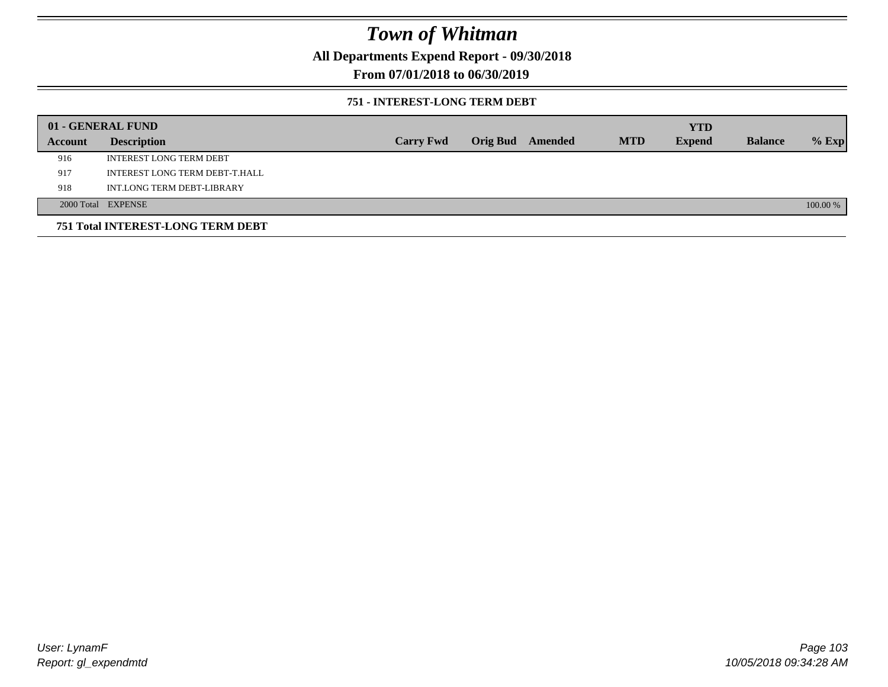**All Departments Expend Report - 09/30/2018**

**From 07/01/2018 to 06/30/2019**

### **751 - INTEREST-LONG TERM DEBT**

|         | 01 - GENERAL FUND                 |                  |                  |            | <b>YTD</b>    |                |          |
|---------|-----------------------------------|------------------|------------------|------------|---------------|----------------|----------|
| Account | <b>Description</b>                | <b>Carry Fwd</b> | Orig Bud Amended | <b>MTD</b> | <b>Expend</b> | <b>Balance</b> | $%$ Exp  |
| 916     | <b>INTEREST LONG TERM DEBT</b>    |                  |                  |            |               |                |          |
| 917     | INTEREST LONG TERM DEBT-T.HALL    |                  |                  |            |               |                |          |
| 918     | INT.LONG TERM DEBT-LIBRARY        |                  |                  |            |               |                |          |
|         | 2000 Total EXPENSE                |                  |                  |            |               |                | 100.00 % |
|         | 751 Total INTEREST-LONG TERM DEBT |                  |                  |            |               |                |          |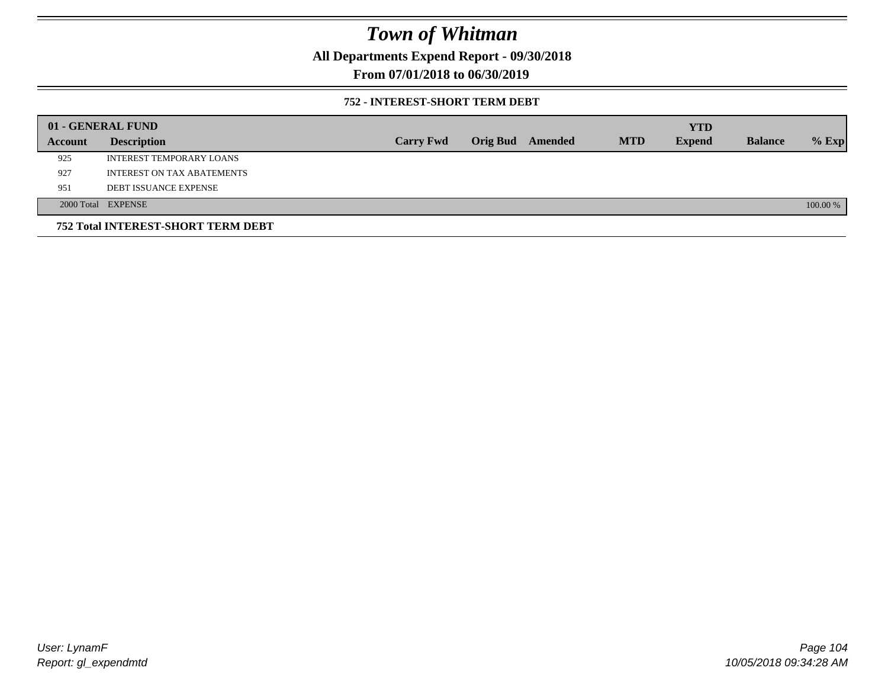**All Departments Expend Report - 09/30/2018**

**From 07/01/2018 to 06/30/2019**

### **752 - INTEREST-SHORT TERM DEBT**

|         | 01 - GENERAL FUND                         |                  |                 |         |            | <b>YTD</b>    |                |          |
|---------|-------------------------------------------|------------------|-----------------|---------|------------|---------------|----------------|----------|
| Account | <b>Description</b>                        | <b>Carry Fwd</b> | <b>Orig Bud</b> | Amended | <b>MTD</b> | <b>Expend</b> | <b>Balance</b> | $%$ Exp  |
| 925     | INTEREST TEMPORARY LOANS                  |                  |                 |         |            |               |                |          |
| 927     | INTEREST ON TAX ABATEMENTS                |                  |                 |         |            |               |                |          |
| 951     | <b>DEBT ISSUANCE EXPENSE</b>              |                  |                 |         |            |               |                |          |
|         | 2000 Total EXPENSE                        |                  |                 |         |            |               |                | 100.00 % |
|         | <b>752 Total INTEREST-SHORT TERM DEBT</b> |                  |                 |         |            |               |                |          |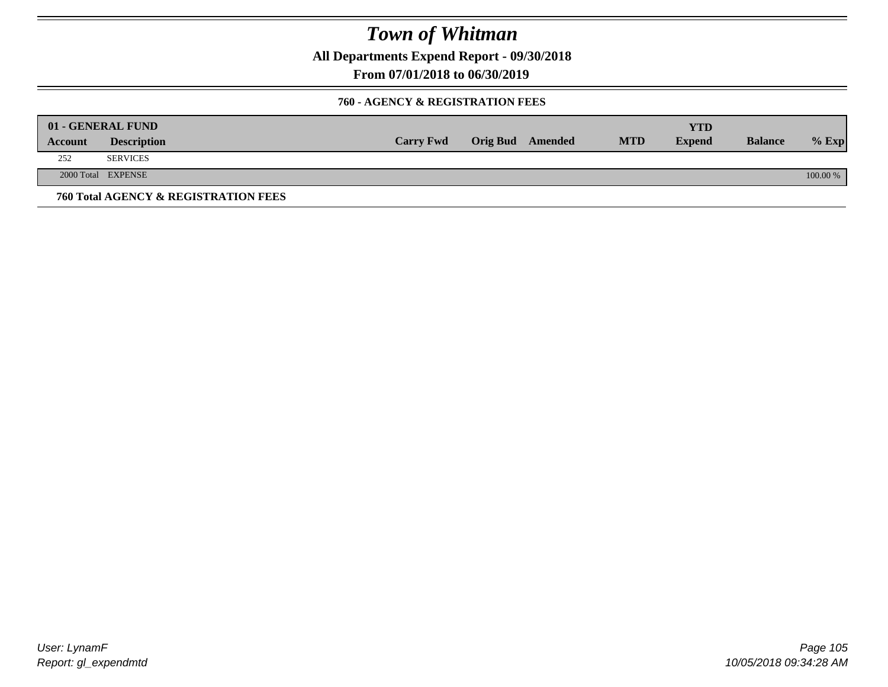**All Departments Expend Report - 09/30/2018**

**From 07/01/2018 to 06/30/2019**

### **760 - AGENCY & REGISTRATION FEES**

|         | 01 - GENERAL FUND                    |                  |                         |            | YTD           |                |          |
|---------|--------------------------------------|------------------|-------------------------|------------|---------------|----------------|----------|
| Account | <b>Description</b>                   | <b>Carry Fwd</b> | <b>Orig Bud</b> Amended | <b>MTD</b> | <b>Expend</b> | <b>Balance</b> | $%$ Exp  |
| 252     | <b>SERVICES</b>                      |                  |                         |            |               |                |          |
|         | 2000 Total EXPENSE                   |                  |                         |            |               |                | 100.00 % |
|         | 760 Total AGENCY & REGISTRATION FEES |                  |                         |            |               |                |          |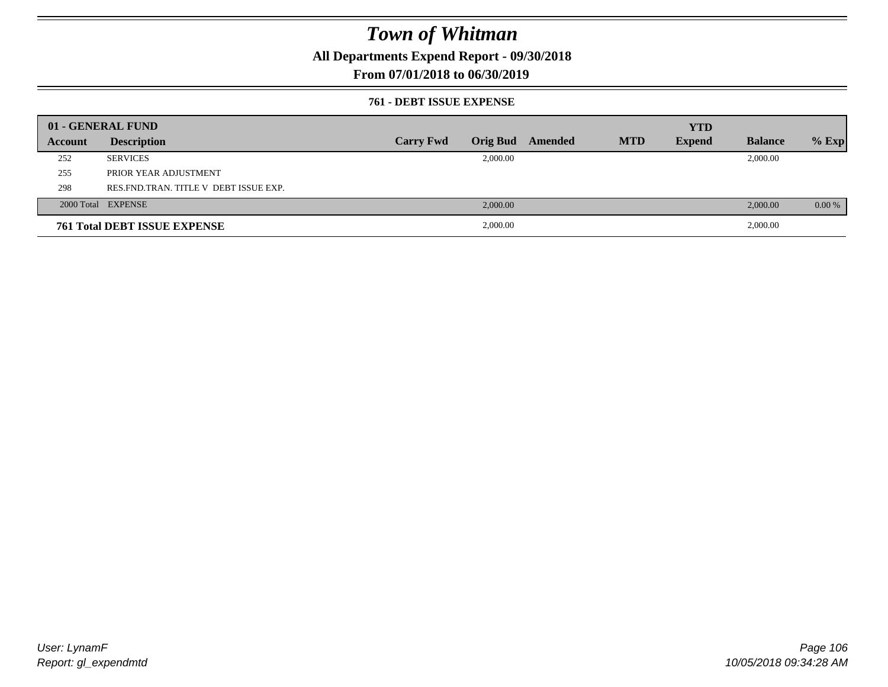**All Departments Expend Report - 09/30/2018**

### **From 07/01/2018 to 06/30/2019**

#### **761 - DEBT ISSUE EXPENSE**

|         | 01 - GENERAL FUND                       |                  |          |                  |            | <b>YTD</b>    |                |          |
|---------|-----------------------------------------|------------------|----------|------------------|------------|---------------|----------------|----------|
| Account | <b>Description</b>                      | <b>Carry Fwd</b> |          | Orig Bud Amended | <b>MTD</b> | <b>Expend</b> | <b>Balance</b> | $%$ Exp  |
| 252     | <b>SERVICES</b>                         |                  | 2,000.00 |                  |            |               | 2,000.00       |          |
| 255     | PRIOR YEAR ADJUSTMENT                   |                  |          |                  |            |               |                |          |
| 298     | RES. FND. TRAN. TITLE V DEBT ISSUE EXP. |                  |          |                  |            |               |                |          |
|         | 2000 Total EXPENSE                      |                  | 2,000.00 |                  |            |               | 2,000.00       | $0.00\%$ |
|         | <b>761 Total DEBT ISSUE EXPENSE</b>     |                  | 2,000.00 |                  |            |               | 2,000.00       |          |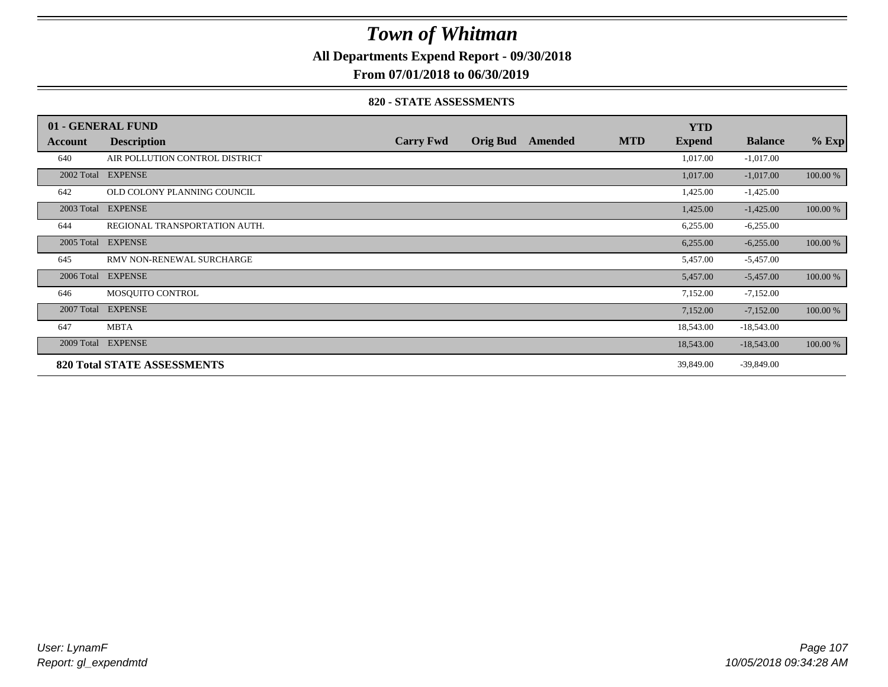**All Departments Expend Report - 09/30/2018**

**From 07/01/2018 to 06/30/2019**

#### **820 - STATE ASSESSMENTS**

|            | 01 - GENERAL FUND                  |                  |                 |         |            | <b>YTD</b>    |                |          |
|------------|------------------------------------|------------------|-----------------|---------|------------|---------------|----------------|----------|
| Account    | <b>Description</b>                 | <b>Carry Fwd</b> | <b>Orig Bud</b> | Amended | <b>MTD</b> | <b>Expend</b> | <b>Balance</b> | $%$ Exp  |
| 640        | AIR POLLUTION CONTROL DISTRICT     |                  |                 |         |            | 1,017.00      | $-1,017.00$    |          |
|            | 2002 Total EXPENSE                 |                  |                 |         |            | 1,017.00      | $-1,017.00$    | 100.00 % |
| 642        | OLD COLONY PLANNING COUNCIL        |                  |                 |         |            | 1,425.00      | $-1,425.00$    |          |
|            | 2003 Total EXPENSE                 |                  |                 |         |            | 1,425.00      | $-1,425.00$    | 100.00 % |
| 644        | REGIONAL TRANSPORTATION AUTH.      |                  |                 |         |            | 6,255.00      | $-6,255.00$    |          |
| 2005 Total | <b>EXPENSE</b>                     |                  |                 |         |            | 6,255.00      | $-6,255.00$    | 100.00 % |
| 645        | RMV NON-RENEWAL SURCHARGE          |                  |                 |         |            | 5,457.00      | $-5,457.00$    |          |
| 2006 Total | <b>EXPENSE</b>                     |                  |                 |         |            | 5,457.00      | $-5,457.00$    | 100.00 % |
| 646        | MOSQUITO CONTROL                   |                  |                 |         |            | 7,152.00      | $-7,152.00$    |          |
| 2007 Total | <b>EXPENSE</b>                     |                  |                 |         |            | 7,152.00      | $-7,152.00$    | 100.00 % |
| 647        | <b>MBTA</b>                        |                  |                 |         |            | 18,543.00     | $-18,543.00$   |          |
|            | 2009 Total EXPENSE                 |                  |                 |         |            | 18,543.00     | $-18,543.00$   | 100.00 % |
|            | <b>820 Total STATE ASSESSMENTS</b> |                  |                 |         |            | 39,849.00     | $-39,849.00$   |          |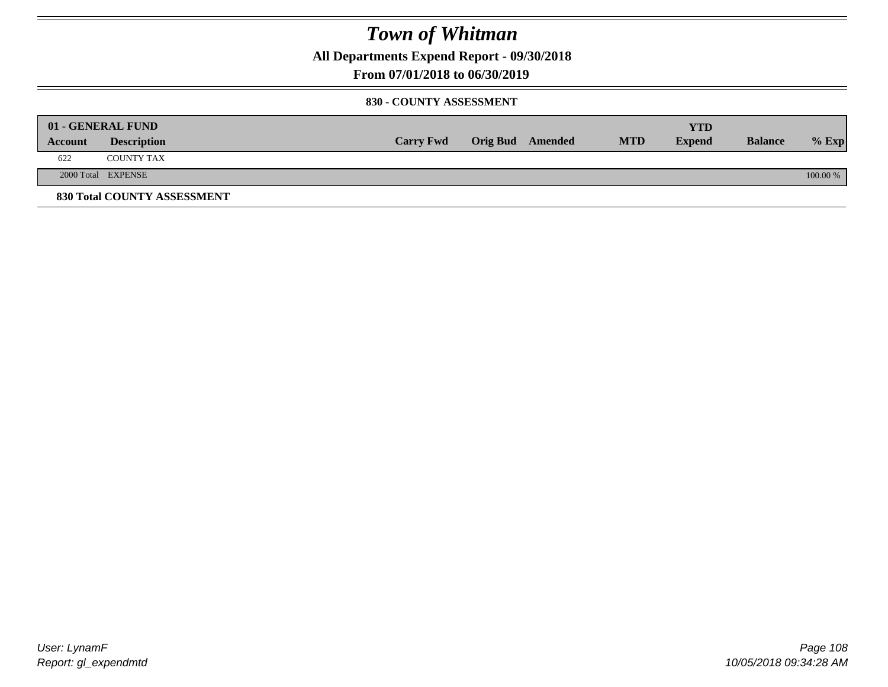**All Departments Expend Report - 09/30/2018**

**From 07/01/2018 to 06/30/2019**

### **830 - COUNTY ASSESSMENT**

|         | 01 - GENERAL FUND                  |                  |                  |            | YTD           |                |            |
|---------|------------------------------------|------------------|------------------|------------|---------------|----------------|------------|
| Account | <b>Description</b>                 | <b>Carry Fwd</b> | Orig Bud Amended | <b>MTD</b> | <b>Expend</b> | <b>Balance</b> | $%$ Exp    |
| 622     | <b>COUNTY TAX</b>                  |                  |                  |            |               |                |            |
|         | 2000 Total EXPENSE                 |                  |                  |            |               |                | $100.00\%$ |
|         | <b>830 Total COUNTY ASSESSMENT</b> |                  |                  |            |               |                |            |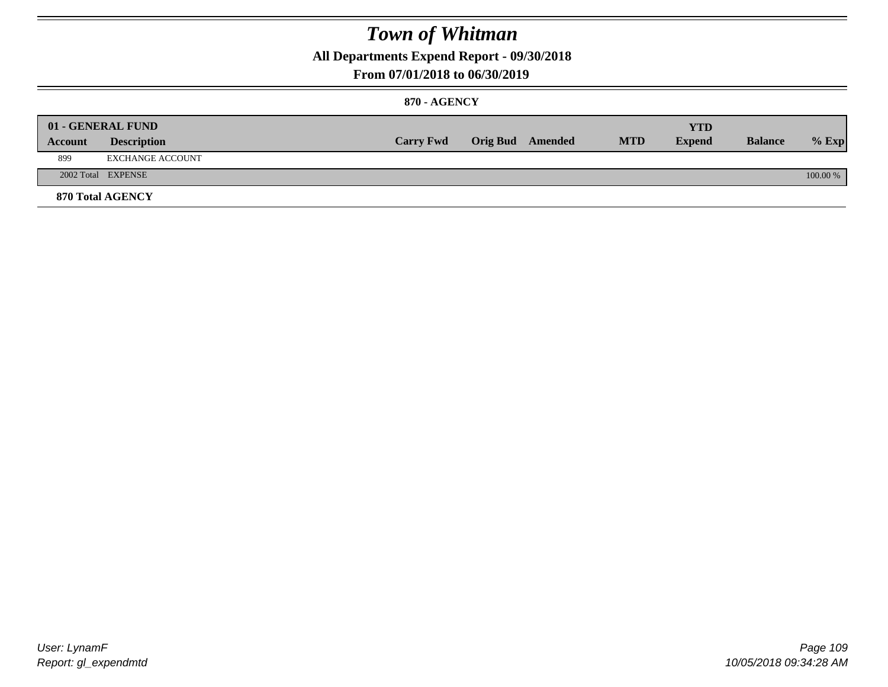**All Departments Expend Report - 09/30/2018**

### **From 07/01/2018 to 06/30/2019**

### **870 - AGENCY**

|         | 01 - GENERAL FUND  |                  |                         |            | <b>YTD</b>    |                |          |
|---------|--------------------|------------------|-------------------------|------------|---------------|----------------|----------|
| Account | <b>Description</b> | <b>Carry Fwd</b> | <b>Orig Bud</b> Amended | <b>MTD</b> | <b>Expend</b> | <b>Balance</b> | $%$ Exp  |
| 899     | EXCHANGE ACCOUNT   |                  |                         |            |               |                |          |
|         | 2002 Total EXPENSE |                  |                         |            |               |                | 100.00 % |
|         | 870 Total AGENCY   |                  |                         |            |               |                |          |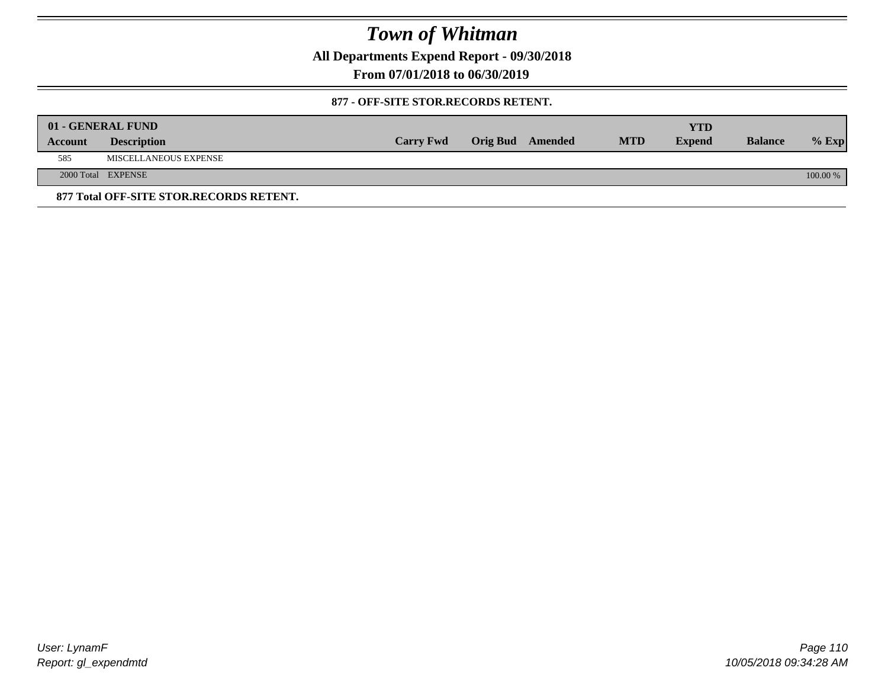**All Departments Expend Report - 09/30/2018**

**From 07/01/2018 to 06/30/2019**

### **877 - OFF-SITE STOR.RECORDS RETENT.**

|         | 01 - GENERAL FUND                       |                  |                         |            | YTD           |                |          |
|---------|-----------------------------------------|------------------|-------------------------|------------|---------------|----------------|----------|
| Account | <b>Description</b>                      | <b>Carry Fwd</b> | <b>Orig Bud</b> Amended | <b>MTD</b> | <b>Expend</b> | <b>Balance</b> | $%$ Exp  |
| 585     | MISCELLANEOUS EXPENSE                   |                  |                         |            |               |                |          |
|         | 2000 Total EXPENSE                      |                  |                         |            |               |                | 100.00 % |
|         | 877 Total OFF-SITE STOR.RECORDS RETENT. |                  |                         |            |               |                |          |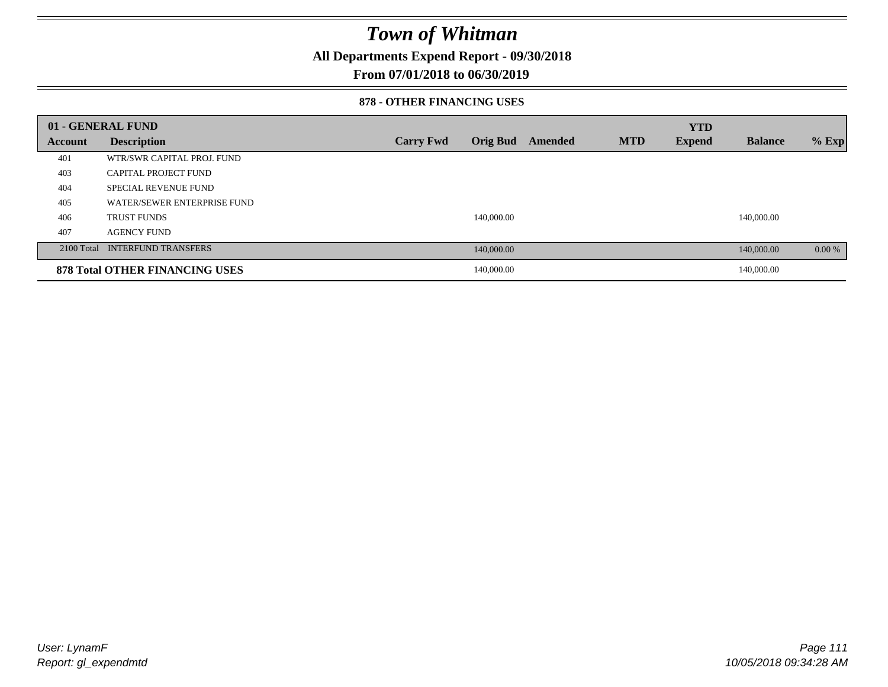**All Departments Expend Report - 09/30/2018**

### **From 07/01/2018 to 06/30/2019**

#### **878 - OTHER FINANCING USES**

|         | 01 - GENERAL FUND                     |                  |                 |         |            | <b>YTD</b>    |                |         |
|---------|---------------------------------------|------------------|-----------------|---------|------------|---------------|----------------|---------|
| Account | <b>Description</b>                    | <b>Carry Fwd</b> | <b>Orig Bud</b> | Amended | <b>MTD</b> | <b>Expend</b> | <b>Balance</b> | $%$ Exp |
| 401     | WTR/SWR CAPITAL PROJ. FUND            |                  |                 |         |            |               |                |         |
| 403     | CAPITAL PROJECT FUND                  |                  |                 |         |            |               |                |         |
| 404     | <b>SPECIAL REVENUE FUND</b>           |                  |                 |         |            |               |                |         |
| 405     | WATER/SEWER ENTERPRISE FUND           |                  |                 |         |            |               |                |         |
| 406     | <b>TRUST FUNDS</b>                    |                  | 140,000.00      |         |            |               | 140,000.00     |         |
| 407     | <b>AGENCY FUND</b>                    |                  |                 |         |            |               |                |         |
|         | 2100 Total INTERFUND TRANSFERS        |                  | 140,000.00      |         |            |               | 140,000.00     | 0.00 %  |
|         | <b>878 Total OTHER FINANCING USES</b> |                  | 140,000.00      |         |            |               | 140,000.00     |         |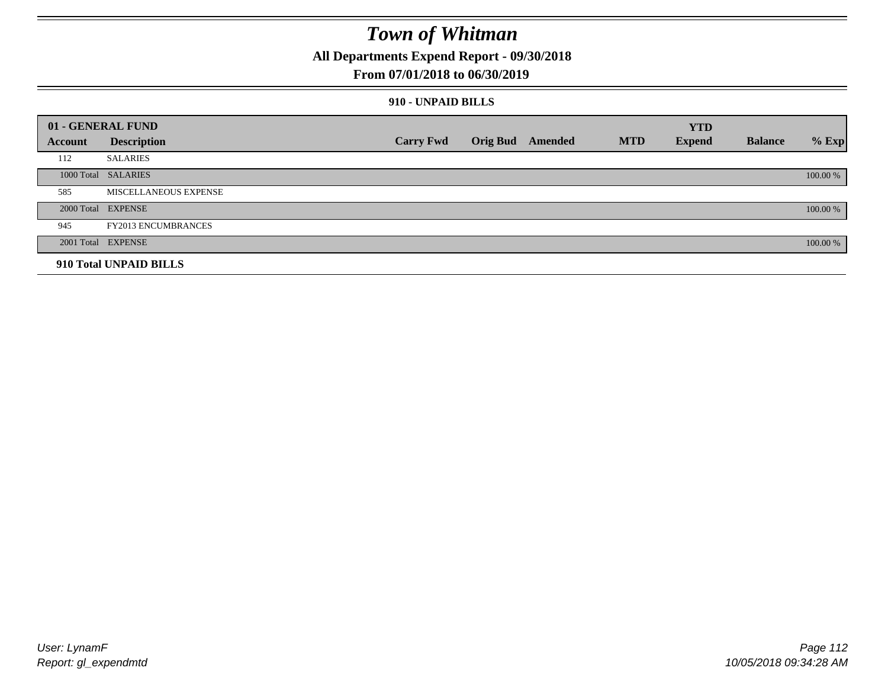**All Departments Expend Report - 09/30/2018**

### **From 07/01/2018 to 06/30/2019**

### **910 - UNPAID BILLS**

|         | 01 - GENERAL FUND          |                  |                  |            | <b>YTD</b>    |                |          |
|---------|----------------------------|------------------|------------------|------------|---------------|----------------|----------|
| Account | <b>Description</b>         | <b>Carry Fwd</b> | Orig Bud Amended | <b>MTD</b> | <b>Expend</b> | <b>Balance</b> | $%$ Exp  |
| 112     | <b>SALARIES</b>            |                  |                  |            |               |                |          |
|         | 1000 Total SALARIES        |                  |                  |            |               |                | 100.00 % |
| 585     | MISCELLANEOUS EXPENSE      |                  |                  |            |               |                |          |
|         | 2000 Total EXPENSE         |                  |                  |            |               |                | 100.00 % |
| 945     | <b>FY2013 ENCUMBRANCES</b> |                  |                  |            |               |                |          |
|         | 2001 Total EXPENSE         |                  |                  |            |               |                | 100.00 % |
|         | 910 Total UNPAID BILLS     |                  |                  |            |               |                |          |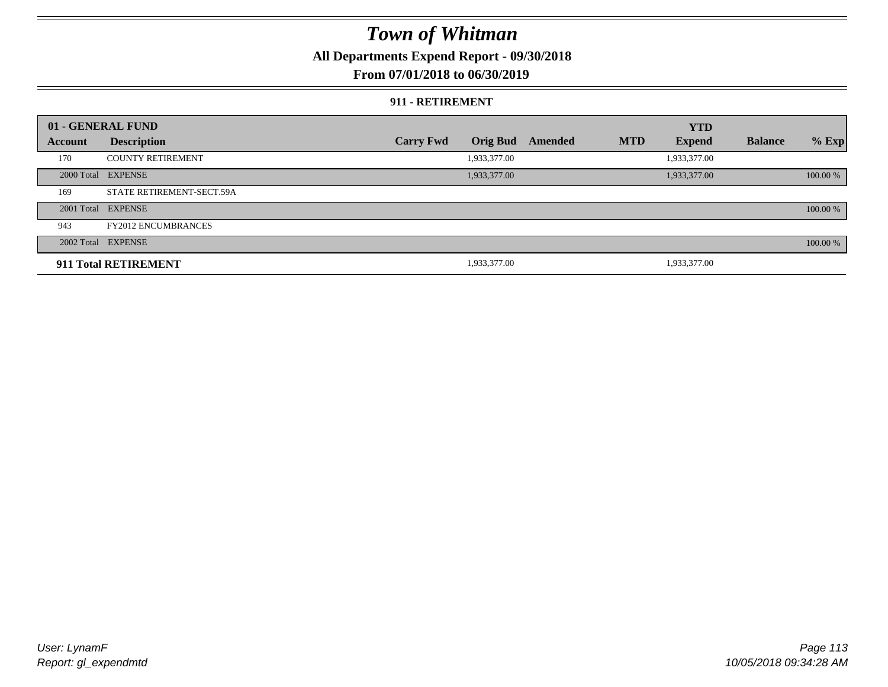**All Departments Expend Report - 09/30/2018**

### **From 07/01/2018 to 06/30/2019**

#### **911 - RETIREMENT**

|         | 01 - GENERAL FUND          |                  |                 |         |            | <b>YTD</b>    |                |          |
|---------|----------------------------|------------------|-----------------|---------|------------|---------------|----------------|----------|
| Account | <b>Description</b>         | <b>Carry Fwd</b> | <b>Orig Bud</b> | Amended | <b>MTD</b> | <b>Expend</b> | <b>Balance</b> | $%$ Exp  |
| 170     | <b>COUNTY RETIREMENT</b>   |                  | 1,933,377.00    |         |            | 1,933,377.00  |                |          |
|         | 2000 Total EXPENSE         |                  | 1,933,377.00    |         |            | 1,933,377.00  |                | 100.00 % |
| 169     | STATE RETIREMENT-SECT.59A  |                  |                 |         |            |               |                |          |
|         | 2001 Total EXPENSE         |                  |                 |         |            |               |                | 100.00 % |
| 943     | <b>FY2012 ENCUMBRANCES</b> |                  |                 |         |            |               |                |          |
|         | 2002 Total EXPENSE         |                  |                 |         |            |               |                | 100.00 % |
|         | 911 Total RETIREMENT       |                  | 1,933,377.00    |         |            | 1,933,377.00  |                |          |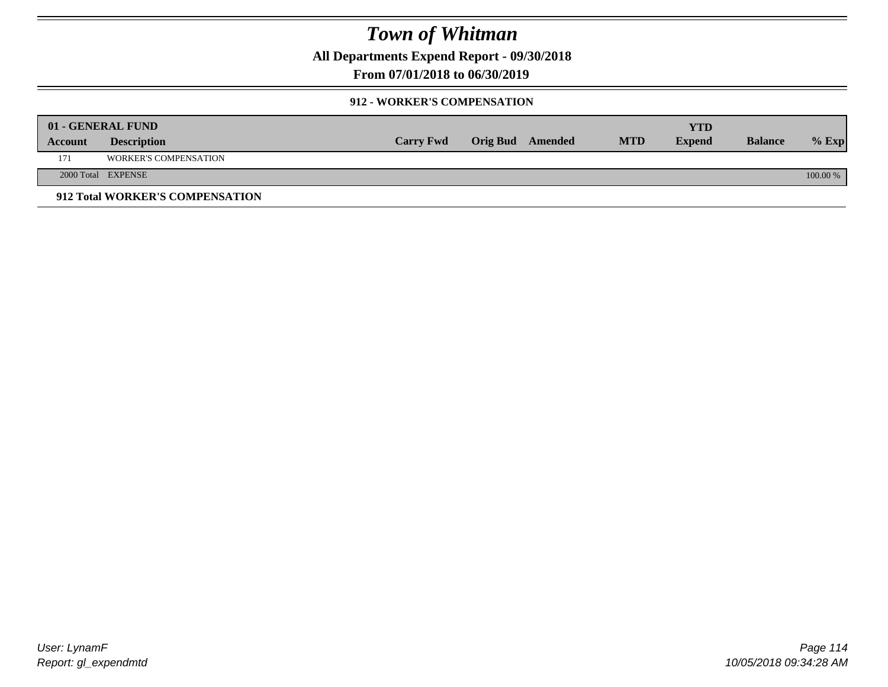**All Departments Expend Report - 09/30/2018**

**From 07/01/2018 to 06/30/2019**

### **912 - WORKER'S COMPENSATION**

|         | 01 - GENERAL FUND               |                  |                  |            | <b>YTD</b>    |                |          |
|---------|---------------------------------|------------------|------------------|------------|---------------|----------------|----------|
| Account | <b>Description</b>              | <b>Carry Fwd</b> | Orig Bud Amended | <b>MTD</b> | <b>Expend</b> | <b>Balance</b> | $%$ Exp  |
| 171     | <b>WORKER'S COMPENSATION</b>    |                  |                  |            |               |                |          |
|         | 2000 Total EXPENSE              |                  |                  |            |               |                | 100.00 % |
|         | 912 Total WORKER'S COMPENSATION |                  |                  |            |               |                |          |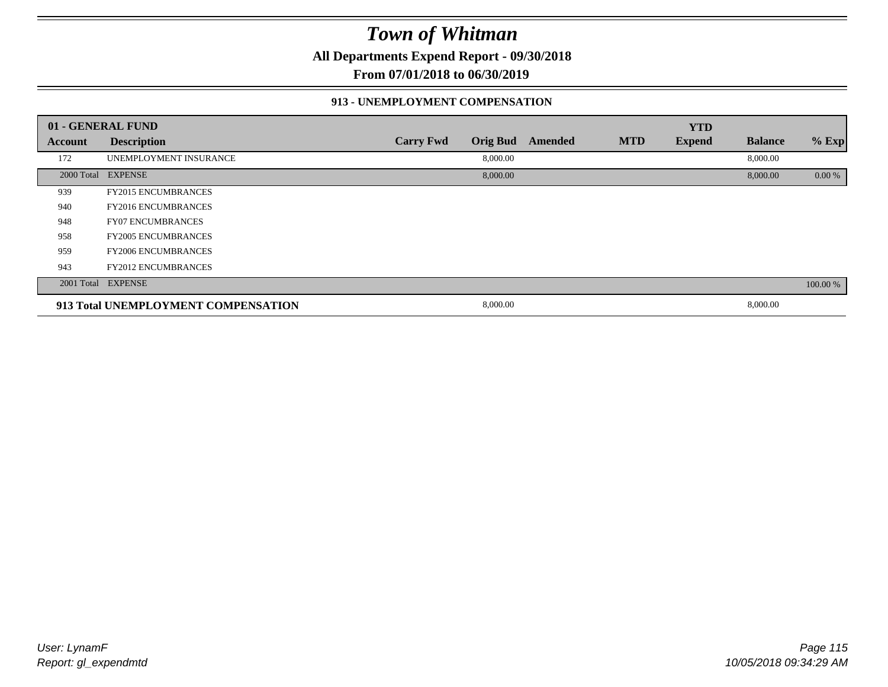**All Departments Expend Report - 09/30/2018**

**From 07/01/2018 to 06/30/2019**

### **913 - UNEMPLOYMENT COMPENSATION**

|                | 01 - GENERAL FUND                   |                  |                 |         |            | <b>YTD</b>    |                |          |
|----------------|-------------------------------------|------------------|-----------------|---------|------------|---------------|----------------|----------|
| <b>Account</b> | <b>Description</b>                  | <b>Carry Fwd</b> | <b>Orig Bud</b> | Amended | <b>MTD</b> | <b>Expend</b> | <b>Balance</b> | $%$ Exp  |
| 172            | UNEMPLOYMENT INSURANCE              |                  | 8,000.00        |         |            |               | 8,000.00       |          |
|                | 2000 Total EXPENSE                  |                  | 8,000.00        |         |            |               | 8,000.00       | 0.00 %   |
| 939            | <b>FY2015 ENCUMBRANCES</b>          |                  |                 |         |            |               |                |          |
| 940            | <b>FY2016 ENCUMBRANCES</b>          |                  |                 |         |            |               |                |          |
| 948            | <b>FY07 ENCUMBRANCES</b>            |                  |                 |         |            |               |                |          |
| 958            | <b>FY2005 ENCUMBRANCES</b>          |                  |                 |         |            |               |                |          |
| 959            | <b>FY2006 ENCUMBRANCES</b>          |                  |                 |         |            |               |                |          |
| 943            | <b>FY2012 ENCUMBRANCES</b>          |                  |                 |         |            |               |                |          |
|                | 2001 Total EXPENSE                  |                  |                 |         |            |               |                | 100.00 % |
|                | 913 Total UNEMPLOYMENT COMPENSATION |                  | 8,000.00        |         |            |               | 8,000.00       |          |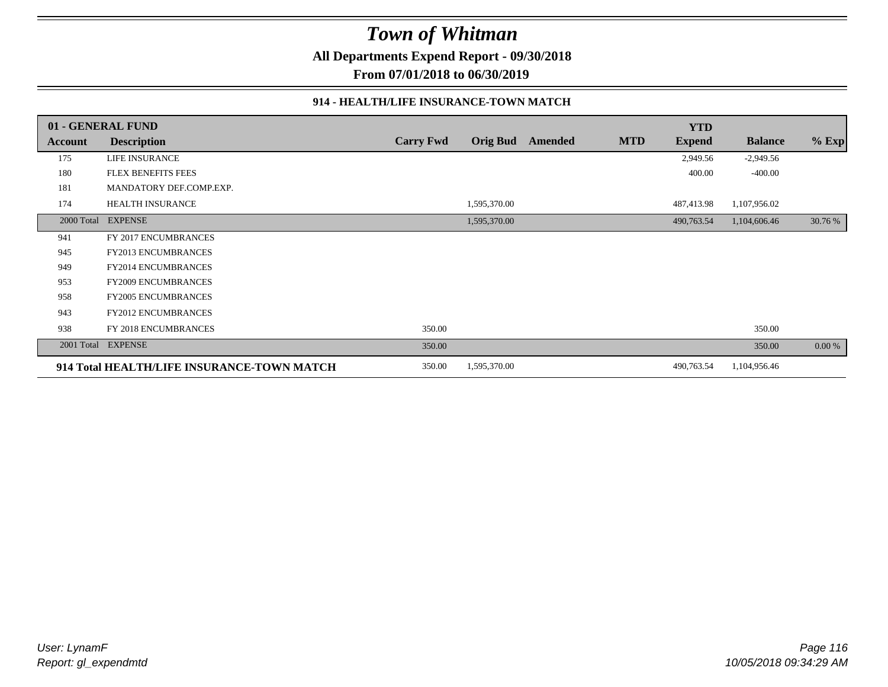**All Departments Expend Report - 09/30/2018**

**From 07/01/2018 to 06/30/2019**

### **914 - HEALTH/LIFE INSURANCE-TOWN MATCH**

|            | 01 - GENERAL FUND                          |                  |                 |         |            | <b>YTD</b>    |                |         |
|------------|--------------------------------------------|------------------|-----------------|---------|------------|---------------|----------------|---------|
| Account    | <b>Description</b>                         | <b>Carry Fwd</b> | <b>Orig Bud</b> | Amended | <b>MTD</b> | <b>Expend</b> | <b>Balance</b> | $%$ Exp |
| 175        | <b>LIFE INSURANCE</b>                      |                  |                 |         |            | 2,949.56      | $-2,949.56$    |         |
| 180        | <b>FLEX BENEFITS FEES</b>                  |                  |                 |         |            | 400.00        | $-400.00$      |         |
| 181        | MANDATORY DEF.COMP.EXP.                    |                  |                 |         |            |               |                |         |
| 174        | HEALTH INSURANCE                           |                  | 1,595,370.00    |         |            | 487,413.98    | 1,107,956.02   |         |
| 2000 Total | <b>EXPENSE</b>                             |                  | 1,595,370.00    |         |            | 490,763.54    | 1,104,606.46   | 30.76 % |
| 941        | FY 2017 ENCUMBRANCES                       |                  |                 |         |            |               |                |         |
| 945        | <b>FY2013 ENCUMBRANCES</b>                 |                  |                 |         |            |               |                |         |
| 949        | <b>FY2014 ENCUMBRANCES</b>                 |                  |                 |         |            |               |                |         |
| 953        | <b>FY2009 ENCUMBRANCES</b>                 |                  |                 |         |            |               |                |         |
| 958        | <b>FY2005 ENCUMBRANCES</b>                 |                  |                 |         |            |               |                |         |
| 943        | <b>FY2012 ENCUMBRANCES</b>                 |                  |                 |         |            |               |                |         |
| 938        | FY 2018 ENCUMBRANCES                       | 350.00           |                 |         |            |               | 350.00         |         |
| 2001 Total | <b>EXPENSE</b>                             | 350.00           |                 |         |            |               | 350.00         | 0.00 %  |
|            | 914 Total HEALTH/LIFE INSURANCE-TOWN MATCH | 350.00           | 1,595,370.00    |         |            | 490,763.54    | 1,104,956.46   |         |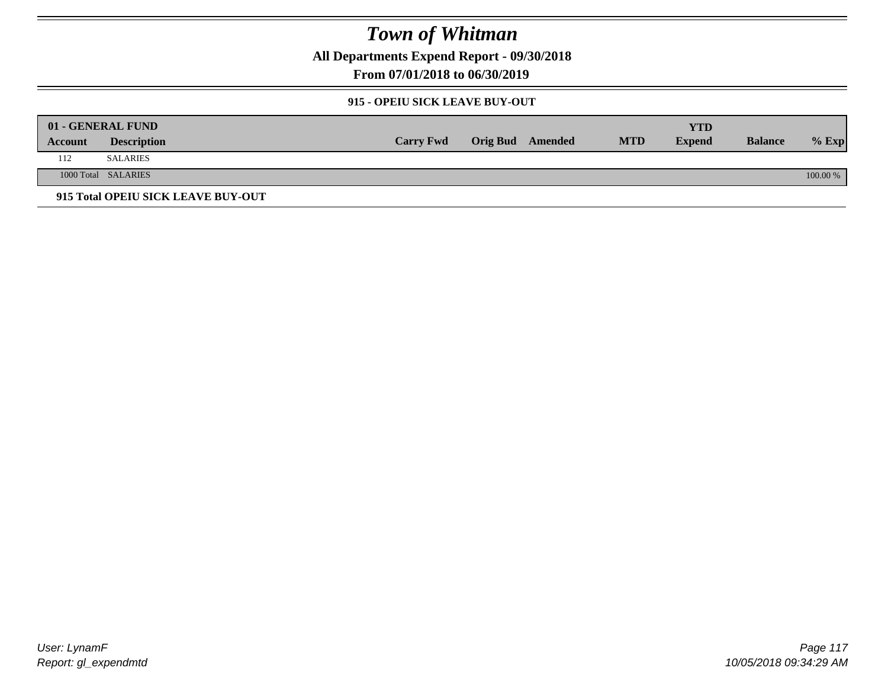**All Departments Expend Report - 09/30/2018**

**From 07/01/2018 to 06/30/2019**

### **915 - OPEIU SICK LEAVE BUY-OUT**

|         | 01 - GENERAL FUND                  |                  |                         |            | YTD           |                |          |
|---------|------------------------------------|------------------|-------------------------|------------|---------------|----------------|----------|
| Account | <b>Description</b>                 | <b>Carry Fwd</b> | <b>Orig Bud</b> Amended | <b>MTD</b> | <b>Expend</b> | <b>Balance</b> | $%$ Exp  |
| 112     | <b>SALARIES</b>                    |                  |                         |            |               |                |          |
|         | 1000 Total SALARIES                |                  |                         |            |               |                | 100.00 % |
|         | 915 Total OPEIU SICK LEAVE BUY-OUT |                  |                         |            |               |                |          |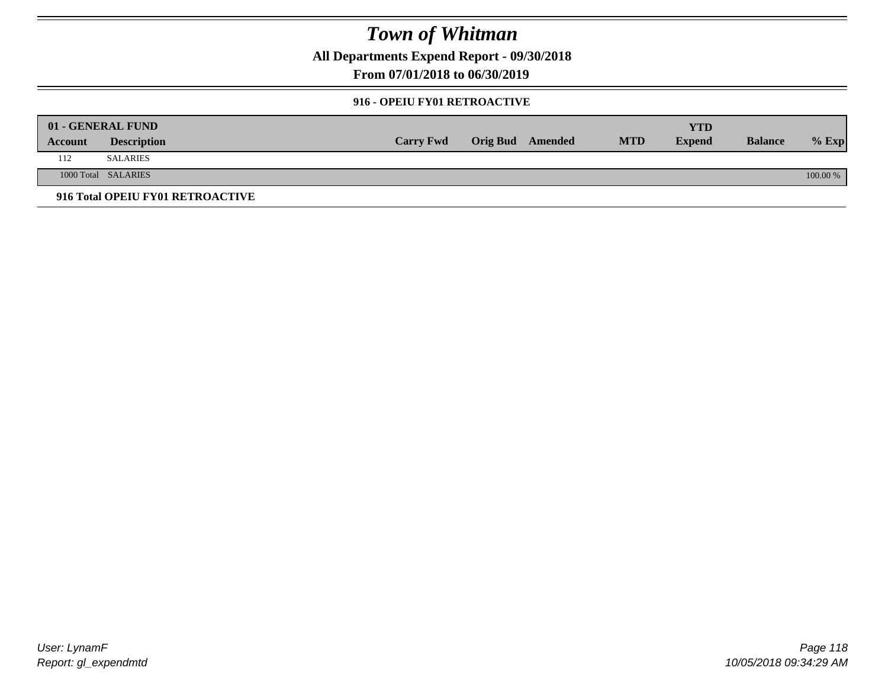**All Departments Expend Report - 09/30/2018**

**From 07/01/2018 to 06/30/2019**

### **916 - OPEIU FY01 RETROACTIVE**

| 01 - GENERAL FUND |                                  |                  |                         |            | YTD           |                |          |
|-------------------|----------------------------------|------------------|-------------------------|------------|---------------|----------------|----------|
| Account           | <b>Description</b>               | <b>Carry Fwd</b> | <b>Orig Bud</b> Amended | <b>MTD</b> | <b>Expend</b> | <b>Balance</b> | $%$ Exp  |
| 112               | <b>SALARIES</b>                  |                  |                         |            |               |                |          |
|                   | 1000 Total SALARIES              |                  |                         |            |               |                | 100.00 % |
|                   | 916 Total OPEIU FY01 RETROACTIVE |                  |                         |            |               |                |          |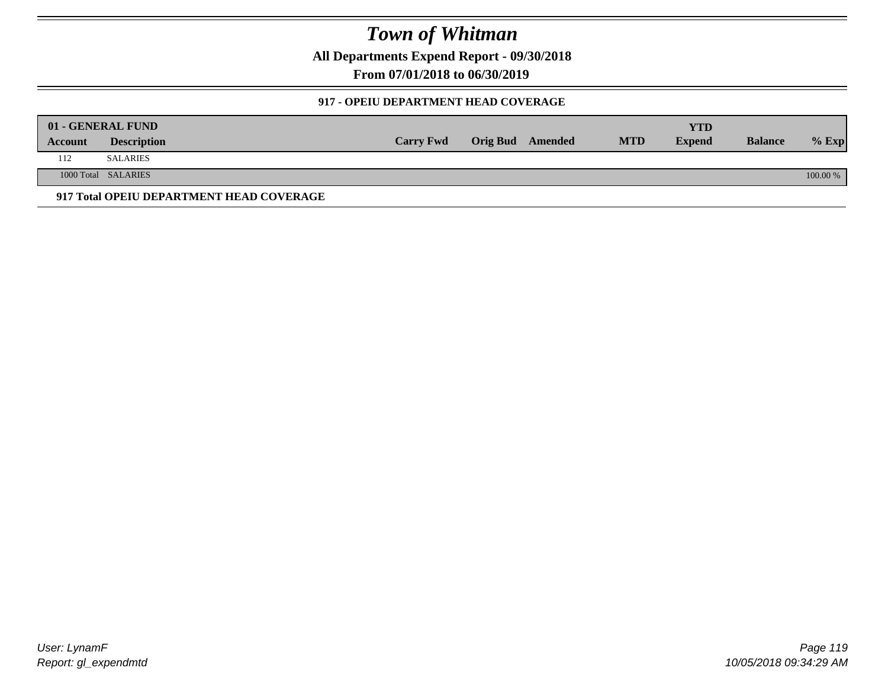**All Departments Expend Report - 09/30/2018**

**From 07/01/2018 to 06/30/2019**

### **917 - OPEIU DEPARTMENT HEAD COVERAGE**

|         | 01 - GENERAL FUND                        |                  |                         |            | YTD           |                |            |
|---------|------------------------------------------|------------------|-------------------------|------------|---------------|----------------|------------|
| Account | <b>Description</b>                       | <b>Carry Fwd</b> | <b>Orig Bud</b> Amended | <b>MTD</b> | <b>Expend</b> | <b>Balance</b> | $%$ Exp    |
| 112     | <b>SALARIES</b>                          |                  |                         |            |               |                |            |
|         | 1000 Total SALARIES                      |                  |                         |            |               |                | $100.00\%$ |
|         | 917 Total OPEIU DEPARTMENT HEAD COVERAGE |                  |                         |            |               |                |            |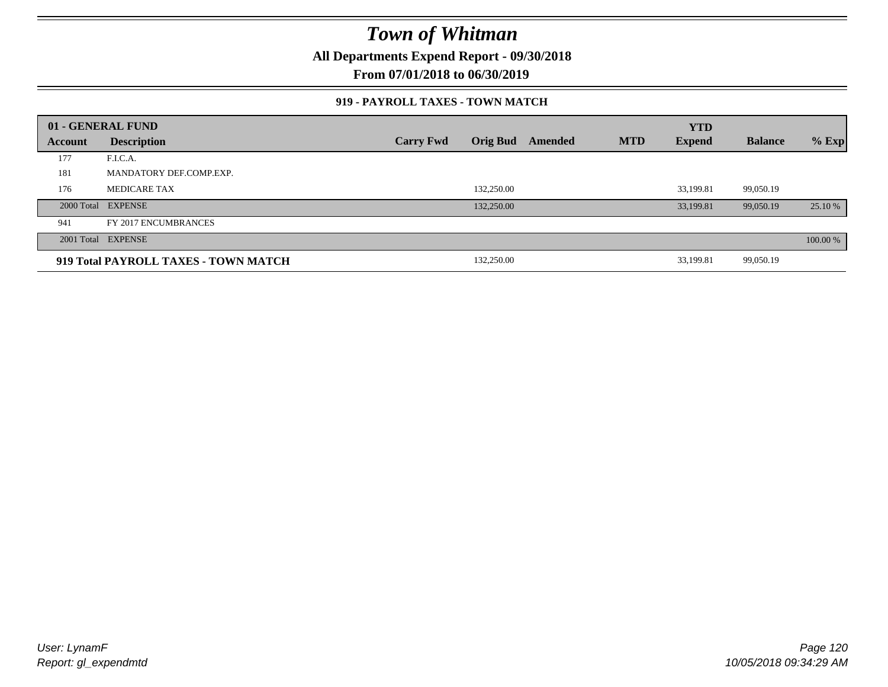**All Departments Expend Report - 09/30/2018**

**From 07/01/2018 to 06/30/2019**

### **919 - PAYROLL TAXES - TOWN MATCH**

|         | 01 - GENERAL FUND                    |                  |                 |         |            | <b>YTD</b>    |                |          |
|---------|--------------------------------------|------------------|-----------------|---------|------------|---------------|----------------|----------|
| Account | <b>Description</b>                   | <b>Carry Fwd</b> | <b>Orig Bud</b> | Amended | <b>MTD</b> | <b>Expend</b> | <b>Balance</b> | $%$ Exp  |
| 177     | F.I.C.A.                             |                  |                 |         |            |               |                |          |
| 181     | MANDATORY DEF.COMP.EXP.              |                  |                 |         |            |               |                |          |
| 176     | <b>MEDICARE TAX</b>                  |                  | 132,250.00      |         |            | 33.199.81     | 99.050.19      |          |
|         | 2000 Total EXPENSE                   |                  | 132,250.00      |         |            | 33,199.81     | 99,050.19      | 25.10 %  |
| 941     | FY 2017 ENCUMBRANCES                 |                  |                 |         |            |               |                |          |
|         | 2001 Total EXPENSE                   |                  |                 |         |            |               |                | 100.00 % |
|         | 919 Total PAYROLL TAXES - TOWN MATCH |                  | 132,250.00      |         |            | 33,199.81     | 99,050.19      |          |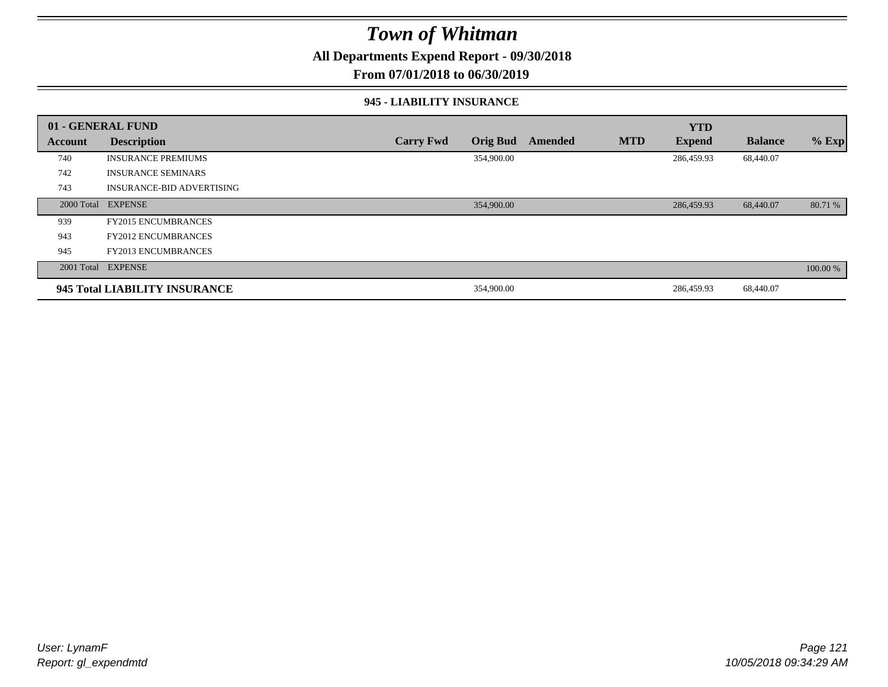**All Departments Expend Report - 09/30/2018**

**From 07/01/2018 to 06/30/2019**

#### **945 - LIABILITY INSURANCE**

|         | 01 - GENERAL FUND                |                  |                 |         |            | <b>YTD</b>    |                |          |
|---------|----------------------------------|------------------|-----------------|---------|------------|---------------|----------------|----------|
| Account | <b>Description</b>               | <b>Carry Fwd</b> | <b>Orig Bud</b> | Amended | <b>MTD</b> | <b>Expend</b> | <b>Balance</b> | $%$ Exp  |
| 740     | <b>INSURANCE PREMIUMS</b>        |                  | 354,900.00      |         |            | 286,459.93    | 68,440.07      |          |
| 742     | <b>INSURANCE SEMINARS</b>        |                  |                 |         |            |               |                |          |
| 743     | <b>INSURANCE-BID ADVERTISING</b> |                  |                 |         |            |               |                |          |
|         | 2000 Total EXPENSE               |                  | 354,900.00      |         |            | 286,459.93    | 68,440.07      | 80.71 %  |
| 939     | <b>FY2015 ENCUMBRANCES</b>       |                  |                 |         |            |               |                |          |
| 943     | <b>FY2012 ENCUMBRANCES</b>       |                  |                 |         |            |               |                |          |
| 945     | <b>FY2013 ENCUMBRANCES</b>       |                  |                 |         |            |               |                |          |
|         | 2001 Total EXPENSE               |                  |                 |         |            |               |                | 100.00 % |
|         | 945 Total LIABILITY INSURANCE    |                  | 354,900.00      |         |            | 286,459.93    | 68,440.07      |          |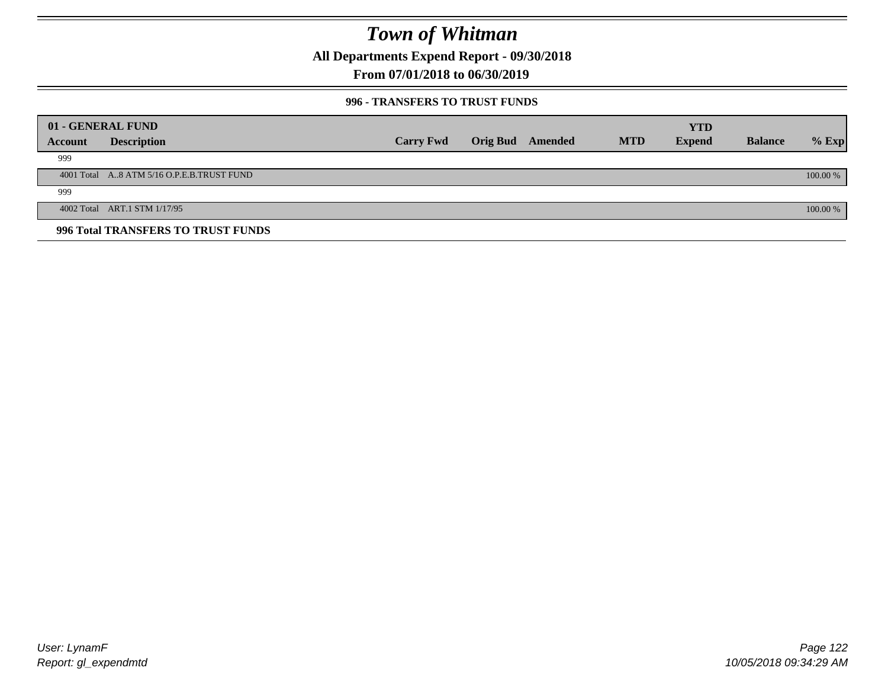**All Departments Expend Report - 09/30/2018**

**From 07/01/2018 to 06/30/2019**

### **996 - TRANSFERS TO TRUST FUNDS**

|         | 01 - GENERAL FUND                         |                  |                 |         |            | <b>YTD</b>    |                |            |
|---------|-------------------------------------------|------------------|-----------------|---------|------------|---------------|----------------|------------|
| Account | <b>Description</b>                        | <b>Carry Fwd</b> | <b>Orig Bud</b> | Amended | <b>MTD</b> | <b>Expend</b> | <b>Balance</b> | $%$ Exp    |
| 999     |                                           |                  |                 |         |            |               |                |            |
|         | 4001 Total A8 ATM 5/16 O.P.E.B.TRUST FUND |                  |                 |         |            |               |                | $100.00\%$ |
| 999     |                                           |                  |                 |         |            |               |                |            |
|         | 4002 Total ART.1 STM 1/17/95              |                  |                 |         |            |               |                | $100.00\%$ |
|         | 996 Total TRANSFERS TO TRUST FUNDS        |                  |                 |         |            |               |                |            |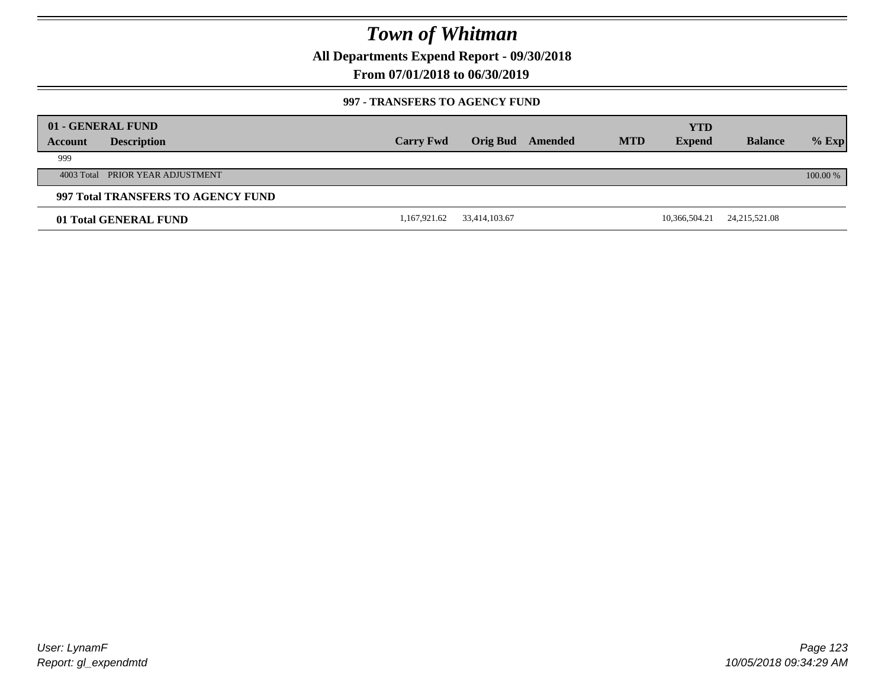**All Departments Expend Report - 09/30/2018**

**From 07/01/2018 to 06/30/2019**

#### **997 - TRANSFERS TO AGENCY FUND**

|         | 01 - GENERAL FUND                  |                  |                 |         |            | <b>YTD</b>    |                 |          |
|---------|------------------------------------|------------------|-----------------|---------|------------|---------------|-----------------|----------|
| Account | <b>Description</b>                 | <b>Carry Fwd</b> | <b>Orig Bud</b> | Amended | <b>MTD</b> | <b>Expend</b> | <b>Balance</b>  | $%$ Exp  |
| 999     |                                    |                  |                 |         |            |               |                 |          |
|         | 4003 Total PRIOR YEAR ADJUSTMENT   |                  |                 |         |            |               |                 | 100.00 % |
|         | 997 Total TRANSFERS TO AGENCY FUND |                  |                 |         |            |               |                 |          |
|         | 01 Total GENERAL FUND              | 1,167,921.62     | 33,414,103.67   |         |            | 10,366,504.21 | 24, 215, 521.08 |          |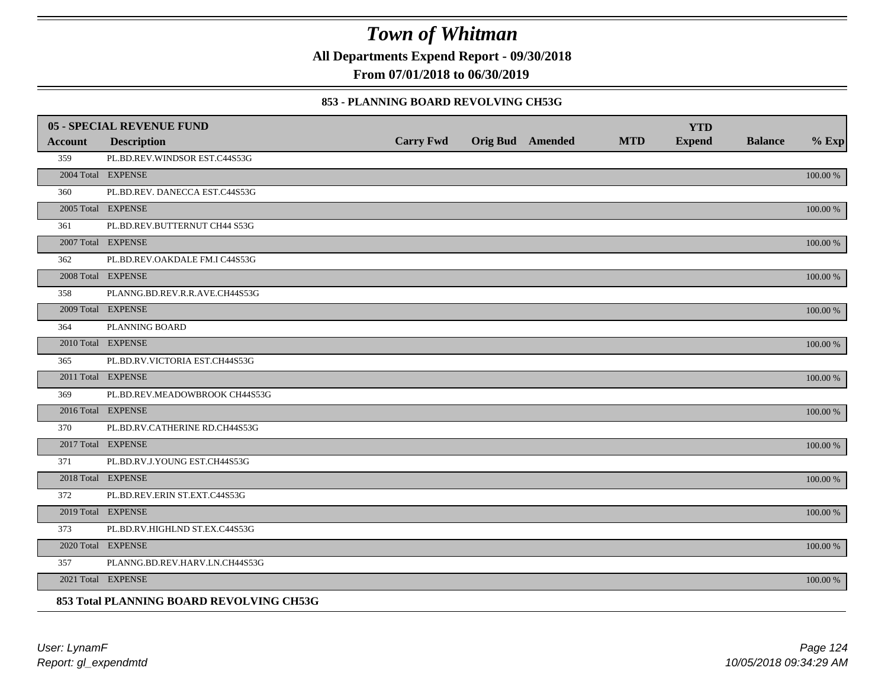**All Departments Expend Report - 09/30/2018**

**From 07/01/2018 to 06/30/2019**

### **853 - PLANNING BOARD REVOLVING CH53G**

|                | <b>05 - SPECIAL REVENUE FUND</b>         |                  |                  |            | <b>YTD</b>    |                |             |
|----------------|------------------------------------------|------------------|------------------|------------|---------------|----------------|-------------|
| <b>Account</b> | <b>Description</b>                       | <b>Carry Fwd</b> | Orig Bud Amended | <b>MTD</b> | <b>Expend</b> | <b>Balance</b> | $%$ Exp     |
| 359            | PL.BD.REV.WINDSOR EST.C44S53G            |                  |                  |            |               |                |             |
|                | 2004 Total EXPENSE                       |                  |                  |            |               |                | 100.00 %    |
| 360            | PL.BD.REV. DANECCA EST.C44S53G           |                  |                  |            |               |                |             |
|                | 2005 Total EXPENSE                       |                  |                  |            |               |                | 100.00 %    |
| 361            | PL.BD.REV.BUTTERNUT CH44 S53G            |                  |                  |            |               |                |             |
|                | 2007 Total EXPENSE                       |                  |                  |            |               |                | 100.00 %    |
| 362            | PL.BD.REV.OAKDALE FM.I C44S53G           |                  |                  |            |               |                |             |
|                | 2008 Total EXPENSE                       |                  |                  |            |               |                | 100.00 %    |
| 358            | PLANNG.BD.REV.R.R.AVE.CH44S53G           |                  |                  |            |               |                |             |
|                | 2009 Total EXPENSE                       |                  |                  |            |               |                | $100.00~\%$ |
| 364            | PLANNING BOARD                           |                  |                  |            |               |                |             |
|                | 2010 Total EXPENSE                       |                  |                  |            |               |                | $100.00~\%$ |
| 365            | PL.BD.RV.VICTORIA EST.CH44S53G           |                  |                  |            |               |                |             |
|                | 2011 Total EXPENSE                       |                  |                  |            |               |                | 100.00 %    |
| 369            | PL.BD.REV.MEADOWBROOK CH44S53G           |                  |                  |            |               |                |             |
|                | 2016 Total EXPENSE                       |                  |                  |            |               |                | 100.00 %    |
| 370            | PL.BD.RV.CATHERINE RD.CH44S53G           |                  |                  |            |               |                |             |
|                | 2017 Total EXPENSE                       |                  |                  |            |               |                | 100.00 %    |
| 371            | PL.BD.RV.J.YOUNG EST.CH44S53G            |                  |                  |            |               |                |             |
|                | 2018 Total EXPENSE                       |                  |                  |            |               |                | 100.00 %    |
| 372            | PL.BD.REV.ERIN ST.EXT.C44S53G            |                  |                  |            |               |                |             |
|                | 2019 Total EXPENSE                       |                  |                  |            |               |                | $100.00~\%$ |
| 373            | PL.BD.RV.HIGHLND ST.EX.C44S53G           |                  |                  |            |               |                |             |
|                | 2020 Total EXPENSE                       |                  |                  |            |               |                | 100.00 %    |
| 357            | PLANNG.BD.REV.HARV.LN.CH44S53G           |                  |                  |            |               |                |             |
|                | 2021 Total EXPENSE                       |                  |                  |            |               |                | 100.00 %    |
|                | 853 Total PLANNING BOARD REVOLVING CH53G |                  |                  |            |               |                |             |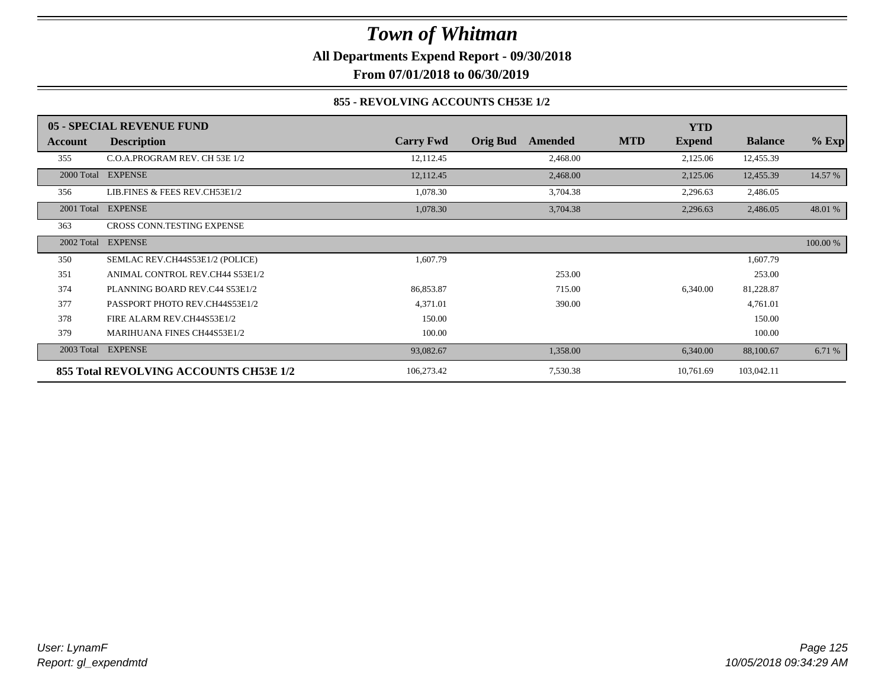**All Departments Expend Report - 09/30/2018**

**From 07/01/2018 to 06/30/2019**

### **855 - REVOLVING ACCOUNTS CH53E 1/2**

|            | 05 - SPECIAL REVENUE FUND              |                  |                            | <b>YTD</b>                  |                |          |
|------------|----------------------------------------|------------------|----------------------------|-----------------------------|----------------|----------|
| Account    | <b>Description</b>                     | <b>Carry Fwd</b> | <b>Orig Bud</b><br>Amended | <b>MTD</b><br><b>Expend</b> | <b>Balance</b> | $%$ Exp  |
| 355        | C.O.A.PROGRAM REV. CH 53E 1/2          | 12,112.45        | 2,468.00                   | 2,125.06                    | 12,455.39      |          |
|            | 2000 Total EXPENSE                     | 12,112.45        | 2,468.00                   | 2,125.06                    | 12,455.39      | 14.57 %  |
| 356        | LIB.FINES & FEES REV.CH53E1/2          | 1,078.30         | 3,704.38                   | 2,296.63                    | 2,486.05       |          |
| 2001 Total | <b>EXPENSE</b>                         | 1,078.30         | 3,704.38                   | 2,296.63                    | 2,486.05       | 48.01 %  |
| 363        | CROSS CONN.TESTING EXPENSE             |                  |                            |                             |                |          |
| 2002 Total | <b>EXPENSE</b>                         |                  |                            |                             |                | 100.00 % |
| 350        | SEMLAC REV.CH44S53E1/2 (POLICE)        | 1,607.79         |                            |                             | 1,607.79       |          |
| 351        | ANIMAL CONTROL REV.CH44 S53E1/2        |                  | 253.00                     |                             | 253.00         |          |
| 374        | PLANNING BOARD REV.C44 S53E1/2         | 86,853.87        | 715.00                     | 6,340.00                    | 81,228.87      |          |
| 377        | PASSPORT PHOTO REV.CH44S53E1/2         | 4,371.01         | 390.00                     |                             | 4,761.01       |          |
| 378        | FIRE ALARM REV.CH44S53E1/2             | 150.00           |                            |                             | 150.00         |          |
| 379        | <b>MARIHUANA FINES CH44S53E1/2</b>     | 100.00           |                            |                             | 100.00         |          |
| 2003 Total | <b>EXPENSE</b>                         | 93,082.67        | 1,358.00                   | 6,340.00                    | 88,100.67      | 6.71 %   |
|            | 855 Total REVOLVING ACCOUNTS CH53E 1/2 | 106,273.42       | 7,530.38                   | 10,761.69                   | 103,042.11     |          |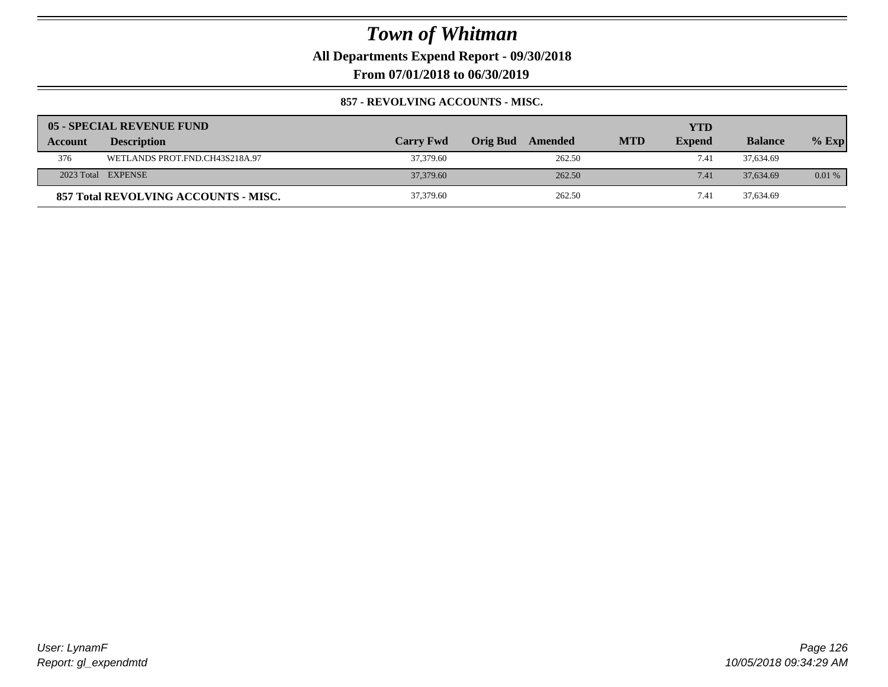**All Departments Expend Report - 09/30/2018**

**From 07/01/2018 to 06/30/2019**

### **857 - REVOLVING ACCOUNTS - MISC.**

|         | 05 - SPECIAL REVENUE FUND            |                  |                     |            | <b>YTD</b>    |                |         |
|---------|--------------------------------------|------------------|---------------------|------------|---------------|----------------|---------|
| Account | <b>Description</b>                   | <b>Carry Fwd</b> | Orig Bud<br>Amended | <b>MTD</b> | <b>Expend</b> | <b>Balance</b> | $%$ Exp |
| 376     | WETLANDS PROT.FND.CH43S218A.97       | 37,379.60        | 262.50              |            | 7.41          | 37,634.69      |         |
|         | 2023 Total EXPENSE                   | 37,379.60        | 262.50              |            | 7.41          | 37,634.69      | 0.01%   |
|         | 857 Total REVOLVING ACCOUNTS - MISC. | 37,379.60        | 262.50              |            | 7.41          | 37,634.69      |         |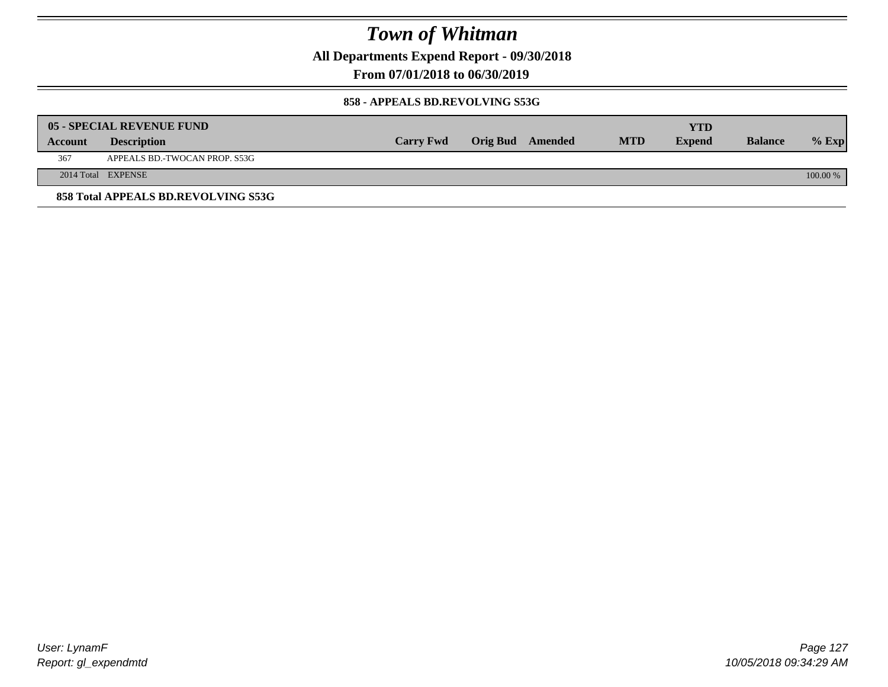**All Departments Expend Report - 09/30/2018**

**From 07/01/2018 to 06/30/2019**

#### **858 - APPEALS BD.REVOLVING S53G**

|         | 05 - SPECIAL REVENUE FUND           |                  |                  |            | YTD           |                |            |
|---------|-------------------------------------|------------------|------------------|------------|---------------|----------------|------------|
| Account | <b>Description</b>                  | <b>Carry Fwd</b> | Orig Bud Amended | <b>MTD</b> | <b>Expend</b> | <b>Balance</b> | $\%$ Exp   |
| 367     | APPEALS BD.-TWOCAN PROP. S53G       |                  |                  |            |               |                |            |
|         | 2014 Total EXPENSE                  |                  |                  |            |               |                | $100.00\%$ |
|         | 858 Total APPEALS BD.REVOLVING S53G |                  |                  |            |               |                |            |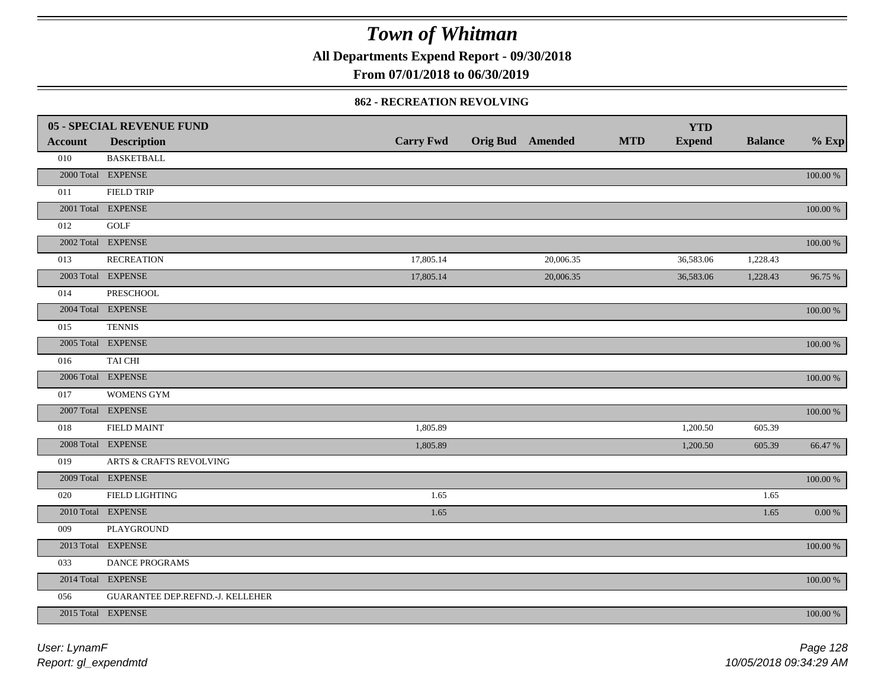**All Departments Expend Report - 09/30/2018**

**From 07/01/2018 to 06/30/2019**

#### **862 - RECREATION REVOLVING**

|                | 05 - SPECIAL REVENUE FUND        |                  |                  |            | <b>YTD</b>    |                |             |
|----------------|----------------------------------|------------------|------------------|------------|---------------|----------------|-------------|
| <b>Account</b> | <b>Description</b>               | <b>Carry Fwd</b> | Orig Bud Amended | <b>MTD</b> | <b>Expend</b> | <b>Balance</b> | $%$ Exp     |
| 010            | <b>BASKETBALL</b>                |                  |                  |            |               |                |             |
|                | 2000 Total EXPENSE               |                  |                  |            |               |                | 100.00 %    |
| 011            | <b>FIELD TRIP</b>                |                  |                  |            |               |                |             |
|                | 2001 Total EXPENSE               |                  |                  |            |               |                | 100.00 %    |
| 012            | <b>GOLF</b>                      |                  |                  |            |               |                |             |
|                | 2002 Total EXPENSE               |                  |                  |            |               |                | 100.00 %    |
| 013            | <b>RECREATION</b>                | 17,805.14        | 20,006.35        |            | 36,583.06     | 1,228.43       |             |
|                | 2003 Total EXPENSE               | 17,805.14        | 20,006.35        |            | 36,583.06     | 1,228.43       | 96.75 %     |
| 014            | PRESCHOOL                        |                  |                  |            |               |                |             |
|                | 2004 Total EXPENSE               |                  |                  |            |               |                | 100.00 %    |
| 015            | <b>TENNIS</b>                    |                  |                  |            |               |                |             |
|                | 2005 Total EXPENSE               |                  |                  |            |               |                | 100.00 %    |
| 016            | TAI CHI                          |                  |                  |            |               |                |             |
|                | 2006 Total EXPENSE               |                  |                  |            |               |                | 100.00 %    |
| 017            | <b>WOMENS GYM</b>                |                  |                  |            |               |                |             |
|                | 2007 Total EXPENSE               |                  |                  |            |               |                | 100.00 %    |
| 018            | <b>FIELD MAINT</b>               | 1,805.89         |                  |            | 1,200.50      | 605.39         |             |
|                | 2008 Total EXPENSE               | 1,805.89         |                  |            | 1,200.50      | 605.39         | 66.47 %     |
| 019            | ARTS & CRAFTS REVOLVING          |                  |                  |            |               |                |             |
|                | 2009 Total EXPENSE               |                  |                  |            |               |                | $100.00~\%$ |
| 020            | FIELD LIGHTING                   | 1.65             |                  |            |               | 1.65           |             |
|                | 2010 Total EXPENSE               | 1.65             |                  |            |               | 1.65           | 0.00 %      |
| 009            | PLAYGROUND                       |                  |                  |            |               |                |             |
|                | 2013 Total EXPENSE               |                  |                  |            |               |                | $100.00~\%$ |
| 033            | DANCE PROGRAMS                   |                  |                  |            |               |                |             |
|                | 2014 Total EXPENSE               |                  |                  |            |               |                | $100.00~\%$ |
| 056            | GUARANTEE DEP.REFND.-J. KELLEHER |                  |                  |            |               |                |             |
|                | 2015 Total EXPENSE               |                  |                  |            |               |                | 100.00 %    |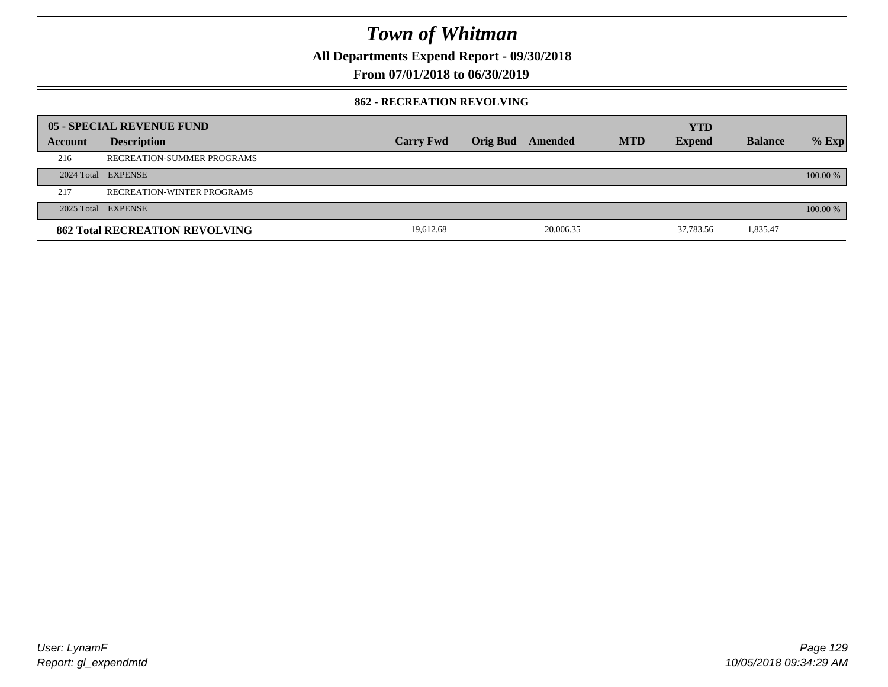**All Departments Expend Report - 09/30/2018**

**From 07/01/2018 to 06/30/2019**

### **862 - RECREATION REVOLVING**

|         | 05 - SPECIAL REVENUE FUND             |                  |          |           |            | <b>YTD</b>    |                |          |
|---------|---------------------------------------|------------------|----------|-----------|------------|---------------|----------------|----------|
| Account | <b>Description</b>                    | <b>Carry Fwd</b> | Orig Bud | Amended   | <b>MTD</b> | <b>Expend</b> | <b>Balance</b> | $%$ Exp  |
| 216     | RECREATION-SUMMER PROGRAMS            |                  |          |           |            |               |                |          |
|         | 2024 Total EXPENSE                    |                  |          |           |            |               |                | 100.00 % |
| 217     | <b>RECREATION-WINTER PROGRAMS</b>     |                  |          |           |            |               |                |          |
|         | 2025 Total EXPENSE                    |                  |          |           |            |               |                | 100.00 % |
|         | <b>862 Total RECREATION REVOLVING</b> | 19.612.68        |          | 20,006.35 |            | 37,783.56     | 1,835.47       |          |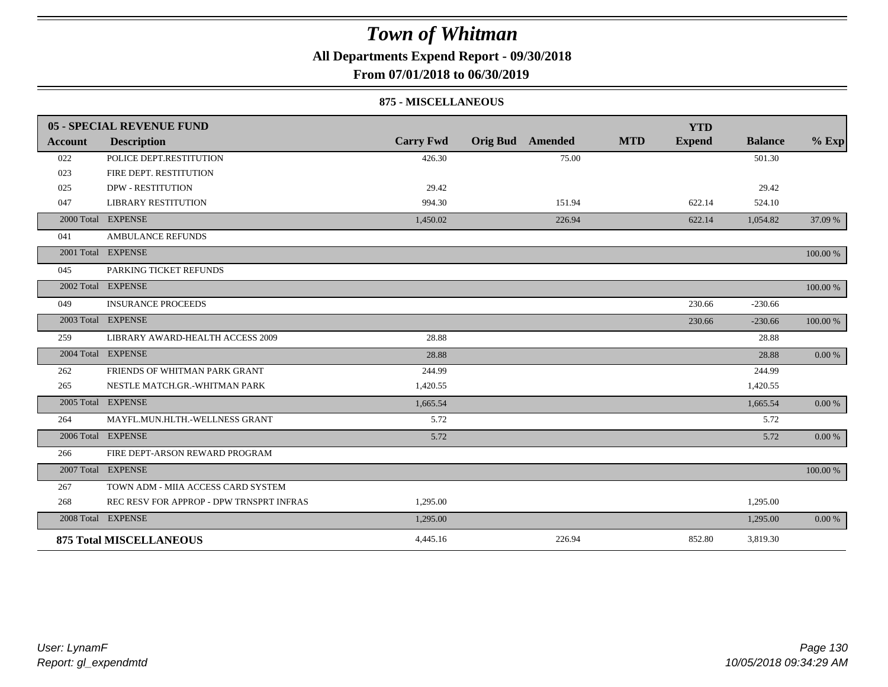**All Departments Expend Report - 09/30/2018**

### **From 07/01/2018 to 06/30/2019**

#### **875 - MISCELLANEOUS**

|         | 05 - SPECIAL REVENUE FUND                |                  |                         | <b>YTD</b>                  |                |            |
|---------|------------------------------------------|------------------|-------------------------|-----------------------------|----------------|------------|
| Account | <b>Description</b>                       | <b>Carry Fwd</b> | <b>Orig Bud</b> Amended | <b>MTD</b><br><b>Expend</b> | <b>Balance</b> | $%$ Exp    |
| 022     | POLICE DEPT.RESTITUTION                  | 426.30           | 75.00                   |                             | 501.30         |            |
| 023     | FIRE DEPT. RESTITUTION                   |                  |                         |                             |                |            |
| 025     | <b>DPW - RESTITUTION</b>                 | 29.42            |                         |                             | 29.42          |            |
| 047     | <b>LIBRARY RESTITUTION</b>               | 994.30           | 151.94                  | 622.14                      | 524.10         |            |
|         | 2000 Total EXPENSE                       | 1,450.02         | 226.94                  | 622.14                      | 1,054.82       | 37.09 %    |
| 041     | <b>AMBULANCE REFUNDS</b>                 |                  |                         |                             |                |            |
|         | 2001 Total EXPENSE                       |                  |                         |                             |                | 100.00 %   |
| 045     | PARKING TICKET REFUNDS                   |                  |                         |                             |                |            |
|         | 2002 Total EXPENSE                       |                  |                         |                             |                | 100.00 %   |
| 049     | <b>INSURANCE PROCEEDS</b>                |                  |                         | 230.66                      | $-230.66$      |            |
|         | 2003 Total EXPENSE                       |                  |                         | 230.66                      | $-230.66$      | 100.00 %   |
| 259     | LIBRARY AWARD-HEALTH ACCESS 2009         | 28.88            |                         |                             | 28.88          |            |
|         | 2004 Total EXPENSE                       | 28.88            |                         |                             | 28.88          | $0.00\ \%$ |
| 262     | FRIENDS OF WHITMAN PARK GRANT            | 244.99           |                         |                             | 244.99         |            |
| 265     | NESTLE MATCH.GR.-WHITMAN PARK            | 1,420.55         |                         |                             | 1,420.55       |            |
|         | 2005 Total EXPENSE                       | 1,665.54         |                         |                             | 1,665.54       | $0.00\ \%$ |
| 264     | MAYFL.MUN.HLTH.-WELLNESS GRANT           | 5.72             |                         |                             | 5.72           |            |
|         | 2006 Total EXPENSE                       | 5.72             |                         |                             | 5.72           | 0.00 %     |
| 266     | FIRE DEPT-ARSON REWARD PROGRAM           |                  |                         |                             |                |            |
|         | 2007 Total EXPENSE                       |                  |                         |                             |                | 100.00 %   |
| 267     | TOWN ADM - MIIA ACCESS CARD SYSTEM       |                  |                         |                             |                |            |
| 268     | REC RESV FOR APPROP - DPW TRNSPRT INFRAS | 1,295.00         |                         |                             | 1,295.00       |            |
|         | 2008 Total EXPENSE                       | 1,295.00         |                         |                             | 1,295.00       | 0.00 %     |
|         | <b>875 Total MISCELLANEOUS</b>           | 4,445.16         | 226.94                  | 852.80                      | 3,819.30       |            |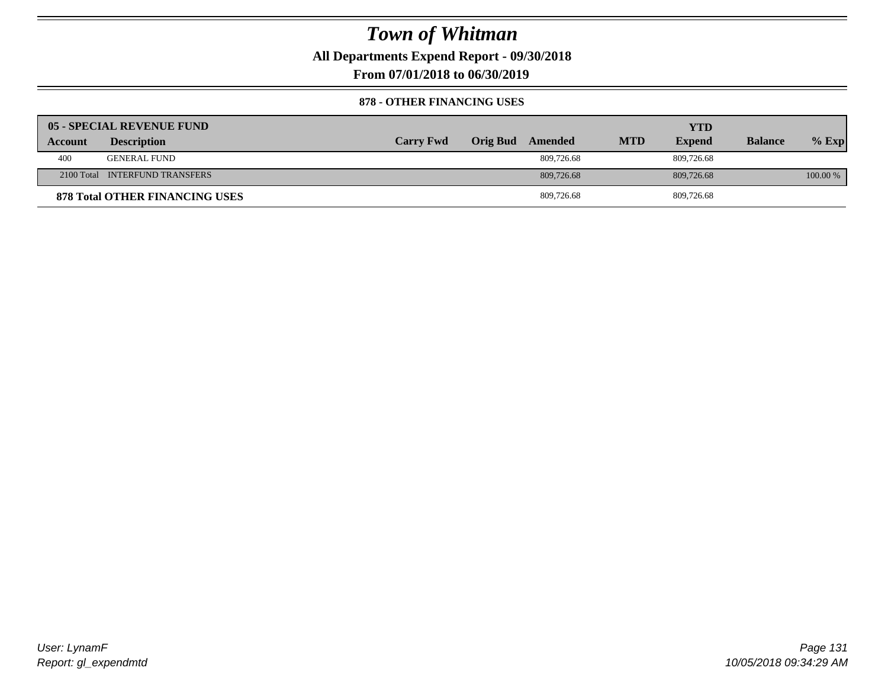**All Departments Expend Report - 09/30/2018**

**From 07/01/2018 to 06/30/2019**

### **878 - OTHER FINANCING USES**

|         | 05 - SPECIAL REVENUE FUND             |                  |                  |            | YTD           |                |          |
|---------|---------------------------------------|------------------|------------------|------------|---------------|----------------|----------|
| Account | <b>Description</b>                    | <b>Carry Fwd</b> | Orig Bud Amended | <b>MTD</b> | <b>Expend</b> | <b>Balance</b> | $%$ Exp  |
| 400     | <b>GENERAL FUND</b>                   |                  | 809,726.68       |            | 809,726.68    |                |          |
|         | 2100 Total INTERFUND TRANSFERS        |                  | 809,726.68       |            | 809,726.68    |                | 100.00 % |
|         | <b>878 Total OTHER FINANCING USES</b> |                  | 809,726.68       |            | 809,726.68    |                |          |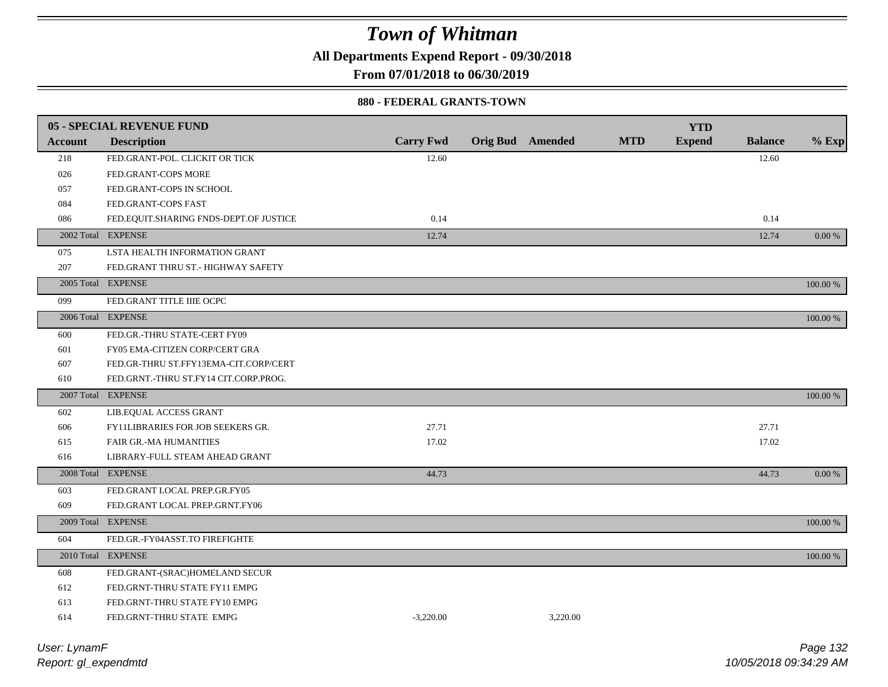**All Departments Expend Report - 09/30/2018**

**From 07/01/2018 to 06/30/2019**

#### **880 - FEDERAL GRANTS-TOWN**

|                | 05 - SPECIAL REVENUE FUND                |                  |                         |          |            | <b>YTD</b>    |                |          |
|----------------|------------------------------------------|------------------|-------------------------|----------|------------|---------------|----------------|----------|
| <b>Account</b> | <b>Description</b>                       | <b>Carry Fwd</b> | <b>Orig Bud Amended</b> |          | <b>MTD</b> | <b>Expend</b> | <b>Balance</b> | $%$ Exp  |
| 218            | FED.GRANT-POL. CLICKIT OR TICK           | 12.60            |                         |          |            |               | 12.60          |          |
| 026            | FED.GRANT-COPS MORE                      |                  |                         |          |            |               |                |          |
| 057            | FED.GRANT-COPS IN SCHOOL                 |                  |                         |          |            |               |                |          |
| 084            | FED.GRANT-COPS FAST                      |                  |                         |          |            |               |                |          |
| 086            | FED.EQUIT.SHARING FNDS-DEPT.OF JUSTICE   | 0.14             |                         |          |            |               | 0.14           |          |
|                | 2002 Total EXPENSE                       | 12.74            |                         |          |            |               | 12.74          | 0.00 %   |
|                |                                          |                  |                         |          |            |               |                |          |
| 075            | LSTA HEALTH INFORMATION GRANT            |                  |                         |          |            |               |                |          |
| 207            | FED.GRANT THRU ST.- HIGHWAY SAFETY       |                  |                         |          |            |               |                |          |
|                | 2005 Total EXPENSE                       |                  |                         |          |            |               |                | 100.00 % |
| 099            | FED.GRANT TITLE IIIE OCPC                |                  |                         |          |            |               |                |          |
|                | 2006 Total EXPENSE                       |                  |                         |          |            |               |                | 100.00 % |
| 600            | FED.GR.-THRU STATE-CERT FY09             |                  |                         |          |            |               |                |          |
| 601            | FY05 EMA-CITIZEN CORP/CERT GRA           |                  |                         |          |            |               |                |          |
| 607            | FED.GR-THRU ST.FFY13EMA-CIT.CORP/CERT    |                  |                         |          |            |               |                |          |
| 610            | FED.GRNT.-THRU ST.FY14 CIT.CORP.PROG.    |                  |                         |          |            |               |                |          |
|                | 2007 Total EXPENSE                       |                  |                         |          |            |               |                | 100.00 % |
| 602            | LIB.EQUAL ACCESS GRANT                   |                  |                         |          |            |               |                |          |
| 606            | <b>FY11LIBRARIES FOR JOB SEEKERS GR.</b> | 27.71            |                         |          |            |               | 27.71          |          |
| 615            | FAIR GR.-MA HUMANITIES                   | 17.02            |                         |          |            |               | 17.02          |          |
| 616            | LIBRARY-FULL STEAM AHEAD GRANT           |                  |                         |          |            |               |                |          |
|                | 2008 Total EXPENSE                       | 44.73            |                         |          |            |               | 44.73          | 0.00 %   |
| 603            | FED.GRANT LOCAL PREP.GR.FY05             |                  |                         |          |            |               |                |          |
| 609            | FED.GRANT LOCAL PREP.GRNT.FY06           |                  |                         |          |            |               |                |          |
|                | 2009 Total EXPENSE                       |                  |                         |          |            |               |                | 100.00 % |
| 604            | FED.GR.-FY04ASST.TO FIREFIGHTE           |                  |                         |          |            |               |                |          |
|                | 2010 Total EXPENSE                       |                  |                         |          |            |               |                | 100.00 % |
| 608            | FED.GRANT-(SRAC)HOMELAND SECUR           |                  |                         |          |            |               |                |          |
| 612            | FED.GRNT-THRU STATE FY11 EMPG            |                  |                         |          |            |               |                |          |
| 613            | FED.GRNT-THRU STATE FY10 EMPG            |                  |                         |          |            |               |                |          |
| 614            | FED.GRNT-THRU STATE EMPG                 | $-3.220.00$      |                         | 3.220.00 |            |               |                |          |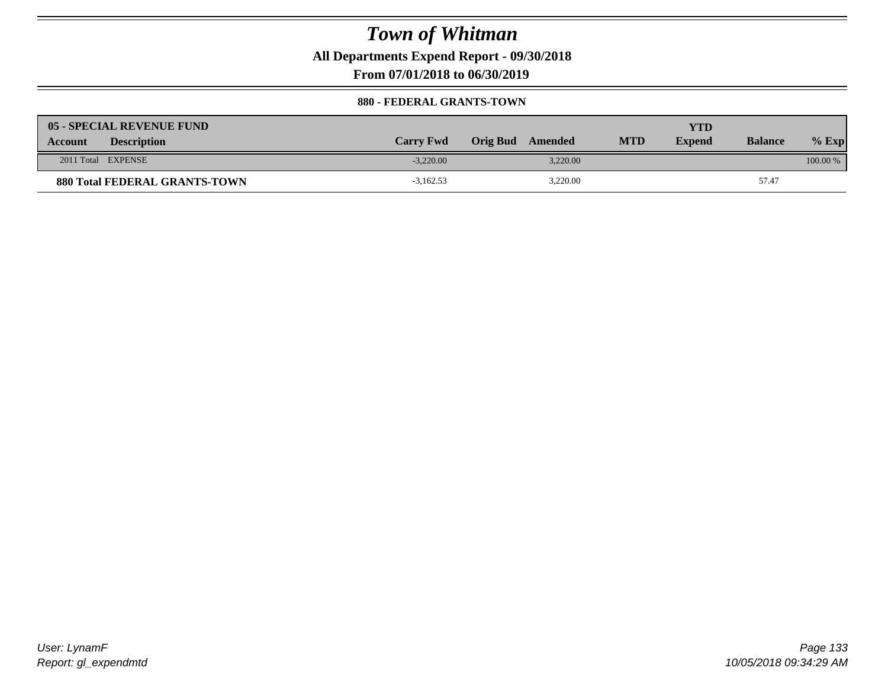**All Departments Expend Report - 09/30/2018**

**From 07/01/2018 to 06/30/2019**

#### **880 - FEDERAL GRANTS-TOWN**

| <b>05 - SPECIAL REVENUE FUND</b>     |                  |                  |            | YTD           |                |            |
|--------------------------------------|------------------|------------------|------------|---------------|----------------|------------|
| <b>Description</b><br><b>Account</b> | <b>Carry Fwd</b> | Orig Bud Amended | <b>MTD</b> | <b>Expend</b> | <b>Balance</b> | $%$ Exp    |
| 2011 Total EXPENSE                   | $-3.220.00$      | 3.220.00         |            |               |                | $100.00\%$ |
| <b>880 Total FEDERAL GRANTS-TOWN</b> | $-3,162.53$      | 3,220.00         |            |               | 57.47          |            |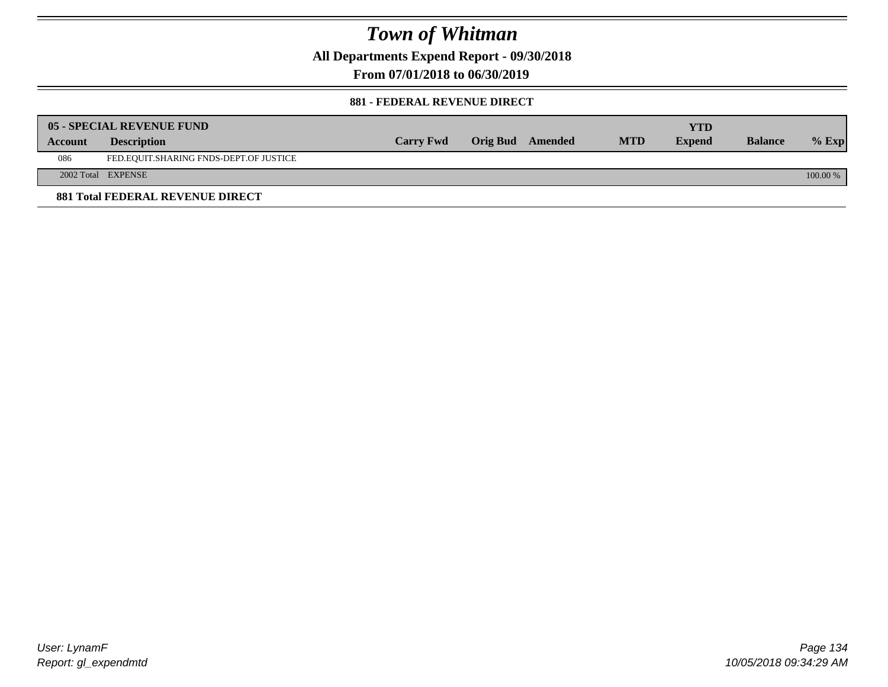**All Departments Expend Report - 09/30/2018**

**From 07/01/2018 to 06/30/2019**

### **881 - FEDERAL REVENUE DIRECT**

|                | <b>05 - SPECIAL REVENUE FUND</b>        |                  |                  |            | YTD           |                |          |
|----------------|-----------------------------------------|------------------|------------------|------------|---------------|----------------|----------|
| <b>Account</b> | <b>Description</b>                      | <b>Carry Fwd</b> | Orig Bud Amended | <b>MTD</b> | <b>Expend</b> | <b>Balance</b> | $%$ Exp  |
| 086            | FED.EQUIT.SHARING FNDS-DEPT.OF JUSTICE  |                  |                  |            |               |                |          |
|                | 2002 Total EXPENSE                      |                  |                  |            |               |                | 100.00 % |
|                | <b>881 Total FEDERAL REVENUE DIRECT</b> |                  |                  |            |               |                |          |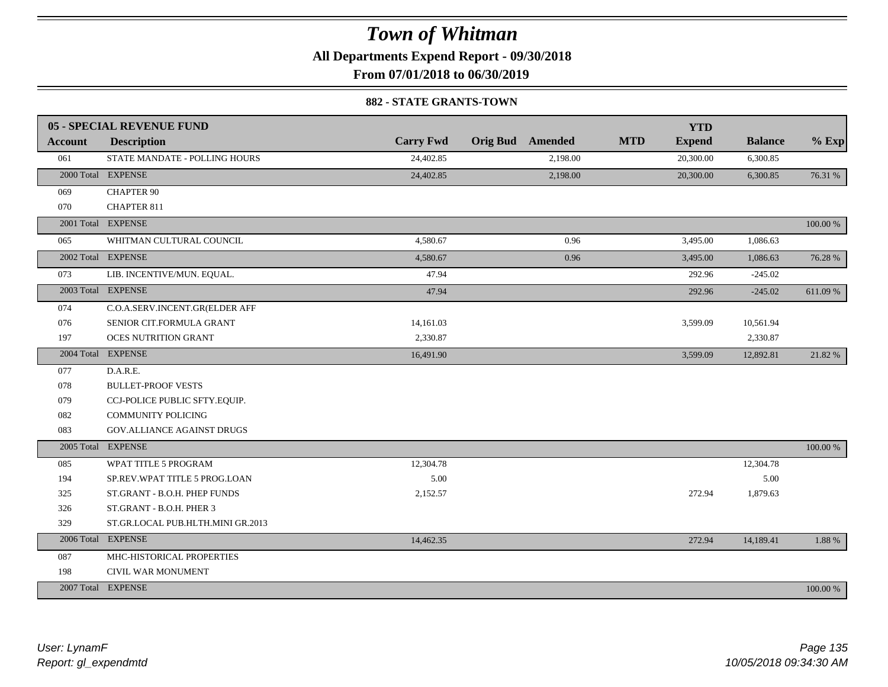**All Departments Expend Report - 09/30/2018**

**From 07/01/2018 to 06/30/2019**

#### **882 - STATE GRANTS-TOWN**

|         | 05 - SPECIAL REVENUE FUND         |                  |                         | <b>YTD</b>                  |                |          |
|---------|-----------------------------------|------------------|-------------------------|-----------------------------|----------------|----------|
| Account | <b>Description</b>                | <b>Carry Fwd</b> | <b>Orig Bud</b> Amended | <b>MTD</b><br><b>Expend</b> | <b>Balance</b> | $%$ Exp  |
| 061     | STATE MANDATE - POLLING HOURS     | 24,402.85        | 2,198.00                | 20,300.00                   | 6,300.85       |          |
|         | 2000 Total EXPENSE                | 24,402.85        | 2,198.00                | 20,300.00                   | 6,300.85       | 76.31 %  |
| 069     | <b>CHAPTER 90</b>                 |                  |                         |                             |                |          |
| 070     | <b>CHAPTER 811</b>                |                  |                         |                             |                |          |
|         | 2001 Total EXPENSE                |                  |                         |                             |                | 100.00 % |
| 065     | WHITMAN CULTURAL COUNCIL          | 4,580.67         | 0.96                    | 3,495.00                    | 1,086.63       |          |
|         | 2002 Total EXPENSE                | 4,580.67         | 0.96                    | 3,495.00                    | 1,086.63       | 76.28 %  |
| 073     | LIB. INCENTIVE/MUN. EQUAL.        | 47.94            |                         | 292.96                      | $-245.02$      |          |
|         | 2003 Total EXPENSE                | 47.94            |                         | 292.96                      | $-245.02$      | 611.09%  |
| 074     | C.O.A.SERV.INCENT.GR(ELDER AFF    |                  |                         |                             |                |          |
| 076     | SENIOR CIT.FORMULA GRANT          | 14,161.03        |                         | 3,599.09                    | 10,561.94      |          |
| 197     | <b>OCES NUTRITION GRANT</b>       | 2,330.87         |                         |                             | 2,330.87       |          |
|         | 2004 Total EXPENSE                | 16,491.90        |                         | 3,599.09                    | 12,892.81      | 21.82%   |
| 077     | D.A.R.E.                          |                  |                         |                             |                |          |
| 078     | <b>BULLET-PROOF VESTS</b>         |                  |                         |                             |                |          |
| 079     | CCJ-POLICE PUBLIC SFTY.EQUIP.     |                  |                         |                             |                |          |
| 082     | <b>COMMUNITY POLICING</b>         |                  |                         |                             |                |          |
| 083     | <b>GOV.ALLIANCE AGAINST DRUGS</b> |                  |                         |                             |                |          |
|         | 2005 Total EXPENSE                |                  |                         |                             |                | 100.00 % |
| 085     | WPAT TITLE 5 PROGRAM              | 12,304.78        |                         |                             | 12,304.78      |          |
| 194     | SP.REV.WPAT TITLE 5 PROG.LOAN     | 5.00             |                         |                             | 5.00           |          |
| 325     | ST.GRANT - B.O.H. PHEP FUNDS      | 2,152.57         |                         | 272.94                      | 1,879.63       |          |
| 326     | ST.GRANT - B.O.H. PHER 3          |                  |                         |                             |                |          |
| 329     | ST.GR.LOCAL PUB.HLTH.MINI GR.2013 |                  |                         |                             |                |          |
|         | 2006 Total EXPENSE                | 14,462.35        |                         | 272.94                      | 14,189.41      | 1.88 %   |
| 087     | MHC-HISTORICAL PROPERTIES         |                  |                         |                             |                |          |
| 198     | CIVIL WAR MONUMENT                |                  |                         |                             |                |          |
|         | 2007 Total EXPENSE                |                  |                         |                             |                | 100.00 % |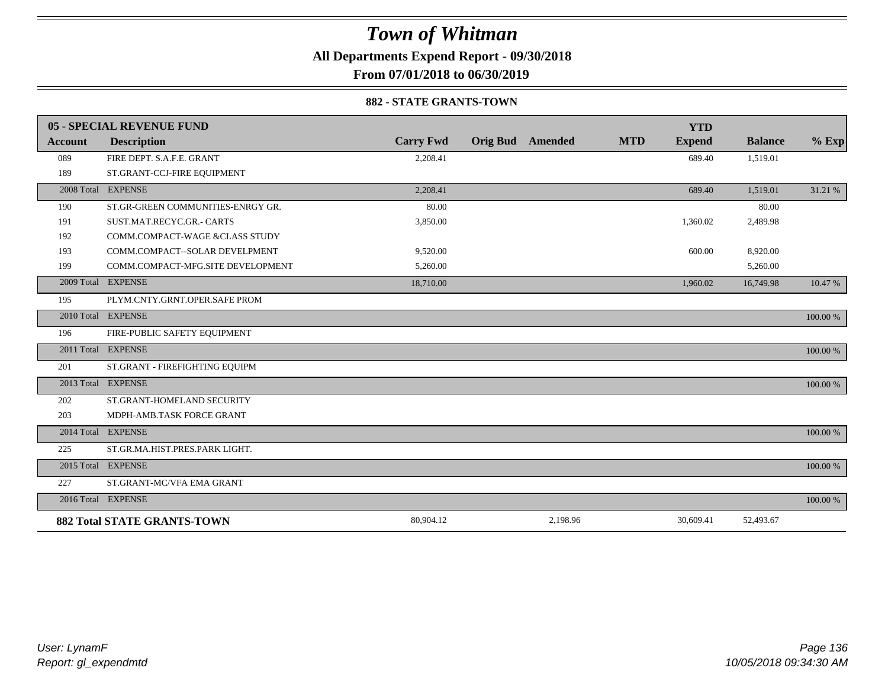**All Departments Expend Report - 09/30/2018**

**From 07/01/2018 to 06/30/2019**

#### **882 - STATE GRANTS-TOWN**

|                | 05 - SPECIAL REVENUE FUND          |                  |                 |          |            | <b>YTD</b>    |                |          |
|----------------|------------------------------------|------------------|-----------------|----------|------------|---------------|----------------|----------|
| <b>Account</b> | <b>Description</b>                 | <b>Carry Fwd</b> | <b>Orig Bud</b> | Amended  | <b>MTD</b> | <b>Expend</b> | <b>Balance</b> | $%$ Exp  |
| 089            | FIRE DEPT. S.A.F.E. GRANT          | 2,208.41         |                 |          |            | 689.40        | 1,519.01       |          |
| 189            | ST.GRANT-CCJ-FIRE EQUIPMENT        |                  |                 |          |            |               |                |          |
|                | 2008 Total EXPENSE                 | 2,208.41         |                 |          |            | 689.40        | 1,519.01       | 31.21 %  |
| 190            | ST.GR-GREEN COMMUNITIES-ENRGY GR.  | 80.00            |                 |          |            |               | 80.00          |          |
| 191            | SUST.MAT.RECYC.GR.- CARTS          | 3,850.00         |                 |          |            | 1,360.02      | 2,489.98       |          |
| 192            | COMM.COMPACT-WAGE &CLASS STUDY     |                  |                 |          |            |               |                |          |
| 193            | COMM.COMPACT--SOLAR DEVELPMENT     | 9,520.00         |                 |          |            | 600.00        | 8,920.00       |          |
| 199            | COMM.COMPACT-MFG.SITE DEVELOPMENT  | 5,260.00         |                 |          |            |               | 5,260.00       |          |
|                | 2009 Total EXPENSE                 | 18,710.00        |                 |          |            | 1,960.02      | 16,749.98      | 10.47 %  |
| 195            | PLYM.CNTY.GRNT.OPER.SAFE PROM      |                  |                 |          |            |               |                |          |
|                | 2010 Total EXPENSE                 |                  |                 |          |            |               |                | 100.00 % |
| 196            | FIRE-PUBLIC SAFETY EQUIPMENT       |                  |                 |          |            |               |                |          |
|                | 2011 Total EXPENSE                 |                  |                 |          |            |               |                | 100.00 % |
| 201            | ST.GRANT - FIREFIGHTING EQUIPM     |                  |                 |          |            |               |                |          |
|                | 2013 Total EXPENSE                 |                  |                 |          |            |               |                | 100.00 % |
| 202            | ST.GRANT-HOMELAND SECURITY         |                  |                 |          |            |               |                |          |
| 203            | MDPH-AMB.TASK FORCE GRANT          |                  |                 |          |            |               |                |          |
|                | 2014 Total EXPENSE                 |                  |                 |          |            |               |                | 100.00 % |
| 225            | ST.GR.MA.HIST.PRES.PARK LIGHT.     |                  |                 |          |            |               |                |          |
|                | 2015 Total EXPENSE                 |                  |                 |          |            |               |                | 100.00 % |
| 227            | ST.GRANT-MC/VFA EMA GRANT          |                  |                 |          |            |               |                |          |
|                | 2016 Total EXPENSE                 |                  |                 |          |            |               |                | 100.00 % |
|                | <b>882 Total STATE GRANTS-TOWN</b> | 80,904.12        |                 | 2,198.96 |            | 30,609.41     | 52,493.67      |          |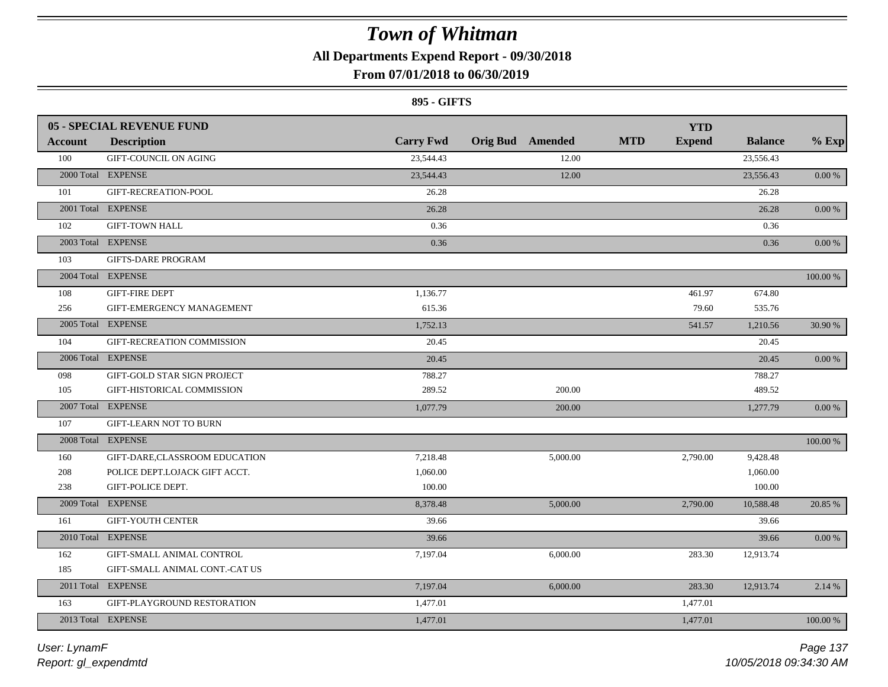**All Departments Expend Report - 09/30/2018**

### **From 07/01/2018 to 06/30/2019**

### **895 - GIFTS**

|                | 05 - SPECIAL REVENUE FUND      |                  |                         |          |            | <b>YTD</b>    |                |            |
|----------------|--------------------------------|------------------|-------------------------|----------|------------|---------------|----------------|------------|
| <b>Account</b> | <b>Description</b>             | <b>Carry Fwd</b> | <b>Orig Bud</b> Amended |          | <b>MTD</b> | <b>Expend</b> | <b>Balance</b> | $%$ Exp    |
| 100            | GIFT-COUNCIL ON AGING          | 23,544.43        |                         | 12.00    |            |               | 23,556.43      |            |
|                | 2000 Total EXPENSE             | 23,544.43        |                         | 12.00    |            |               | 23,556.43      | 0.00 %     |
| 101            | GIFT-RECREATION-POOL           | 26.28            |                         |          |            |               | 26.28          |            |
|                | 2001 Total EXPENSE             | 26.28            |                         |          |            |               | 26.28          | 0.00 %     |
| 102            | <b>GIFT-TOWN HALL</b>          | 0.36             |                         |          |            |               | 0.36           |            |
|                | 2003 Total EXPENSE             | 0.36             |                         |          |            |               | 0.36           | 0.00 %     |
| 103            | <b>GIFTS-DARE PROGRAM</b>      |                  |                         |          |            |               |                |            |
|                | 2004 Total EXPENSE             |                  |                         |          |            |               |                | 100.00 %   |
| 108            | <b>GIFT-FIRE DEPT</b>          | 1,136.77         |                         |          |            | 461.97        | 674.80         |            |
| 256            | GIFT-EMERGENCY MANAGEMENT      | 615.36           |                         |          |            | 79.60         | 535.76         |            |
|                | 2005 Total EXPENSE             | 1,752.13         |                         |          |            | 541.57        | 1,210.56       | 30.90 %    |
| 104            | GIFT-RECREATION COMMISSION     | 20.45            |                         |          |            |               | 20.45          |            |
|                | 2006 Total EXPENSE             | 20.45            |                         |          |            |               | 20.45          | 0.00 %     |
| 098            | GIFT-GOLD STAR SIGN PROJECT    | 788.27           |                         |          |            |               | 788.27         |            |
| 105            | GIFT-HISTORICAL COMMISSION     | 289.52           |                         | 200.00   |            |               | 489.52         |            |
|                | 2007 Total EXPENSE             | 1,077.79         |                         | 200.00   |            |               | 1,277.79       | $0.00\,\%$ |
| 107            | <b>GIFT-LEARN NOT TO BURN</b>  |                  |                         |          |            |               |                |            |
|                | 2008 Total EXPENSE             |                  |                         |          |            |               |                | 100.00 %   |
| 160            | GIFT-DARE,CLASSROOM EDUCATION  | 7,218.48         |                         | 5,000.00 |            | 2,790.00      | 9,428.48       |            |
| 208            | POLICE DEPT.LOJACK GIFT ACCT.  | 1,060.00         |                         |          |            |               | 1,060.00       |            |
| 238            | GIFT-POLICE DEPT.              | 100.00           |                         |          |            |               | 100.00         |            |
|                | 2009 Total EXPENSE             | 8,378.48         |                         | 5,000.00 |            | 2,790.00      | 10,588.48      | 20.85 %    |
| 161            | <b>GIFT-YOUTH CENTER</b>       | 39.66            |                         |          |            |               | 39.66          |            |
|                | 2010 Total EXPENSE             | 39.66            |                         |          |            |               | 39.66          | $0.00\,\%$ |
| 162            | GIFT-SMALL ANIMAL CONTROL      | 7,197.04         |                         | 6,000.00 |            | 283.30        | 12,913.74      |            |
| 185            | GIFT-SMALL ANIMAL CONT.-CAT US |                  |                         |          |            |               |                |            |
|                | 2011 Total EXPENSE             | 7,197.04         |                         | 6,000.00 |            | 283.30        | 12,913.74      | 2.14 %     |
| 163            | GIFT-PLAYGROUND RESTORATION    | 1,477.01         |                         |          |            | 1,477.01      |                |            |
|                | 2013 Total EXPENSE             | 1,477.01         |                         |          |            | 1,477.01      |                | 100.00 %   |
|                |                                |                  |                         |          |            |               |                |            |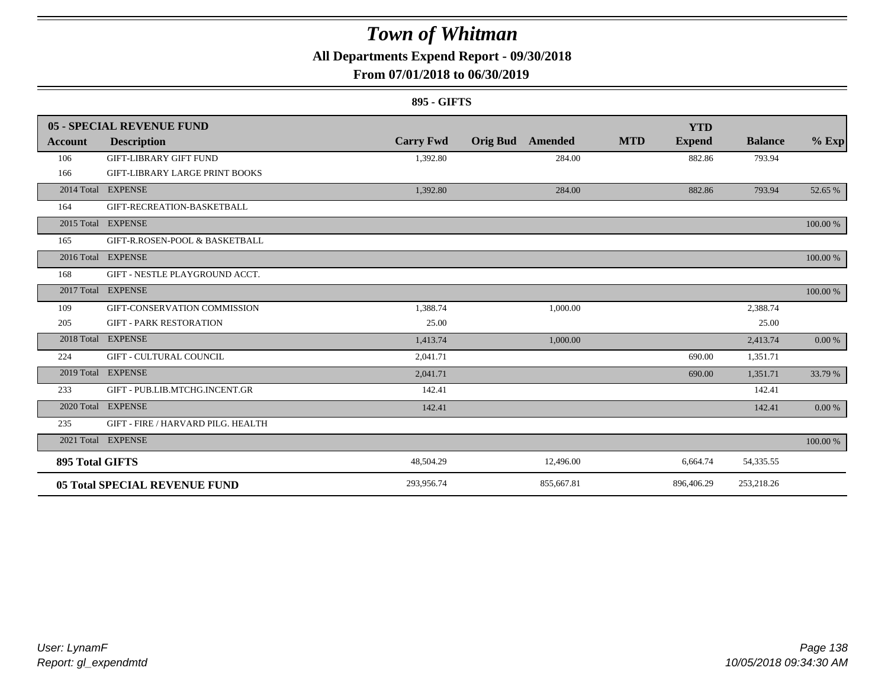**All Departments Expend Report - 09/30/2018**

### **From 07/01/2018 to 06/30/2019**

#### **895 - GIFTS**

|                 | 05 - SPECIAL REVENUE FUND             |                  |                            | <b>YTD</b>                  |                |          |
|-----------------|---------------------------------------|------------------|----------------------------|-----------------------------|----------------|----------|
| Account         | <b>Description</b>                    | <b>Carry Fwd</b> | <b>Orig Bud</b><br>Amended | <b>MTD</b><br><b>Expend</b> | <b>Balance</b> | $%$ Exp  |
| 106             | <b>GIFT-LIBRARY GIFT FUND</b>         | 1,392.80         | 284.00                     | 882.86                      | 793.94         |          |
| 166             | <b>GIFT-LIBRARY LARGE PRINT BOOKS</b> |                  |                            |                             |                |          |
|                 | 2014 Total EXPENSE                    | 1,392.80         | 284.00                     | 882.86                      | 793.94         | 52.65 %  |
| 164             | GIFT-RECREATION-BASKETBALL            |                  |                            |                             |                |          |
|                 | 2015 Total EXPENSE                    |                  |                            |                             |                | 100.00 % |
| 165             | GIFT-R.ROSEN-POOL & BASKETBALL        |                  |                            |                             |                |          |
|                 | 2016 Total EXPENSE                    |                  |                            |                             |                | 100.00 % |
| 168             | GIFT - NESTLE PLAYGROUND ACCT.        |                  |                            |                             |                |          |
|                 | 2017 Total EXPENSE                    |                  |                            |                             |                | 100.00 % |
| 109             | GIFT-CONSERVATION COMMISSION          | 1,388.74         | 1,000.00                   |                             | 2,388.74       |          |
| 205             | <b>GIFT - PARK RESTORATION</b>        | 25.00            |                            |                             | 25.00          |          |
| 2018 Total      | <b>EXPENSE</b>                        | 1,413.74         | 1,000.00                   |                             | 2,413.74       | 0.00 %   |
| 224             | <b>GIFT - CULTURAL COUNCIL</b>        | 2,041.71         |                            | 690.00                      | 1,351.71       |          |
|                 | 2019 Total EXPENSE                    | 2,041.71         |                            | 690.00                      | 1,351.71       | 33.79 %  |
| 233             | GIFT - PUB.LIB.MTCHG.INCENT.GR        | 142.41           |                            |                             | 142.41         |          |
|                 | 2020 Total EXPENSE                    | 142.41           |                            |                             | 142.41         | 0.00 %   |
| 235             | GIFT - FIRE / HARVARD PILG. HEALTH    |                  |                            |                             |                |          |
|                 | 2021 Total EXPENSE                    |                  |                            |                             |                | 100.00 % |
| 895 Total GIFTS |                                       | 48,504.29        | 12,496.00                  | 6,664.74                    | 54,335.55      |          |
|                 | <b>05 Total SPECIAL REVENUE FUND</b>  | 293,956.74       | 855,667.81                 | 896,406.29                  | 253,218.26     |          |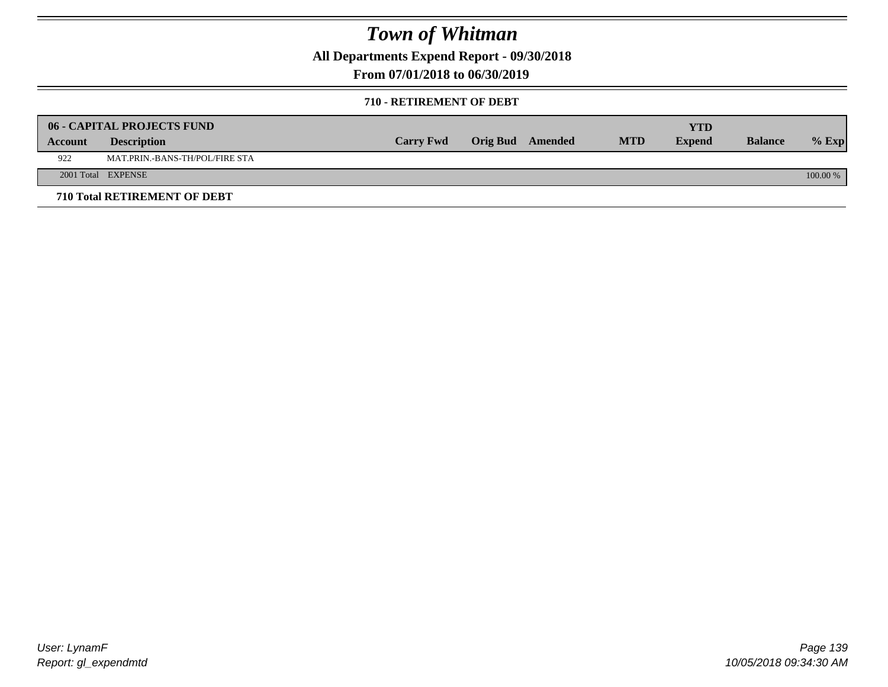**All Departments Expend Report - 09/30/2018**

**From 07/01/2018 to 06/30/2019**

#### **710 - RETIREMENT OF DEBT**

|         | <b>06 - CAPITAL PROJECTS FUND</b>   |                  |                  |            | <b>YTD</b>    |                |          |
|---------|-------------------------------------|------------------|------------------|------------|---------------|----------------|----------|
| Account | <b>Description</b>                  | <b>Carry Fwd</b> | Orig Bud Amended | <b>MTD</b> | <b>Expend</b> | <b>Balance</b> | $%$ Exp  |
| 922     | MAT.PRIN.-BANS-TH/POL/FIRE STA      |                  |                  |            |               |                |          |
|         | 2001 Total EXPENSE                  |                  |                  |            |               |                | 100.00 % |
|         | <b>710 Total RETIREMENT OF DEBT</b> |                  |                  |            |               |                |          |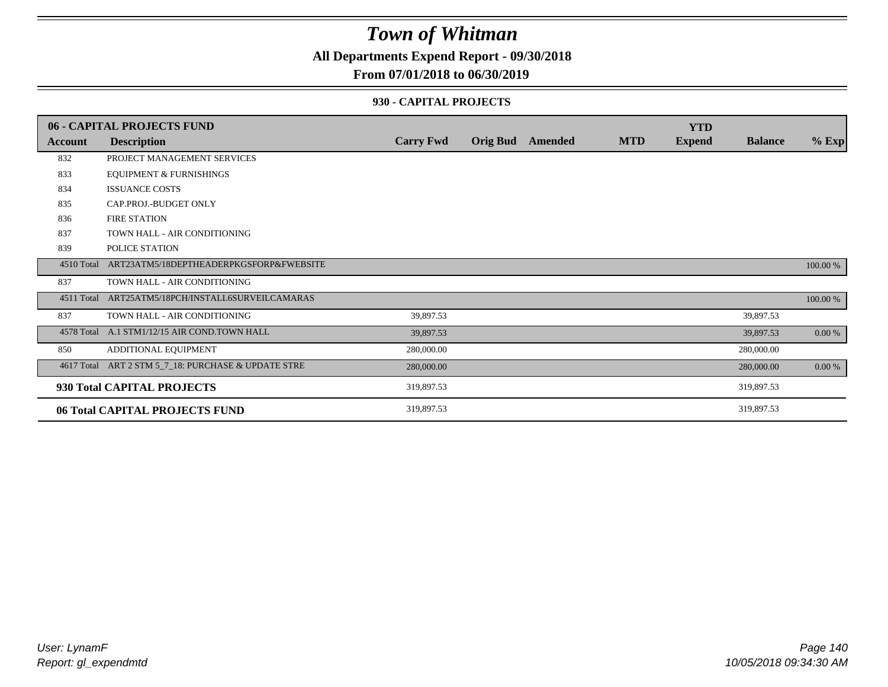**All Departments Expend Report - 09/30/2018**

### **From 07/01/2018 to 06/30/2019**

#### **930 - CAPITAL PROJECTS**

|            | 06 - CAPITAL PROJECTS FUND                          |                  |                         |            | <b>YTD</b>    |                |          |
|------------|-----------------------------------------------------|------------------|-------------------------|------------|---------------|----------------|----------|
| Account    | <b>Description</b>                                  | <b>Carry Fwd</b> | <b>Orig Bud</b> Amended | <b>MTD</b> | <b>Expend</b> | <b>Balance</b> | $%$ Exp  |
| 832        | PROJECT MANAGEMENT SERVICES                         |                  |                         |            |               |                |          |
| 833        | <b>EQUIPMENT &amp; FURNISHINGS</b>                  |                  |                         |            |               |                |          |
| 834        | <b>ISSUANCE COSTS</b>                               |                  |                         |            |               |                |          |
| 835        | CAP.PROJ.-BUDGET ONLY                               |                  |                         |            |               |                |          |
| 836        | <b>FIRE STATION</b>                                 |                  |                         |            |               |                |          |
| 837        | TOWN HALL - AIR CONDITIONING                        |                  |                         |            |               |                |          |
| 839        | POLICE STATION                                      |                  |                         |            |               |                |          |
| 4510 Total | ART23ATM5/18DEPTHEADERPKGSFORP&FWEBSITE             |                  |                         |            |               |                | 100.00 % |
| 837        | TOWN HALL - AIR CONDITIONING                        |                  |                         |            |               |                |          |
| 4511 Total | ART25ATM5/18PCH/INSTALL6SURVEILCAMARAS              |                  |                         |            |               |                | 100.00 % |
| 837        | TOWN HALL - AIR CONDITIONING                        | 39,897.53        |                         |            |               | 39,897.53      |          |
|            | 4578 Total A.1 STM1/12/15 AIR COND.TOWN HALL        | 39,897.53        |                         |            |               | 39,897.53      | $0.00\%$ |
| 850        | ADDITIONAL EQUIPMENT                                | 280,000.00       |                         |            |               | 280,000.00     |          |
|            | 4617 Total ART 2 STM 5_7_18: PURCHASE & UPDATE STRE | 280,000.00       |                         |            |               | 280,000.00     | $0.00\%$ |
|            | 930 Total CAPITAL PROJECTS                          | 319,897.53       |                         |            |               | 319,897.53     |          |
|            | 06 Total CAPITAL PROJECTS FUND                      | 319,897.53       |                         |            |               | 319,897.53     |          |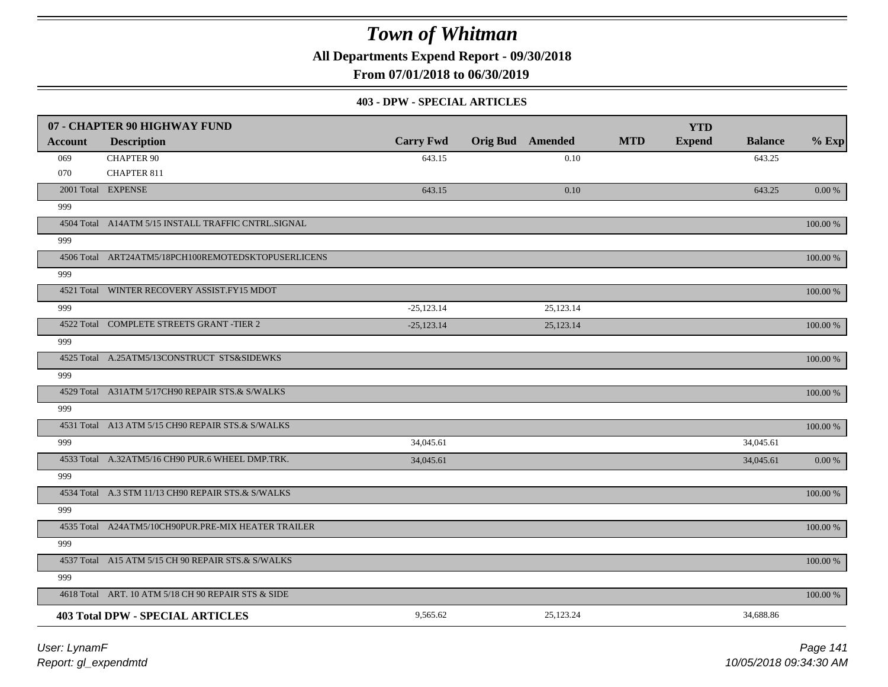**All Departments Expend Report - 09/30/2018**

**From 07/01/2018 to 06/30/2019**

#### **403 - DPW - SPECIAL ARTICLES**

|                | 07 - CHAPTER 90 HIGHWAY FUND                        |                  |                         |           |            | <b>YTD</b>    |                |             |
|----------------|-----------------------------------------------------|------------------|-------------------------|-----------|------------|---------------|----------------|-------------|
| <b>Account</b> | <b>Description</b>                                  | <b>Carry Fwd</b> | <b>Orig Bud</b> Amended |           | <b>MTD</b> | <b>Expend</b> | <b>Balance</b> | $%$ Exp     |
| 069            | <b>CHAPTER 90</b>                                   | 643.15           |                         | 0.10      |            |               | 643.25         |             |
| 070            | <b>CHAPTER 811</b>                                  |                  |                         |           |            |               |                |             |
|                | 2001 Total EXPENSE                                  | 643.15           |                         | 0.10      |            |               | 643.25         | $0.00\,\%$  |
| 999            |                                                     |                  |                         |           |            |               |                |             |
|                | 4504 Total A14ATM 5/15 INSTALL TRAFFIC CNTRL.SIGNAL |                  |                         |           |            |               |                | 100.00 %    |
| 999            |                                                     |                  |                         |           |            |               |                |             |
|                | 4506 Total ART24ATM5/18PCH100REMOTEDSKTOPUSERLICENS |                  |                         |           |            |               |                | 100.00 %    |
| 999            |                                                     |                  |                         |           |            |               |                |             |
|                | 4521 Total WINTER RECOVERY ASSIST.FY15 MDOT         |                  |                         |           |            |               |                | 100.00 %    |
| 999            |                                                     | $-25,123.14$     |                         | 25,123.14 |            |               |                |             |
|                | 4522 Total COMPLETE STREETS GRANT -TIER 2           | $-25,123.14$     |                         | 25,123.14 |            |               |                | 100.00 %    |
| 999            |                                                     |                  |                         |           |            |               |                |             |
|                | 4525 Total A.25ATM5/13CONSTRUCT STS&SIDEWKS         |                  |                         |           |            |               |                | 100.00 %    |
| 999            |                                                     |                  |                         |           |            |               |                |             |
|                | 4529 Total A31ATM 5/17CH90 REPAIR STS.& S/WALKS     |                  |                         |           |            |               |                | $100.00~\%$ |
| 999            |                                                     |                  |                         |           |            |               |                |             |
|                | 4531 Total A13 ATM 5/15 CH90 REPAIR STS.& S/WALKS   |                  |                         |           |            |               |                | 100.00 %    |
| 999            |                                                     | 34,045.61        |                         |           |            |               | 34,045.61      |             |
|                | 4533 Total A.32ATM5/16 CH90 PUR.6 WHEEL DMP.TRK.    | 34,045.61        |                         |           |            |               | 34,045.61      | 0.00 %      |
| 999            |                                                     |                  |                         |           |            |               |                |             |
|                | 4534 Total A.3 STM 11/13 CH90 REPAIR STS.& S/WALKS  |                  |                         |           |            |               |                | 100.00 %    |
| 999            |                                                     |                  |                         |           |            |               |                |             |
|                | 4535 Total A24ATM5/10CH90PUR.PRE-MIX HEATER TRAILER |                  |                         |           |            |               |                | $100.00~\%$ |
| 999            |                                                     |                  |                         |           |            |               |                |             |
|                | 4537 Total A15 ATM 5/15 CH 90 REPAIR STS.& S/WALKS  |                  |                         |           |            |               |                | 100.00 %    |
| 999            |                                                     |                  |                         |           |            |               |                |             |
|                | 4618 Total ART. 10 ATM 5/18 CH 90 REPAIR STS & SIDE |                  |                         |           |            |               |                | $100.00~\%$ |
|                | <b>403 Total DPW - SPECIAL ARTICLES</b>             | 9,565.62         |                         | 25,123.24 |            |               | 34,688.86      |             |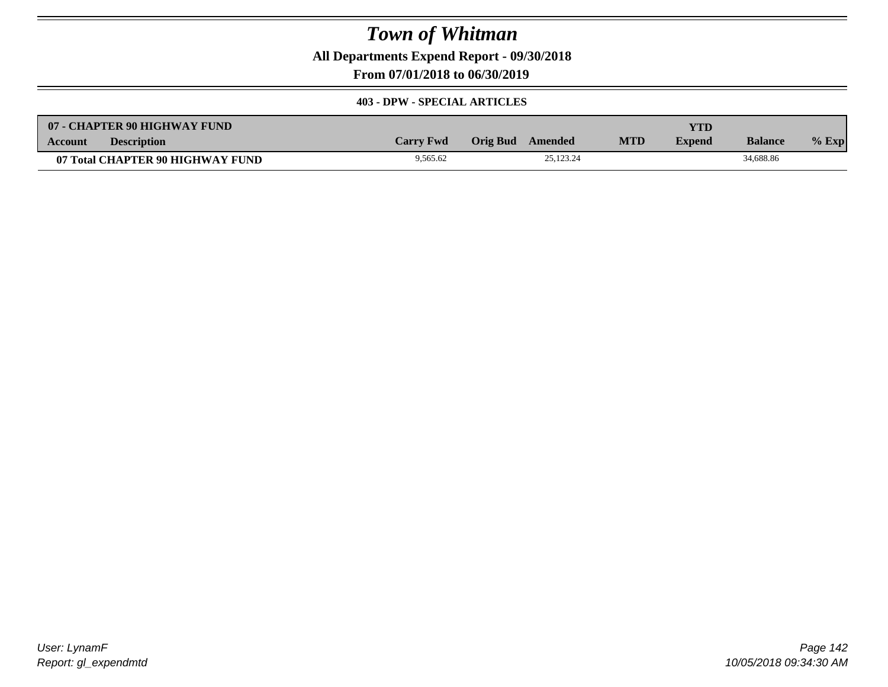**All Departments Expend Report - 09/30/2018**

**From 07/01/2018 to 06/30/2019**

#### **403 - DPW - SPECIAL ARTICLES**

| 07 - CHAPTER 90 HIGHWAY FUND         |                  |                  |           |            | YTD           |                |         |
|--------------------------------------|------------------|------------------|-----------|------------|---------------|----------------|---------|
| <b>Description</b><br><b>Account</b> | <b>Carry Fwd</b> | Orig Bud Amended |           | <b>MTD</b> | <b>Expend</b> | <b>Balance</b> | $%$ Exp |
| 07 Total CHAPTER 90 HIGHWAY FUND     | 9,565.62         |                  | 25.123.24 |            |               | 34,688.86      |         |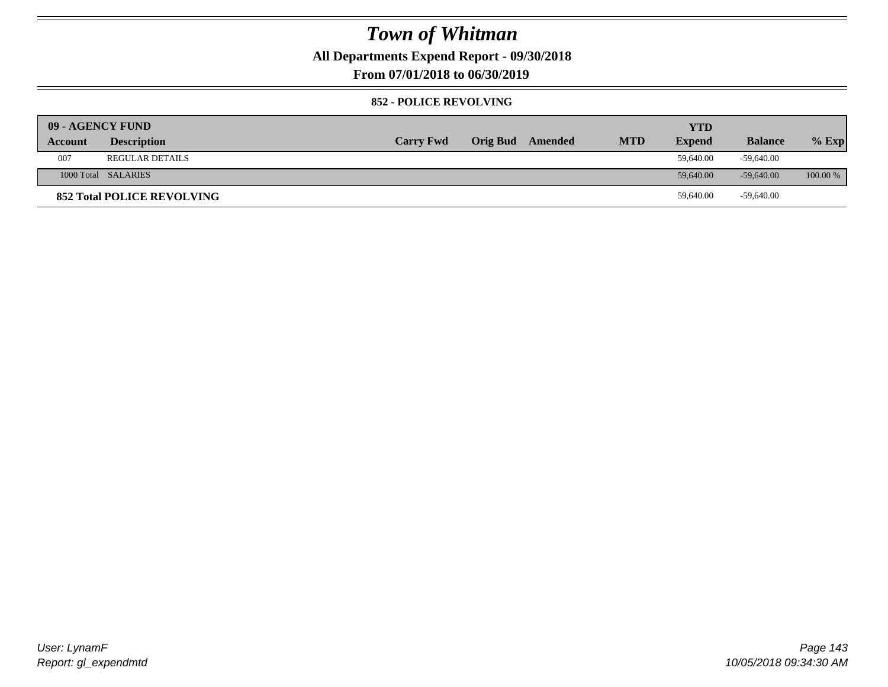**All Departments Expend Report - 09/30/2018**

**From 07/01/2018 to 06/30/2019**

### **852 - POLICE REVOLVING**

| 09 - AGENCY FUND |                                   |                  |                 |         |            | <b>YTD</b>    |                |            |
|------------------|-----------------------------------|------------------|-----------------|---------|------------|---------------|----------------|------------|
| Account          | <b>Description</b>                | <b>Carry Fwd</b> | <b>Orig Bud</b> | Amended | <b>MTD</b> | <b>Expend</b> | <b>Balance</b> | $%$ Exp    |
| 007              | <b>REGULAR DETAILS</b>            |                  |                 |         |            | 59,640.00     | -59.640.00     |            |
|                  | 1000 Total SALARIES               |                  |                 |         |            | 59,640.00     | $-59,640,00$   | $100.00\%$ |
|                  | <b>852 Total POLICE REVOLVING</b> |                  |                 |         |            | 59,640.00     | -59,640.00     |            |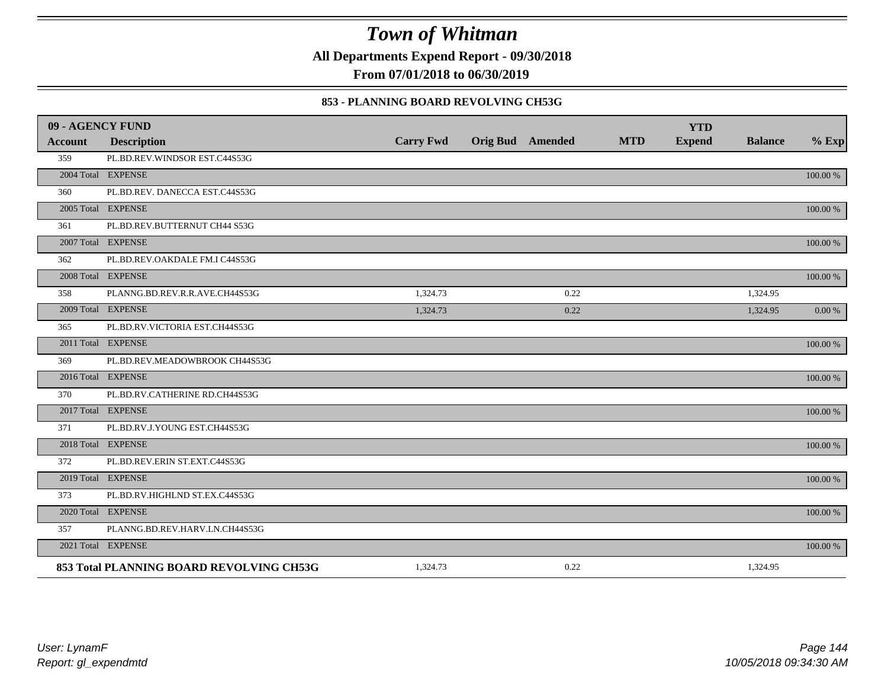**All Departments Expend Report - 09/30/2018**

**From 07/01/2018 to 06/30/2019**

### **853 - PLANNING BOARD REVOLVING CH53G**

| 09 - AGENCY FUND |                                          |                  |                         |            | <b>YTD</b>    |                |             |
|------------------|------------------------------------------|------------------|-------------------------|------------|---------------|----------------|-------------|
| <b>Account</b>   | <b>Description</b>                       | <b>Carry Fwd</b> | <b>Orig Bud</b> Amended | <b>MTD</b> | <b>Expend</b> | <b>Balance</b> | $%$ Exp     |
| 359              | PL.BD.REV.WINDSOR EST.C44S53G            |                  |                         |            |               |                |             |
|                  | 2004 Total EXPENSE                       |                  |                         |            |               |                | 100.00 %    |
| 360              | PL.BD.REV. DANECCA EST.C44S53G           |                  |                         |            |               |                |             |
|                  | 2005 Total EXPENSE                       |                  |                         |            |               |                | 100.00 %    |
| 361              | PL.BD.REV.BUTTERNUT CH44 S53G            |                  |                         |            |               |                |             |
|                  | 2007 Total EXPENSE                       |                  |                         |            |               |                | 100.00 %    |
| 362              | PL.BD.REV.OAKDALE FM.I C44S53G           |                  |                         |            |               |                |             |
|                  | 2008 Total EXPENSE                       |                  |                         |            |               |                | 100.00 %    |
| 358              | PLANNG.BD.REV.R.R.AVE.CH44S53G           | 1,324.73         | 0.22                    |            |               | 1,324.95       |             |
|                  | 2009 Total EXPENSE                       | 1,324.73         | 0.22                    |            |               | 1,324.95       | 0.00 %      |
| 365              | PL.BD.RV.VICTORIA EST.CH44S53G           |                  |                         |            |               |                |             |
|                  | 2011 Total EXPENSE                       |                  |                         |            |               |                | 100.00 %    |
| 369              | PL.BD.REV.MEADOWBROOK CH44S53G           |                  |                         |            |               |                |             |
|                  | 2016 Total EXPENSE                       |                  |                         |            |               |                | $100.00~\%$ |
| 370              | PL.BD.RV.CATHERINE RD.CH44S53G           |                  |                         |            |               |                |             |
|                  | 2017 Total EXPENSE                       |                  |                         |            |               |                | 100.00 %    |
| 371              | PL.BD.RV.J.YOUNG EST.CH44S53G            |                  |                         |            |               |                |             |
|                  | 2018 Total EXPENSE                       |                  |                         |            |               |                | 100.00 %    |
| 372              | PL.BD.REV.ERIN ST.EXT.C44S53G            |                  |                         |            |               |                |             |
|                  | 2019 Total EXPENSE                       |                  |                         |            |               |                | 100.00 %    |
| 373              | PL.BD.RV.HIGHLND ST.EX.C44S53G           |                  |                         |            |               |                |             |
|                  | 2020 Total EXPENSE                       |                  |                         |            |               |                | 100.00 %    |
| 357              | PLANNG.BD.REV.HARV.LN.CH44S53G           |                  |                         |            |               |                |             |
|                  | 2021 Total EXPENSE                       |                  |                         |            |               |                | 100.00 %    |
|                  | 853 Total PLANNING BOARD REVOLVING CH53G | 1,324.73         | 0.22                    |            |               | 1,324.95       |             |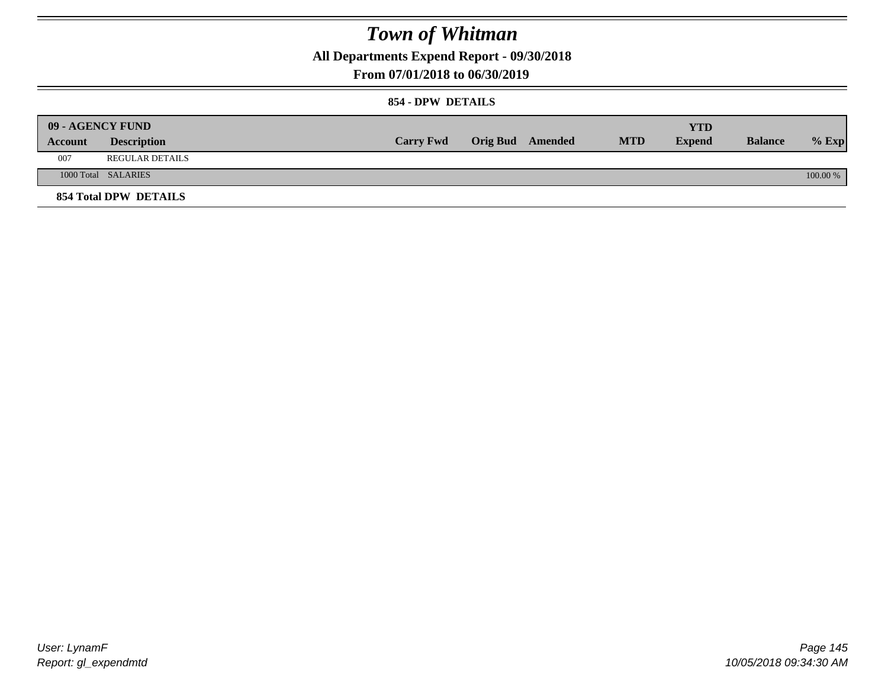**All Departments Expend Report - 09/30/2018**

### **From 07/01/2018 to 06/30/2019**

### **854 - DPW DETAILS**

|         | 09 - AGENCY FUND       |                  |                  |            | <b>YTD</b>    |                |          |
|---------|------------------------|------------------|------------------|------------|---------------|----------------|----------|
| Account | <b>Description</b>     | <b>Carry Fwd</b> | Orig Bud Amended | <b>MTD</b> | <b>Expend</b> | <b>Balance</b> | $%$ Exp  |
| 007     | <b>REGULAR DETAILS</b> |                  |                  |            |               |                |          |
|         | 1000 Total SALARIES    |                  |                  |            |               |                | 100.00 % |
|         | 854 Total DPW DETAILS  |                  |                  |            |               |                |          |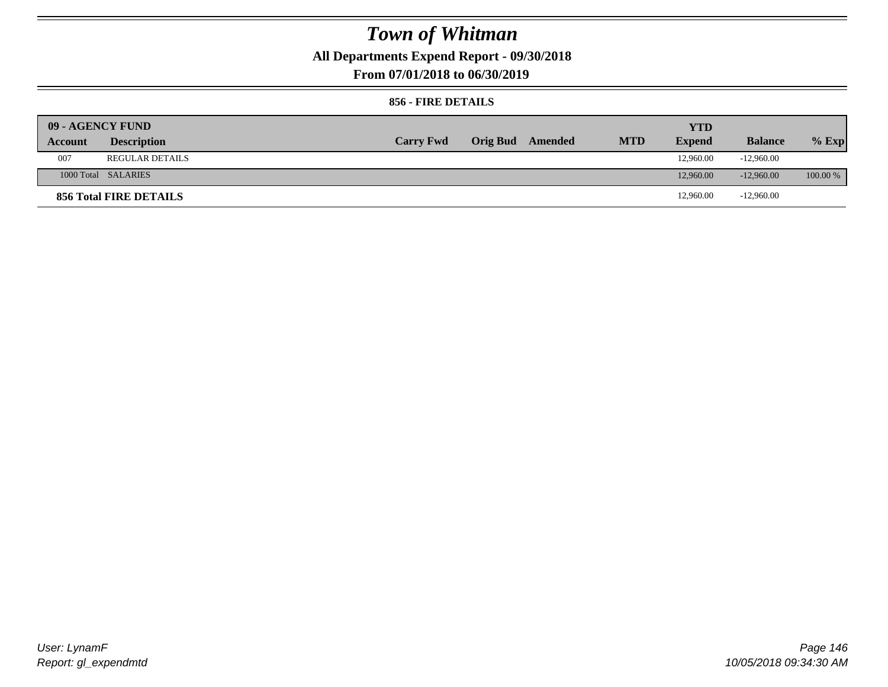**All Departments Expend Report - 09/30/2018**

**From 07/01/2018 to 06/30/2019**

### **856 - FIRE DETAILS**

| 09 - AGENCY FUND |                        |                  |                         |            | <b>YTD</b>    |                |            |
|------------------|------------------------|------------------|-------------------------|------------|---------------|----------------|------------|
| Account          | <b>Description</b>     | <b>Carry Fwd</b> | <b>Orig Bud</b> Amended | <b>MTD</b> | <b>Expend</b> | <b>Balance</b> | $%$ Exp    |
| 007              | <b>REGULAR DETAILS</b> |                  |                         |            | 12,960.00     | $-12,960.00$   |            |
|                  | 1000 Total SALARIES    |                  |                         |            | 12,960.00     | $-12,960,00$   | $100.00\%$ |
|                  | 856 Total FIRE DETAILS |                  |                         |            | 12,960.00     | $-12,960.00$   |            |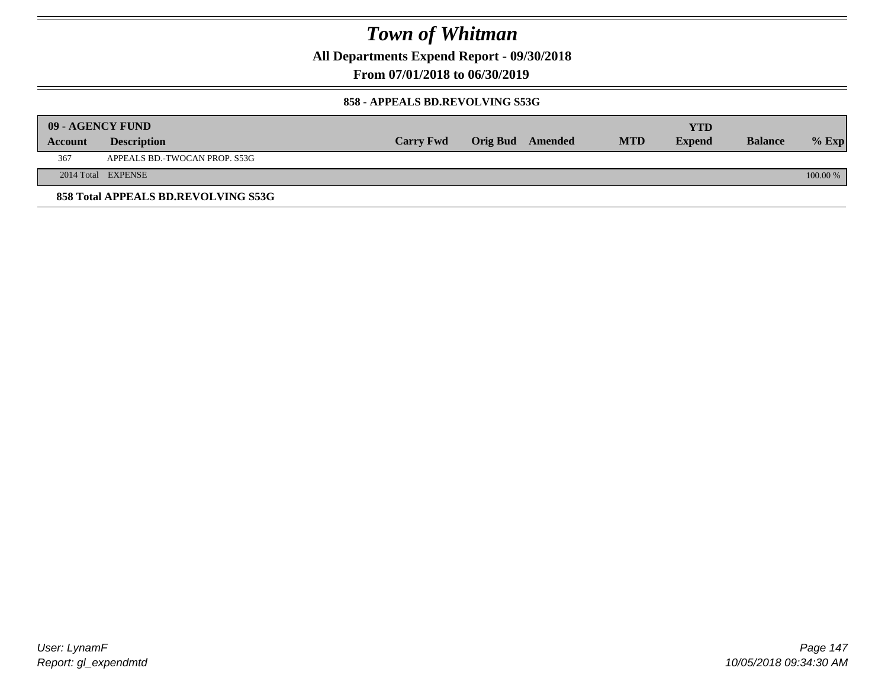**All Departments Expend Report - 09/30/2018**

**From 07/01/2018 to 06/30/2019**

#### **858 - APPEALS BD.REVOLVING S53G**

|         | 09 - AGENCY FUND                    |                  |                  |            | <b>YTD</b>    |                |          |
|---------|-------------------------------------|------------------|------------------|------------|---------------|----------------|----------|
| Account | <b>Description</b>                  | <b>Carry Fwd</b> | Orig Bud Amended | <b>MTD</b> | <b>Expend</b> | <b>Balance</b> | $%$ Exp  |
| 367     | APPEALS BD.-TWOCAN PROP. S53G       |                  |                  |            |               |                |          |
|         | 2014 Total EXPENSE                  |                  |                  |            |               |                | 100.00 % |
|         | 858 Total APPEALS BD.REVOLVING S53G |                  |                  |            |               |                |          |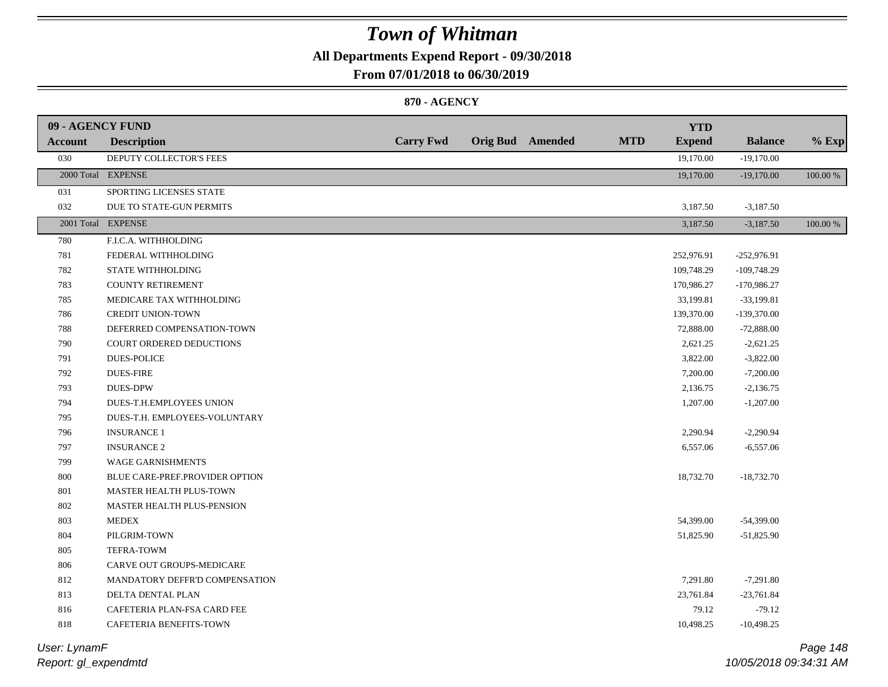### **All Departments Expend Report - 09/30/2018**

### **From 07/01/2018 to 06/30/2019**

### **870 - AGENCY**

| 09 - AGENCY FUND |                                |                  |                         |            | <b>YTD</b>    |                |          |
|------------------|--------------------------------|------------------|-------------------------|------------|---------------|----------------|----------|
| <b>Account</b>   | <b>Description</b>             | <b>Carry Fwd</b> | <b>Orig Bud</b> Amended | <b>MTD</b> | <b>Expend</b> | <b>Balance</b> | $%$ Exp  |
| 030              | DEPUTY COLLECTOR'S FEES        |                  |                         |            | 19,170.00     | $-19,170.00$   |          |
|                  | 2000 Total EXPENSE             |                  |                         |            | 19,170.00     | $-19,170.00$   | 100.00 % |
| 031              | SPORTING LICENSES STATE        |                  |                         |            |               |                |          |
| 032              | DUE TO STATE-GUN PERMITS       |                  |                         |            | 3,187.50      | $-3,187.50$    |          |
|                  | 2001 Total EXPENSE             |                  |                         |            | 3,187.50      | $-3,187.50$    | 100.00 % |
| 780              | F.I.C.A. WITHHOLDING           |                  |                         |            |               |                |          |
| 781              | FEDERAL WITHHOLDING            |                  |                         |            | 252,976.91    | $-252,976.91$  |          |
| 782              | STATE WITHHOLDING              |                  |                         |            | 109,748.29    | $-109,748.29$  |          |
| 783              | <b>COUNTY RETIREMENT</b>       |                  |                         |            | 170,986.27    | -170,986.27    |          |
| 785              | MEDICARE TAX WITHHOLDING       |                  |                         |            | 33,199.81     | $-33,199.81$   |          |
| 786              | <b>CREDIT UNION-TOWN</b>       |                  |                         |            | 139,370.00    | $-139,370.00$  |          |
| 788              | DEFERRED COMPENSATION-TOWN     |                  |                         |            | 72,888.00     | $-72,888.00$   |          |
| 790              | COURT ORDERED DEDUCTIONS       |                  |                         |            | 2,621.25      | $-2,621.25$    |          |
| 791              | <b>DUES-POLICE</b>             |                  |                         |            | 3,822.00      | $-3,822.00$    |          |
| 792              | <b>DUES-FIRE</b>               |                  |                         |            | 7,200.00      | $-7,200.00$    |          |
| 793              | <b>DUES-DPW</b>                |                  |                         |            | 2,136.75      | $-2,136.75$    |          |
| 794              | DUES-T.H.EMPLOYEES UNION       |                  |                         |            | 1,207.00      | $-1,207.00$    |          |
| 795              | DUES-T.H. EMPLOYEES-VOLUNTARY  |                  |                         |            |               |                |          |
| 796              | <b>INSURANCE 1</b>             |                  |                         |            | 2,290.94      | $-2,290.94$    |          |
| 797              | <b>INSURANCE 2</b>             |                  |                         |            | 6,557.06      | $-6,557.06$    |          |
| 799              | <b>WAGE GARNISHMENTS</b>       |                  |                         |            |               |                |          |
| 800              | BLUE CARE-PREF.PROVIDER OPTION |                  |                         |            | 18,732.70     | $-18,732.70$   |          |
| $801\,$          | MASTER HEALTH PLUS-TOWN        |                  |                         |            |               |                |          |
| 802              | MASTER HEALTH PLUS-PENSION     |                  |                         |            |               |                |          |
| 803              | <b>MEDEX</b>                   |                  |                         |            | 54,399.00     | $-54,399.00$   |          |
| 804              | PILGRIM-TOWN                   |                  |                         |            | 51,825.90     | $-51,825.90$   |          |
| 805              | TEFRA-TOWM                     |                  |                         |            |               |                |          |
| 806              | CARVE OUT GROUPS-MEDICARE      |                  |                         |            |               |                |          |
| 812              | MANDATORY DEFFR'D COMPENSATION |                  |                         |            | 7,291.80      | $-7,291.80$    |          |
| 813              | DELTA DENTAL PLAN              |                  |                         |            | 23,761.84     | $-23,761.84$   |          |
| 816              | CAFETERIA PLAN-FSA CARD FEE    |                  |                         |            | 79.12         | $-79.12$       |          |
| 818              | CAFETERIA BENEFITS-TOWN        |                  |                         |            | 10,498.25     | $-10,498.25$   |          |
|                  |                                |                  |                         |            |               |                |          |

### *Report: gl\_expendmtd User: LynamF*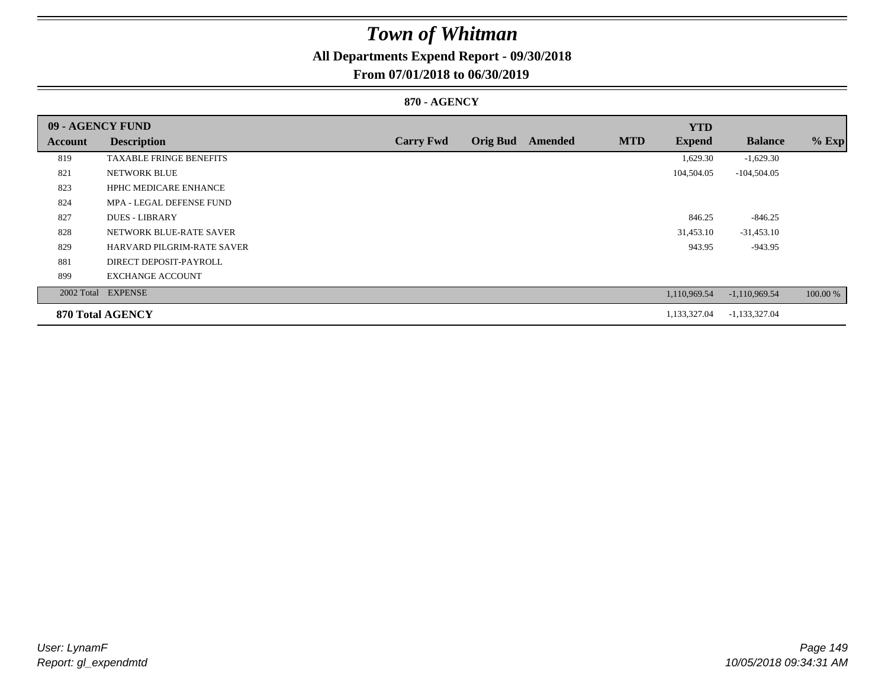### **All Departments Expend Report - 09/30/2018**

### **From 07/01/2018 to 06/30/2019**

### **870 - AGENCY**

| 09 - AGENCY FUND |                                |                  |                 |         |            | <b>YTD</b>    |                 |          |
|------------------|--------------------------------|------------------|-----------------|---------|------------|---------------|-----------------|----------|
| Account          | <b>Description</b>             | <b>Carry Fwd</b> | <b>Orig Bud</b> | Amended | <b>MTD</b> | <b>Expend</b> | <b>Balance</b>  | $%$ Exp  |
| 819              | <b>TAXABLE FRINGE BENEFITS</b> |                  |                 |         |            | 1,629.30      | $-1,629.30$     |          |
| 821              | <b>NETWORK BLUE</b>            |                  |                 |         |            | 104,504.05    | $-104,504.05$   |          |
| 823              | <b>HPHC MEDICARE ENHANCE</b>   |                  |                 |         |            |               |                 |          |
| 824              | MPA - LEGAL DEFENSE FUND       |                  |                 |         |            |               |                 |          |
| 827              | <b>DUES - LIBRARY</b>          |                  |                 |         |            | 846.25        | $-846.25$       |          |
| 828              | NETWORK BLUE-RATE SAVER        |                  |                 |         |            | 31,453.10     | $-31,453.10$    |          |
| 829              | HARVARD PILGRIM-RATE SAVER     |                  |                 |         |            | 943.95        | $-943.95$       |          |
| 881              | DIRECT DEPOSIT-PAYROLL         |                  |                 |         |            |               |                 |          |
| 899              | <b>EXCHANGE ACCOUNT</b>        |                  |                 |         |            |               |                 |          |
|                  | 2002 Total EXPENSE             |                  |                 |         |            | 1,110,969.54  | $-1,110,969.54$ | 100.00 % |
|                  | <b>870 Total AGENCY</b>        |                  |                 |         |            | 1,133,327.04  | $-1,133,327.04$ |          |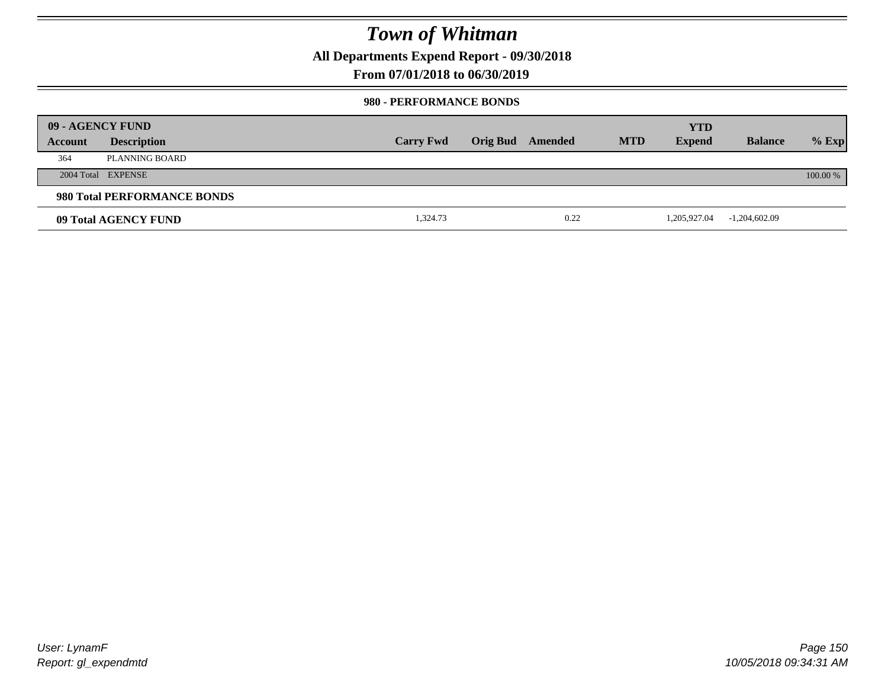**All Departments Expend Report - 09/30/2018**

**From 07/01/2018 to 06/30/2019**

#### **980 - PERFORMANCE BONDS**

|         | 09 - AGENCY FUND            |                  |          |         |            | <b>YTD</b>    |                 |          |
|---------|-----------------------------|------------------|----------|---------|------------|---------------|-----------------|----------|
| Account | <b>Description</b>          | <b>Carry Fwd</b> | Orig Bud | Amended | <b>MTD</b> | <b>Expend</b> | <b>Balance</b>  | $%$ Exp  |
| 364     | PLANNING BOARD              |                  |          |         |            |               |                 |          |
|         | 2004 Total EXPENSE          |                  |          |         |            |               |                 | 100.00 % |
|         | 980 Total PERFORMANCE BONDS |                  |          |         |            |               |                 |          |
|         | 09 Total AGENCY FUND        | 1,324.73         |          | 0.22    |            | 1,205,927.04  | $-1,204,602.09$ |          |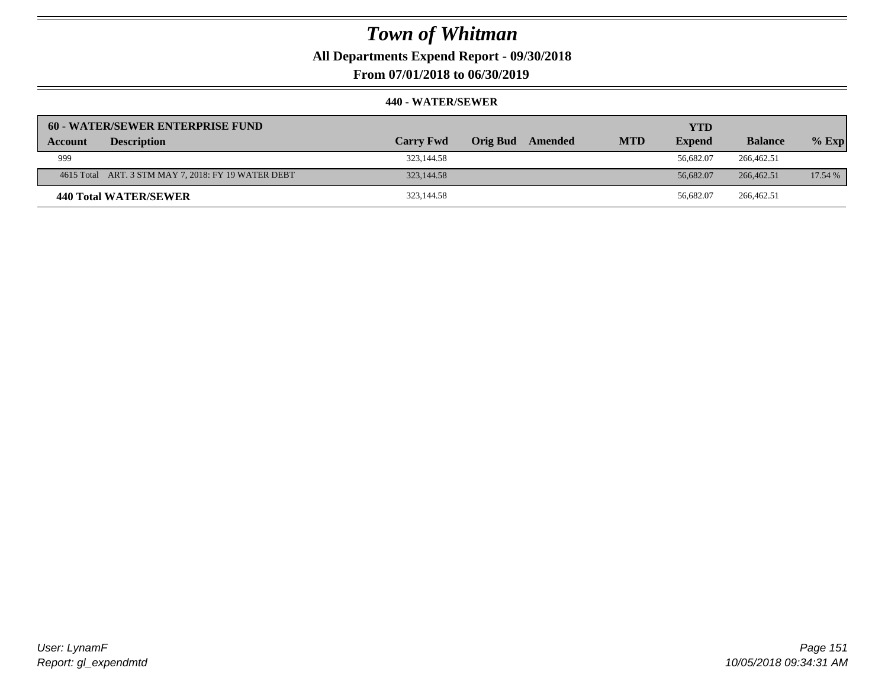**All Departments Expend Report - 09/30/2018**

**From 07/01/2018 to 06/30/2019**

| 60 - WATER/SEWER ENTERPRISE FUND                    |                  |                            |            | <b>YTD</b>    |                |         |
|-----------------------------------------------------|------------------|----------------------------|------------|---------------|----------------|---------|
| <b>Description</b><br>Account                       | <b>Carry Fwd</b> | <b>Orig Bud</b><br>Amended | <b>MTD</b> | <b>Expend</b> | <b>Balance</b> | $%$ Exp |
| 999                                                 | 323,144.58       |                            |            | 56,682.07     | 266,462.51     |         |
| 4615 Total ART. 3 STM MAY 7, 2018: FY 19 WATER DEBT | 323,144.58       |                            |            | 56,682.07     | 266,462.51     | 17.54 % |
| 440 Total WATER/SEWER                               | 323,144.58       |                            |            | 56.682.07     | 266,462.51     |         |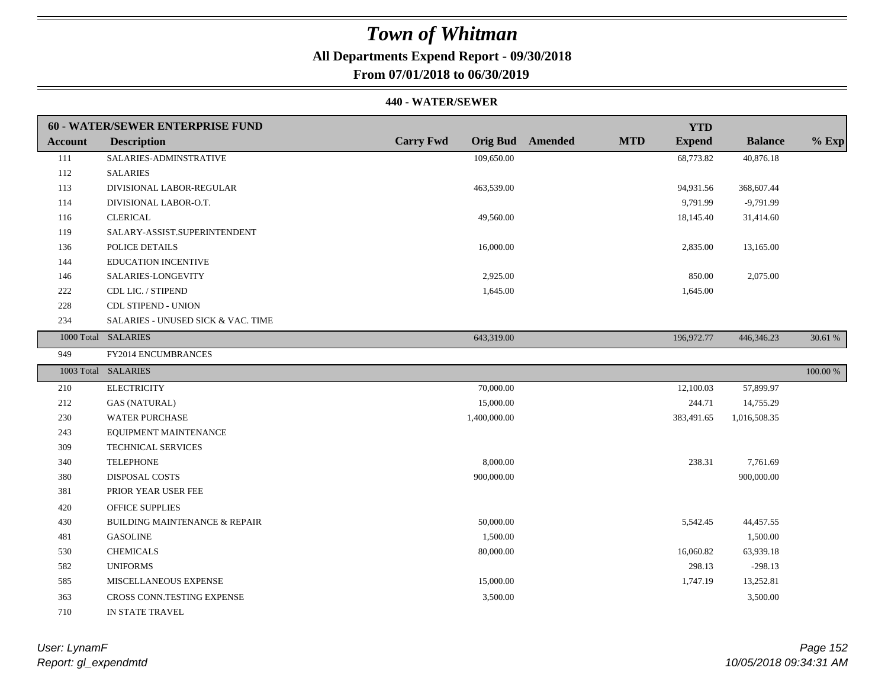### **All Departments Expend Report - 09/30/2018**

### **From 07/01/2018 to 06/30/2019**

|                | <b>60 - WATER/SEWER ENTERPRISE FUND</b>  |                  |                                       | <b>YTD</b>    |                |          |
|----------------|------------------------------------------|------------------|---------------------------------------|---------------|----------------|----------|
| <b>Account</b> | <b>Description</b>                       | <b>Carry Fwd</b> | <b>Orig Bud</b> Amended<br><b>MTD</b> | <b>Expend</b> | <b>Balance</b> | $%$ Exp  |
| 111            | SALARIES-ADMINSTRATIVE                   | 109,650.00       |                                       | 68,773.82     | 40,876.18      |          |
| 112            | <b>SALARIES</b>                          |                  |                                       |               |                |          |
| 113            | DIVISIONAL LABOR-REGULAR                 | 463,539.00       |                                       | 94,931.56     | 368,607.44     |          |
| 114            | DIVISIONAL LABOR-O.T.                    |                  |                                       | 9,791.99      | $-9,791.99$    |          |
| 116            | <b>CLERICAL</b>                          | 49,560.00        |                                       | 18,145.40     | 31,414.60      |          |
| 119            | SALARY-ASSIST.SUPERINTENDENT             |                  |                                       |               |                |          |
| 136            | POLICE DETAILS                           | 16,000.00        |                                       | 2,835.00      | 13,165.00      |          |
| 144            | <b>EDUCATION INCENTIVE</b>               |                  |                                       |               |                |          |
| 146            | SALARIES-LONGEVITY                       | 2,925.00         |                                       | 850.00        | 2,075.00       |          |
| 222            | CDL LIC. / STIPEND                       | 1,645.00         |                                       | 1,645.00      |                |          |
| 228            | <b>CDL STIPEND - UNION</b>               |                  |                                       |               |                |          |
| 234            | SALARIES - UNUSED SICK & VAC. TIME       |                  |                                       |               |                |          |
|                | 1000 Total SALARIES                      | 643,319.00       |                                       | 196,972.77    | 446,346.23     | 30.61 %  |
| 949            | FY2014 ENCUMBRANCES                      |                  |                                       |               |                |          |
|                | 1003 Total SALARIES                      |                  |                                       |               |                | 100.00 % |
| 210            | <b>ELECTRICITY</b>                       | 70,000.00        |                                       | 12,100.03     | 57,899.97      |          |
| 212            | <b>GAS (NATURAL)</b>                     | 15,000.00        |                                       | 244.71        | 14,755.29      |          |
| 230            | <b>WATER PURCHASE</b>                    | 1,400,000.00     |                                       | 383,491.65    | 1,016,508.35   |          |
| 243            | EQUIPMENT MAINTENANCE                    |                  |                                       |               |                |          |
| 309            | <b>TECHNICAL SERVICES</b>                |                  |                                       |               |                |          |
| 340            | <b>TELEPHONE</b>                         | 8,000.00         |                                       | 238.31        | 7.761.69       |          |
| 380            | <b>DISPOSAL COSTS</b>                    | 900,000.00       |                                       |               | 900,000.00     |          |
| 381            | PRIOR YEAR USER FEE                      |                  |                                       |               |                |          |
| 420            | <b>OFFICE SUPPLIES</b>                   |                  |                                       |               |                |          |
| 430            | <b>BUILDING MAINTENANCE &amp; REPAIR</b> | 50,000.00        |                                       | 5,542.45      | 44,457.55      |          |
| 481            | <b>GASOLINE</b>                          | 1,500.00         |                                       |               | 1,500.00       |          |
| 530            | <b>CHEMICALS</b>                         | 80,000.00        |                                       | 16,060.82     | 63,939.18      |          |
| 582            | <b>UNIFORMS</b>                          |                  |                                       | 298.13        | $-298.13$      |          |
|                |                                          |                  |                                       |               |                |          |
| 585            | MISCELLANEOUS EXPENSE                    | 15,000.00        |                                       | 1,747.19      | 13,252.81      |          |
| 363            | CROSS CONN.TESTING EXPENSE               | 3,500.00         |                                       |               | 3,500.00       |          |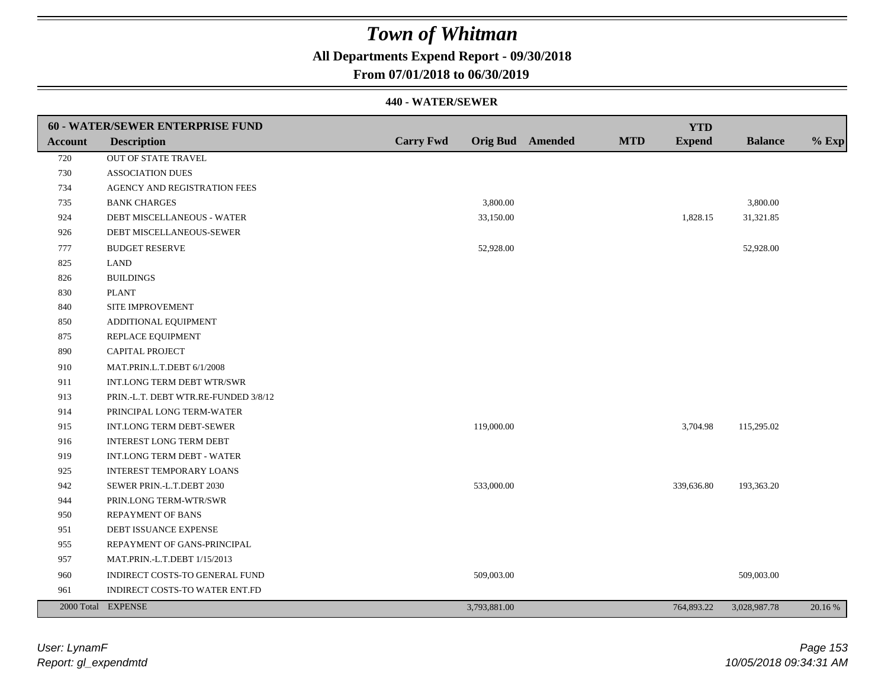### **All Departments Expend Report - 09/30/2018**

### **From 07/01/2018 to 06/30/2019**

|         | 60 - WATER/SEWER ENTERPRISE FUND     |                  |              |                  |            | <b>YTD</b>    |                |         |
|---------|--------------------------------------|------------------|--------------|------------------|------------|---------------|----------------|---------|
| Account | <b>Description</b>                   | <b>Carry Fwd</b> |              | Orig Bud Amended | <b>MTD</b> | <b>Expend</b> | <b>Balance</b> | $%$ Exp |
| 720     | OUT OF STATE TRAVEL                  |                  |              |                  |            |               |                |         |
| 730     | <b>ASSOCIATION DUES</b>              |                  |              |                  |            |               |                |         |
| 734     | AGENCY AND REGISTRATION FEES         |                  |              |                  |            |               |                |         |
| 735     | <b>BANK CHARGES</b>                  |                  | 3,800.00     |                  |            |               | 3,800.00       |         |
| 924     | DEBT MISCELLANEOUS - WATER           |                  | 33,150.00    |                  |            | 1,828.15      | 31,321.85      |         |
| 926     | DEBT MISCELLANEOUS-SEWER             |                  |              |                  |            |               |                |         |
| 777     | <b>BUDGET RESERVE</b>                |                  | 52,928.00    |                  |            |               | 52,928.00      |         |
| 825     | <b>LAND</b>                          |                  |              |                  |            |               |                |         |
| 826     | <b>BUILDINGS</b>                     |                  |              |                  |            |               |                |         |
| 830     | <b>PLANT</b>                         |                  |              |                  |            |               |                |         |
| 840     | SITE IMPROVEMENT                     |                  |              |                  |            |               |                |         |
| 850     | ADDITIONAL EQUIPMENT                 |                  |              |                  |            |               |                |         |
| 875     | REPLACE EQUIPMENT                    |                  |              |                  |            |               |                |         |
| 890     | CAPITAL PROJECT                      |                  |              |                  |            |               |                |         |
| 910     | MAT.PRIN.L.T.DEBT 6/1/2008           |                  |              |                  |            |               |                |         |
| 911     | INT.LONG TERM DEBT WTR/SWR           |                  |              |                  |            |               |                |         |
| 913     | PRIN.-L.T. DEBT WTR.RE-FUNDED 3/8/12 |                  |              |                  |            |               |                |         |
| 914     | PRINCIPAL LONG TERM-WATER            |                  |              |                  |            |               |                |         |
| 915     | INT.LONG TERM DEBT-SEWER             |                  | 119,000.00   |                  |            | 3,704.98      | 115,295.02     |         |
| 916     | <b>INTEREST LONG TERM DEBT</b>       |                  |              |                  |            |               |                |         |
| 919     | <b>INT.LONG TERM DEBT - WATER</b>    |                  |              |                  |            |               |                |         |
| 925     | <b>INTEREST TEMPORARY LOANS</b>      |                  |              |                  |            |               |                |         |
| 942     | SEWER PRIN.-L.T.DEBT 2030            |                  | 533,000.00   |                  |            | 339,636.80    | 193,363.20     |         |
| 944     | PRIN.LONG TERM-WTR/SWR               |                  |              |                  |            |               |                |         |
| 950     | <b>REPAYMENT OF BANS</b>             |                  |              |                  |            |               |                |         |
| 951     | DEBT ISSUANCE EXPENSE                |                  |              |                  |            |               |                |         |
| 955     | REPAYMENT OF GANS-PRINCIPAL          |                  |              |                  |            |               |                |         |
| 957     | MAT.PRIN.-L.T.DEBT 1/15/2013         |                  |              |                  |            |               |                |         |
| 960     | INDIRECT COSTS-TO GENERAL FUND       |                  | 509,003.00   |                  |            |               | 509,003.00     |         |
| 961     | INDIRECT COSTS-TO WATER ENT.FD       |                  |              |                  |            |               |                |         |
|         | 2000 Total EXPENSE                   |                  | 3,793,881.00 |                  |            | 764,893.22    | 3,028,987.78   | 20.16 % |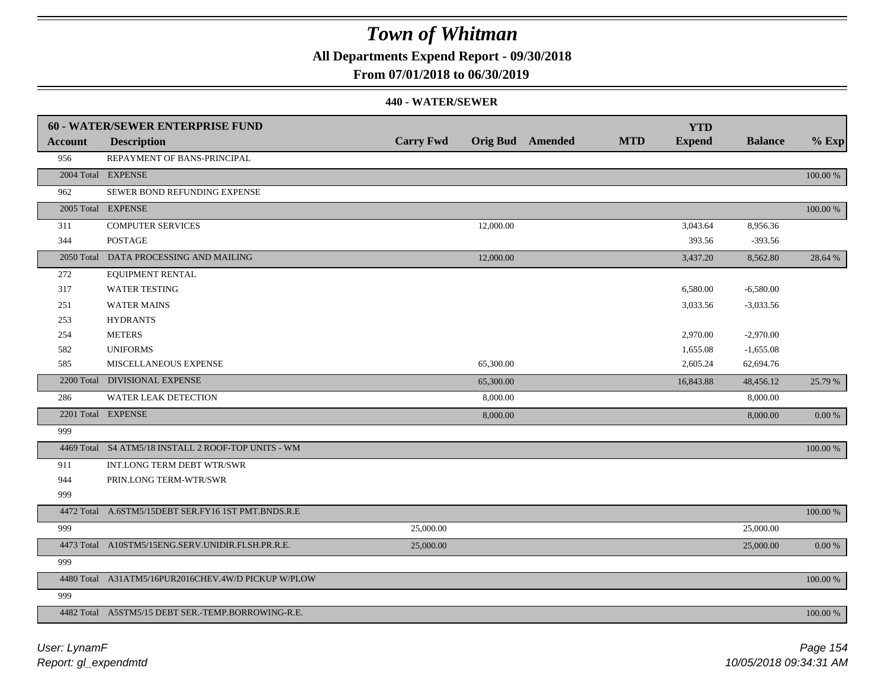**All Departments Expend Report - 09/30/2018**

### **From 07/01/2018 to 06/30/2019**

|                | <b>60 - WATER/SEWER ENTERPRISE FUND</b>             |                  |           |                         |            | <b>YTD</b>    |                |             |
|----------------|-----------------------------------------------------|------------------|-----------|-------------------------|------------|---------------|----------------|-------------|
| <b>Account</b> | <b>Description</b>                                  | <b>Carry Fwd</b> |           | <b>Orig Bud</b> Amended | <b>MTD</b> | <b>Expend</b> | <b>Balance</b> | $%$ Exp     |
| 956            | REPAYMENT OF BANS-PRINCIPAL                         |                  |           |                         |            |               |                |             |
|                | 2004 Total EXPENSE                                  |                  |           |                         |            |               |                | $100.00~\%$ |
| 962            | SEWER BOND REFUNDING EXPENSE                        |                  |           |                         |            |               |                |             |
|                | 2005 Total EXPENSE                                  |                  |           |                         |            |               |                | $100.00~\%$ |
| 311            | <b>COMPUTER SERVICES</b>                            |                  | 12,000.00 |                         |            | 3,043.64      | 8,956.36       |             |
| 344            | <b>POSTAGE</b>                                      |                  |           |                         |            | 393.56        | $-393.56$      |             |
|                | 2050 Total DATA PROCESSING AND MAILING              |                  | 12,000.00 |                         |            | 3,437.20      | 8,562.80       | 28.64 %     |
| 272            | <b>EQUIPMENT RENTAL</b>                             |                  |           |                         |            |               |                |             |
| 317            | <b>WATER TESTING</b>                                |                  |           |                         |            | 6,580.00      | $-6,580.00$    |             |
| 251            | <b>WATER MAINS</b>                                  |                  |           |                         |            | 3,033.56      | $-3,033.56$    |             |
| 253            | <b>HYDRANTS</b>                                     |                  |           |                         |            |               |                |             |
| 254            | <b>METERS</b>                                       |                  |           |                         |            | 2,970.00      | $-2,970.00$    |             |
| 582            | <b>UNIFORMS</b>                                     |                  |           |                         |            | 1,655.08      | $-1,655.08$    |             |
| 585            | MISCELLANEOUS EXPENSE                               |                  | 65,300.00 |                         |            | 2,605.24      | 62,694.76      |             |
|                | 2200 Total DIVISIONAL EXPENSE                       |                  | 65,300.00 |                         |            | 16,843.88     | 48,456.12      | 25.79 %     |
| 286            | WATER LEAK DETECTION                                |                  | 8,000.00  |                         |            |               | 8,000.00       |             |
|                | 2201 Total EXPENSE                                  |                  | 8,000.00  |                         |            |               | 8,000.00       | 0.00 %      |
| 999            |                                                     |                  |           |                         |            |               |                |             |
|                | 4469 Total S4 ATM5/18 INSTALL 2 ROOF-TOP UNITS - WM |                  |           |                         |            |               |                | 100.00 %    |
| 911            | INT.LONG TERM DEBT WTR/SWR                          |                  |           |                         |            |               |                |             |
| 944            | PRIN.LONG TERM-WTR/SWR                              |                  |           |                         |            |               |                |             |
| 999            |                                                     |                  |           |                         |            |               |                |             |
|                | 4472 Total A.6STM5/15DEBT SER.FY16 1ST PMT.BNDS.R.E |                  |           |                         |            |               |                | 100.00 %    |
| 999            |                                                     | 25,000.00        |           |                         |            |               | 25,000.00      |             |
|                | 4473 Total A10STM5/15ENG.SERV.UNIDIR.FLSH.PR.R.E.   | 25,000.00        |           |                         |            |               | 25,000.00      | 0.00 %      |
| 999            |                                                     |                  |           |                         |            |               |                |             |
|                | 4480 Total A31ATM5/16PUR2016CHEV.4W/D PICKUP W/PLOW |                  |           |                         |            |               |                | 100.00 %    |
| 999            |                                                     |                  |           |                         |            |               |                |             |
|                | 4482 Total A5STM5/15 DEBT SER.-TEMP.BORROWING-R.E.  |                  |           |                         |            |               |                | 100.00 %    |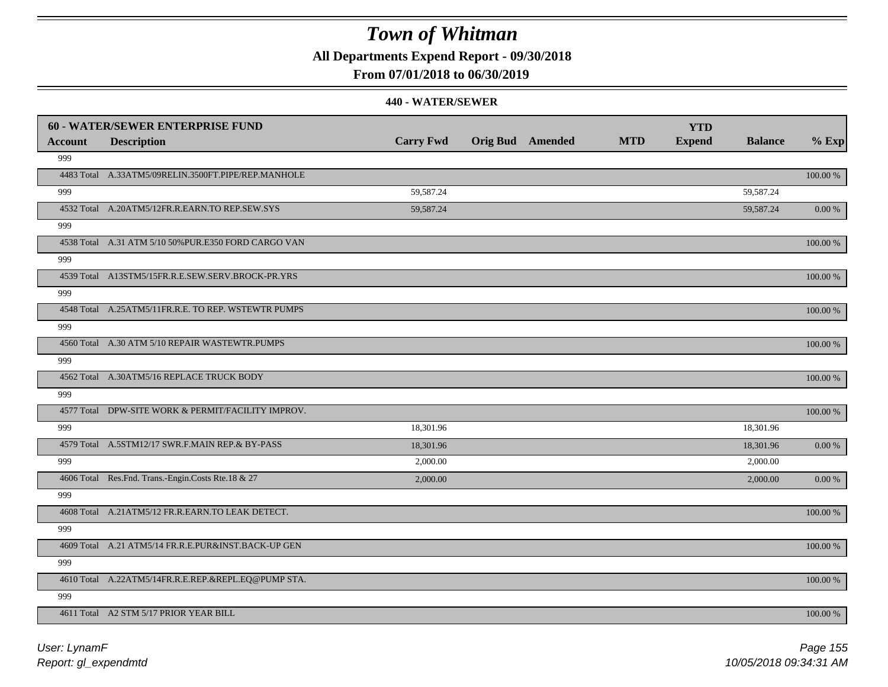**All Departments Expend Report - 09/30/2018**

### **From 07/01/2018 to 06/30/2019**

|         | <b>60 - WATER/SEWER ENTERPRISE FUND</b>              |                  |                         |            | <b>YTD</b>    |                |             |
|---------|------------------------------------------------------|------------------|-------------------------|------------|---------------|----------------|-------------|
| Account | <b>Description</b>                                   | <b>Carry Fwd</b> | <b>Orig Bud</b> Amended | <b>MTD</b> | <b>Expend</b> | <b>Balance</b> | $%$ Exp     |
| 999     |                                                      |                  |                         |            |               |                |             |
|         | 4483 Total A.33ATM5/09RELIN.3500FT.PIPE/REP.MANHOLE  |                  |                         |            |               |                | 100.00 %    |
| 999     |                                                      | 59,587.24        |                         |            |               | 59,587.24      |             |
|         | 4532 Total A.20ATM5/12FR.R.EARN.TO REP.SEW.SYS       | 59,587.24        |                         |            |               | 59,587.24      | $0.00\ \%$  |
| 999     |                                                      |                  |                         |            |               |                |             |
|         | 4538 Total A.31 ATM 5/10 50% PUR.E350 FORD CARGO VAN |                  |                         |            |               |                | $100.00~\%$ |
| 999     |                                                      |                  |                         |            |               |                |             |
|         | 4539 Total A13STM5/15FR.R.E.SEW.SERV.BROCK-PR.YRS    |                  |                         |            |               |                | $100.00~\%$ |
| 999     |                                                      |                  |                         |            |               |                |             |
|         | 4548 Total A.25ATM5/11FR.R.E. TO REP. WSTEWTR PUMPS  |                  |                         |            |               |                | 100.00 %    |
| 999     |                                                      |                  |                         |            |               |                |             |
|         | 4560 Total A.30 ATM 5/10 REPAIR WASTEWTR.PUMPS       |                  |                         |            |               |                | 100.00 %    |
| 999     |                                                      |                  |                         |            |               |                |             |
|         | 4562 Total A.30ATM5/16 REPLACE TRUCK BODY            |                  |                         |            |               |                | 100.00 %    |
| 999     |                                                      |                  |                         |            |               |                |             |
|         | 4577 Total DPW-SITE WORK & PERMIT/FACILITY IMPROV.   |                  |                         |            |               |                | 100.00 %    |
| 999     |                                                      | 18,301.96        |                         |            |               | 18,301.96      |             |
|         | 4579 Total A.5STM12/17 SWR.F.MAIN REP.& BY-PASS      | 18,301.96        |                         |            |               | 18,301.96      | $0.00\ \%$  |
| 999     |                                                      | 2,000.00         |                         |            |               | 2,000.00       |             |
|         | 4606 Total Res.Fnd. Trans.-Engin.Costs Rte.18 & 27   | 2,000.00         |                         |            |               | 2,000.00       | 0.00 %      |
| 999     |                                                      |                  |                         |            |               |                |             |
|         | 4608 Total A.21ATM5/12 FR.R.EARN.TO LEAK DETECT.     |                  |                         |            |               |                | 100.00 %    |
| 999     |                                                      |                  |                         |            |               |                |             |
|         | 4609 Total A.21 ATM5/14 FR.R.E.PUR&INST.BACK-UP GEN  |                  |                         |            |               |                | 100.00 %    |
| 999     |                                                      |                  |                         |            |               |                |             |
|         | 4610 Total A.22ATM5/14FR.R.E.REP.&REPL.EQ@PUMP STA.  |                  |                         |            |               |                | 100.00 %    |
| 999     |                                                      |                  |                         |            |               |                |             |
|         | 4611 Total A2 STM 5/17 PRIOR YEAR BILL               |                  |                         |            |               |                | 100.00 %    |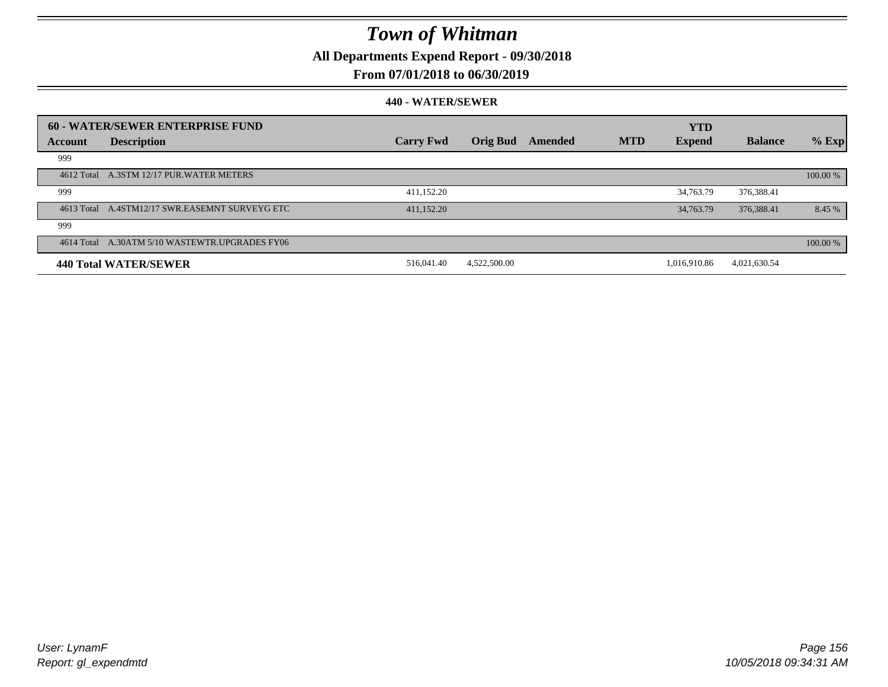**All Departments Expend Report - 09/30/2018**

### **From 07/01/2018 to 06/30/2019**

|         | 60 - WATER/SEWER ENTERPRISE FUND               | <b>Carry Fwd</b> | <b>Orig Bud</b> | Amended | <b>MTD</b> | <b>YTD</b>    | <b>Balance</b> |            |
|---------|------------------------------------------------|------------------|-----------------|---------|------------|---------------|----------------|------------|
| Account | <b>Description</b>                             |                  |                 |         |            | <b>Expend</b> |                | $%$ Exp    |
| 999     |                                                |                  |                 |         |            |               |                |            |
|         | 4612 Total A.3STM 12/17 PUR.WATER METERS       |                  |                 |         |            |               |                | 100.00 %   |
| 999     |                                                | 411,152.20       |                 |         |            | 34,763.79     | 376,388.41     |            |
|         | 4613 Total A.4STM12/17 SWR.EASEMNT SURVEYG ETC | 411,152.20       |                 |         |            | 34,763.79     | 376,388.41     | 8.45 %     |
| 999     |                                                |                  |                 |         |            |               |                |            |
|         | 4614 Total A.30ATM 5/10 WASTEWTR.UPGRADES FY06 |                  |                 |         |            |               |                | $100.00\%$ |
|         | 440 Total WATER/SEWER                          | 516,041.40       | 4,522,500.00    |         |            | 1.016.910.86  | 4,021,630.54   |            |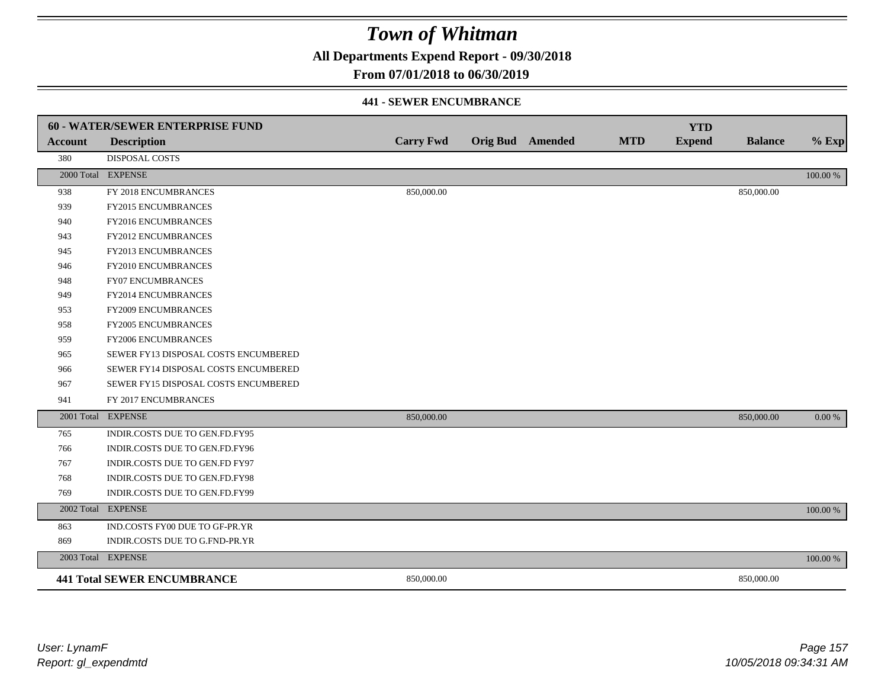**All Departments Expend Report - 09/30/2018**

### **From 07/01/2018 to 06/30/2019**

#### **441 - SEWER ENCUMBRANCE**

|                | 60 - WATER/SEWER ENTERPRISE FUND     |                  |                         |            | <b>YTD</b>    |                |          |
|----------------|--------------------------------------|------------------|-------------------------|------------|---------------|----------------|----------|
| <b>Account</b> | <b>Description</b>                   | <b>Carry Fwd</b> | <b>Orig Bud</b> Amended | <b>MTD</b> | <b>Expend</b> | <b>Balance</b> | $%$ Exp  |
| 380            | DISPOSAL COSTS                       |                  |                         |            |               |                |          |
|                | 2000 Total EXPENSE                   |                  |                         |            |               |                | 100.00 % |
| 938            | FY 2018 ENCUMBRANCES                 | 850,000.00       |                         |            |               | 850,000.00     |          |
| 939            | FY2015 ENCUMBRANCES                  |                  |                         |            |               |                |          |
| 940            | FY2016 ENCUMBRANCES                  |                  |                         |            |               |                |          |
| 943            | <b>FY2012 ENCUMBRANCES</b>           |                  |                         |            |               |                |          |
| 945            | FY2013 ENCUMBRANCES                  |                  |                         |            |               |                |          |
| 946            | FY2010 ENCUMBRANCES                  |                  |                         |            |               |                |          |
| 948            | <b>FY07 ENCUMBRANCES</b>             |                  |                         |            |               |                |          |
| 949            | FY2014 ENCUMBRANCES                  |                  |                         |            |               |                |          |
| 953            | FY2009 ENCUMBRANCES                  |                  |                         |            |               |                |          |
| 958            | FY2005 ENCUMBRANCES                  |                  |                         |            |               |                |          |
| 959            | FY2006 ENCUMBRANCES                  |                  |                         |            |               |                |          |
| 965            | SEWER FY13 DISPOSAL COSTS ENCUMBERED |                  |                         |            |               |                |          |
| 966            | SEWER FY14 DISPOSAL COSTS ENCUMBERED |                  |                         |            |               |                |          |
| 967            | SEWER FY15 DISPOSAL COSTS ENCUMBERED |                  |                         |            |               |                |          |
| 941            | FY 2017 ENCUMBRANCES                 |                  |                         |            |               |                |          |
|                | 2001 Total EXPENSE                   | 850,000.00       |                         |            |               | 850,000.00     | 0.00 %   |
| 765            | INDIR.COSTS DUE TO GEN.FD.FY95       |                  |                         |            |               |                |          |
| 766            | INDIR.COSTS DUE TO GEN.FD.FY96       |                  |                         |            |               |                |          |
| 767            | INDIR.COSTS DUE TO GEN.FD FY97       |                  |                         |            |               |                |          |
| 768            | INDIR.COSTS DUE TO GEN.FD.FY98       |                  |                         |            |               |                |          |
| 769            | INDIR.COSTS DUE TO GEN.FD.FY99       |                  |                         |            |               |                |          |
|                | 2002 Total EXPENSE                   |                  |                         |            |               |                | 100.00 % |
| 863            | IND.COSTS FY00 DUE TO GF-PR.YR       |                  |                         |            |               |                |          |
| 869            | INDIR.COSTS DUE TO G.FND-PR.YR       |                  |                         |            |               |                |          |
|                | 2003 Total EXPENSE                   |                  |                         |            |               |                | 100.00 % |
|                | <b>441 Total SEWER ENCUMBRANCE</b>   | 850,000.00       |                         |            |               | 850,000.00     |          |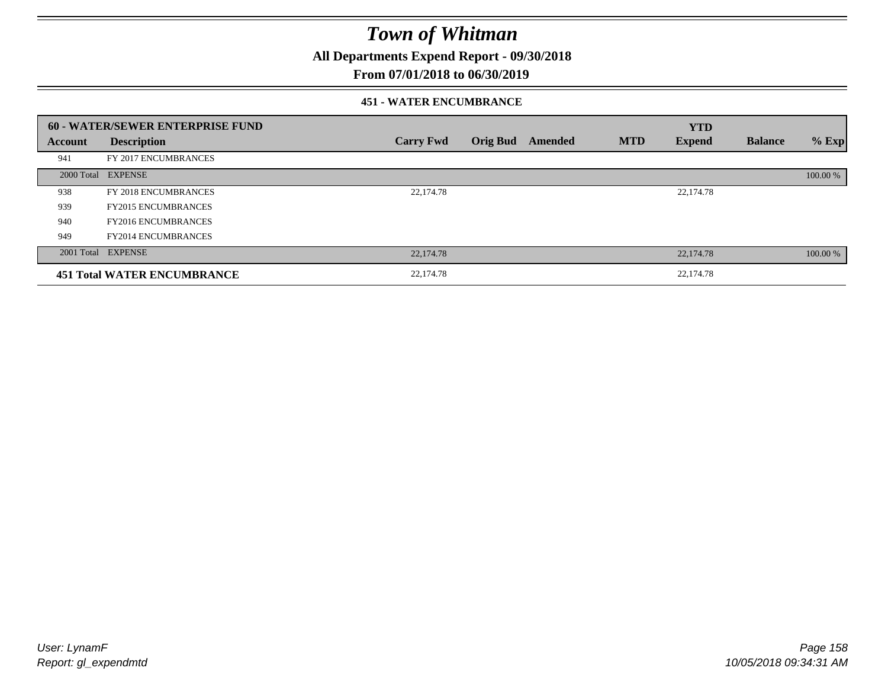**All Departments Expend Report - 09/30/2018**

### **From 07/01/2018 to 06/30/2019**

#### **451 - WATER ENCUMBRANCE**

|         | 60 - WATER/SEWER ENTERPRISE FUND   |                  |                 |         |            | <b>YTD</b>    |                |          |
|---------|------------------------------------|------------------|-----------------|---------|------------|---------------|----------------|----------|
| Account | <b>Description</b>                 | <b>Carry Fwd</b> | <b>Orig Bud</b> | Amended | <b>MTD</b> | <b>Expend</b> | <b>Balance</b> | $%$ Exp  |
| 941     | FY 2017 ENCUMBRANCES               |                  |                 |         |            |               |                |          |
|         | 2000 Total EXPENSE                 |                  |                 |         |            |               |                | 100.00 % |
| 938     | FY 2018 ENCUMBRANCES               | 22,174.78        |                 |         |            | 22,174.78     |                |          |
| 939     | <b>FY2015 ENCUMBRANCES</b>         |                  |                 |         |            |               |                |          |
| 940     | <b>FY2016 ENCUMBRANCES</b>         |                  |                 |         |            |               |                |          |
| 949     | <b>FY2014 ENCUMBRANCES</b>         |                  |                 |         |            |               |                |          |
|         | 2001 Total EXPENSE                 | 22,174.78        |                 |         |            | 22,174.78     |                | 100.00 % |
|         | <b>451 Total WATER ENCUMBRANCE</b> | 22,174.78        |                 |         |            | 22,174.78     |                |          |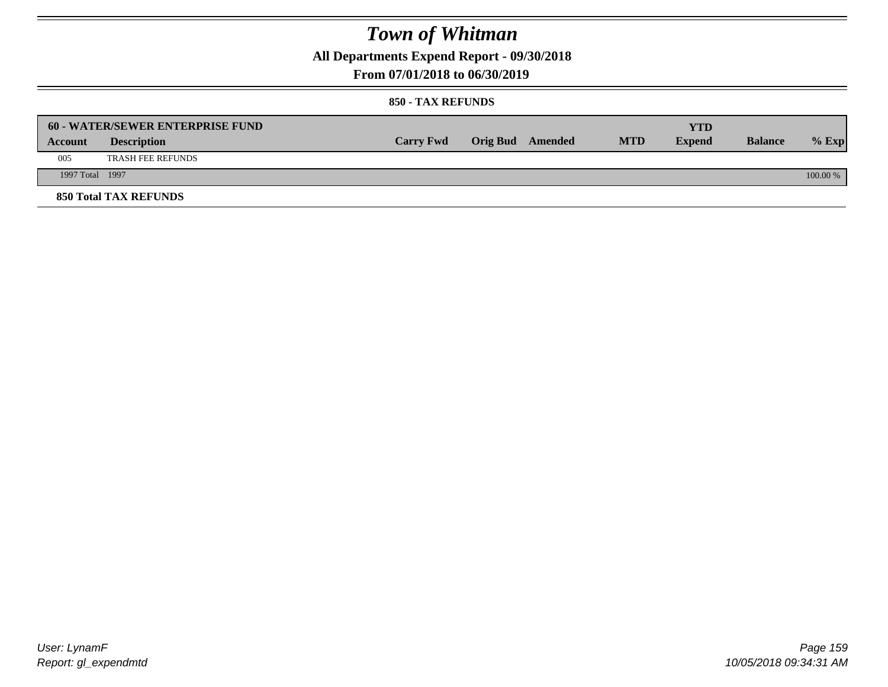**All Departments Expend Report - 09/30/2018**

### **From 07/01/2018 to 06/30/2019**

|                 | <b>60 - WATER/SEWER ENTERPRISE FUND</b> |                  |                  |            | YTD           |                |            |
|-----------------|-----------------------------------------|------------------|------------------|------------|---------------|----------------|------------|
| Account         | <b>Description</b>                      | <b>Carry Fwd</b> | Orig Bud Amended | <b>MTD</b> | <b>Expend</b> | <b>Balance</b> | $%$ Exp    |
| 005             | <b>TRASH FEE REFUNDS</b>                |                  |                  |            |               |                |            |
| 1997 Total 1997 |                                         |                  |                  |            |               |                | $100.00\%$ |
|                 | <b>850 Total TAX REFUNDS</b>            |                  |                  |            |               |                |            |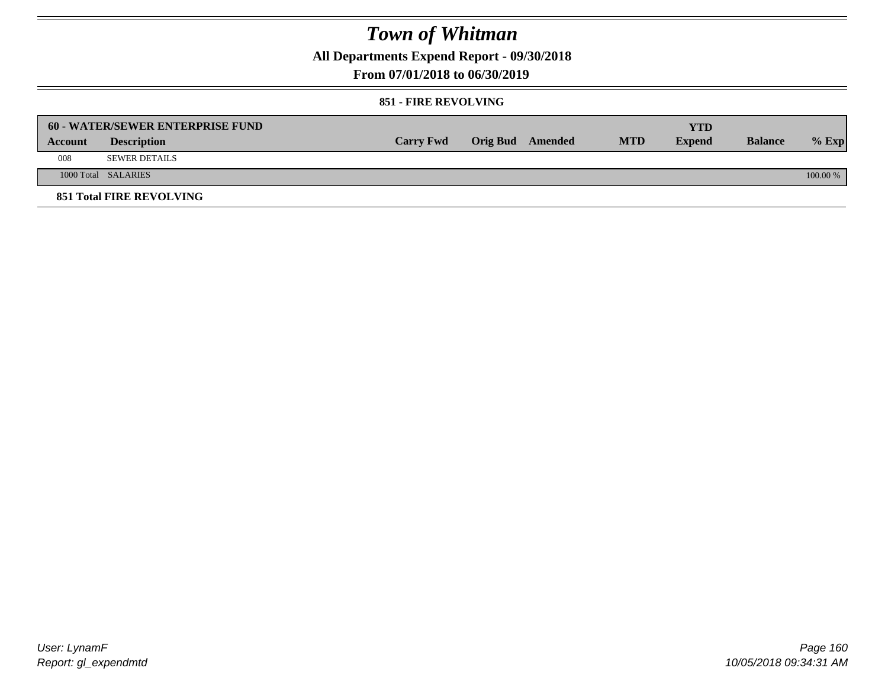**All Departments Expend Report - 09/30/2018**

**From 07/01/2018 to 06/30/2019**

#### **851 - FIRE REVOLVING**

|         | 60 - WATER/SEWER ENTERPRISE FUND |                  |                  |            | YTD           |                |          |
|---------|----------------------------------|------------------|------------------|------------|---------------|----------------|----------|
| Account | <b>Description</b>               | <b>Carry Fwd</b> | Orig Bud Amended | <b>MTD</b> | <b>Expend</b> | <b>Balance</b> | $%$ Exp  |
| 008     | <b>SEWER DETAILS</b>             |                  |                  |            |               |                |          |
|         | 1000 Total SALARIES              |                  |                  |            |               |                | 100.00 % |
|         | <b>851 Total FIRE REVOLVING</b>  |                  |                  |            |               |                |          |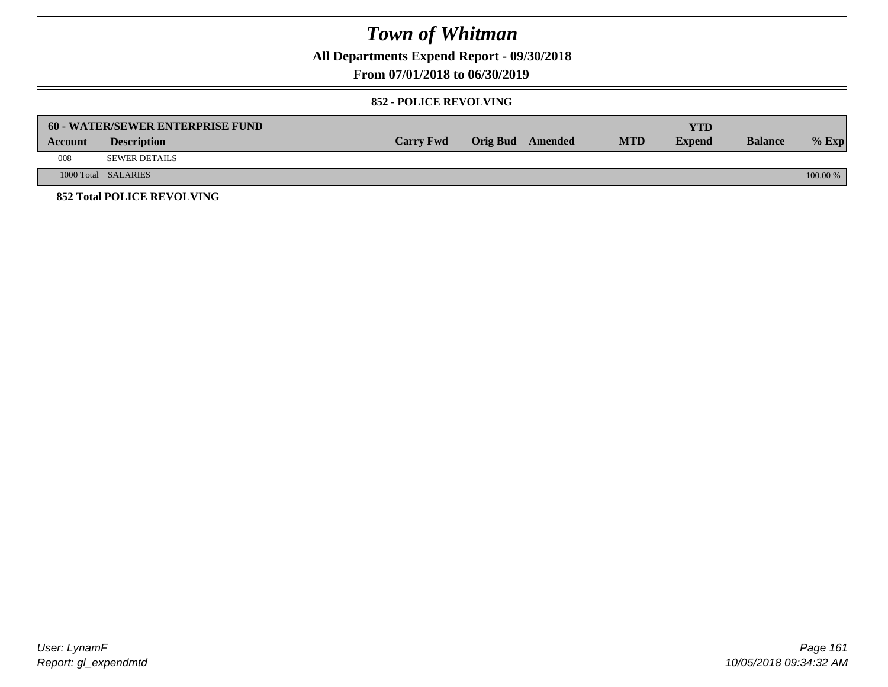**All Departments Expend Report - 09/30/2018**

**From 07/01/2018 to 06/30/2019**

#### **852 - POLICE REVOLVING**

|         | <b>60 - WATER/SEWER ENTERPRISE FUND</b> |                  |                  |            | <b>YTD</b>    |                |            |
|---------|-----------------------------------------|------------------|------------------|------------|---------------|----------------|------------|
| Account | <b>Description</b>                      | <b>Carry Fwd</b> | Orig Bud Amended | <b>MTD</b> | <b>Expend</b> | <b>Balance</b> | $\%$ Exp   |
| 008     | <b>SEWER DETAILS</b>                    |                  |                  |            |               |                |            |
|         | 1000 Total SALARIES                     |                  |                  |            |               |                | $100.00\%$ |
|         | <b>852 Total POLICE REVOLVING</b>       |                  |                  |            |               |                |            |

*Report: gl\_expendmtd User: LynamF*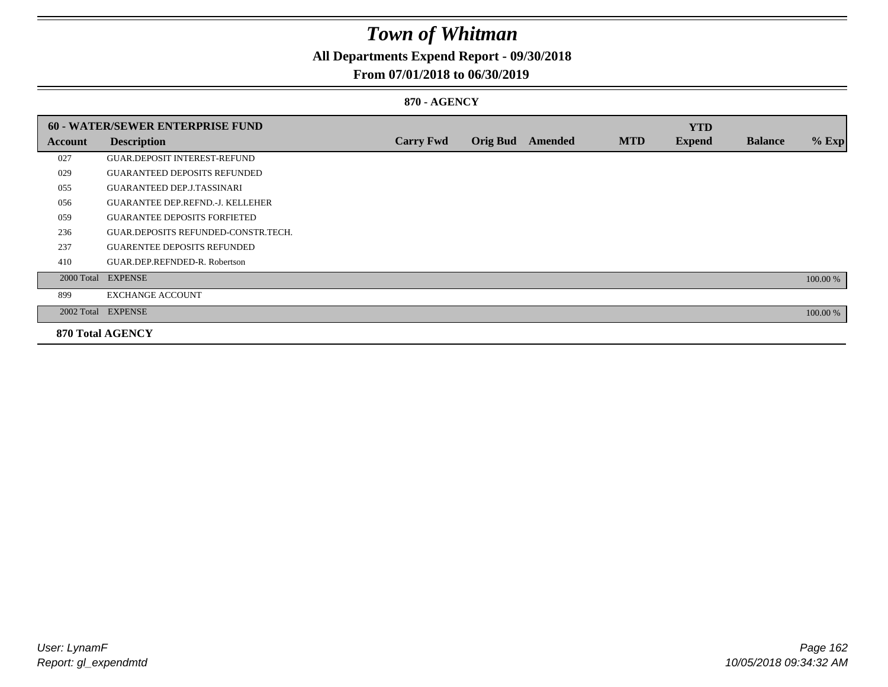### **All Departments Expend Report - 09/30/2018**

### **From 07/01/2018 to 06/30/2019**

### **870 - AGENCY**

|         | <b>60 - WATER/SEWER ENTERPRISE FUND</b> |                  |                 |                |            | <b>YTD</b>    |                |          |
|---------|-----------------------------------------|------------------|-----------------|----------------|------------|---------------|----------------|----------|
| Account | <b>Description</b>                      | <b>Carry Fwd</b> | <b>Orig Bud</b> | <b>Amended</b> | <b>MTD</b> | <b>Expend</b> | <b>Balance</b> | $%$ Exp  |
| 027     | <b>GUAR.DEPOSIT INTEREST-REFUND</b>     |                  |                 |                |            |               |                |          |
| 029     | <b>GUARANTEED DEPOSITS REFUNDED</b>     |                  |                 |                |            |               |                |          |
| 055     | <b>GUARANTEED DEP.J.TASSINARI</b>       |                  |                 |                |            |               |                |          |
| 056     | <b>GUARANTEE DEP.REFND.-J. KELLEHER</b> |                  |                 |                |            |               |                |          |
| 059     | <b>GUARANTEE DEPOSITS FORFIETED</b>     |                  |                 |                |            |               |                |          |
| 236     | GUAR.DEPOSITS REFUNDED-CONSTR.TECH.     |                  |                 |                |            |               |                |          |
| 237     | <b>GUARENTEE DEPOSITS REFUNDED</b>      |                  |                 |                |            |               |                |          |
| 410     | GUAR.DEP.REFNDED-R. Robertson           |                  |                 |                |            |               |                |          |
|         | 2000 Total EXPENSE                      |                  |                 |                |            |               |                | 100.00 % |
| 899     | <b>EXCHANGE ACCOUNT</b>                 |                  |                 |                |            |               |                |          |
|         | 2002 Total EXPENSE                      |                  |                 |                |            |               |                | 100.00 % |
|         | <b>870 Total AGENCY</b>                 |                  |                 |                |            |               |                |          |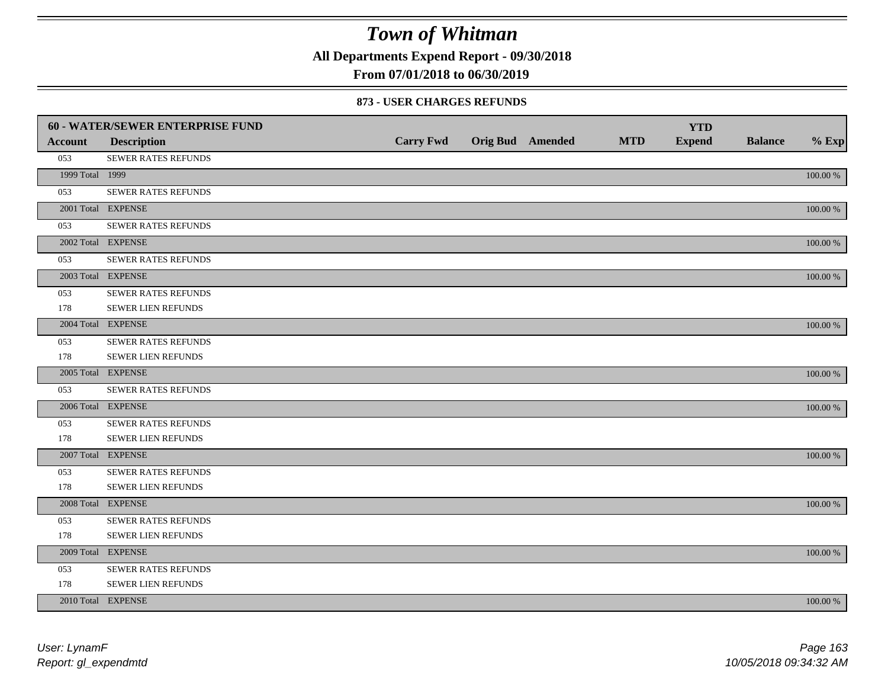**All Departments Expend Report - 09/30/2018**

### **From 07/01/2018 to 06/30/2019**

#### **873 - USER CHARGES REFUNDS**

|                 | 60 - WATER/SEWER ENTERPRISE FUND |                  |                  |            | <b>YTD</b>    |                |          |
|-----------------|----------------------------------|------------------|------------------|------------|---------------|----------------|----------|
| <b>Account</b>  | <b>Description</b>               | <b>Carry Fwd</b> | Orig Bud Amended | <b>MTD</b> | <b>Expend</b> | <b>Balance</b> | $%$ Exp  |
| 053             | SEWER RATES REFUNDS              |                  |                  |            |               |                |          |
| 1999 Total 1999 |                                  |                  |                  |            |               |                | 100.00 % |
| 053             | <b>SEWER RATES REFUNDS</b>       |                  |                  |            |               |                |          |
|                 | 2001 Total EXPENSE               |                  |                  |            |               |                | 100.00 % |
| 053             | SEWER RATES REFUNDS              |                  |                  |            |               |                |          |
|                 | 2002 Total EXPENSE               |                  |                  |            |               |                | 100.00 % |
| 053             | <b>SEWER RATES REFUNDS</b>       |                  |                  |            |               |                |          |
|                 | 2003 Total EXPENSE               |                  |                  |            |               |                | 100.00 % |
| 053             | SEWER RATES REFUNDS              |                  |                  |            |               |                |          |
| 178             | SEWER LIEN REFUNDS               |                  |                  |            |               |                |          |
|                 | 2004 Total EXPENSE               |                  |                  |            |               |                | 100.00 % |
| 053             | SEWER RATES REFUNDS              |                  |                  |            |               |                |          |
| 178             | SEWER LIEN REFUNDS               |                  |                  |            |               |                |          |
|                 | 2005 Total EXPENSE               |                  |                  |            |               |                | 100.00 % |
| 053             | SEWER RATES REFUNDS              |                  |                  |            |               |                |          |
|                 | 2006 Total EXPENSE               |                  |                  |            |               |                | 100.00 % |
| 053             | SEWER RATES REFUNDS              |                  |                  |            |               |                |          |
| 178             | SEWER LIEN REFUNDS               |                  |                  |            |               |                |          |
|                 | 2007 Total EXPENSE               |                  |                  |            |               |                | 100.00 % |
| 053             | SEWER RATES REFUNDS              |                  |                  |            |               |                |          |
| 178             | SEWER LIEN REFUNDS               |                  |                  |            |               |                |          |
|                 | 2008 Total EXPENSE               |                  |                  |            |               |                | 100.00 % |
| 053             | SEWER RATES REFUNDS              |                  |                  |            |               |                |          |
| 178             | SEWER LIEN REFUNDS               |                  |                  |            |               |                |          |
|                 | 2009 Total EXPENSE               |                  |                  |            |               |                | 100.00 % |
| 053             | SEWER RATES REFUNDS              |                  |                  |            |               |                |          |
| 178             | SEWER LIEN REFUNDS               |                  |                  |            |               |                |          |
|                 | 2010 Total EXPENSE               |                  |                  |            |               |                | 100.00 % |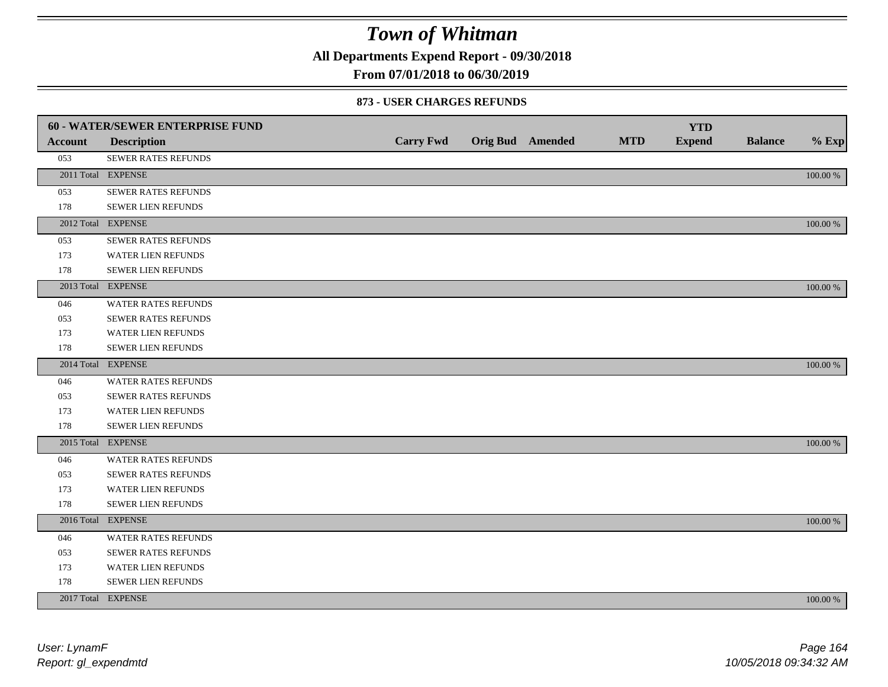**All Departments Expend Report - 09/30/2018**

### **From 07/01/2018 to 06/30/2019**

#### **873 - USER CHARGES REFUNDS**

|                | 60 - WATER/SEWER ENTERPRISE FUND |                  |                         |            | <b>YTD</b>    |                |             |
|----------------|----------------------------------|------------------|-------------------------|------------|---------------|----------------|-------------|
| <b>Account</b> | <b>Description</b>               | <b>Carry Fwd</b> | <b>Orig Bud</b> Amended | <b>MTD</b> | <b>Expend</b> | <b>Balance</b> | $%$ Exp     |
| 053            | SEWER RATES REFUNDS              |                  |                         |            |               |                |             |
|                | 2011 Total EXPENSE               |                  |                         |            |               |                | 100.00 %    |
| 053            | SEWER RATES REFUNDS              |                  |                         |            |               |                |             |
| 178            | SEWER LIEN REFUNDS               |                  |                         |            |               |                |             |
|                | 2012 Total EXPENSE               |                  |                         |            |               |                | 100.00 %    |
| 053            | SEWER RATES REFUNDS              |                  |                         |            |               |                |             |
| 173            | <b>WATER LIEN REFUNDS</b>        |                  |                         |            |               |                |             |
| 178            | SEWER LIEN REFUNDS               |                  |                         |            |               |                |             |
|                | 2013 Total EXPENSE               |                  |                         |            |               |                | 100.00 %    |
| 046            | WATER RATES REFUNDS              |                  |                         |            |               |                |             |
| 053            | SEWER RATES REFUNDS              |                  |                         |            |               |                |             |
| 173            | WATER LIEN REFUNDS               |                  |                         |            |               |                |             |
| 178            | <b>SEWER LIEN REFUNDS</b>        |                  |                         |            |               |                |             |
|                | 2014 Total EXPENSE               |                  |                         |            |               |                | 100.00 %    |
| 046            | <b>WATER RATES REFUNDS</b>       |                  |                         |            |               |                |             |
| 053            | SEWER RATES REFUNDS              |                  |                         |            |               |                |             |
| 173            | WATER LIEN REFUNDS               |                  |                         |            |               |                |             |
| 178            | SEWER LIEN REFUNDS               |                  |                         |            |               |                |             |
|                | 2015 Total EXPENSE               |                  |                         |            |               |                | 100.00 %    |
| 046            | <b>WATER RATES REFUNDS</b>       |                  |                         |            |               |                |             |
| 053            | SEWER RATES REFUNDS              |                  |                         |            |               |                |             |
| 173            | <b>WATER LIEN REFUNDS</b>        |                  |                         |            |               |                |             |
| 178            | SEWER LIEN REFUNDS               |                  |                         |            |               |                |             |
|                | 2016 Total EXPENSE               |                  |                         |            |               |                | 100.00 %    |
| 046            | WATER RATES REFUNDS              |                  |                         |            |               |                |             |
| 053            | <b>SEWER RATES REFUNDS</b>       |                  |                         |            |               |                |             |
| 173            | <b>WATER LIEN REFUNDS</b>        |                  |                         |            |               |                |             |
| 178            | <b>SEWER LIEN REFUNDS</b>        |                  |                         |            |               |                |             |
|                | 2017 Total EXPENSE               |                  |                         |            |               |                | $100.00~\%$ |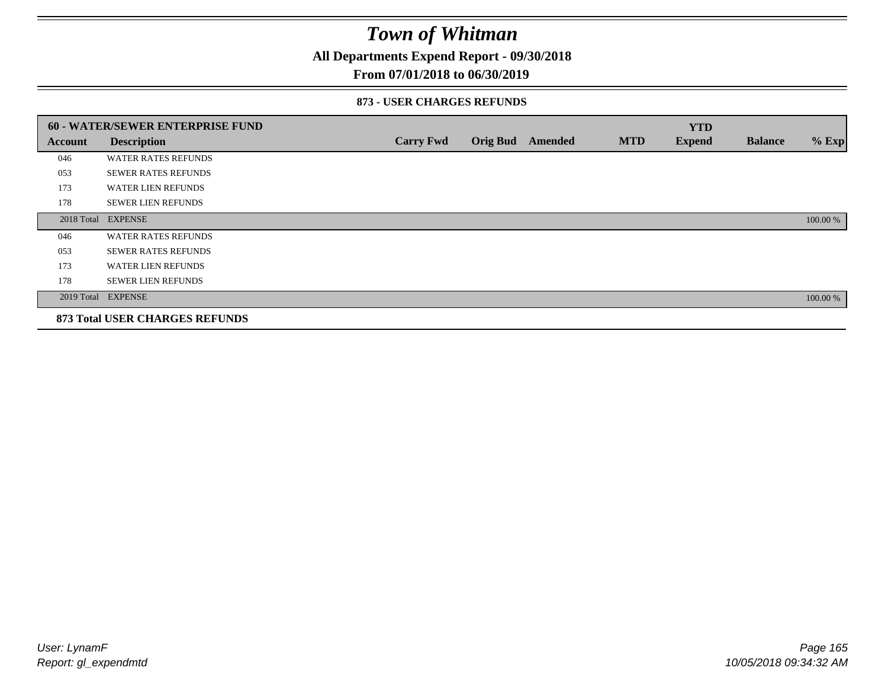**All Departments Expend Report - 09/30/2018**

### **From 07/01/2018 to 06/30/2019**

#### **873 - USER CHARGES REFUNDS**

|         | 60 - WATER/SEWER ENTERPRISE FUND      |                  |                 |         |            | <b>YTD</b>    |                |          |
|---------|---------------------------------------|------------------|-----------------|---------|------------|---------------|----------------|----------|
| Account | <b>Description</b>                    | <b>Carry Fwd</b> | <b>Orig Bud</b> | Amended | <b>MTD</b> | <b>Expend</b> | <b>Balance</b> | $%$ Exp  |
| 046     | <b>WATER RATES REFUNDS</b>            |                  |                 |         |            |               |                |          |
| 053     | <b>SEWER RATES REFUNDS</b>            |                  |                 |         |            |               |                |          |
| 173     | <b>WATER LIEN REFUNDS</b>             |                  |                 |         |            |               |                |          |
| 178     | <b>SEWER LIEN REFUNDS</b>             |                  |                 |         |            |               |                |          |
|         | 2018 Total EXPENSE                    |                  |                 |         |            |               |                | 100.00 % |
| 046     | <b>WATER RATES REFUNDS</b>            |                  |                 |         |            |               |                |          |
| 053     | <b>SEWER RATES REFUNDS</b>            |                  |                 |         |            |               |                |          |
| 173     | <b>WATER LIEN REFUNDS</b>             |                  |                 |         |            |               |                |          |
| 178     | <b>SEWER LIEN REFUNDS</b>             |                  |                 |         |            |               |                |          |
|         | 2019 Total EXPENSE                    |                  |                 |         |            |               |                | 100.00 % |
|         | <b>873 Total USER CHARGES REFUNDS</b> |                  |                 |         |            |               |                |          |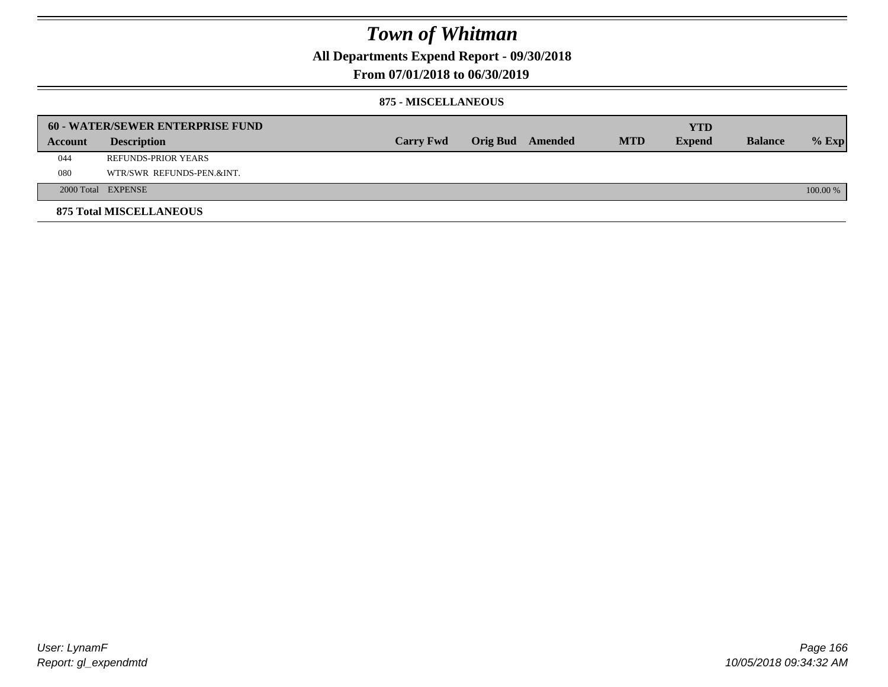**All Departments Expend Report - 09/30/2018**

### **From 07/01/2018 to 06/30/2019**

#### **875 - MISCELLANEOUS**

|         | <b>60 - WATER/SEWER ENTERPRISE FUND</b> |                  |  |                         |            | YTD           |                |            |
|---------|-----------------------------------------|------------------|--|-------------------------|------------|---------------|----------------|------------|
| Account | <b>Description</b>                      | <b>Carry Fwd</b> |  | <b>Orig Bud</b> Amended | <b>MTD</b> | <b>Expend</b> | <b>Balance</b> | $%$ Exp    |
| 044     | REFUNDS-PRIOR YEARS                     |                  |  |                         |            |               |                |            |
| 080     | WTR/SWR REFUNDS-PEN.&INT.               |                  |  |                         |            |               |                |            |
|         | 2000 Total EXPENSE                      |                  |  |                         |            |               |                | $100.00\%$ |
|         | <b>875 Total MISCELLANEOUS</b>          |                  |  |                         |            |               |                |            |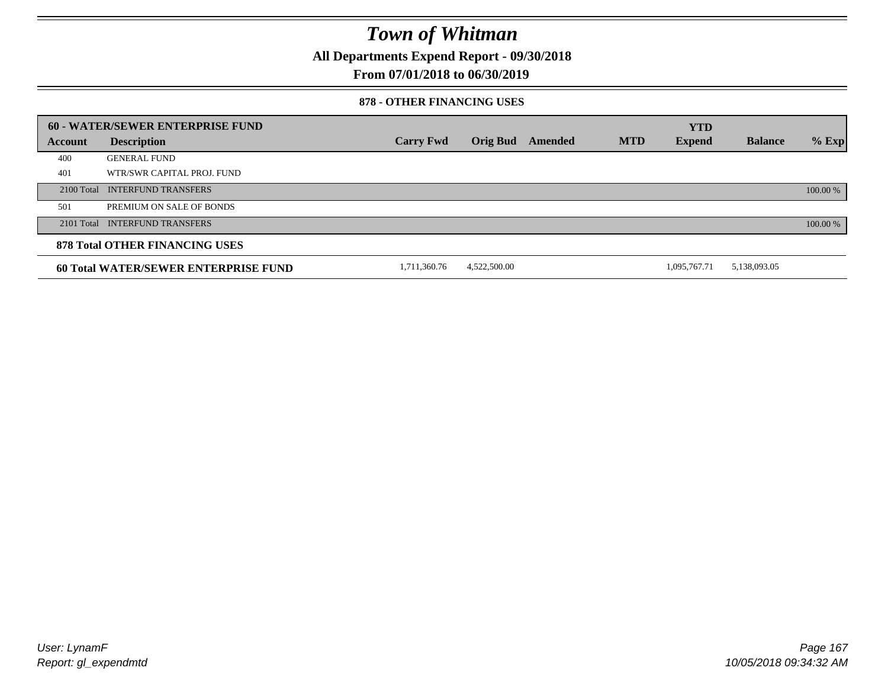**All Departments Expend Report - 09/30/2018**

**From 07/01/2018 to 06/30/2019**

#### **878 - OTHER FINANCING USES**

|         | 60 - WATER/SEWER ENTERPRISE FUND            |                  |                 |         |            | <b>YTD</b>    |                |          |
|---------|---------------------------------------------|------------------|-----------------|---------|------------|---------------|----------------|----------|
| Account | <b>Description</b>                          | <b>Carry Fwd</b> | <b>Orig Bud</b> | Amended | <b>MTD</b> | <b>Expend</b> | <b>Balance</b> | $%$ Exp  |
| 400     | <b>GENERAL FUND</b>                         |                  |                 |         |            |               |                |          |
| 401     | WTR/SWR CAPITAL PROJ. FUND                  |                  |                 |         |            |               |                |          |
|         | 2100 Total INTERFUND TRANSFERS              |                  |                 |         |            |               |                | 100.00 % |
| 501     | PREMIUM ON SALE OF BONDS                    |                  |                 |         |            |               |                |          |
|         | 2101 Total INTERFUND TRANSFERS              |                  |                 |         |            |               |                | 100.00 % |
|         | <b>878 Total OTHER FINANCING USES</b>       |                  |                 |         |            |               |                |          |
|         | <b>60 Total WATER/SEWER ENTERPRISE FUND</b> | 1,711,360.76     | 4,522,500.00    |         |            | 1.095.767.71  | 5,138,093.05   |          |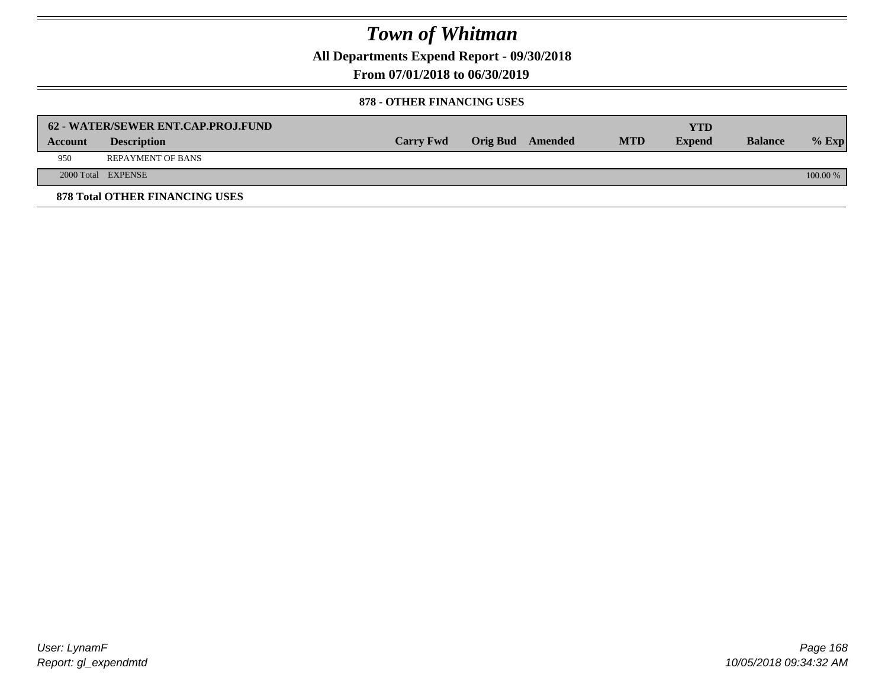**All Departments Expend Report - 09/30/2018**

**From 07/01/2018 to 06/30/2019**

#### **878 - OTHER FINANCING USES**

|         | 62 - WATER/SEWER ENT.CAP.PROJ.FUND    |                  |                  |            | <b>YTD</b>    |                |            |
|---------|---------------------------------------|------------------|------------------|------------|---------------|----------------|------------|
| Account | <b>Description</b>                    | <b>Carry Fwd</b> | Orig Bud Amended | <b>MTD</b> | <b>Expend</b> | <b>Balance</b> | $%$ Exp    |
| 950     | <b>REPAYMENT OF BANS</b>              |                  |                  |            |               |                |            |
|         | 2000 Total EXPENSE                    |                  |                  |            |               |                | $100.00\%$ |
|         | <b>878 Total OTHER FINANCING USES</b> |                  |                  |            |               |                |            |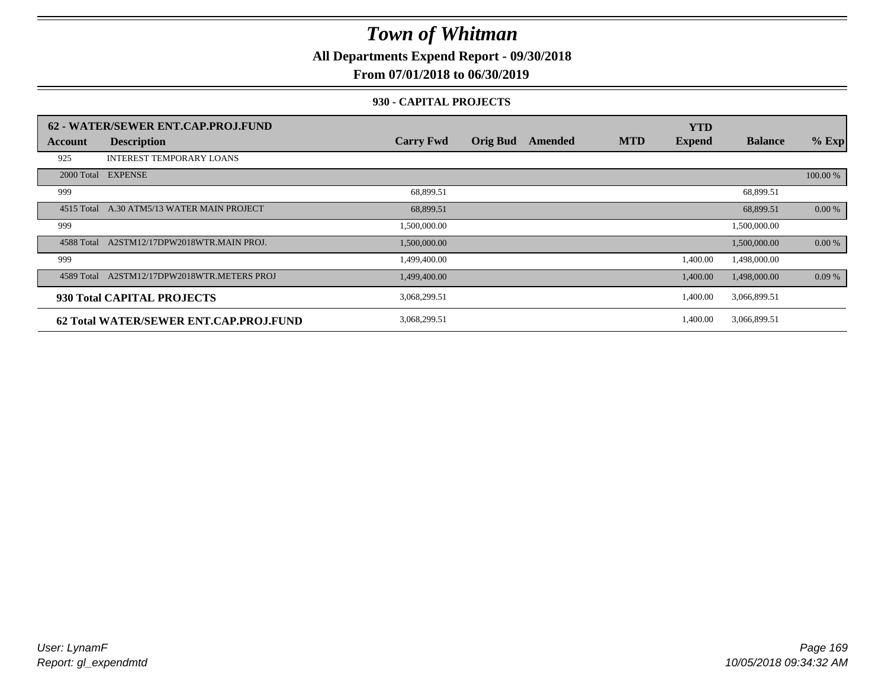**All Departments Expend Report - 09/30/2018**

### **From 07/01/2018 to 06/30/2019**

#### **930 - CAPITAL PROJECTS**

|                | 62 - WATER/SEWER ENT.CAP.PROJ.FUND     |                  |                 |         |            | <b>YTD</b>    |                |          |
|----------------|----------------------------------------|------------------|-----------------|---------|------------|---------------|----------------|----------|
| <b>Account</b> | <b>Description</b>                     | <b>Carry Fwd</b> | <b>Orig Bud</b> | Amended | <b>MTD</b> | <b>Expend</b> | <b>Balance</b> | $%$ Exp  |
| 925            | <b>INTEREST TEMPORARY LOANS</b>        |                  |                 |         |            |               |                |          |
|                | 2000 Total EXPENSE                     |                  |                 |         |            |               |                | 100.00 % |
| 999            |                                        | 68,899.51        |                 |         |            |               | 68,899.51      |          |
| 4515 Total     | A.30 ATM5/13 WATER MAIN PROJECT        | 68,899.51        |                 |         |            |               | 68,899.51      | 0.00 %   |
| 999            |                                        | 1,500,000.00     |                 |         |            |               | 1,500,000.00   |          |
| 4588 Total     | A2STM12/17DPW2018WTR.MAIN PROJ.        | 1,500,000.00     |                 |         |            |               | 1,500,000.00   | 0.00 %   |
| 999            |                                        | 1,499,400.00     |                 |         |            | 1,400.00      | 1,498,000.00   |          |
| 4589 Total     | A2STM12/17DPW2018WTR.METERS PROJ       | 1,499,400.00     |                 |         |            | 1,400.00      | 1,498,000.00   | 0.09%    |
|                | 930 Total CAPITAL PROJECTS             | 3,068,299.51     |                 |         |            | 1,400.00      | 3,066,899.51   |          |
|                | 62 Total WATER/SEWER ENT.CAP.PROJ.FUND | 3,068,299.51     |                 |         |            | 1,400.00      | 3,066,899.51   |          |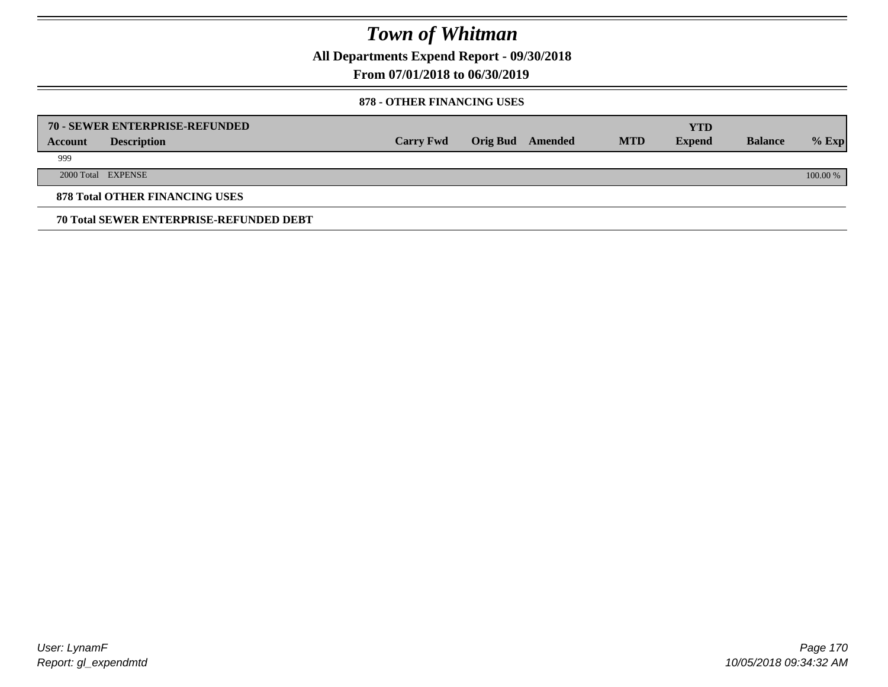**All Departments Expend Report - 09/30/2018**

**From 07/01/2018 to 06/30/2019**

#### **878 - OTHER FINANCING USES**

|         | 70 - SEWER ENTERPRISE-REFUNDED                 |                  |                 |         |            | <b>YTD</b>    |                |          |
|---------|------------------------------------------------|------------------|-----------------|---------|------------|---------------|----------------|----------|
| Account | <b>Description</b>                             | <b>Carry Fwd</b> | <b>Orig Bud</b> | Amended | <b>MTD</b> | <b>Expend</b> | <b>Balance</b> | $%$ Exp  |
| 999     |                                                |                  |                 |         |            |               |                |          |
|         | 2000 Total EXPENSE                             |                  |                 |         |            |               |                | 100.00 % |
|         | <b>878 Total OTHER FINANCING USES</b>          |                  |                 |         |            |               |                |          |
|         | <b>70 Total SEWER ENTERPRISE-REFUNDED DEBT</b> |                  |                 |         |            |               |                |          |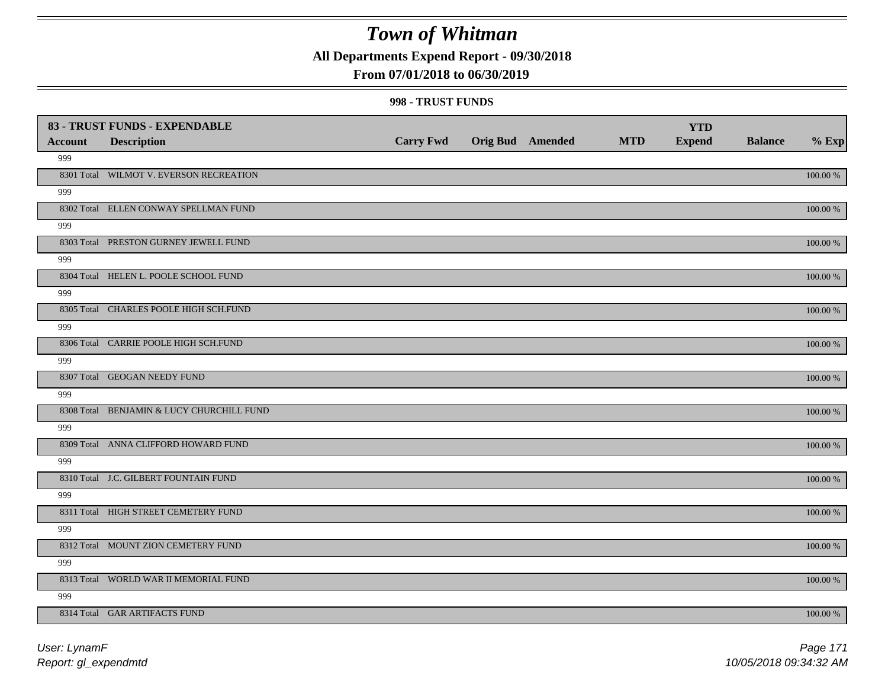**All Departments Expend Report - 09/30/2018**

### **From 07/01/2018 to 06/30/2019**

#### **998 - TRUST FUNDS**

|                | 83 - TRUST FUNDS - EXPENDABLE             |                  |                         |            | <b>YTD</b>    |                |             |
|----------------|-------------------------------------------|------------------|-------------------------|------------|---------------|----------------|-------------|
| <b>Account</b> | <b>Description</b>                        | <b>Carry Fwd</b> | <b>Orig Bud Amended</b> | <b>MTD</b> | <b>Expend</b> | <b>Balance</b> | $%$ Exp     |
| 999            |                                           |                  |                         |            |               |                |             |
|                | 8301 Total WILMOT V. EVERSON RECREATION   |                  |                         |            |               |                | 100.00 %    |
| 999            |                                           |                  |                         |            |               |                |             |
|                | 8302 Total ELLEN CONWAY SPELLMAN FUND     |                  |                         |            |               |                | 100.00 %    |
| 999            |                                           |                  |                         |            |               |                |             |
|                | 8303 Total PRESTON GURNEY JEWELL FUND     |                  |                         |            |               |                | $100.00~\%$ |
| 999            |                                           |                  |                         |            |               |                |             |
|                | 8304 Total HELEN L. POOLE SCHOOL FUND     |                  |                         |            |               |                | 100.00 %    |
| 999            |                                           |                  |                         |            |               |                |             |
|                | 8305 Total CHARLES POOLE HIGH SCH.FUND    |                  |                         |            |               |                | 100.00 %    |
| 999            |                                           |                  |                         |            |               |                |             |
|                | 8306 Total CARRIE POOLE HIGH SCH.FUND     |                  |                         |            |               |                | 100.00 %    |
| 999            |                                           |                  |                         |            |               |                |             |
|                | 8307 Total GEOGAN NEEDY FUND              |                  |                         |            |               |                | 100.00 %    |
| 999            |                                           |                  |                         |            |               |                |             |
|                | 8308 Total BENJAMIN & LUCY CHURCHILL FUND |                  |                         |            |               |                | 100.00 %    |
| 999            |                                           |                  |                         |            |               |                |             |
|                | 8309 Total ANNA CLIFFORD HOWARD FUND      |                  |                         |            |               |                | $100.00~\%$ |
| 999            |                                           |                  |                         |            |               |                |             |
|                | 8310 Total J.C. GILBERT FOUNTAIN FUND     |                  |                         |            |               |                | 100.00 %    |
| 999            |                                           |                  |                         |            |               |                |             |
|                | 8311 Total HIGH STREET CEMETERY FUND      |                  |                         |            |               |                | 100.00 %    |
| 999            |                                           |                  |                         |            |               |                |             |
|                | 8312 Total MOUNT ZION CEMETERY FUND       |                  |                         |            |               |                | $100.00~\%$ |
| 999            |                                           |                  |                         |            |               |                |             |
|                | 8313 Total WORLD WAR II MEMORIAL FUND     |                  |                         |            |               |                | 100.00 %    |
| 999            |                                           |                  |                         |            |               |                |             |
|                | 8314 Total GAR ARTIFACTS FUND             |                  |                         |            |               |                | 100.00 %    |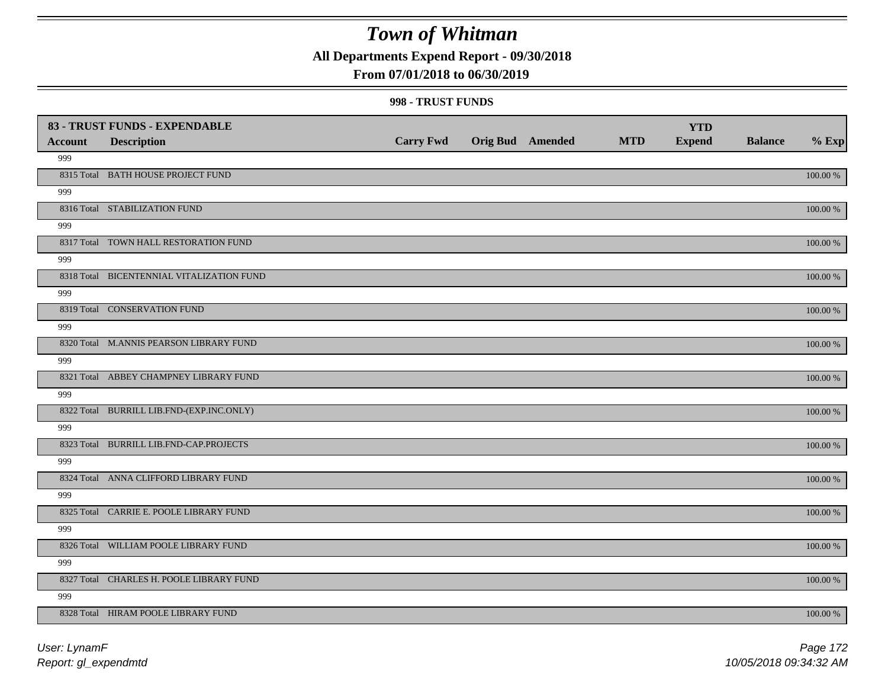**All Departments Expend Report - 09/30/2018**

### **From 07/01/2018 to 06/30/2019**

#### **998 - TRUST FUNDS**

| <b>Account</b> | 83 - TRUST FUNDS - EXPENDABLE<br><b>Description</b> | <b>Carry Fwd</b> | Orig Bud Amended | <b>MTD</b> | <b>YTD</b><br><b>Expend</b> | <b>Balance</b> | $%$ Exp     |
|----------------|-----------------------------------------------------|------------------|------------------|------------|-----------------------------|----------------|-------------|
| 999            |                                                     |                  |                  |            |                             |                |             |
|                | 8315 Total BATH HOUSE PROJECT FUND                  |                  |                  |            |                             |                | 100.00 %    |
| 999            |                                                     |                  |                  |            |                             |                |             |
|                | 8316 Total STABILIZATION FUND                       |                  |                  |            |                             |                | 100.00 %    |
| 999            |                                                     |                  |                  |            |                             |                |             |
|                | 8317 Total TOWN HALL RESTORATION FUND               |                  |                  |            |                             |                | 100.00 %    |
| 999            |                                                     |                  |                  |            |                             |                |             |
|                | 8318 Total BICENTENNIAL VITALIZATION FUND           |                  |                  |            |                             |                | 100.00 %    |
| 999            |                                                     |                  |                  |            |                             |                |             |
|                | 8319 Total CONSERVATION FUND                        |                  |                  |            |                             |                | 100.00 %    |
| 999            |                                                     |                  |                  |            |                             |                |             |
|                | 8320 Total M.ANNIS PEARSON LIBRARY FUND             |                  |                  |            |                             |                | 100.00 %    |
| 999            |                                                     |                  |                  |            |                             |                |             |
|                | 8321 Total ABBEY CHAMPNEY LIBRARY FUND              |                  |                  |            |                             |                | 100.00 %    |
| 999            |                                                     |                  |                  |            |                             |                |             |
|                | 8322 Total BURRILL LIB.FND-(EXP.INC.ONLY)           |                  |                  |            |                             |                | 100.00 %    |
| 999            |                                                     |                  |                  |            |                             |                |             |
|                | 8323 Total BURRILL LIB.FND-CAP.PROJECTS             |                  |                  |            |                             |                | 100.00 %    |
| 999            |                                                     |                  |                  |            |                             |                |             |
|                | 8324 Total ANNA CLIFFORD LIBRARY FUND               |                  |                  |            |                             |                | $100.00~\%$ |
| 999            |                                                     |                  |                  |            |                             |                |             |
|                | 8325 Total CARRIE E. POOLE LIBRARY FUND             |                  |                  |            |                             |                | $100.00~\%$ |
| 999            |                                                     |                  |                  |            |                             |                |             |
|                | 8326 Total WILLIAM POOLE LIBRARY FUND               |                  |                  |            |                             |                | 100.00 %    |
| 999            |                                                     |                  |                  |            |                             |                |             |
|                | 8327 Total CHARLES H. POOLE LIBRARY FUND            |                  |                  |            |                             |                | 100.00 %    |
| 999            |                                                     |                  |                  |            |                             |                |             |
|                | 8328 Total HIRAM POOLE LIBRARY FUND                 |                  |                  |            |                             |                | 100.00 %    |

*Report: gl\_expendmtd User: LynamF*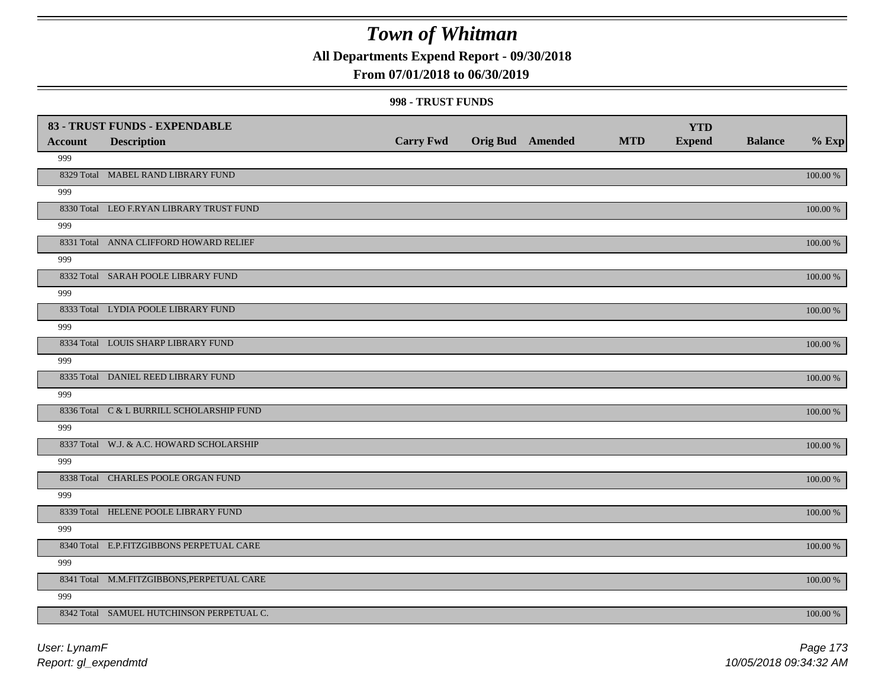**All Departments Expend Report - 09/30/2018**

### **From 07/01/2018 to 06/30/2019**

#### **998 - TRUST FUNDS**

|                | 83 - TRUST FUNDS - EXPENDABLE              |                  |                         |            | <b>YTD</b>    |                |             |
|----------------|--------------------------------------------|------------------|-------------------------|------------|---------------|----------------|-------------|
| <b>Account</b> | <b>Description</b>                         | <b>Carry Fwd</b> | <b>Orig Bud Amended</b> | <b>MTD</b> | <b>Expend</b> | <b>Balance</b> | $%$ Exp     |
| 999            |                                            |                  |                         |            |               |                |             |
|                | 8329 Total MABEL RAND LIBRARY FUND         |                  |                         |            |               |                | 100.00 %    |
| 999            |                                            |                  |                         |            |               |                |             |
|                | 8330 Total LEO F.RYAN LIBRARY TRUST FUND   |                  |                         |            |               |                | 100.00 %    |
| 999            |                                            |                  |                         |            |               |                |             |
|                | 8331 Total ANNA CLIFFORD HOWARD RELIEF     |                  |                         |            |               |                | $100.00~\%$ |
| 999            |                                            |                  |                         |            |               |                |             |
|                | 8332 Total SARAH POOLE LIBRARY FUND        |                  |                         |            |               |                | 100.00 %    |
| 999            |                                            |                  |                         |            |               |                |             |
|                | 8333 Total LYDIA POOLE LIBRARY FUND        |                  |                         |            |               |                | 100.00 %    |
| 999            |                                            |                  |                         |            |               |                |             |
|                | 8334 Total LOUIS SHARP LIBRARY FUND        |                  |                         |            |               |                | 100.00 %    |
| 999            |                                            |                  |                         |            |               |                |             |
|                | 8335 Total DANIEL REED LIBRARY FUND        |                  |                         |            |               |                | 100.00 %    |
| 999            |                                            |                  |                         |            |               |                |             |
|                | 8336 Total C & L BURRILL SCHOLARSHIP FUND  |                  |                         |            |               |                | $100.00~\%$ |
| 999            |                                            |                  |                         |            |               |                |             |
|                | 8337 Total W.J. & A.C. HOWARD SCHOLARSHIP  |                  |                         |            |               |                | 100.00 %    |
| 999            |                                            |                  |                         |            |               |                |             |
|                | 8338 Total CHARLES POOLE ORGAN FUND        |                  |                         |            |               |                | 100.00 %    |
| 999            |                                            |                  |                         |            |               |                |             |
|                | 8339 Total HELENE POOLE LIBRARY FUND       |                  |                         |            |               |                | 100.00 %    |
| 999            |                                            |                  |                         |            |               |                |             |
|                | 8340 Total E.P.FITZGIBBONS PERPETUAL CARE  |                  |                         |            |               |                | $100.00~\%$ |
| 999            |                                            |                  |                         |            |               |                |             |
|                | 8341 Total M.M.FITZGIBBONS, PERPETUAL CARE |                  |                         |            |               |                | 100.00 %    |
| 999            |                                            |                  |                         |            |               |                |             |
|                | 8342 Total SAMUEL HUTCHINSON PERPETUAL C.  |                  |                         |            |               |                | 100.00 %    |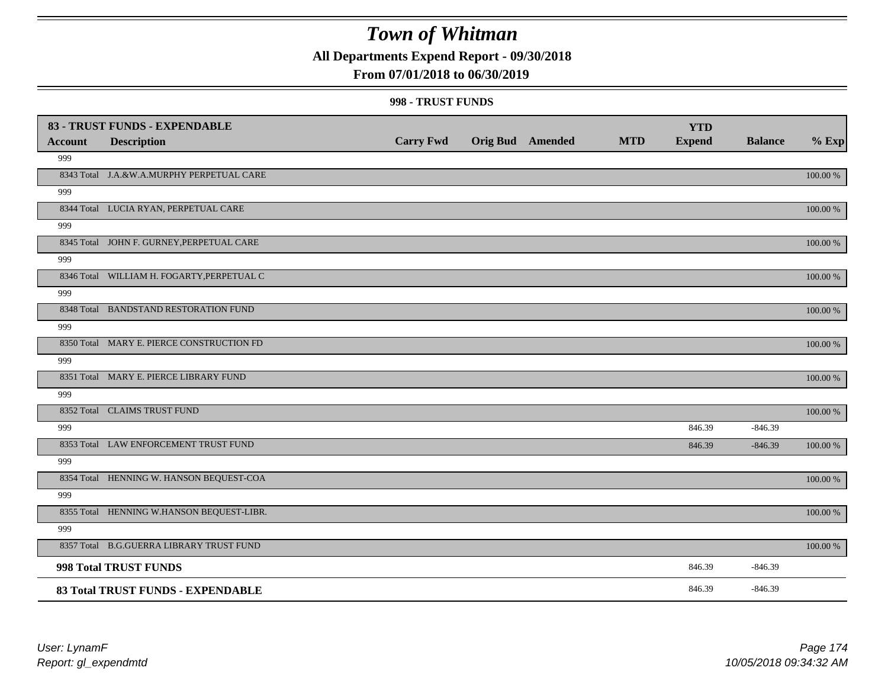**All Departments Expend Report - 09/30/2018**

### **From 07/01/2018 to 06/30/2019**

#### **998 - TRUST FUNDS**

|                | 83 - TRUST FUNDS - EXPENDABLE              |                  |                         |            | <b>YTD</b>    |                |             |
|----------------|--------------------------------------------|------------------|-------------------------|------------|---------------|----------------|-------------|
| <b>Account</b> | <b>Description</b>                         | <b>Carry Fwd</b> | <b>Orig Bud</b> Amended | <b>MTD</b> | <b>Expend</b> | <b>Balance</b> | $%$ Exp     |
| 999            |                                            |                  |                         |            |               |                |             |
|                | 8343 Total J.A.&W.A.MURPHY PERPETUAL CARE  |                  |                         |            |               |                | 100.00 %    |
| 999            |                                            |                  |                         |            |               |                |             |
|                | 8344 Total LUCIA RYAN, PERPETUAL CARE      |                  |                         |            |               |                | 100.00 %    |
| 999            |                                            |                  |                         |            |               |                |             |
|                | 8345 Total JOHN F. GURNEY, PERPETUAL CARE  |                  |                         |            |               |                | 100.00 %    |
| 999            |                                            |                  |                         |            |               |                |             |
|                | 8346 Total WILLIAM H. FOGARTY, PERPETUAL C |                  |                         |            |               |                | $100.00~\%$ |
| 999            |                                            |                  |                         |            |               |                |             |
|                | 8348 Total BANDSTAND RESTORATION FUND      |                  |                         |            |               |                | 100.00 %    |
| 999            |                                            |                  |                         |            |               |                |             |
|                | 8350 Total MARY E. PIERCE CONSTRUCTION FD  |                  |                         |            |               |                | 100.00 %    |
| 999            |                                            |                  |                         |            |               |                |             |
|                | 8351 Total MARY E. PIERCE LIBRARY FUND     |                  |                         |            |               |                | 100.00 %    |
| 999            |                                            |                  |                         |            |               |                |             |
|                | 8352 Total CLAIMS TRUST FUND               |                  |                         |            |               |                | 100.00 %    |
| 999            |                                            |                  |                         |            | 846.39        | $-846.39$      |             |
|                | 8353 Total LAW ENFORCEMENT TRUST FUND      |                  |                         |            | 846.39        | $-846.39$      | 100.00 %    |
| 999            |                                            |                  |                         |            |               |                |             |
|                | 8354 Total HENNING W. HANSON BEQUEST-COA   |                  |                         |            |               |                | 100.00 %    |
| 999            |                                            |                  |                         |            |               |                |             |
|                | 8355 Total HENNING W.HANSON BEQUEST-LIBR.  |                  |                         |            |               |                | 100.00 %    |
| 999            |                                            |                  |                         |            |               |                |             |
|                | 8357 Total B.G.GUERRA LIBRARY TRUST FUND   |                  |                         |            |               |                | 100.00 %    |
|                | 998 Total TRUST FUNDS                      |                  |                         |            | 846.39        | $-846.39$      |             |
|                | 83 Total TRUST FUNDS - EXPENDABLE          |                  |                         |            | 846.39        | $-846.39$      |             |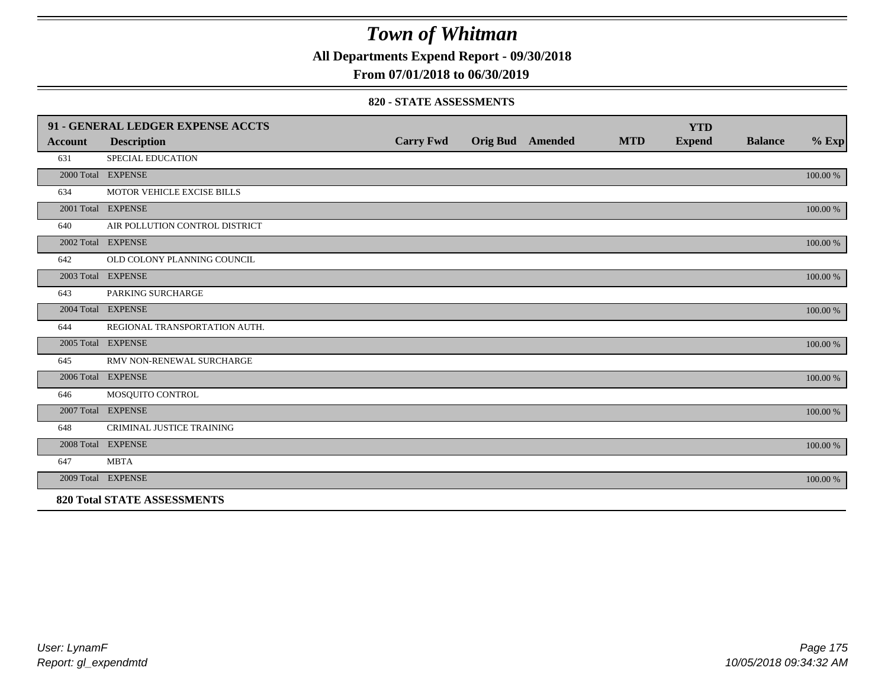**All Departments Expend Report - 09/30/2018**

**From 07/01/2018 to 06/30/2019**

#### **820 - STATE ASSESSMENTS**

|                | 91 - GENERAL LEDGER EXPENSE ACCTS  |                  |                         |            | <b>YTD</b>    |                |          |
|----------------|------------------------------------|------------------|-------------------------|------------|---------------|----------------|----------|
| <b>Account</b> | <b>Description</b>                 | <b>Carry Fwd</b> | <b>Orig Bud</b> Amended | <b>MTD</b> | <b>Expend</b> | <b>Balance</b> | $%$ Exp  |
| 631            | SPECIAL EDUCATION                  |                  |                         |            |               |                |          |
|                | 2000 Total EXPENSE                 |                  |                         |            |               |                | 100.00 % |
| 634            | MOTOR VEHICLE EXCISE BILLS         |                  |                         |            |               |                |          |
|                | 2001 Total EXPENSE                 |                  |                         |            |               |                | 100.00 % |
| 640            | AIR POLLUTION CONTROL DISTRICT     |                  |                         |            |               |                |          |
|                | 2002 Total EXPENSE                 |                  |                         |            |               |                | 100.00 % |
| 642            | OLD COLONY PLANNING COUNCIL        |                  |                         |            |               |                |          |
|                | 2003 Total EXPENSE                 |                  |                         |            |               |                | 100.00 % |
| 643            | PARKING SURCHARGE                  |                  |                         |            |               |                |          |
|                | 2004 Total EXPENSE                 |                  |                         |            |               |                | 100.00 % |
| 644            | REGIONAL TRANSPORTATION AUTH.      |                  |                         |            |               |                |          |
|                | 2005 Total EXPENSE                 |                  |                         |            |               |                | 100.00 % |
| 645            | RMV NON-RENEWAL SURCHARGE          |                  |                         |            |               |                |          |
|                | 2006 Total EXPENSE                 |                  |                         |            |               |                | 100.00 % |
| 646            | MOSQUITO CONTROL                   |                  |                         |            |               |                |          |
|                | 2007 Total EXPENSE                 |                  |                         |            |               |                | 100.00 % |
| 648            | CRIMINAL JUSTICE TRAINING          |                  |                         |            |               |                |          |
|                | 2008 Total EXPENSE                 |                  |                         |            |               |                | 100.00 % |
| 647            | <b>MBTA</b>                        |                  |                         |            |               |                |          |
|                | 2009 Total EXPENSE                 |                  |                         |            |               |                | 100.00 % |
|                | <b>820 Total STATE ASSESSMENTS</b> |                  |                         |            |               |                |          |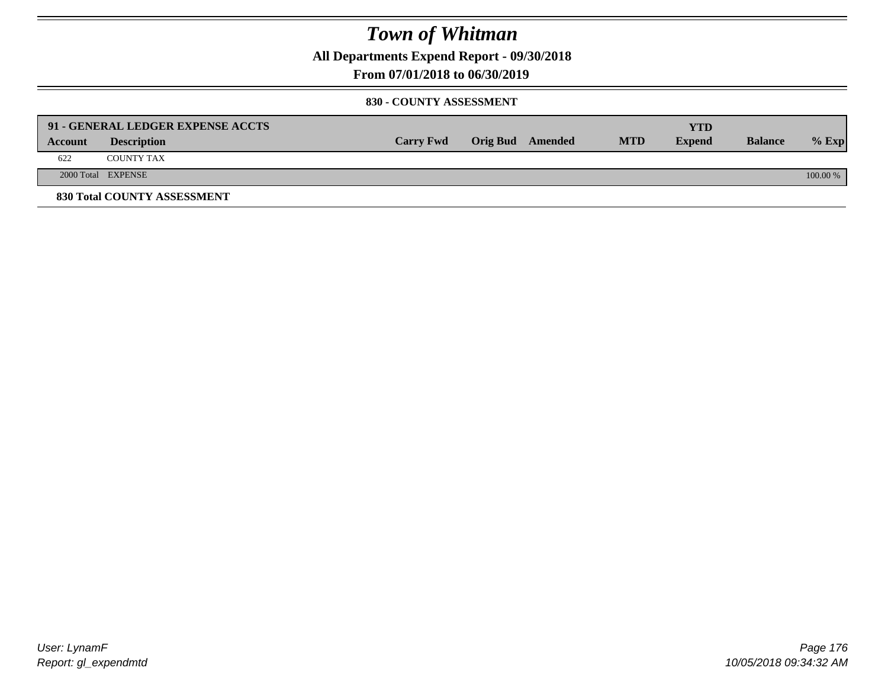**All Departments Expend Report - 09/30/2018**

**From 07/01/2018 to 06/30/2019**

#### **830 - COUNTY ASSESSMENT**

|         | 91 - GENERAL LEDGER EXPENSE ACCTS |                  |                  |            | <b>YTD</b>    |                |            |
|---------|-----------------------------------|------------------|------------------|------------|---------------|----------------|------------|
| Account | <b>Description</b>                | <b>Carry Fwd</b> | Orig Bud Amended | <b>MTD</b> | <b>Expend</b> | <b>Balance</b> | $%$ Exp    |
| 622     | <b>COUNTY TAX</b>                 |                  |                  |            |               |                |            |
|         | 2000 Total EXPENSE                |                  |                  |            |               |                | $100.00\%$ |
|         | 830 Total COUNTY ASSESSMENT       |                  |                  |            |               |                |            |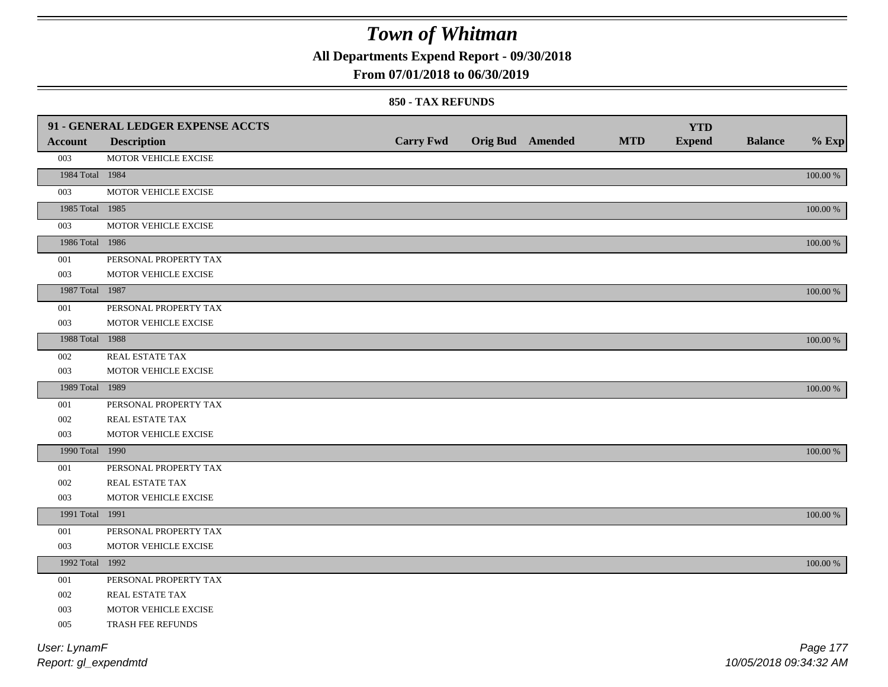**All Departments Expend Report - 09/30/2018**

### **From 07/01/2018 to 06/30/2019**

#### **850 - TAX REFUNDS**

|                 | 91 - GENERAL LEDGER EXPENSE ACCTS |                  |                         |            | <b>YTD</b>    |                |             |
|-----------------|-----------------------------------|------------------|-------------------------|------------|---------------|----------------|-------------|
| <b>Account</b>  | <b>Description</b>                | <b>Carry Fwd</b> | <b>Orig Bud Amended</b> | <b>MTD</b> | <b>Expend</b> | <b>Balance</b> | $%$ Exp     |
| 003             | MOTOR VEHICLE EXCISE              |                  |                         |            |               |                |             |
| 1984 Total 1984 |                                   |                  |                         |            |               |                | $100.00~\%$ |
| 003             | MOTOR VEHICLE EXCISE              |                  |                         |            |               |                |             |
| 1985 Total 1985 |                                   |                  |                         |            |               |                | $100.00~\%$ |
| 003             | MOTOR VEHICLE EXCISE              |                  |                         |            |               |                |             |
| 1986 Total 1986 |                                   |                  |                         |            |               |                | $100.00~\%$ |
| 001             | PERSONAL PROPERTY TAX             |                  |                         |            |               |                |             |
| 003             | MOTOR VEHICLE EXCISE              |                  |                         |            |               |                |             |
| 1987 Total 1987 |                                   |                  |                         |            |               |                | 100.00 %    |
| 001             | PERSONAL PROPERTY TAX             |                  |                         |            |               |                |             |
| 003             | MOTOR VEHICLE EXCISE              |                  |                         |            |               |                |             |
| 1988 Total 1988 |                                   |                  |                         |            |               |                | $100.00\%$  |
| 002             | REAL ESTATE TAX                   |                  |                         |            |               |                |             |
| 003             | MOTOR VEHICLE EXCISE              |                  |                         |            |               |                |             |
| 1989 Total 1989 |                                   |                  |                         |            |               |                | 100.00 %    |
| 001             | PERSONAL PROPERTY TAX             |                  |                         |            |               |                |             |
| 002             | REAL ESTATE TAX                   |                  |                         |            |               |                |             |
| 003             | MOTOR VEHICLE EXCISE              |                  |                         |            |               |                |             |
| 1990 Total 1990 |                                   |                  |                         |            |               |                | $100.00~\%$ |
| 001             | PERSONAL PROPERTY TAX             |                  |                         |            |               |                |             |
| 002             | REAL ESTATE TAX                   |                  |                         |            |               |                |             |
| 003             | MOTOR VEHICLE EXCISE              |                  |                         |            |               |                |             |
| 1991 Total 1991 |                                   |                  |                         |            |               |                | 100.00 %    |
| 001             | PERSONAL PROPERTY TAX             |                  |                         |            |               |                |             |
| 003             | MOTOR VEHICLE EXCISE              |                  |                         |            |               |                |             |
| 1992 Total 1992 |                                   |                  |                         |            |               |                | $100.00~\%$ |
| 001             | PERSONAL PROPERTY TAX             |                  |                         |            |               |                |             |
| 002             | REAL ESTATE TAX                   |                  |                         |            |               |                |             |
| 003             | MOTOR VEHICLE EXCISE              |                  |                         |            |               |                |             |
| 005             | TRASH FEE REFUNDS                 |                  |                         |            |               |                |             |
| User: LynamF    |                                   |                  |                         |            |               |                | Page 177    |

*Report: gl\_expendmtd*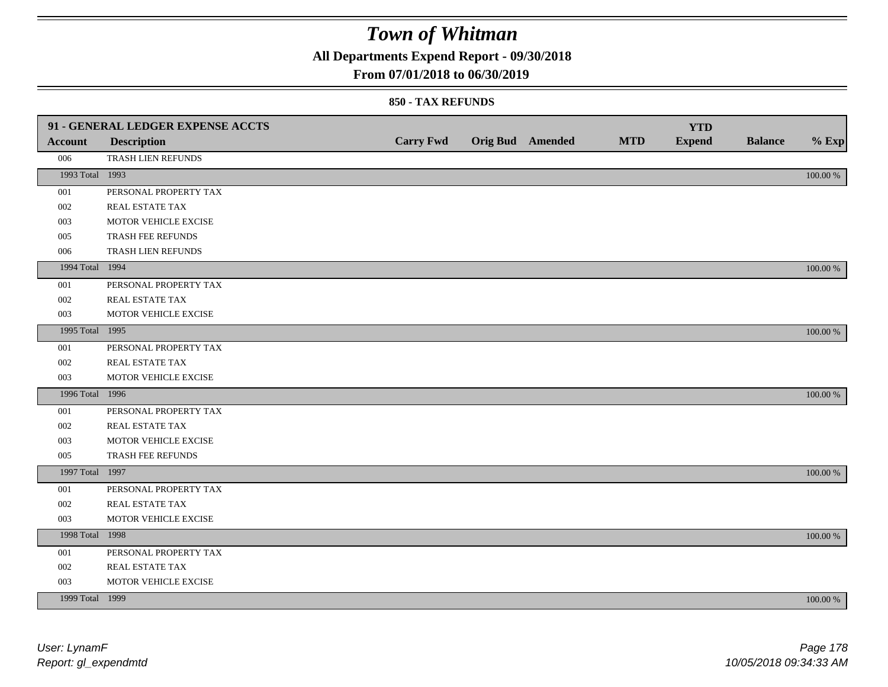**All Departments Expend Report - 09/30/2018**

### **From 07/01/2018 to 06/30/2019**

|                 | 91 - GENERAL LEDGER EXPENSE ACCTS |                  |                         |            | <b>YTD</b>    |                |             |
|-----------------|-----------------------------------|------------------|-------------------------|------------|---------------|----------------|-------------|
| <b>Account</b>  | <b>Description</b>                | <b>Carry Fwd</b> | <b>Orig Bud Amended</b> | <b>MTD</b> | <b>Expend</b> | <b>Balance</b> | $%$ Exp     |
| 006             | TRASH LIEN REFUNDS                |                  |                         |            |               |                |             |
| 1993 Total 1993 |                                   |                  |                         |            |               |                | 100.00 %    |
| 001             | PERSONAL PROPERTY TAX             |                  |                         |            |               |                |             |
| 002             | REAL ESTATE TAX                   |                  |                         |            |               |                |             |
| 003             | MOTOR VEHICLE EXCISE              |                  |                         |            |               |                |             |
| 005             | TRASH FEE REFUNDS                 |                  |                         |            |               |                |             |
| 006             | TRASH LIEN REFUNDS                |                  |                         |            |               |                |             |
| 1994 Total 1994 |                                   |                  |                         |            |               |                | $100.00~\%$ |
| 001             | PERSONAL PROPERTY TAX             |                  |                         |            |               |                |             |
| 002             | REAL ESTATE TAX                   |                  |                         |            |               |                |             |
| 003             | MOTOR VEHICLE EXCISE              |                  |                         |            |               |                |             |
| 1995 Total 1995 |                                   |                  |                         |            |               |                | 100.00 %    |
| 001             | PERSONAL PROPERTY TAX             |                  |                         |            |               |                |             |
| 002             | REAL ESTATE TAX                   |                  |                         |            |               |                |             |
| 003             | MOTOR VEHICLE EXCISE              |                  |                         |            |               |                |             |
| 1996 Total 1996 |                                   |                  |                         |            |               |                | 100.00 %    |
| 001             | PERSONAL PROPERTY TAX             |                  |                         |            |               |                |             |
| 002             | REAL ESTATE TAX                   |                  |                         |            |               |                |             |
| 003             | MOTOR VEHICLE EXCISE              |                  |                         |            |               |                |             |
| 005             | TRASH FEE REFUNDS                 |                  |                         |            |               |                |             |
| 1997 Total 1997 |                                   |                  |                         |            |               |                | 100.00 %    |
| 001             | PERSONAL PROPERTY TAX             |                  |                         |            |               |                |             |
| 002             | REAL ESTATE TAX                   |                  |                         |            |               |                |             |
| 003             | MOTOR VEHICLE EXCISE              |                  |                         |            |               |                |             |
| 1998 Total 1998 |                                   |                  |                         |            |               |                | 100.00 %    |
| 001             | PERSONAL PROPERTY TAX             |                  |                         |            |               |                |             |
| 002             | REAL ESTATE TAX                   |                  |                         |            |               |                |             |
| 003             | MOTOR VEHICLE EXCISE              |                  |                         |            |               |                |             |
| 1999 Total 1999 |                                   |                  |                         |            |               |                | 100.00 %    |
|                 |                                   |                  |                         |            |               |                |             |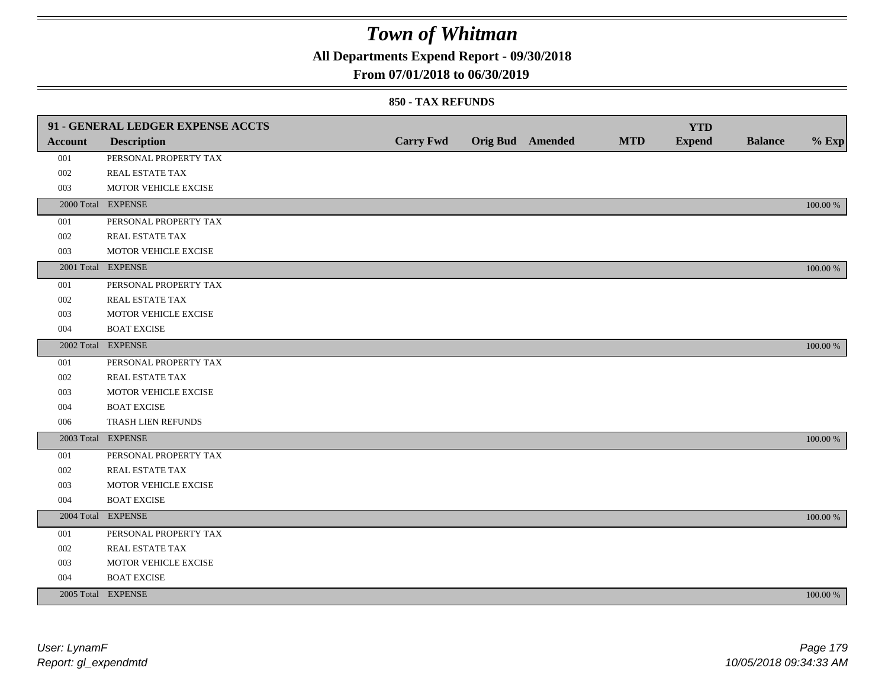**All Departments Expend Report - 09/30/2018**

### **From 07/01/2018 to 06/30/2019**

|                | 91 - GENERAL LEDGER EXPENSE ACCTS |                  |                  |            | <b>YTD</b>    |                |             |
|----------------|-----------------------------------|------------------|------------------|------------|---------------|----------------|-------------|
| <b>Account</b> | <b>Description</b>                | <b>Carry Fwd</b> | Orig Bud Amended | <b>MTD</b> | <b>Expend</b> | <b>Balance</b> | $%$ Exp     |
| 001            | PERSONAL PROPERTY TAX             |                  |                  |            |               |                |             |
| 002            | REAL ESTATE TAX                   |                  |                  |            |               |                |             |
| 003            | MOTOR VEHICLE EXCISE              |                  |                  |            |               |                |             |
|                | 2000 Total EXPENSE                |                  |                  |            |               |                | 100.00 %    |
| 001            | PERSONAL PROPERTY TAX             |                  |                  |            |               |                |             |
| 002            | REAL ESTATE TAX                   |                  |                  |            |               |                |             |
| 003            | MOTOR VEHICLE EXCISE              |                  |                  |            |               |                |             |
|                | 2001 Total EXPENSE                |                  |                  |            |               |                | 100.00 %    |
| 001            | PERSONAL PROPERTY TAX             |                  |                  |            |               |                |             |
| 002            | REAL ESTATE TAX                   |                  |                  |            |               |                |             |
| 003            | MOTOR VEHICLE EXCISE              |                  |                  |            |               |                |             |
| 004            | <b>BOAT EXCISE</b>                |                  |                  |            |               |                |             |
|                | 2002 Total EXPENSE                |                  |                  |            |               |                | 100.00 %    |
| 001            | PERSONAL PROPERTY TAX             |                  |                  |            |               |                |             |
| 002            | REAL ESTATE TAX                   |                  |                  |            |               |                |             |
| 003            | MOTOR VEHICLE EXCISE              |                  |                  |            |               |                |             |
| 004            | <b>BOAT EXCISE</b>                |                  |                  |            |               |                |             |
| 006            | TRASH LIEN REFUNDS                |                  |                  |            |               |                |             |
|                | 2003 Total EXPENSE                |                  |                  |            |               |                | 100.00 %    |
| 001            | PERSONAL PROPERTY TAX             |                  |                  |            |               |                |             |
| 002            | REAL ESTATE TAX                   |                  |                  |            |               |                |             |
| 003            | MOTOR VEHICLE EXCISE              |                  |                  |            |               |                |             |
| 004            | <b>BOAT EXCISE</b>                |                  |                  |            |               |                |             |
|                | 2004 Total EXPENSE                |                  |                  |            |               |                | 100.00 %    |
| 001            | PERSONAL PROPERTY TAX             |                  |                  |            |               |                |             |
| 002            | REAL ESTATE TAX                   |                  |                  |            |               |                |             |
| 003            | MOTOR VEHICLE EXCISE              |                  |                  |            |               |                |             |
| 004            | <b>BOAT EXCISE</b>                |                  |                  |            |               |                |             |
|                | 2005 Total EXPENSE                |                  |                  |            |               |                | $100.00~\%$ |
|                |                                   |                  |                  |            |               |                |             |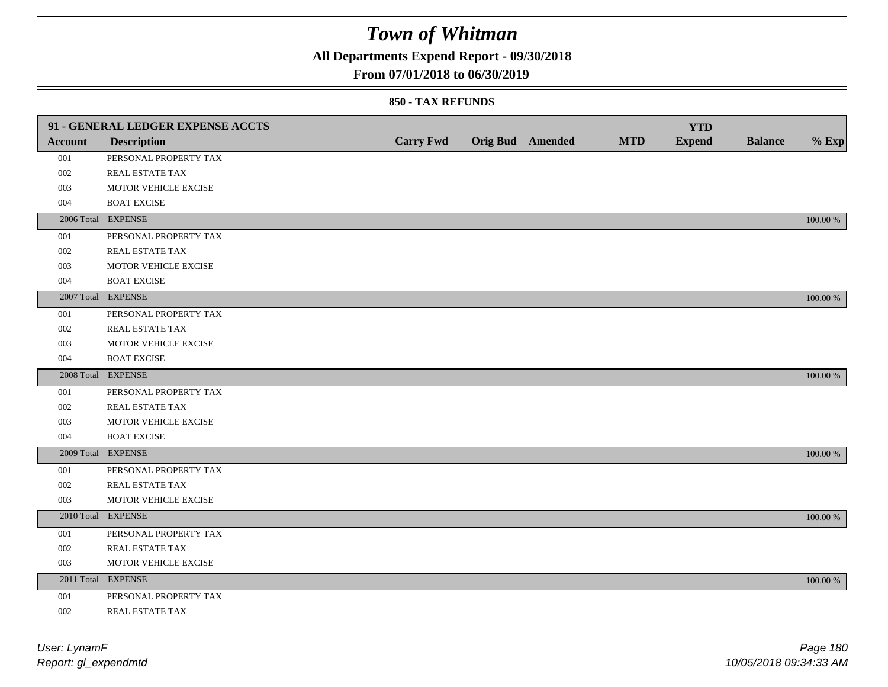**All Departments Expend Report - 09/30/2018**

### **From 07/01/2018 to 06/30/2019**

|                | 91 - GENERAL LEDGER EXPENSE ACCTS |                  |                         |            | <b>YTD</b>    |                |          |
|----------------|-----------------------------------|------------------|-------------------------|------------|---------------|----------------|----------|
| <b>Account</b> | <b>Description</b>                | <b>Carry Fwd</b> | <b>Orig Bud Amended</b> | <b>MTD</b> | <b>Expend</b> | <b>Balance</b> | $%$ Exp  |
| 001            | PERSONAL PROPERTY TAX             |                  |                         |            |               |                |          |
| 002            | REAL ESTATE TAX                   |                  |                         |            |               |                |          |
| 003            | MOTOR VEHICLE EXCISE              |                  |                         |            |               |                |          |
| 004            | <b>BOAT EXCISE</b>                |                  |                         |            |               |                |          |
|                | 2006 Total EXPENSE                |                  |                         |            |               |                | 100.00 % |
| 001            | PERSONAL PROPERTY TAX             |                  |                         |            |               |                |          |
| 002            | REAL ESTATE TAX                   |                  |                         |            |               |                |          |
| 003            | MOTOR VEHICLE EXCISE              |                  |                         |            |               |                |          |
| 004            | <b>BOAT EXCISE</b>                |                  |                         |            |               |                |          |
|                | 2007 Total EXPENSE                |                  |                         |            |               |                | 100.00 % |
| 001            | PERSONAL PROPERTY TAX             |                  |                         |            |               |                |          |
| 002            | <b>REAL ESTATE TAX</b>            |                  |                         |            |               |                |          |
| 003            | MOTOR VEHICLE EXCISE              |                  |                         |            |               |                |          |
| 004            | <b>BOAT EXCISE</b>                |                  |                         |            |               |                |          |
|                | 2008 Total EXPENSE                |                  |                         |            |               |                | 100.00 % |
| 001            | PERSONAL PROPERTY TAX             |                  |                         |            |               |                |          |
| 002            | <b>REAL ESTATE TAX</b>            |                  |                         |            |               |                |          |
| 003            | MOTOR VEHICLE EXCISE              |                  |                         |            |               |                |          |
| 004            | <b>BOAT EXCISE</b>                |                  |                         |            |               |                |          |
|                | 2009 Total EXPENSE                |                  |                         |            |               |                | 100.00 % |
| 001            | PERSONAL PROPERTY TAX             |                  |                         |            |               |                |          |
| 002            | REAL ESTATE TAX                   |                  |                         |            |               |                |          |
| 003            | MOTOR VEHICLE EXCISE              |                  |                         |            |               |                |          |
|                | 2010 Total EXPENSE                |                  |                         |            |               |                | 100.00 % |
| 001            | PERSONAL PROPERTY TAX             |                  |                         |            |               |                |          |
| 002            | <b>REAL ESTATE TAX</b>            |                  |                         |            |               |                |          |
| 003            | MOTOR VEHICLE EXCISE              |                  |                         |            |               |                |          |
|                | 2011 Total EXPENSE                |                  |                         |            |               |                | 100.00 % |
| 001            | PERSONAL PROPERTY TAX             |                  |                         |            |               |                |          |
| 002            | REAL ESTATE TAX                   |                  |                         |            |               |                |          |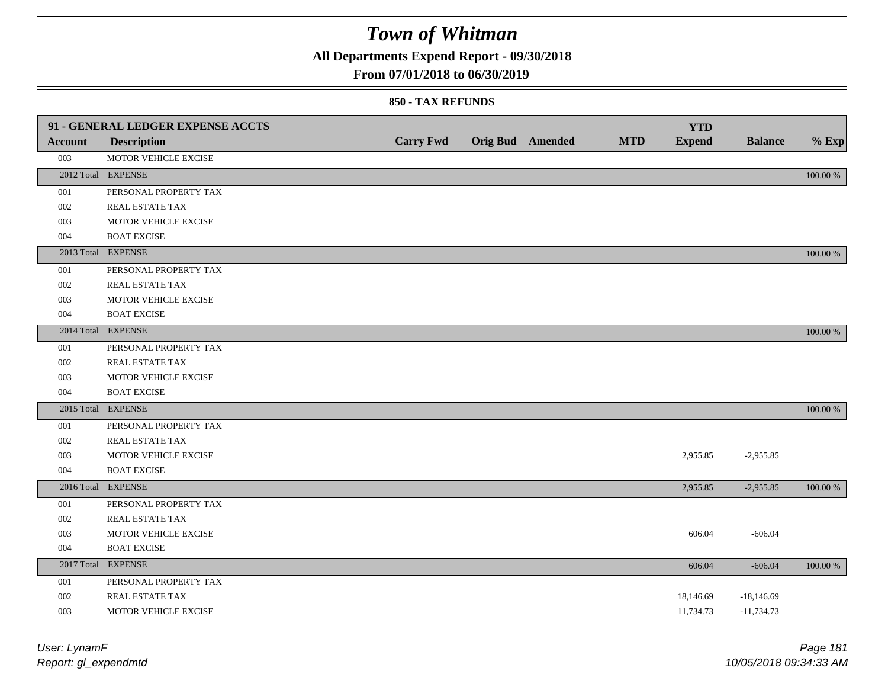**All Departments Expend Report - 09/30/2018**

### **From 07/01/2018 to 06/30/2019**

### **850 - TAX REFUNDS**

|                | 91 - GENERAL LEDGER EXPENSE ACCTS |                  |                         | <b>MTD</b> | <b>YTD</b>    |                |          |
|----------------|-----------------------------------|------------------|-------------------------|------------|---------------|----------------|----------|
| <b>Account</b> | <b>Description</b>                | <b>Carry Fwd</b> | <b>Orig Bud</b> Amended |            | <b>Expend</b> | <b>Balance</b> | $%$ Exp  |
| 003            | MOTOR VEHICLE EXCISE              |                  |                         |            |               |                |          |
|                | 2012 Total EXPENSE                |                  |                         |            |               |                | 100.00 % |
| 001            | PERSONAL PROPERTY TAX             |                  |                         |            |               |                |          |
| 002            | REAL ESTATE TAX                   |                  |                         |            |               |                |          |
| 003            | MOTOR VEHICLE EXCISE              |                  |                         |            |               |                |          |
| 004            | <b>BOAT EXCISE</b>                |                  |                         |            |               |                |          |
|                | 2013 Total EXPENSE                |                  |                         |            |               |                | 100.00 % |
| 001            | PERSONAL PROPERTY TAX             |                  |                         |            |               |                |          |
| 002            | REAL ESTATE TAX                   |                  |                         |            |               |                |          |
| 003            | MOTOR VEHICLE EXCISE              |                  |                         |            |               |                |          |
| 004            | <b>BOAT EXCISE</b>                |                  |                         |            |               |                |          |
|                | 2014 Total EXPENSE                |                  |                         |            |               |                | 100.00 % |
| 001            | PERSONAL PROPERTY TAX             |                  |                         |            |               |                |          |
| 002            | REAL ESTATE TAX                   |                  |                         |            |               |                |          |
| 003            | MOTOR VEHICLE EXCISE              |                  |                         |            |               |                |          |
| 004            | <b>BOAT EXCISE</b>                |                  |                         |            |               |                |          |
|                | 2015 Total EXPENSE                |                  |                         |            |               |                | 100.00 % |
| 001            | PERSONAL PROPERTY TAX             |                  |                         |            |               |                |          |
| 002            | REAL ESTATE TAX                   |                  |                         |            |               |                |          |
| 003            | MOTOR VEHICLE EXCISE              |                  |                         |            | 2,955.85      | $-2,955.85$    |          |
| 004            | <b>BOAT EXCISE</b>                |                  |                         |            |               |                |          |
|                | 2016 Total EXPENSE                |                  |                         |            | 2,955.85      | $-2,955.85$    | 100.00 % |
| 001            | PERSONAL PROPERTY TAX             |                  |                         |            |               |                |          |
| 002            | <b>REAL ESTATE TAX</b>            |                  |                         |            |               |                |          |
| 003            | MOTOR VEHICLE EXCISE              |                  |                         |            | 606.04        | $-606.04$      |          |
| 004            | <b>BOAT EXCISE</b>                |                  |                         |            |               |                |          |
|                | 2017 Total EXPENSE                |                  |                         |            | 606.04        | $-606.04$      | 100.00 % |
| 001            | PERSONAL PROPERTY TAX             |                  |                         |            |               |                |          |
| 002            | REAL ESTATE TAX                   |                  |                         |            | 18,146.69     | $-18,146.69$   |          |
| 003            | MOTOR VEHICLE EXCISE              |                  |                         |            | 11,734.73     | $-11,734.73$   |          |
|                |                                   |                  |                         |            |               |                |          |

| User: LynamF         | Page 181               |
|----------------------|------------------------|
| Report: gl_expendmtd | 10/05/2018 09:34:33 AM |

*User: LynamF*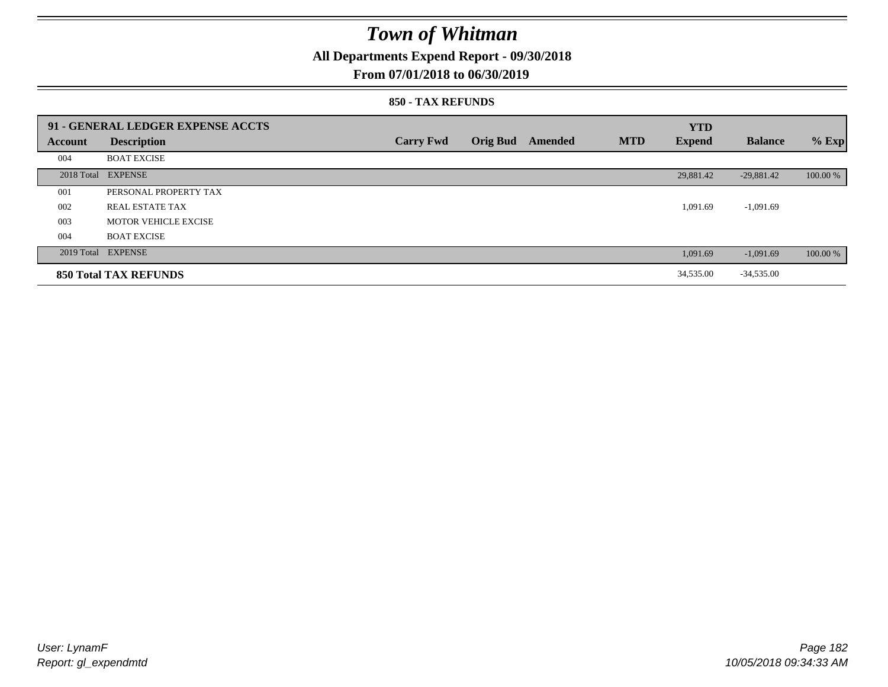**All Departments Expend Report - 09/30/2018**

### **From 07/01/2018 to 06/30/2019**

#### **850 - TAX REFUNDS**

|                | 91 - GENERAL LEDGER EXPENSE ACCTS |                  |                 |         |            | <b>YTD</b>    |                |          |
|----------------|-----------------------------------|------------------|-----------------|---------|------------|---------------|----------------|----------|
| <b>Account</b> | <b>Description</b>                | <b>Carry Fwd</b> | <b>Orig Bud</b> | Amended | <b>MTD</b> | <b>Expend</b> | <b>Balance</b> | $%$ Exp  |
| 004            | <b>BOAT EXCISE</b>                |                  |                 |         |            |               |                |          |
|                | 2018 Total EXPENSE                |                  |                 |         |            | 29,881.42     | $-29,881.42$   | 100.00 % |
| 001            | PERSONAL PROPERTY TAX             |                  |                 |         |            |               |                |          |
| 002            | REAL ESTATE TAX                   |                  |                 |         |            | 1,091.69      | $-1,091.69$    |          |
| 003            | <b>MOTOR VEHICLE EXCISE</b>       |                  |                 |         |            |               |                |          |
| 004            | <b>BOAT EXCISE</b>                |                  |                 |         |            |               |                |          |
|                | 2019 Total EXPENSE                |                  |                 |         |            | 1,091.69      | $-1,091.69$    | 100.00 % |
|                | <b>850 Total TAX REFUNDS</b>      |                  |                 |         |            | 34,535.00     | $-34,535.00$   |          |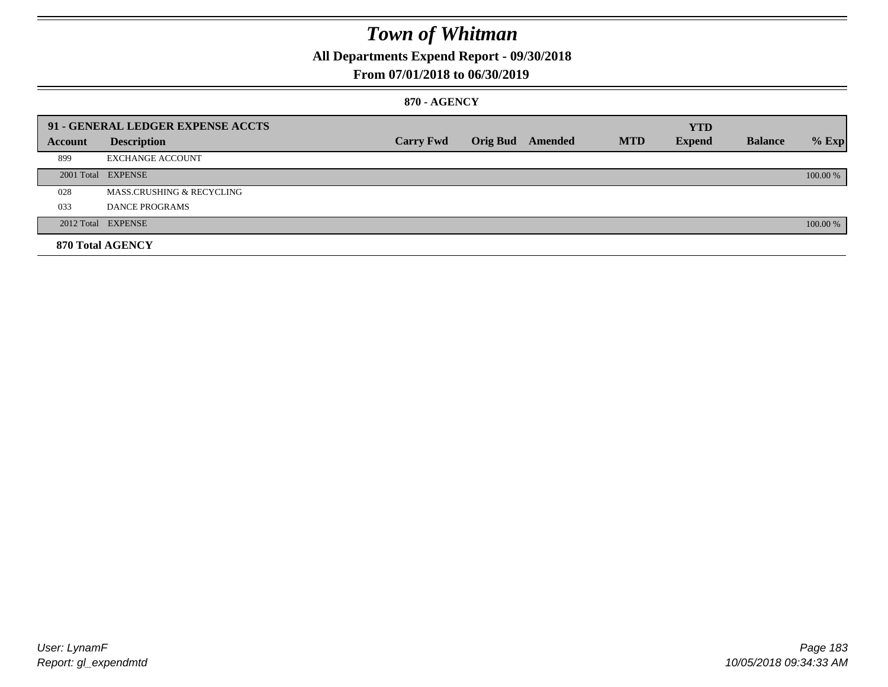**All Departments Expend Report - 09/30/2018**

### **From 07/01/2018 to 06/30/2019**

### **870 - AGENCY**

|         | 91 - GENERAL LEDGER EXPENSE ACCTS    |                  |                         |            | <b>YTD</b>    |                |          |
|---------|--------------------------------------|------------------|-------------------------|------------|---------------|----------------|----------|
| Account | <b>Description</b>                   | <b>Carry Fwd</b> | <b>Orig Bud</b> Amended | <b>MTD</b> | <b>Expend</b> | <b>Balance</b> | $%$ Exp  |
| 899     | <b>EXCHANGE ACCOUNT</b>              |                  |                         |            |               |                |          |
|         | 2001 Total EXPENSE                   |                  |                         |            |               |                | 100.00 % |
| 028     | <b>MASS.CRUSHING &amp; RECYCLING</b> |                  |                         |            |               |                |          |
| 033     | DANCE PROGRAMS                       |                  |                         |            |               |                |          |
|         | 2012 Total EXPENSE                   |                  |                         |            |               |                | 100.00 % |
|         | 870 Total AGENCY                     |                  |                         |            |               |                |          |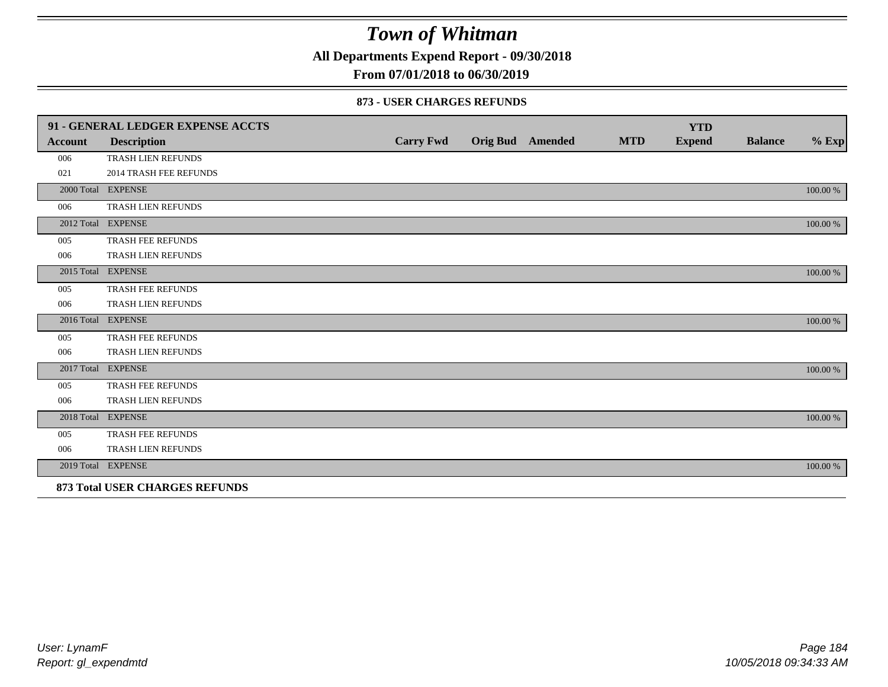**All Departments Expend Report - 09/30/2018**

**From 07/01/2018 to 06/30/2019**

### **873 - USER CHARGES REFUNDS**

|         | 91 - GENERAL LEDGER EXPENSE ACCTS |                  |                         |            | <b>YTD</b>    |                |          |
|---------|-----------------------------------|------------------|-------------------------|------------|---------------|----------------|----------|
| Account | <b>Description</b>                | <b>Carry Fwd</b> | <b>Orig Bud</b> Amended | <b>MTD</b> | <b>Expend</b> | <b>Balance</b> | $%$ Exp  |
| 006     | TRASH LIEN REFUNDS                |                  |                         |            |               |                |          |
| 021     | <b>2014 TRASH FEE REFUNDS</b>     |                  |                         |            |               |                |          |
|         | 2000 Total EXPENSE                |                  |                         |            |               |                | 100.00 % |
| 006     | TRASH LIEN REFUNDS                |                  |                         |            |               |                |          |
|         | 2012 Total EXPENSE                |                  |                         |            |               |                | 100.00 % |
| 005     | TRASH FEE REFUNDS                 |                  |                         |            |               |                |          |
| 006     | TRASH LIEN REFUNDS                |                  |                         |            |               |                |          |
|         | 2015 Total EXPENSE                |                  |                         |            |               |                | 100.00 % |
| 005     | TRASH FEE REFUNDS                 |                  |                         |            |               |                |          |
| 006     | TRASH LIEN REFUNDS                |                  |                         |            |               |                |          |
|         | 2016 Total EXPENSE                |                  |                         |            |               |                | 100.00 % |
| 005     | TRASH FEE REFUNDS                 |                  |                         |            |               |                |          |
| 006     | TRASH LIEN REFUNDS                |                  |                         |            |               |                |          |
|         | 2017 Total EXPENSE                |                  |                         |            |               |                | 100.00 % |
| 005     | TRASH FEE REFUNDS                 |                  |                         |            |               |                |          |
| 006     | TRASH LIEN REFUNDS                |                  |                         |            |               |                |          |
|         | 2018 Total EXPENSE                |                  |                         |            |               |                | 100.00 % |
| 005     | TRASH FEE REFUNDS                 |                  |                         |            |               |                |          |
| 006     | TRASH LIEN REFUNDS                |                  |                         |            |               |                |          |
|         | 2019 Total EXPENSE                |                  |                         |            |               |                | 100.00 % |
|         | 873 Total USER CHARGES REFUNDS    |                  |                         |            |               |                |          |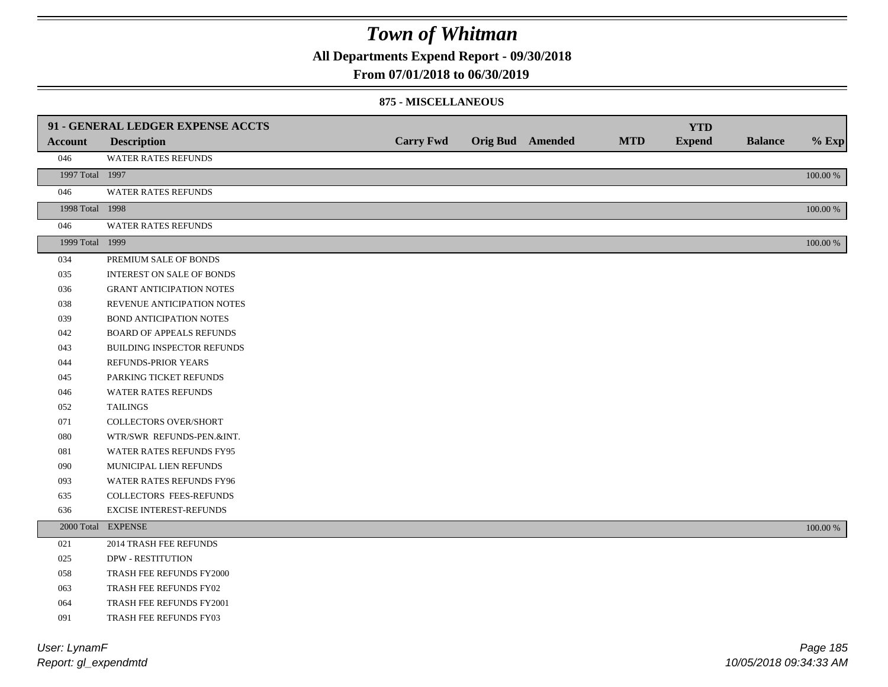**All Departments Expend Report - 09/30/2018**

### **From 07/01/2018 to 06/30/2019**

#### **875 - MISCELLANEOUS**

|                 | 91 - GENERAL LEDGER EXPENSE ACCTS |                  |                         |            | <b>YTD</b>    |                |             |
|-----------------|-----------------------------------|------------------|-------------------------|------------|---------------|----------------|-------------|
| <b>Account</b>  | <b>Description</b>                | <b>Carry Fwd</b> | <b>Orig Bud</b> Amended | <b>MTD</b> | <b>Expend</b> | <b>Balance</b> | $%$ Exp     |
| 046             | WATER RATES REFUNDS               |                  |                         |            |               |                |             |
| 1997 Total 1997 |                                   |                  |                         |            |               |                | $100.00~\%$ |
| 046             | <b>WATER RATES REFUNDS</b>        |                  |                         |            |               |                |             |
| 1998 Total 1998 |                                   |                  |                         |            |               |                | 100.00 %    |
| 046             | WATER RATES REFUNDS               |                  |                         |            |               |                |             |
| 1999 Total 1999 |                                   |                  |                         |            |               |                | $100.00~\%$ |
| 034             | PREMIUM SALE OF BONDS             |                  |                         |            |               |                |             |
| 035             | <b>INTEREST ON SALE OF BONDS</b>  |                  |                         |            |               |                |             |
| 036             | <b>GRANT ANTICIPATION NOTES</b>   |                  |                         |            |               |                |             |
| 038             | REVENUE ANTICIPATION NOTES        |                  |                         |            |               |                |             |
| 039             | <b>BOND ANTICIPATION NOTES</b>    |                  |                         |            |               |                |             |
| 042             | <b>BOARD OF APPEALS REFUNDS</b>   |                  |                         |            |               |                |             |
| 043             | BUILDING INSPECTOR REFUNDS        |                  |                         |            |               |                |             |
| 044             | REFUNDS-PRIOR YEARS               |                  |                         |            |               |                |             |
| 045             | PARKING TICKET REFUNDS            |                  |                         |            |               |                |             |
| 046             | WATER RATES REFUNDS               |                  |                         |            |               |                |             |
| 052             | <b>TAILINGS</b>                   |                  |                         |            |               |                |             |
| 071             | <b>COLLECTORS OVER/SHORT</b>      |                  |                         |            |               |                |             |
| 080             | WTR/SWR REFUNDS-PEN.&INT.         |                  |                         |            |               |                |             |
| 081             | WATER RATES REFUNDS FY95          |                  |                         |            |               |                |             |
| 090             | MUNICIPAL LIEN REFUNDS            |                  |                         |            |               |                |             |
| 093             | WATER RATES REFUNDS FY96          |                  |                         |            |               |                |             |
| 635             | COLLECTORS FEES-REFUNDS           |                  |                         |            |               |                |             |
| 636             | <b>EXCISE INTEREST-REFUNDS</b>    |                  |                         |            |               |                |             |
|                 | 2000 Total EXPENSE                |                  |                         |            |               |                | 100.00 %    |
| 021             | 2014 TRASH FEE REFUNDS            |                  |                         |            |               |                |             |
| 025             | <b>DPW - RESTITUTION</b>          |                  |                         |            |               |                |             |
| 058             | TRASH FEE REFUNDS FY2000          |                  |                         |            |               |                |             |
| 063             | TRASH FEE REFUNDS FY02            |                  |                         |            |               |                |             |
| 064             | TRASH FEE REFUNDS FY2001          |                  |                         |            |               |                |             |
| 091             | TRASH FEE REFUNDS FY03            |                  |                         |            |               |                |             |

*Report: gl\_expendmtd User: LynamF*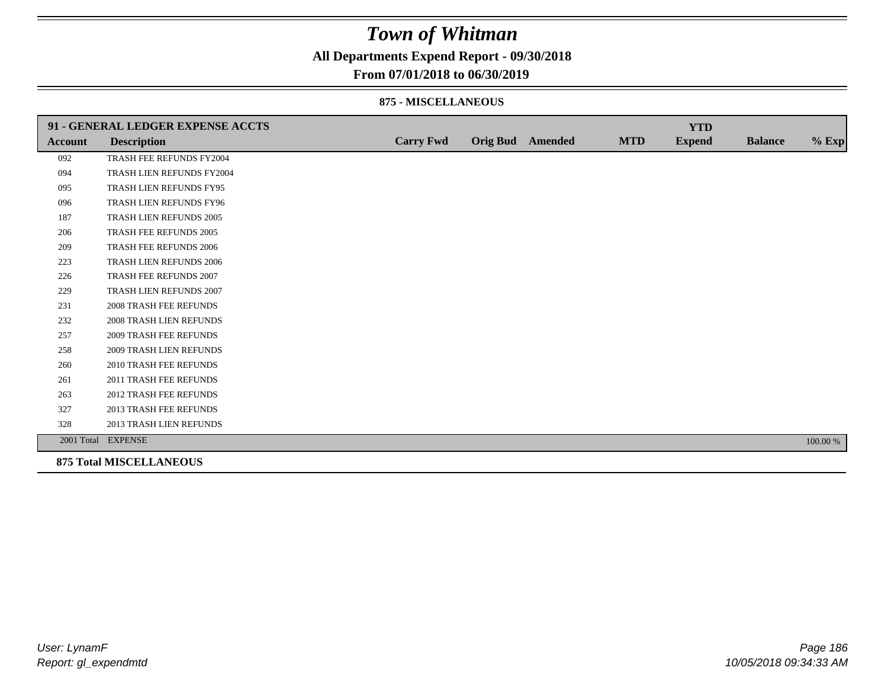**All Departments Expend Report - 09/30/2018**

### **From 07/01/2018 to 06/30/2019**

#### **875 - MISCELLANEOUS**

|                | 91 - GENERAL LEDGER EXPENSE ACCTS |                  |                  |            | <b>YTD</b>    |                |          |
|----------------|-----------------------------------|------------------|------------------|------------|---------------|----------------|----------|
| <b>Account</b> | <b>Description</b>                | <b>Carry Fwd</b> | Orig Bud Amended | <b>MTD</b> | <b>Expend</b> | <b>Balance</b> | $%$ Exp  |
| 092            | TRASH FEE REFUNDS FY2004          |                  |                  |            |               |                |          |
| 094            | TRASH LIEN REFUNDS FY2004         |                  |                  |            |               |                |          |
| 095            | TRASH LIEN REFUNDS FY95           |                  |                  |            |               |                |          |
| 096            | TRASH LIEN REFUNDS FY96           |                  |                  |            |               |                |          |
| 187            | TRASH LIEN REFUNDS 2005           |                  |                  |            |               |                |          |
| 206            | TRASH FEE REFUNDS 2005            |                  |                  |            |               |                |          |
| 209            | TRASH FEE REFUNDS 2006            |                  |                  |            |               |                |          |
| 223            | <b>TRASH LIEN REFUNDS 2006</b>    |                  |                  |            |               |                |          |
| 226            | <b>TRASH FEE REFUNDS 2007</b>     |                  |                  |            |               |                |          |
| 229            | TRASH LIEN REFUNDS 2007           |                  |                  |            |               |                |          |
| 231            | <b>2008 TRASH FEE REFUNDS</b>     |                  |                  |            |               |                |          |
| 232            | 2008 TRASH LIEN REFUNDS           |                  |                  |            |               |                |          |
| 257            | <b>2009 TRASH FEE REFUNDS</b>     |                  |                  |            |               |                |          |
| 258            | 2009 TRASH LIEN REFUNDS           |                  |                  |            |               |                |          |
| 260            | <b>2010 TRASH FEE REFUNDS</b>     |                  |                  |            |               |                |          |
| 261            | 2011 TRASH FEE REFUNDS            |                  |                  |            |               |                |          |
| 263            | <b>2012 TRASH FEE REFUNDS</b>     |                  |                  |            |               |                |          |
| 327            | <b>2013 TRASH FEE REFUNDS</b>     |                  |                  |            |               |                |          |
| 328            | 2013 TRASH LIEN REFUNDS           |                  |                  |            |               |                |          |
|                | 2001 Total EXPENSE                |                  |                  |            |               |                | 100.00 % |
|                | <b>875 Total MISCELLANEOUS</b>    |                  |                  |            |               |                |          |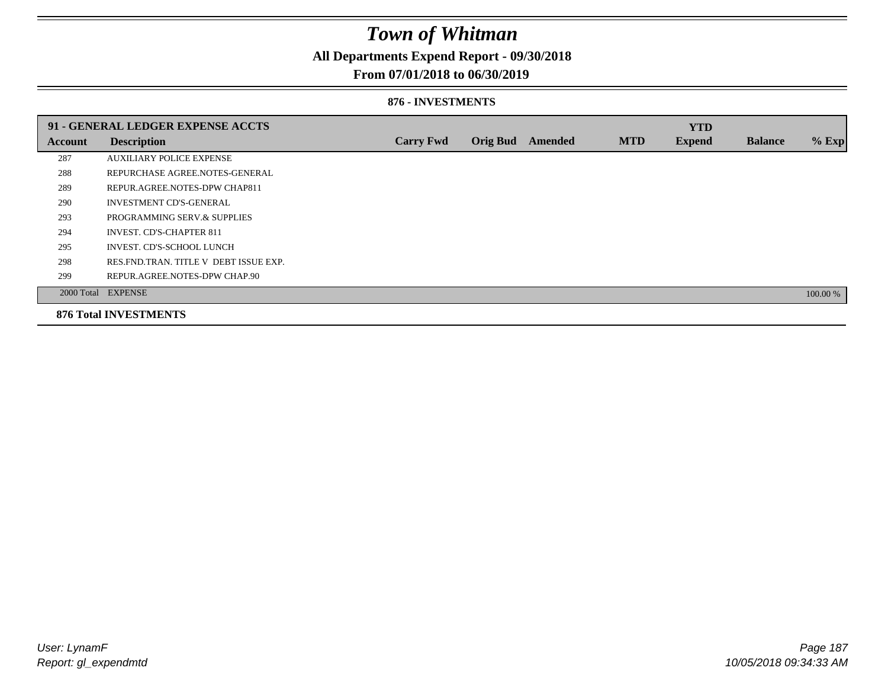**All Departments Expend Report - 09/30/2018**

### **From 07/01/2018 to 06/30/2019**

#### **876 - INVESTMENTS**

|         | 91 - GENERAL LEDGER EXPENSE ACCTS       |                  |                 |                |            | <b>YTD</b>    |                |          |
|---------|-----------------------------------------|------------------|-----------------|----------------|------------|---------------|----------------|----------|
| Account | <b>Description</b>                      | <b>Carry Fwd</b> | <b>Orig Bud</b> | <b>Amended</b> | <b>MTD</b> | <b>Expend</b> | <b>Balance</b> | % Exp    |
| 287     | <b>AUXILIARY POLICE EXPENSE</b>         |                  |                 |                |            |               |                |          |
| 288     | REPURCHASE AGREE.NOTES-GENERAL          |                  |                 |                |            |               |                |          |
| 289     | REPUR.AGREE.NOTES-DPW CHAP811           |                  |                 |                |            |               |                |          |
| 290     | <b>INVESTMENT CD'S-GENERAL</b>          |                  |                 |                |            |               |                |          |
| 293     | PROGRAMMING SERV.& SUPPLIES             |                  |                 |                |            |               |                |          |
| 294     | <b>INVEST. CD'S-CHAPTER 811</b>         |                  |                 |                |            |               |                |          |
| 295     | <b>INVEST. CD'S-SCHOOL LUNCH</b>        |                  |                 |                |            |               |                |          |
| 298     | RES. FND. TRAN. TITLE V DEBT ISSUE EXP. |                  |                 |                |            |               |                |          |
| 299     | REPUR.AGREE.NOTES-DPW CHAP.90           |                  |                 |                |            |               |                |          |
|         | 2000 Total EXPENSE                      |                  |                 |                |            |               |                | 100.00 % |
|         | <b>876 Total INVESTMENTS</b>            |                  |                 |                |            |               |                |          |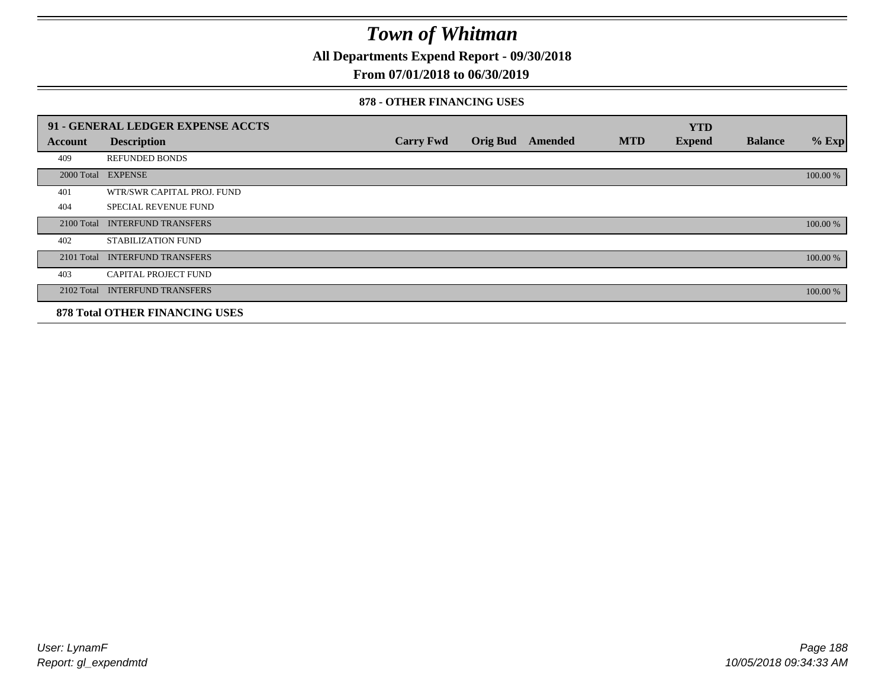**All Departments Expend Report - 09/30/2018**

### **From 07/01/2018 to 06/30/2019**

#### **878 - OTHER FINANCING USES**

|            | 91 - GENERAL LEDGER EXPENSE ACCTS     |                  |                 |         |            | <b>YTD</b>    |                |          |
|------------|---------------------------------------|------------------|-----------------|---------|------------|---------------|----------------|----------|
| Account    | <b>Description</b>                    | <b>Carry Fwd</b> | <b>Orig Bud</b> | Amended | <b>MTD</b> | <b>Expend</b> | <b>Balance</b> | $%$ Exp  |
| 409        | <b>REFUNDED BONDS</b>                 |                  |                 |         |            |               |                |          |
| 2000 Total | <b>EXPENSE</b>                        |                  |                 |         |            |               |                | 100.00 % |
| 401        | WTR/SWR CAPITAL PROJ. FUND            |                  |                 |         |            |               |                |          |
| 404        | <b>SPECIAL REVENUE FUND</b>           |                  |                 |         |            |               |                |          |
| 2100 Total | <b>INTERFUND TRANSFERS</b>            |                  |                 |         |            |               |                | 100.00 % |
| 402        | STABILIZATION FUND                    |                  |                 |         |            |               |                |          |
| 2101 Total | <b>INTERFUND TRANSFERS</b>            |                  |                 |         |            |               |                | 100.00 % |
| 403        | <b>CAPITAL PROJECT FUND</b>           |                  |                 |         |            |               |                |          |
|            | 2102 Total INTERFUND TRANSFERS        |                  |                 |         |            |               |                | 100.00 % |
|            | <b>878 Total OTHER FINANCING USES</b> |                  |                 |         |            |               |                |          |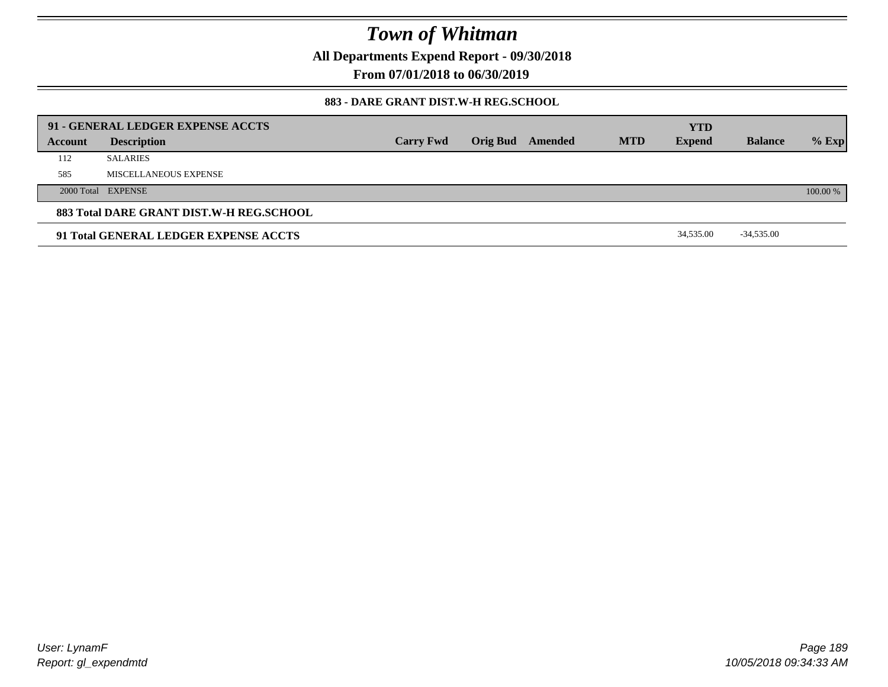**All Departments Expend Report - 09/30/2018**

**From 07/01/2018 to 06/30/2019**

### **883 - DARE GRANT DIST.W-H REG.SCHOOL**

|         | 91 - GENERAL LEDGER EXPENSE ACCTS        |                  |                  |            | <b>YTD</b>    |                |          |
|---------|------------------------------------------|------------------|------------------|------------|---------------|----------------|----------|
| Account | <b>Description</b>                       | <b>Carry Fwd</b> | Orig Bud Amended | <b>MTD</b> | <b>Expend</b> | <b>Balance</b> | $%$ Exp  |
| 112     | <b>SALARIES</b>                          |                  |                  |            |               |                |          |
| 585     | MISCELLANEOUS EXPENSE                    |                  |                  |            |               |                |          |
|         | 2000 Total EXPENSE                       |                  |                  |            |               |                | 100.00 % |
|         | 883 Total DARE GRANT DIST.W-H REG.SCHOOL |                  |                  |            |               |                |          |
|         | 91 Total GENERAL LEDGER EXPENSE ACCTS    |                  |                  |            | 34,535.00     | $-34,535.00$   |          |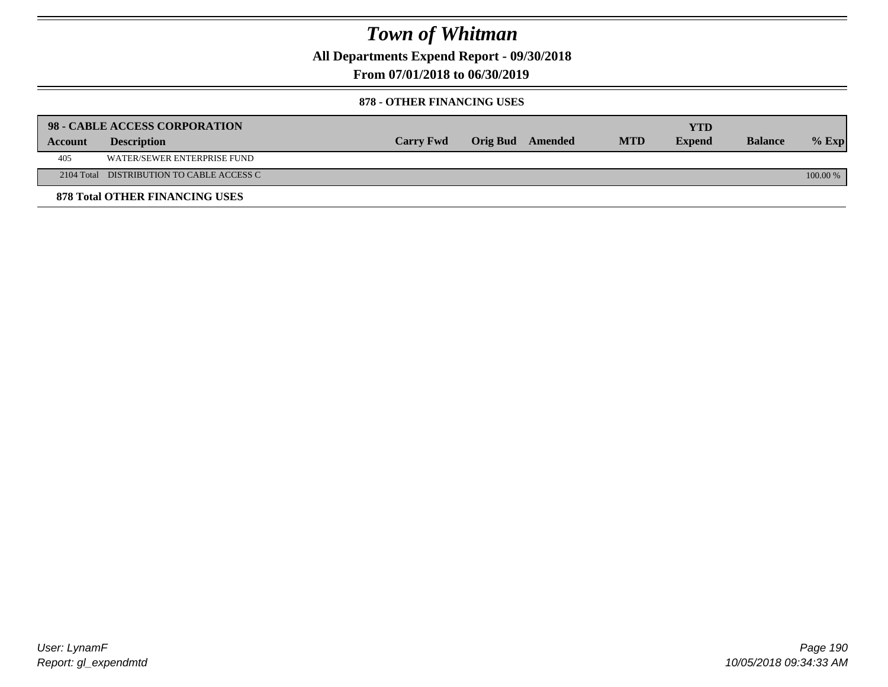**All Departments Expend Report - 09/30/2018**

**From 07/01/2018 to 06/30/2019**

### **878 - OTHER FINANCING USES**

|         | 98 - CABLE ACCESS CORPORATION             |                  |                  |            | YTD           |                |          |
|---------|-------------------------------------------|------------------|------------------|------------|---------------|----------------|----------|
| Account | <b>Description</b>                        | <b>Carry Fwd</b> | Orig Bud Amended | <b>MTD</b> | <b>Expend</b> | <b>Balance</b> | $%$ Exp  |
| 405     | WATER/SEWER ENTERPRISE FUND               |                  |                  |            |               |                |          |
|         | 2104 Total DISTRIBUTION TO CABLE ACCESS C |                  |                  |            |               |                | 100.00 % |
|         | <b>878 Total OTHER FINANCING USES</b>     |                  |                  |            |               |                |          |